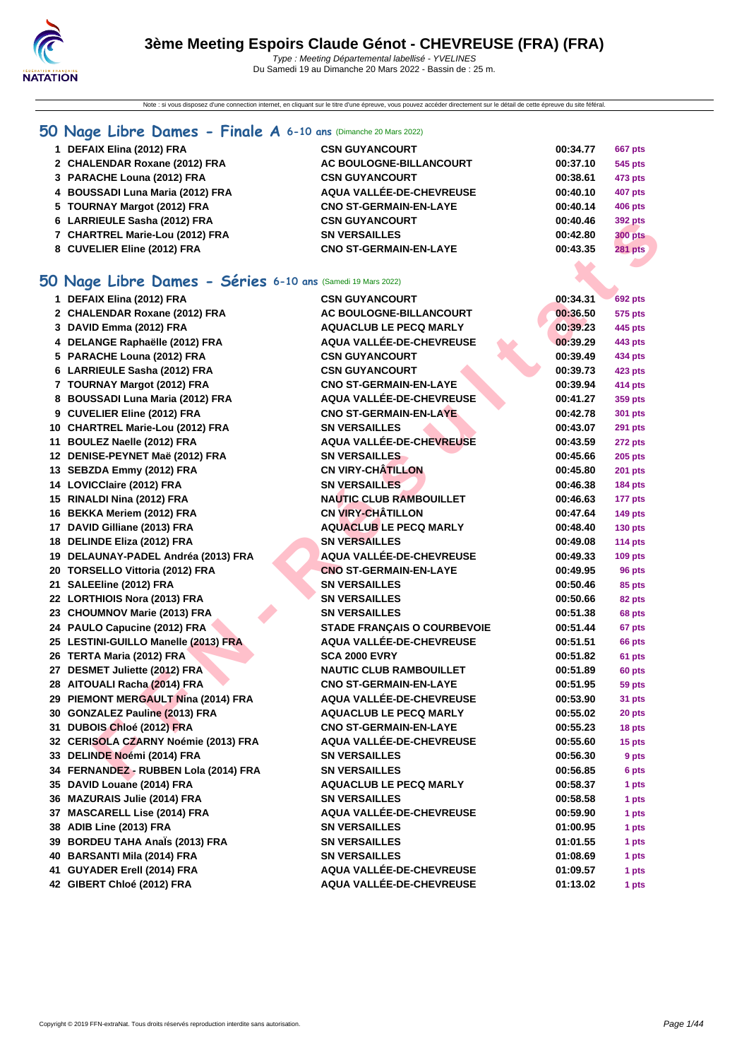Note : si vous disposez d'une connection internet, en cliquant sur le titre d'une épreuve, vous pouvez accéder directement sur le détail de cette épreuve du site féféral.

# **[50 Na](http://www.ffnatation.fr/webffn/index.php)ge Libre Dames - Finale A 6-10 ans** (Dimanche 20 Mars 2022)

| 1 DEFAIX Elina (2012) FRA        | <b>CSN GUYANCOURT</b>         | 00:34.77 | <b>667 pts</b> |
|----------------------------------|-------------------------------|----------|----------------|
| 2 CHALENDAR Roxane (2012) FRA    | AC BOULOGNE-BILLANCOURT       | 00:37.10 | 545 pts        |
| 3 PARACHE Louna (2012) FRA       | <b>CSN GUYANCOURT</b>         | 00:38.61 | 473 pts        |
| 4 BOUSSADI Luna Maria (2012) FRA | AQUA VALLÉE-DE-CHEVREUSE      | 00:40.10 | <b>407 pts</b> |
| 5 TOURNAY Margot (2012) FRA      | <b>CNO ST-GERMAIN-EN-LAYE</b> | 00:40.14 | 406 pts        |
| 6 LARRIEULE Sasha (2012) FRA     | <b>CSN GUYANCOURT</b>         | 00:40.46 | 392 pts        |
| 7 CHARTREL Marie-Lou (2012) FRA  | <b>SN VERSAILLES</b>          | 00:42.80 | <b>300 pts</b> |
| 8 CUVELIER Eline (2012) FRA      | <b>CNO ST-GERMAIN-EN-LAYE</b> | 00:43.35 | <b>281 pts</b> |

# **50 Nage Libre Dames - Séries 6-10 ans** (Samedi 19 Mars 2022)

| 6 LARRIEULE Sasha (2012) FRA                               | <b>CSN GUYANCOURT</b>              | 00:40.46 | <b>392 pts</b> |
|------------------------------------------------------------|------------------------------------|----------|----------------|
| 7 CHARTREL Marie-Lou (2012) FRA                            | <b>SN VERSAILLES</b>               | 00:42.80 | <b>300 pts</b> |
| 8 CUVELIER Eline (2012) FRA                                | <b>CNO ST-GERMAIN-EN-LAYE</b>      | 00:43.35 | <b>281 pts</b> |
|                                                            |                                    |          |                |
| O Nage Libre Dames - Séries 6-10 ans (Samedi 19 Mars 2022) |                                    |          |                |
|                                                            | <b>CSN GUYANCOURT</b>              |          |                |
| 1 DEFAIX Elina (2012) FRA                                  |                                    | 00:34.31 | 692 pts        |
| 2 CHALENDAR Roxane (2012) FRA                              | AC BOULOGNE-BILLANCOURT            | 00:36.50 | <b>575 pts</b> |
| 3 DAVID Emma (2012) FRA                                    | <b>AQUACLUB LE PECQ MARLY</b>      | 00:39.23 | 445 pts        |
| 4 DELANGE Raphaëlle (2012) FRA                             | AQUA VALLÉE-DE-CHEVREUSE           | 00:39.29 | 443 pts        |
| 5 PARACHE Louna (2012) FRA                                 | <b>CSN GUYANCOURT</b>              | 00:39.49 | 434 pts        |
| 6 LARRIEULE Sasha (2012) FRA                               | <b>CSN GUYANCOURT</b>              | 00:39.73 | 423 pts        |
| 7 TOURNAY Margot (2012) FRA                                | <b>CNO ST-GERMAIN-EN-LAYE</b>      | 00:39.94 | 414 pts        |
| 8 BOUSSADI Luna Maria (2012) FRA                           | AQUA VALLÉE-DE-CHEVREUSE           | 00:41.27 | 359 pts        |
| 9 CUVELIER Eline (2012) FRA                                | <b>CNO ST-GERMAIN-EN-LAYE</b>      | 00:42.78 | 301 pts        |
| 10 CHARTREL Marie-Lou (2012) FRA                           | <b>SN VERSAILLES</b>               | 00:43.07 | <b>291 pts</b> |
| 11 BOULEZ Naelle (2012) FRA                                | AQUA VALLÉE-DE-CHEVREUSE           | 00:43.59 | <b>272 pts</b> |
| 12 DENISE-PEYNET Maë (2012) FRA                            | <b>SN VERSAILLES</b>               | 00:45.66 | <b>205 pts</b> |
| 13 SEBZDA Emmy (2012) FRA                                  | <b>CN VIRY-CHÂTILLON</b>           | 00:45.80 | <b>201 pts</b> |
| 14 LOVICClaire (2012) FRA                                  | <b>SN VERSAILLES</b>               | 00:46.38 | <b>184 pts</b> |
| 15 RINALDI Nina (2012) FRA                                 | <b>NAUTIC CLUB RAMBOUILLET</b>     | 00:46.63 | 177 pts        |
| 16 BEKKA Meriem (2012) FRA                                 | <b>CN VIRY-CHÂTILLON</b>           | 00:47.64 | <b>149 pts</b> |
| 17 DAVID Gilliane (2013) FRA                               | <b>AQUACLUB LE PECQ MARLY</b>      | 00:48.40 | <b>130 pts</b> |
| 18 DELINDE Eliza (2012) FRA                                | <b>SN VERSAILLES</b>               | 00:49.08 | <b>114 pts</b> |
| 19 DELAUNAY-PADEL Andréa (2013) FRA                        | AQUA VALLÉE-DE-CHEVREUSE           | 00:49.33 | $109$ pts      |
| 20 TORSELLO Vittoria (2012) FRA                            | <b>CNO ST-GERMAIN-EN-LAYE</b>      | 00:49.95 | 96 pts         |
| 21 SALEEline (2012) FRA                                    | <b>SN VERSAILLES</b>               | 00:50.46 | 85 pts         |
| 22 LORTHIOIS Nora (2013) FRA                               | <b>SN VERSAILLES</b>               | 00:50.66 | 82 pts         |
| 23 CHOUMNOV Marie (2013) FRA                               | <b>SN VERSAILLES</b>               | 00:51.38 | 68 pts         |
| 24 PAULO Capucine (2012) FRA                               | <b>STADE FRANÇAIS O COURBEVOIE</b> | 00:51.44 | 67 pts         |
| 25 LESTINI-GUILLO Manelle (2013) FRA                       | <b>AQUA VALLÉE-DE-CHEVREUSE</b>    | 00:51.51 | 66 pts         |
| 26 TERTA Maria (2012) FRA                                  | <b>SCA 2000 EVRY</b>               | 00:51.82 | 61 pts         |
| 27 DESMET Juliette (2012) FRA                              | <b>NAUTIC CLUB RAMBOUILLET</b>     | 00:51.89 | 60 pts         |
| 28 AITOUALI Racha (2014) FRA                               | <b>CNO ST-GERMAIN-EN-LAYE</b>      | 00:51.95 | 59 pts         |
| 29 PIEMONT MERGAULT Nina (2014) FRA                        | AQUA VALLÉE-DE-CHEVREUSE           | 00:53.90 | 31 pts         |
| 30 GONZALEZ Pauline (2013) FRA                             | <b>AQUACLUB LE PECQ MARLY</b>      | 00:55.02 | 20 pts         |
| 31 DUBOIS Chloé (2012) FRA                                 | <b>CNO ST-GERMAIN-EN-LAYE</b>      | 00:55.23 | 18 pts         |
| 32 CERISOLA CZARNY Noémie (2013) FRA                       | AQUA VALLÉE-DE-CHEVREUSE           | 00:55.60 | 15 pts         |
| 33 DELINDE Noémi (2014) FRA                                | <b>SN VERSAILLES</b>               | 00:56.30 | 9 pts          |
| 34 FERNANDEZ - RUBBEN Lola (2014) FRA                      | <b>SN VERSAILLES</b>               | 00:56.85 | 6 pts          |
| 35 DAVID Louane (2014) FRA                                 | <b>AQUACLUB LE PECQ MARLY</b>      | 00:58.37 | 1 pts          |
| 36 MAZURAIS Julie (2014) FRA                               | <b>SN VERSAILLES</b>               | 00:58.58 | 1 pts          |
| 37 MASCARELL Lise (2014) FRA                               | AQUA VALLÉE-DE-CHEVREUSE           | 00:59.90 | 1 pts          |
| 38 ADIB Line (2013) FRA                                    | <b>SN VERSAILLES</b>               | 01:00.95 | 1 pts          |
| 39 BORDEU TAHA Anaïs (2013) FRA                            | <b>SN VERSAILLES</b>               | 01:01.55 | 1 pts          |
| 40 BARSANTI Mila (2014) FRA                                | <b>SN VERSAILLES</b>               | 01:08.69 | 1 pts          |
| 41 GUYADER Erell (2014) FRA                                | AQUA VALLÉE-DE-CHEVREUSE           | 01:09.57 | 1 pts          |
| 42 GIBERT Chloé (2012) FRA                                 | AQUA VALLÉE-DE-CHEVREUSE           | 01:13.02 | 1 pts          |
|                                                            |                                    |          |                |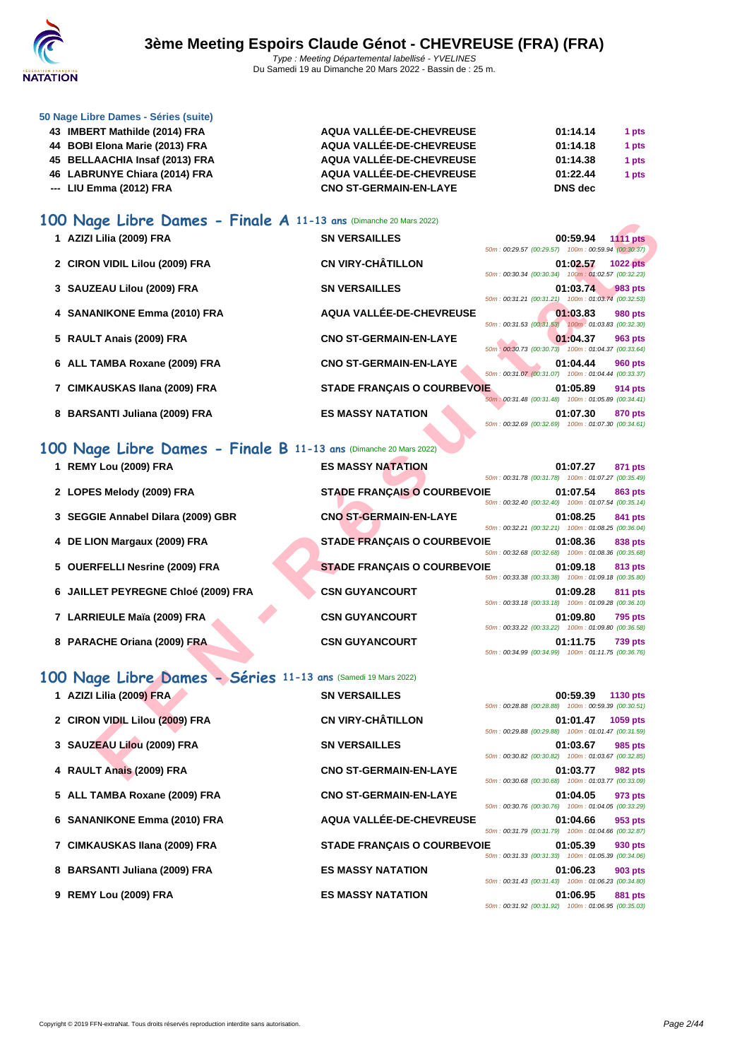

| 50 Nage Libre Dames - Séries (suite) |
|--------------------------------------|
|--------------------------------------|

| 43 IMBERT Mathilde (2014) FRA  | AQUA VALLÉE-DE-CHEVREUSE      | 01:14.14 | 1 pts |
|--------------------------------|-------------------------------|----------|-------|
| 44 BOBI Elona Marie (2013) FRA | AQUA VALLÉE-DE-CHEVREUSE      | 01:14.18 | 1 pts |
| 45 BELLAACHIA Insaf (2013) FRA | AQUA VALLÉE-DE-CHEVREUSE      | 01:14.38 | 1 pts |
| 46 LABRUNYE Chiara (2014) FRA  | AQUA VALLÉE-DE-CHEVREUSE      | 01:22.44 | 1 pts |
| --- LIU Emma (2012) FRA        | <b>CNO ST-GERMAIN-EN-LAYE</b> | DNS dec  |       |

### **100 Nage Libre Dames - Finale A 11-13 ans** (Dimanche 20 Mars 2022)

| <b>UU Nage Libre Dames - Finale A 11-13 ans (Dimanche 20 Mars 2022)</b> |                                    |                                                                                                                                 |
|-------------------------------------------------------------------------|------------------------------------|---------------------------------------------------------------------------------------------------------------------------------|
| 1 AZIZI Lilia (2009) FRA                                                | <b>SN VERSAILLES</b>               | 00:59.94<br><b>1111 pts</b><br>50m: 00:29.57 (00:29.57) 100m: 00:59.94 (00:30.37)                                               |
| 2 CIRON VIDIL Lilou (2009) FRA                                          | <b>CN VIRY-CHÂTILLON</b>           | 01:02.57<br><b>1022 pts</b><br>50m: 00:30.34 (00:30.34) 100m: 01:02.57 (00:32.23)                                               |
| 3 SAUZEAU Lilou (2009) FRA                                              | <b>SN VERSAILLES</b>               | 01:03.74<br>983 pts<br>50m: 00:31.21 (00:31.21) 100m: 01:03.74 (00:32.53)                                                       |
| 4 SANANIKONE Emma (2010) FRA                                            | AQUA VALLÉE-DE-CHEVREUSE           | 01:03.83<br>980 pts<br>50m: 00:31.53 (00:31.53) 100m: 01:03.83 (00:32.30)                                                       |
| 5 RAULT Anais (2009) FRA                                                | <b>CNO ST-GERMAIN-EN-LAYE</b>      | 01:04.37<br>963 pts<br>50m: 00:30.73 (00:30.73) 100m: 01:04.37 (00:33.64)                                                       |
| 6 ALL TAMBA Roxane (2009) FRA                                           | <b>CNO ST-GERMAIN-EN-LAYE</b>      | 01:04.44<br><b>960 pts</b><br>50m: 00:31.07 (00:31.07) 100m: 01:04.44 (00:33.37)                                                |
| 7 CIMKAUSKAS Ilana (2009) FRA                                           | <b>STADE FRANÇAIS O COURBEVOIE</b> | 01:05.89<br><b>914 pts</b><br>50m: 00:31.48 (00:31.48) 100m: 01:05.89 (00:34.41)                                                |
| 8 BARSANTI Juliana (2009) FRA                                           | <b>ES MASSY NATATION</b>           | 01:07.30<br>870 pts<br>50m: 00:32.69 (00:32.69) 100m: 01:07.30 (00:34.61)                                                       |
| 00 Nage Libre Dames - Finale B 11-13 ans (Dimanche 20 Mars 2022)        |                                    |                                                                                                                                 |
| 1 REMY Lou (2009) FRA                                                   | <b>ES MASSY NATATION</b>           | 01:07.27<br>871 pts<br>50m: 00:31.78 (00:31.78) 100m: 01:07.27 (00:35.49)                                                       |
| 2 LOPES Melody (2009) FRA                                               | <b>STADE FRANÇAIS O COURBEVOIE</b> | 01:07.54<br><b>863 pts</b>                                                                                                      |
| 3 SEGGIE Annabel Dilara (2009) GBR                                      | <b>CNO ST-GERMAIN-EN-LAYE</b>      | 50m: 00:32.40 (00:32.40) 100m: 01:07.54 (00:35.14)<br>01:08.25<br>841 pts                                                       |
| 4 DE LION Margaux (2009) FRA                                            | <b>STADE FRANÇAIS O COURBEVOIE</b> | 50m: 00:32.21 (00:32.21) 100m: 01:08.25 (00:36.04)<br>01:08.36<br>838 pts<br>50m: 00:32.68 (00:32.68) 100m: 01:08.36 (00:35.68) |
| 5 OUERFELLI Nesrine (2009) FRA                                          | <b>STADE FRANÇAIS O COURBEVOIE</b> | 01:09.18<br>813 pts<br>50m: 00:33.38 (00:33.38) 100m: 01:09.18 (00:35.80)                                                       |
| 6 JAILLET PEYREGNE Chloé (2009) FRA                                     | <b>CSN GUYANCOURT</b>              | 01:09.28<br>811 pts<br>50m: 00:33.18 (00:33.18) 100m: 01:09.28 (00:36.10)                                                       |
| 7 LARRIEULE Maïa (2009) FRA                                             | <b>CSN GUYANCOURT</b>              | 01:09.80<br>795 pts<br>50m: 00:33.22 (00:33.22) 100m: 01:09.80 (00:36.58)                                                       |
| 8 PARACHE Oriana (2009) FRA                                             | <b>CSN GUYANCOURT</b>              | 01:11.75<br><b>739 pts</b><br>50m: 00:34.99 (00:34.99) 100m: 01:11.75 (00:36.76)                                                |
| 00 Nage Libre Dames - Séries 11-13 ans (Samedi 19 Mars 2022)            |                                    |                                                                                                                                 |
| 1 AZIZI Lilia (2009) FRA                                                | <b>SN VERSAILLES</b>               | 00:59.39<br>1130 pts                                                                                                            |
| 2 CIRON VIDIL Lilou (2009) FRA                                          | <b>CN VIRY-CHÂTILLON</b>           | 50m: 00:28.88 (00:28.88) 100m: 00:59.39 (00:30.51)<br>01:01.47<br>1059 pts                                                      |
| 3 SAUZEAU Lilou (2009) FRA                                              | <b>SN VERSAILLES</b>               | 50m: 00:29.88 (00:29.88) 100m: 01:01.47 (00:31.59)<br>01:03.67<br>985 pts                                                       |
| 4 RAULT Anais (2009) FRA                                                | <b>CNO ST-GERMAIN-EN-LAYE</b>      | 50m: 00:30.82 (00:30.82) 100m: 01:03.67 (00:32.85)<br>01:03.77<br>982 pts                                                       |
|                                                                         |                                    | E0- - 00:00 CO (00:00.00)                                                                                                       |

## **100 Nage Libre Dames - Finale B 11-13 ans** (Dimanche 20 Mars 2022)

| 1 REMY Lou (2009) FRA               | <b>ES MASSY NATATION</b>           |                                                    | 01:07.27 | 871 pts        |
|-------------------------------------|------------------------------------|----------------------------------------------------|----------|----------------|
|                                     |                                    | 50m: 00:31.78 (00:31.78) 100m: 01:07.27 (00:35.49) |          |                |
| 2 LOPES Melody (2009) FRA           | <b>STADE FRANÇAIS O COURBEVOIE</b> |                                                    | 01:07.54 | 863 pts        |
|                                     |                                    | 50m: 00:32.40 (00:32.40) 100m: 01:07.54 (00:35.14) |          |                |
| 3 SEGGIE Annabel Dilara (2009) GBR  | <b>CNO ST-GERMAIN-EN-LAYE</b>      |                                                    | 01:08.25 | 841 pts        |
|                                     |                                    | 50m: 00:32.21 (00:32.21) 100m: 01:08.25 (00:36.04) |          |                |
| 4 DE LION Margaux (2009) FRA        | <b>STADE FRANCAIS O COURBEVOIE</b> |                                                    | 01:08.36 | 838 pts        |
|                                     |                                    | 50m: 00:32.68 (00:32.68) 100m: 01:08.36 (00:35.68) |          |                |
| 5 OUERFELLI Nesrine (2009) FRA      | <b>STADE FRANCAIS O COURBEVOIE</b> |                                                    | 01:09.18 | 813 pts        |
|                                     |                                    | 50m: 00:33.38 (00:33.38) 100m: 01:09.18 (00:35.80) |          |                |
| 6 JAILLET PEYREGNE Chloé (2009) FRA | <b>CSN GUYANCOURT</b>              | 50m: 00:33.18 (00:33.18) 100m: 01:09.28 (00:36.10) | 01:09.28 | 811 pts        |
|                                     | <b>CSN GUYANCOURT</b>              |                                                    |          |                |
|                                     |                                    |                                                    |          |                |
| 7 LARRIEULE Maïa (2009) FRA         |                                    |                                                    | 01:09.80 | <b>795 pts</b> |
|                                     |                                    | 50m: 00:33.22 (00:33.22) 100m: 01:09.80 (00:36.58) |          |                |
| 8 PARACHE Oriana (2009) FRA         | <b>CSN GUYANCOURT</b>              | 50m: 00:34.99 (00:34.99) 100m: 01:11.75 (00:36.76) | 01:11.75 | <b>739 pts</b> |

## **100 Nage Libre Dames - Séries 11-13 ans** (Samedi 19 Mars 2022)

| 1 AZIZI Lilia (2009) FRA       | <b>SN VERSAILLES</b>               |                                                    | 00:59.39 | 1130 pts       |
|--------------------------------|------------------------------------|----------------------------------------------------|----------|----------------|
|                                |                                    | 50m: 00:28.88 (00:28.88) 100m: 00:59.39 (00:30.51) |          |                |
| 2 CIRON VIDIL Lilou (2009) FRA | <b>CN VIRY-CHÂTILLON</b>           |                                                    | 01:01.47 | 1059 pts       |
|                                |                                    | 50m: 00:29.88 (00:29.88) 100m: 01:01.47 (00:31.59) |          |                |
| 3 SAUZEAU Lilou (2009) FRA     | <b>SN VERSAILLES</b>               |                                                    | 01:03.67 | 985 pts        |
|                                |                                    | 50m: 00:30.82 (00:30.82) 100m: 01:03.67 (00:32.85) |          |                |
| 4 RAULT Anais (2009) FRA       | <b>CNO ST-GERMAIN-EN-LAYE</b>      |                                                    | 01:03.77 | 982 pts        |
|                                |                                    | 50m: 00:30.68 (00:30.68) 100m: 01:03.77 (00:33.09) |          |                |
| 5 ALL TAMBA Roxane (2009) FRA  | <b>CNO ST-GERMAIN-EN-LAYE</b>      | 50m: 00:30.76 (00:30.76) 100m: 01:04.05 (00:33.29) | 01:04.05 | 973 pts        |
|                                | AQUA VALLÉE-DE-CHEVREUSE           |                                                    |          |                |
| 6 SANANIKONE Emma (2010) FRA   |                                    | 50m: 00:31.79 (00:31.79) 100m: 01:04.66 (00:32.87) | 01:04.66 | 953 pts        |
|                                |                                    |                                                    |          |                |
| 7 CIMKAUSKAS Ilana (2009) FRA  | <b>STADE FRANÇAIS O COURBEVOIE</b> | 50m: 00:31.33 (00:31.33) 100m: 01:05.39 (00:34.06) | 01:05.39 | 930 pts        |
| 8 BARSANTI Juliana (2009) FRA  | <b>ES MASSY NATATION</b>           |                                                    | 01:06.23 | 903 pts        |
|                                |                                    | 50m: 00:31.43 (00:31.43) 100m: 01:06.23 (00:34.80) |          |                |
| 9 REMY Lou (2009) FRA          | <b>ES MASSY NATATION</b>           |                                                    | 01:06.95 | <b>881 pts</b> |
|                                |                                    |                                                    |          |                |

50m : 00:31.92 (00:31.92) 100m : 01:06.95 (00:35.03)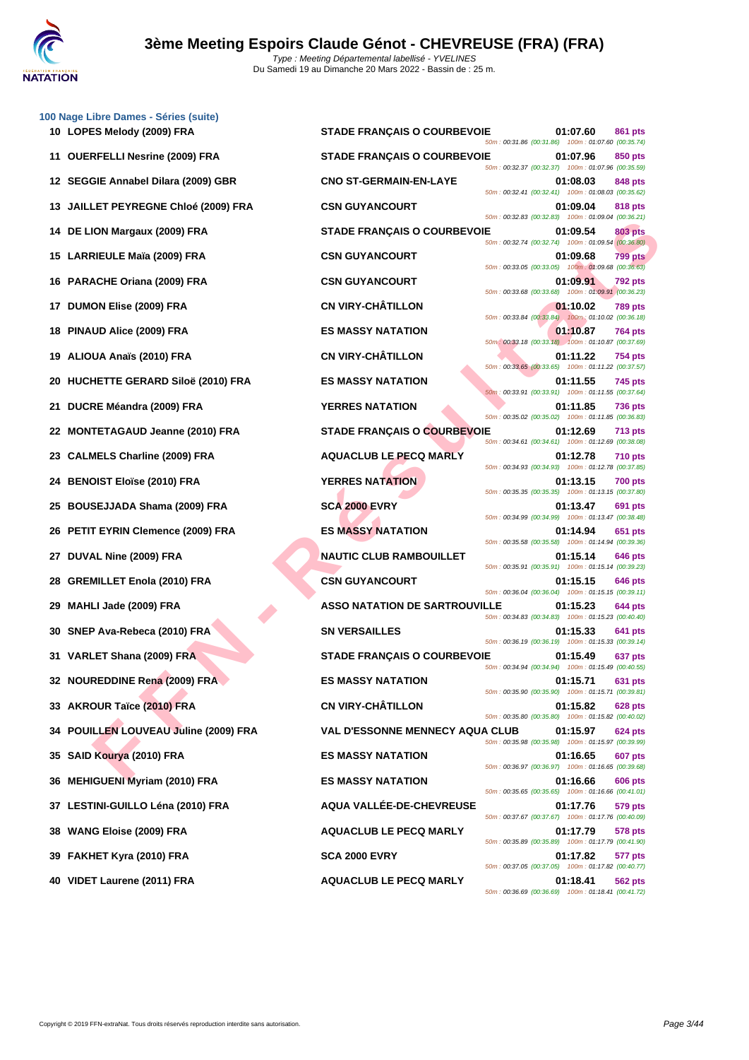

|    | 100 Nage Libre Dames - Séries (suite)<br>10 LOPES Melody (2009) FRA | <b>STADE FRANÇAIS O COURBEVOIE</b>     | 01:07.60                                                                                                             | 861 pts        |
|----|---------------------------------------------------------------------|----------------------------------------|----------------------------------------------------------------------------------------------------------------------|----------------|
|    | 11 OUERFELLI Nesrine (2009) FRA                                     | <b>STADE FRANÇAIS O COURBEVOIE</b>     | 50m: 00:31.86 (00:31.86) 100m: 01:07.60 (00:35.74)<br>01:07.96                                                       | 850 pts        |
|    | 12 SEGGIE Annabel Dilara (2009) GBR                                 | <b>CNO ST-GERMAIN-EN-LAYE</b>          | 50m: 00:32.37 (00:32.37) 100m: 01:07.96 (00:35.59)<br>01:08.03                                                       | 848 pts        |
|    | 13 JAILLET PEYREGNE Chloé (2009) FRA                                | <b>CSN GUYANCOURT</b>                  | 50m: 00:32.41 (00:32.41) 100m: 01:08.03 (00:35.62)<br>01:09.04                                                       | 818 pts        |
|    | 14 DE LION Margaux (2009) FRA                                       | <b>STADE FRANÇAIS O COURBEVOIE</b>     | 50m: 00:32.83 (00:32.83) 100m: 01:09.04 (00:36.21)<br>01:09.54<br>50m: 00:32.74 (00:32.74) 100m: 01:09.54 (00:36.80) | <b>803 pts</b> |
|    | 15 LARRIEULE Maïa (2009) FRA                                        | <b>CSN GUYANCOURT</b>                  | 01:09.68<br>50m: 00:33.05 (00:33.05) 100m: 01:09.68 (00:36.63)                                                       | <b>799 pts</b> |
|    | 16 PARACHE Oriana (2009) FRA                                        | <b>CSN GUYANCOURT</b>                  | 01:09.91<br>50m: 00:33.68 (00:33.68) 100m: 01:09.91 (00:36.23)                                                       | 792 pts        |
|    | 17 DUMON Elise (2009) FRA                                           | <b>CN VIRY-CHÂTILLON</b>               | 01:10.02<br>50m: 00:33.84 (00:33.84) 100m: 01:10.02 (00:36.18)                                                       | <b>789 pts</b> |
|    | 18 PINAUD Alice (2009) FRA                                          | <b>ES MASSY NATATION</b>               | 01:10.87<br>50m: 00:33.18 (00:33.18) 100m: 01:10.87 (00:37.69)                                                       | 764 pts        |
|    | 19 ALIOUA Anaïs (2010) FRA                                          | <b>CN VIRY-CHÂTILLON</b>               | 01:11.22<br>50m: 00:33.65 (00:33.65) 100m: 01:11.22 (00:37.57)                                                       | 754 pts        |
|    | 20 HUCHETTE GERARD Siloë (2010) FRA                                 | <b>ES MASSY NATATION</b>               | 01:11.55<br>50m: 00:33.91 (00:33.91) 100m: 01:11.55 (00:37.64)                                                       | 745 pts        |
| 21 | DUCRE Méandra (2009) FRA                                            | <b>YERRES NATATION</b>                 | 01:11.85<br>50m: 00:35.02 (00:35.02) 100m: 01:11.85 (00:36.83)                                                       | 736 pts        |
|    | 22 MONTETAGAUD Jeanne (2010) FRA                                    | STADE FRANÇAIS O COURBEVOIE            | 01:12.69<br>50m: 00:34.61 (00:34.61) 100m: 01:12.69 (00:38.08)                                                       | 713 pts        |
|    | 23 CALMELS Charline (2009) FRA                                      | <b>AQUACLUB LE PECQ MARLY</b>          | 01:12.78<br>50m: 00:34.93 (00:34.93) 100m: 01:12.78 (00:37.85)                                                       | 710 pts        |
|    | 24 BENOIST Eloïse (2010) FRA                                        | <b>YERRES NATATION</b>                 | 01:13.15<br>50m: 00:35.35 (00:35.35) 100m: 01:13.15 (00:37.80)                                                       | <b>700 pts</b> |
|    | 25 BOUSEJJADA Shama (2009) FRA                                      | <b>SCA 2000 EVRY</b>                   | 01:13.47<br>50m: 00:34.99 (00:34.99) 100m: 01:13.47 (00:38.48)                                                       | 691 pts        |
|    | 26 PETIT EYRIN Clemence (2009) FRA                                  | <b>ES MASSY NATATION</b>               | 01:14.94<br>50m: 00:35.58 (00:35.58) 100m: 01:14.94 (00:39.36)                                                       | 651 pts        |
|    | 27 DUVAL Nine (2009) FRA                                            | <b>NAUTIC CLUB RAMBOUILLET</b>         | 01:15.14<br>50m: 00:35.91 (00:35.91) 100m: 01:15.14 (00:39.23)                                                       | 646 pts        |
|    | 28 GREMILLET Enola (2010) FRA                                       | <b>CSN GUYANCOURT</b>                  | 01:15.15<br>50m: 00:36.04 (00:36.04) 100m: 01:15.15 (00:39.11)                                                       | 646 pts        |
|    | 29 MAHLI Jade (2009) FRA                                            | <b>ASSO NATATION DE SARTROUVILLE</b>   | 01:15.23<br>50m: 00:34.83 (00:34.83) 100m: 01:15.23 (00:40.40)                                                       | 644 pts        |
|    | 30 SNEP Ava-Rebeca (2010) FRA                                       | <b>SN VERSAILLES</b>                   | 01:15.33<br>50m: 00:36.19 (00:36.19) 100m: 01:15.33 (00:39.14)                                                       | 641 pts        |
|    | 31 VARLET Shana (2009) FRA                                          | <b>STADE FRANÇAIS O COURBEVOIE</b>     | 01:15.49<br>50m : 00:34.94 (00:34.94)  100m : 01:15.49 (00:40.55)                                                    | 637 pts        |
|    | 32 NOUREDDINE Rena (2009) FRA                                       | <b>ES MASSY NATATION</b>               | 01:15.71<br>50m: 00:35.90 (00:35.90) 100m: 01:15.71 (00:39.81)                                                       | 631 pts        |
|    | 33 AKROUR Taïce (2010) FRA                                          | <b>CN VIRY-CHÂTILLON</b>               | 01:15.82<br>50m: 00:35.80 (00:35.80) 100m: 01:15.82 (00:40.02)                                                       | <b>628 pts</b> |
|    | 34 POUILLEN LOUVEAU Juline (2009) FRA                               | <b>VAL D'ESSONNE MENNECY AQUA CLUB</b> | 01:15.97<br>50m: 00:35.98 (00:35.98) 100m: 01:15.97 (00:39.99)                                                       | 624 pts        |
|    | 35 SAID Kourya (2010) FRA                                           | <b>ES MASSY NATATION</b>               | 01:16.65<br>50m: 00:36.97 (00:36.97) 100m: 01:16.65 (00:39.68)                                                       | 607 pts        |
|    | 36 MEHIGUENI Myriam (2010) FRA                                      | <b>ES MASSY NATATION</b>               | 01:16.66<br>50m: 00:35.65 (00:35.65) 100m: 01:16.66 (00:41.01)                                                       | 606 pts        |
|    | 37 LESTINI-GUILLO Léna (2010) FRA                                   | AQUA VALLÉE-DE-CHEVREUSE               | 01:17.76<br>50m: 00:37.67 (00:37.67) 100m: 01:17.76 (00:40.09)                                                       | 579 pts        |
|    | 38 WANG Eloise (2009) FRA                                           | <b>AQUACLUB LE PECQ MARLY</b>          | 01:17.79<br>50m: 00:35.89 (00:35.89) 100m: 01:17.79 (00:41.90)                                                       | 578 pts        |
|    | 39 FAKHET Kyra (2010) FRA                                           | <b>SCA 2000 EVRY</b>                   | 01:17.82<br>50m: 00:37.05 (00:37.05) 100m: 01:17.82 (00:40.77)                                                       | 577 pts        |
|    | 40 VIDET Laurene (2011) FRA                                         | <b>AQUACLUB LE PECQ MARLY</b>          | 01:18.41<br>50m: 00:36.69 (00:36.69) 100m: 01:18.41 (00:41.72)                                                       | 562 pts        |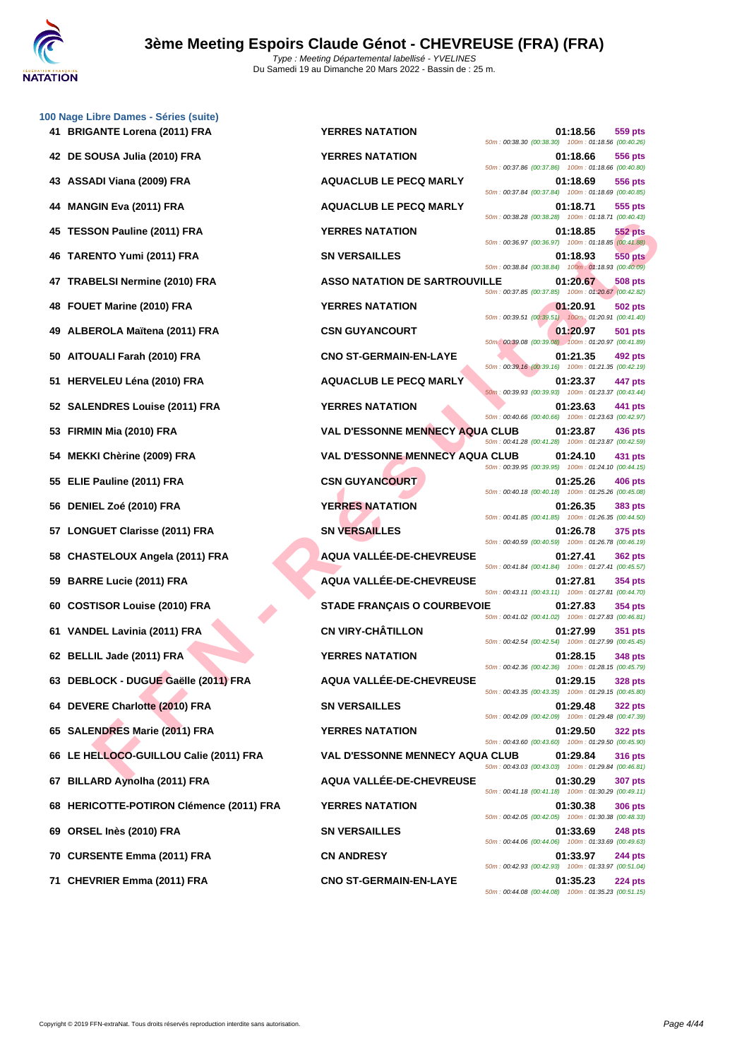

|    | 100 Nage Libre Dames - Séries (suite)<br>41 BRIGANTE Lorena (2011) FRA | <b>YERRES NATATION</b>                 | 01:18.56<br>559 pts                                                              |
|----|------------------------------------------------------------------------|----------------------------------------|----------------------------------------------------------------------------------|
|    | 42 DE SOUSA Julia (2010) FRA                                           | <b>YERRES NATATION</b>                 | 50m: 00:38.30 (00:38.30) 100m: 01:18.56 (00:40.26)<br>01:18.66<br>556 pts        |
|    | 43 ASSADI Viana (2009) FRA                                             | <b>AQUACLUB LE PECQ MARLY</b>          | 50m: 00:37.86 (00:37.86) 100m: 01:18.66 (00:40.80)<br>01:18.69<br>556 pts        |
| 44 | <b>MANGIN Eva (2011) FRA</b>                                           | <b>AQUACLUB LE PECQ MARLY</b>          | 50m: 00:37.84 (00:37.84) 100m: 01:18.69 (00:40.85)<br>01:18.71<br>555 pts        |
| 45 | <b>TESSON Pauline (2011) FRA</b>                                       | <b>YERRES NATATION</b>                 | 50m: 00:38.28 (00:38.28) 100m: 01:18.71 (00:40.43)<br>01:18.85<br><b>552 pts</b> |
| 46 | TARENTO Yumi (2011) FRA                                                | <b>SN VERSAILLES</b>                   | 50m: 00:36.97 (00:36.97) 100m: 01:18.85 (00:41.88)<br>01:18.93<br><b>550 pts</b> |
| 47 | <b>TRABELSI Nermine (2010) FRA</b>                                     | <b>ASSO NATATION DE SARTROUVILLE</b>   | 50m: 00:38.84 (00:38.84) 100m: 01:18.93 (00:40.09)<br>01:20.67<br><b>508 pts</b> |
| 48 | FOUET Marine (2010) FRA                                                | <b>YERRES NATATION</b>                 | 50m: 00:37.85 (00:37.85) 100m: 01:20.67 (00:42.82)<br>01:20.91<br><b>502 pts</b> |
| 49 | ALBEROLA Maïtena (2011) FRA                                            | <b>CSN GUYANCOURT</b>                  | 50m: 00:39.51 (00:39.51) 100m: 01:20.91 (00:41.40)<br>01:20.97<br><b>501 pts</b> |
| 50 | AITOUALI Farah (2010) FRA                                              | <b>CNO ST-GERMAIN-EN-LAYE</b>          | 50m: 00:39.08 (00:39.08) 100m: 01:20.97 (00:41.89)<br>01:21.35<br>492 pts        |
| 51 | <b>HERVELEU Léna (2010) FRA</b>                                        | <b>AQUACLUB LE PECQ MARLY</b>          | 50m: 00:39.16 (00:39.16) 100m: 01:21.35 (00:42.19)<br>01:23.37<br>447 pts        |
|    | 52 SALENDRES Louise (2011) FRA                                         | <b>YERRES NATATION</b>                 | 50m: 00:39.93 (00:39.93) 100m: 01:23.37 (00:43.44)<br>01:23.63<br>441 pts        |
| 53 | FIRMIN Mia (2010) FRA                                                  | <b>VAL D'ESSONNE MENNECY AQUA CLUB</b> | 50m: 00:40.66 (00:40.66) 100m: 01:23.63 (00:42.97)<br>01:23.87<br>436 pts        |
| 54 | MEKKI Chèrine (2009) FRA                                               | <b>VAL D'ESSONNE MENNECY AQUA CLUB</b> | 50m: 00:41.28 (00:41.28) 100m: 01:23.87 (00:42.59)<br>01:24.10<br>431 pts        |
| 55 | ELIE Pauline (2011) FRA                                                | <b>CSN GUYANCOURT</b>                  | 50m: 00:39.95 (00:39.95) 100m: 01:24.10 (00:44.15)<br>01:25.26<br>406 pts        |
| 56 | DENIEL Zoé (2010) FRA                                                  | <b>YERRES NATATION</b>                 | 50m: 00:40.18 (00:40.18) 100m: 01:25.26 (00:45.08)<br>01:26.35<br>383 pts        |
| 57 | <b>LONGUET Clarisse (2011) FRA</b>                                     | <b>SN VERSAILLES</b>                   | 50m: 00:41.85 (00:41.85) 100m: 01:26.35 (00:44.50)<br>01:26.78<br>375 pts        |
| 58 | <b>CHASTELOUX Angela (2011) FRA</b>                                    | AQUA VALLÉE-DE-CHEVREUSE               | 50m: 00:40.59 (00:40.59) 100m: 01:26.78 (00:46.19)<br>01:27.41<br><b>362 pts</b> |
| 59 | <b>BARRE Lucie (2011) FRA</b>                                          | AQUA VALLÉE-DE-CHEVREUSE               | 50m: 00:41.84 (00:41.84) 100m: 01:27.41 (00:45.57)<br>01:27.81<br>354 pts        |
| 60 | <b>COSTISOR Louise (2010) FRA</b>                                      | <b>STADE FRANÇAIS O COURBEVOIE</b>     | 50m: 00:43.11 (00:43.11) 100m: 01:27.81 (00:44.70)<br>01:27.83<br><b>354 pts</b> |
|    | 61 VANDEL Lavinia (2011) FRA                                           | <b>CN VIRY-CHÂTILLON</b>               | 50m: 00:41.02 (00:41.02) 100m: 01:27.83 (00:46.81)<br>01:27.99<br>351 pts        |
|    | 62 BELLIL Jade (2011) FRA                                              | <b>YERRES NATATION</b>                 | 50m: 00:42.54 (00:42.54) 100m: 01:27.99 (00:45.45)<br>01:28.15<br><b>348 pts</b> |
|    | 63 DEBLOCK - DUGUE Gaëlle (2011) FRA                                   | <b>AQUA VALLÉE-DE-CHEVREUSE</b>        | 50m: 00:42.36 (00:42.36) 100m: 01:28.15 (00:45.79)<br>01:29.15<br><b>328 pts</b> |
| 64 | <b>DEVERE Charlotte (2010) FRA</b>                                     | <b>SN VERSAILLES</b>                   | 50m: 00:43.35 (00:43.35) 100m: 01:29.15 (00:45.80)<br>01:29.48<br><b>322 pts</b> |
|    | 65 SALENDRES Marie (2011) FRA                                          | <b>YERRES NATATION</b>                 | 50m: 00:42.09 (00:42.09) 100m: 01:29.48 (00:47.39)<br>01:29.50<br><b>322 pts</b> |
|    | 66 LE HELLOCO-GUILLOU Calie (2011) FRA                                 | <b>VAL D'ESSONNE MENNECY AQUA CLUB</b> | 50m: 00:43.60 (00:43.60) 100m: 01:29.50 (00:45.90)<br>01:29.84<br><b>316 pts</b> |
| 67 | <b>BILLARD Aynolha (2011) FRA</b>                                      | AQUA VALLÉE-DE-CHEVREUSE               | 50m: 00:43.03 (00:43.03) 100m: 01:29.84 (00:46.81)<br>01:30.29<br><b>307 pts</b> |
|    | 68 HERICOTTE-POTIRON Clémence (2011) FRA                               | <b>YERRES NATATION</b>                 | 50m: 00:41.18 (00:41.18) 100m: 01:30.29 (00:49.11)<br>01:30.38<br><b>306 pts</b> |
| 69 | ORSEL Inès (2010) FRA                                                  | <b>SN VERSAILLES</b>                   | 50m: 00:42.05 (00:42.05) 100m: 01:30.38 (00:48.33)<br>01:33.69<br><b>248 pts</b> |
| 70 | <b>CURSENTE Emma (2011) FRA</b>                                        | <b>CN ANDRESY</b>                      | 50m: 00:44.06 (00:44.06) 100m: 01:33.69 (00:49.63)<br>01:33.97<br><b>244 pts</b> |
|    | 71 CHEVRIER Emma (2011) FRA                                            | <b>CNO ST-GERMAIN-EN-LAYE</b>          | 50m: 00:42.93 (00:42.93) 100m: 01:33.97 (00:51.04)<br>01:35.23<br>224 pts        |
|    |                                                                        |                                        | 50m: 00:44.08 (00:44.08) 100m: 01:35.23 (00:51.15)                               |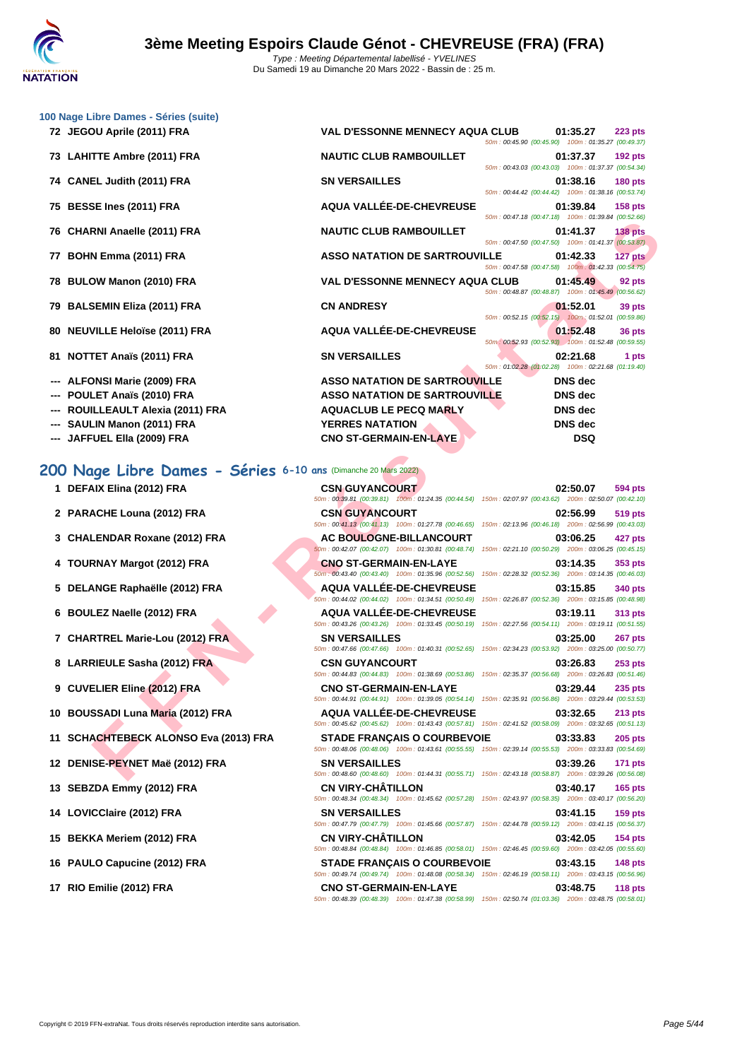

|    | 72 JEGOU Aprile (2011) FRA                                                                  | <b>VAL D'ESSONNE MENNECY AQUA CLUB</b>                                                                                                                                                | 01:35.27<br>223 pts<br>50m: 00:45.90 (00:45.90) 100m: 01:35.27 (00:49.37)            |  |
|----|---------------------------------------------------------------------------------------------|---------------------------------------------------------------------------------------------------------------------------------------------------------------------------------------|--------------------------------------------------------------------------------------|--|
|    | 73 LAHITTE Ambre (2011) FRA                                                                 | <b>NAUTIC CLUB RAMBOUILLET</b>                                                                                                                                                        | 01:37.37<br><b>192 pts</b><br>50m: 00:43.03 (00:43.03) 100m: 01:37.37 (00:54.34)     |  |
|    | 74 CANEL Judith (2011) FRA                                                                  | <b>SN VERSAILLES</b>                                                                                                                                                                  | 01:38.16<br><b>180 pts</b><br>50m: 00:44.42 (00:44.42) 100m: 01:38.16 (00:53.74)     |  |
|    | 75 BESSE Ines (2011) FRA                                                                    | AQUA VALLÉE-DE-CHEVREUSE                                                                                                                                                              | 01:39.84<br><b>158 pts</b><br>50m: 00:47.18 (00:47.18) 100m: 01:39.84 (00:52.66)     |  |
| 76 | <b>CHARNI Anaelle (2011) FRA</b>                                                            | <b>NAUTIC CLUB RAMBOUILLET</b>                                                                                                                                                        | 01:41.37<br>138 <sub>pts</sub><br>50m: 00:47.50 (00:47.50) 100m: 01:41.37 (00:53.87) |  |
| 77 | BOHN Emma (2011) FRA                                                                        | <b>ASSO NATATION DE SARTROUVILLE</b>                                                                                                                                                  | 01:42.33<br>127 pts<br>50m: 00:47.58 (00:47.58) 100m: 01:42.33 (00:54.75)            |  |
| 78 | BULOW Manon (2010) FRA                                                                      | <b>VAL D'ESSONNE MENNECY AQUA CLUB</b>                                                                                                                                                | 01:45.49<br>92 pts<br>50m : 00:48.87 (00:48.87) 100m : 01:45.49 (00:56.62)           |  |
| 79 | <b>BALSEMIN Eliza (2011) FRA</b>                                                            | <b>CN ANDRESY</b>                                                                                                                                                                     | 01:52.01<br>39 pts<br>50m: 00:52.15 (00:52.15) 100m: 01:52.01 (00:59.86)             |  |
| 80 | <b>NEUVILLE Heloïse (2011) FRA</b>                                                          | AQUA VALLÉE-DE-CHEVREUSE                                                                                                                                                              | 01:52.48<br>36 pts<br>50m: 00:52.93 (00:52.93) 100m: 01:52.48 (00:59.55)             |  |
|    | 81 NOTTET Anaïs (2011) FRA                                                                  | <b>SN VERSAILLES</b>                                                                                                                                                                  | 02:21.68<br>1 pts<br>50m: 01:02.28 (01:02.28) 100m: 02:21.68 (01:19.40)              |  |
|    | <b>ALFONSI Marie (2009) FRA</b>                                                             | <b>ASSO NATATION DE SARTROUVILLE</b>                                                                                                                                                  | <b>DNS</b> dec                                                                       |  |
|    | POULET Anaïs (2010) FRA                                                                     | <b>ASSO NATATION DE SARTROUVILLE</b>                                                                                                                                                  | <b>DNS</b> dec                                                                       |  |
|    | ROUILLEAULT Alexia (2011) FRA                                                               | <b>AQUACLUB LE PECQ MARLY</b>                                                                                                                                                         | <b>DNS</b> dec                                                                       |  |
|    | SAULIN Manon (2011) FRA                                                                     | <b>YERRES NATATION</b>                                                                                                                                                                | DNS dec                                                                              |  |
|    | --- JAFFUEL Ella (2009) FRA                                                                 | <b>CNO ST-GERMAIN-EN-LAYE</b>                                                                                                                                                         | <b>DSQ</b>                                                                           |  |
|    |                                                                                             |                                                                                                                                                                                       |                                                                                      |  |
|    | 200 Nage Libre Dames - Séries 6-10 ans (Dimanche 20 Mars 2022)<br>1 DEFAIX Elina (2012) FRA | <b>CSN GUYANCOURT</b>                                                                                                                                                                 | 02:50.07<br>594 pts                                                                  |  |
|    | 2 PARACHE Louna (2012) FRA                                                                  | 50m: 00:39.81 (00:39.81) 100m: 01:24.35 (00:44.54) 150m: 02:07.97 (00:43.62) 200m: 02:50.07 (00:42.10)<br><b>CSN GUYANCOURT</b><br>50m: 00:41.13 (00:41.13) 100m: 01:27.78 (00:46.65) | 02:56.99<br><b>519 pts</b><br>150m: 02:13.96 (00:46.18) 200m: 02:56.99 (00:43.03)    |  |
|    | 3 CHALENDAR Roxane (2012) FRA                                                               | <b>AC BOULOGNE-BILLANCOURT</b><br>50m: 00:42.07 (00:42.07) 100m: 01:30.81 (00:48.74)                                                                                                  | 03:06.25<br>427 pts<br>150m: 02:21.10 (00:50.29) 200m: 03:06.25 (00:45.15)           |  |
|    | 4 TOURNAY Margot (2012) FRA                                                                 | <b>CNO ST-GERMAIN-EN-LAYE</b><br>50m: 00:43.40 (00:43.40) 100m: 01:35.96 (00:52.56)                                                                                                   | 03:14.35<br>353 pts<br>150m: 02:28.32 (00:52.36) 200m: 03:14.35 (00:46.03)           |  |
|    | 5 DELANGE Raphaëlle (2012) FRA                                                              | <b>AQUA VALLEE-DE-CHEVREUSE</b><br>50m: 00:44.02 (00:44.02) 100m: 01:34.51 (00:50.49) 150m: 02:26.87 (00:52.36) 200m: 03:15.85 (00:48.98)                                             | 03:15.85<br>340 pts                                                                  |  |
| 6. | <b>BOULEZ Naelle (2012) FRA</b>                                                             | <b>AQUA VALLÉE-DE-CHEVREUSE</b><br>50m: 00:43.26 (00:43.26) 100m: 01:33.45 (00:50.19)                                                                                                 | 03:19.11<br>313 pts<br>150m: 02:27.56 (00:54.11) 200m: 03:19.11 (00:51.55)           |  |
|    | 7 CHARTREL Marie-Lou (2012) FRA                                                             | <b>SN VERSAILLES</b><br>50m: 00:47.66 (00:47.66) 100m: 01:40.31 (00:52.65)                                                                                                            | 03:25.00<br>267 pts<br>150m: 02:34.23 (00:53.92) 200m: 03:25.00 (00:50.77)           |  |
|    | 8 LARRIEULE Sasha (2012) FRA                                                                | <b>CSN GUYANCOURT</b><br>50m: 00:44.83 (00:44.83) 100m: 01:38.69 (00:53.86)                                                                                                           | 03:26.83<br>253 pts<br>150m: 02:35.37 (00:56.68) 200m: 03:26.83 (00:51.46)           |  |
|    | 9 CUVELIER Eline (2012) FRA                                                                 | <b>CNO ST-GERMAIN-EN-LAYE</b><br>50m: 00:44.91 (00:44.91) 100m: 01:39.05 (00:54.14)                                                                                                   | 03:29.44<br>235 pts<br>150m: 02:35.91 (00:56.86) 200m: 03:29.44 (00:53.53)           |  |
|    | 10 BOUSSADI Luna Maria (2012) FRA                                                           | <b>AQUA VALLÉE-DE-CHEVREUSE</b><br>50m: 00:45.62 (00:45.62) 100m: 01:43.43 (00:57.81) 150m: 02:41.52 (00:58.09) 200m: 03:32.65 (00:51.13)                                             | 03:32.65<br><b>213 pts</b>                                                           |  |
| 11 | <b>SCHACHTEBECK ALONSO Eva (2013) FRA</b><br>12 DENISE-PEYNET Maë (2012) FRA                | <b>STADE FRANCAIS O COURBEVOIE</b><br>50m: 00:48.06 (00:48.06) 100m: 01:43.61 (00:55.55) 150m: 02:39.14 (00:55.53) 200m: 03:33.83 (00:54.69)<br><b>SN VERSAILLES</b>                  | 03:33.83<br>$205$ pts<br>03:39.26<br><b>171 pts</b>                                  |  |

**[100 Nage](http://www.ffnatation.fr/webffn/index.php) Libre Dames - Séries (suite)**

### **200 Nage Libre Dames - Séries 6-10 ans**

- **1 DEFAIX Elina (2012) FRA C**<sub>500</sub>
- **2 PARACHE Louna (2012) FRA C**
- **3 CHALENDAR Roxane (2012) FRA**
- **4 TOURNAY Margot (2012) FRA CONO STATE CONO STATE 03:14.35**
- **5 DELANGE Raphaëlle (2012) FRA**
- **6 BOULEZ Naelle (2012) FRA ADUA VALLÉE**
- **7 CHARTREL Marie-Lou (2012) FRA SON** 500
- **8 LARRIEULE Sasha (2012) FRA C CSN GUYANCOURT CONTRANCOURT CONTRANCOURT CONTRANCOURT 6** *SON***</sup>**
- **9 CUVELIER Eline (2012) FRA C**
- **10 BOUSSADI Luna Maria (2012) FRA A**
- **11 SCHACHTEBECK ALONSO Eva (2013) FRA** S<sub>500</sub>
- **12 DENISE-PEYNET Maë (2012) FRA** S<sub>50n</sub> S<sub>50n</sub>
- **13 SEBZDA Emmy (2012) FRA C**
- **14 LOVICClaire (2012) FRA S**<br>50m
- **15 BEKKA Meriem (2012) FRA C**
- **16 PAULO Capucine (2012) FRA SO COURBEVOIEE SO CONFIDENCE**
- **17 RIO Emilie (2012) FRA C**

| <b>ans</b> (Dimanche 20 Mars 2022) |                                                                                                                                              |                                                     |          |                |
|------------------------------------|----------------------------------------------------------------------------------------------------------------------------------------------|-----------------------------------------------------|----------|----------------|
| <b>CSN GUYANCOURT</b>              |                                                                                                                                              |                                                     | 02:50.07 | <b>594 pts</b> |
|                                    | 50m: 00:39.81 (00:39.81) 100m: 01:24.35 (00:44.54) 150m: 02:07.97 (00:43.62) 200m: 02:50.07 (00:42.10)                                       |                                                     |          |                |
| <b>CSN GUYANCOURT</b>              |                                                                                                                                              |                                                     | 02:56.99 | <b>519 pts</b> |
|                                    | 50m: 00:41.13 (00:41.13) 100m: 01:27.78 (00:46.65)                                                                                           | 150m: 02:13.96 (00:46.18) 200m: 02:56.99 (00:43.03) |          |                |
|                                    | <b>AC BOULOGNE-BILLANCOURT</b>                                                                                                               |                                                     | 03:06.25 | 427 pts        |
|                                    | 50m: 00:42.07 (00:42.07) 100m: 01:30.81 (00:48.74)                                                                                           | 150m: 02:21.10 (00:50.29) 200m: 03:06.25 (00:45.15) |          |                |
| <b>CNO ST-GERMAIN-EN-LAYE</b>      |                                                                                                                                              |                                                     | 03:14.35 | 353 pts        |
|                                    | 50m: 00:43.40 (00:43.40) 100m: 01:35.96 (00:52.56)                                                                                           | 150m: 02:28.32 (00:52.36) 200m: 03:14.35 (00:46.03) |          |                |
|                                    | AQUA VALLÉE-DE-CHEVREUSE                                                                                                                     |                                                     | 03:15.85 | <b>340 pts</b> |
|                                    | 50m: 00:44.02 (00:44.02) 100m: 01:34.51 (00:50.49)                                                                                           | 150m: 02:26.87 (00:52.36) 200m: 03:15.85 (00:48.98) |          |                |
|                                    | AQUA VALLÉE-DE-CHEVREUSE                                                                                                                     |                                                     | 03:19.11 | <b>313 pts</b> |
|                                    | 50m: 00:43.26 (00:43.26) 100m: 01:33.45 (00:50.19)                                                                                           | 150m: 02:27.56 (00:54.11) 200m: 03:19.11 (00:51.55) |          |                |
| <b>SN VERSAILLES</b>               |                                                                                                                                              |                                                     | 03:25.00 | 267 pts        |
|                                    | 50m: 00:47.66 (00:47.66) 100m: 01:40.31 (00:52.65)                                                                                           | 150m: 02:34.23 (00:53.92) 200m: 03:25.00 (00:50.77) |          |                |
| <b>CSN GUYANCOURT</b>              |                                                                                                                                              |                                                     | 03:26.83 | $253$ pts      |
|                                    | 50m: 00:44.83 (00:44.83) 100m: 01:38.69 (00:53.86)                                                                                           | 150m: 02:35.37 (00:56.68) 200m: 03:26.83 (00:51.46) |          |                |
| <b>CNO ST-GERMAIN-EN-LAYE</b>      |                                                                                                                                              |                                                     | 03:29.44 | <b>235 pts</b> |
|                                    | 50m: 00:44.91 (00:44.91) 100m: 01:39.05 (00:54.14) 150m: 02:35.91 (00:56.86) 200m: 03:29.44 (00:53.53)                                       |                                                     |          |                |
|                                    | AQUA VALLÉE-DE-CHEVREUSE<br>50m: 00:45.62 (00:45.62) 100m: 01:43.43 (00:57.81) 150m: 02:41.52 (00:58.09) 200m: 03:32.65 (00:51.13)           |                                                     | 03:32.65 | <b>213 pts</b> |
|                                    |                                                                                                                                              |                                                     |          |                |
|                                    | <b>STADE FRANÇAIS O COURBEVOIE</b><br>50m: 00:48.06 (00:48.06) 100m: 01:43.61 (00:55.55) 150m: 02:39.14 (00:55.53) 200m: 03:33.83 (00:54.69) |                                                     | 03:33.83 | <b>205 pts</b> |
|                                    |                                                                                                                                              |                                                     |          |                |
| <b>SN VERSAILLES</b>               | 50m: 00:48.60 (00:48.60) 100m: 01:44.31 (00:55.71) 150m: 02:43.18 (00:58.87) 200m: 03:39.26 (00:56.08)                                       |                                                     | 03:39.26 | <b>171 pts</b> |
| <b>CN VIRY-CHÂTILLON</b>           |                                                                                                                                              |                                                     | 03:40.17 | <b>165 pts</b> |
|                                    | 50m: 00:48.34 (00:48.34) 100m: 01:45.62 (00:57.28)                                                                                           | 150m: 02:43.97 (00:58.35) 200m: 03:40.17 (00:56.20) |          |                |
| <b>SN VERSAILLES</b>               |                                                                                                                                              |                                                     | 03:41.15 | $159$ pts      |
|                                    | 50m: 00:47.79 (00:47.79) 100m: 01:45.66 (00:57.87)                                                                                           | 150m: 02:44.78 (00:59.12) 200m: 03:41.15 (00:56.37) |          |                |
| <b>CN VIRY-CHÂTILLON</b>           |                                                                                                                                              |                                                     | 03:42.05 | 154 pts        |
|                                    | 50m: 00:48.84 (00:48.84) 100m: 01:46.85 (00:58.01) 150m: 02:46.45 (00:59.60) 200m: 03:42.05 (00:55.60)                                       |                                                     |          |                |
|                                    | <b>STADE FRANÇAIS O COURBEVOIE</b>                                                                                                           |                                                     | 03:43.15 | <b>148 pts</b> |
|                                    | 50m: 00:49.74 (00:49.74) 100m: 01:48.08 (00:58.34)                                                                                           | 150m: 02:46.19 (00:58.11) 200m: 03:43.15 (00:56.96) |          |                |
| <b>CNO ST-GERMAIN-EN-LAYE</b>      |                                                                                                                                              |                                                     | 03:48.75 | <b>118 pts</b> |
|                                    | 50m: 00:48.39 (00:48.39) 100m: 01:47.38 (00:58.99) 150m: 02:50.74 (01:03.36) 200m: 03:48.75 (00:58.01)                                       |                                                     |          |                |
|                                    |                                                                                                                                              |                                                     |          |                |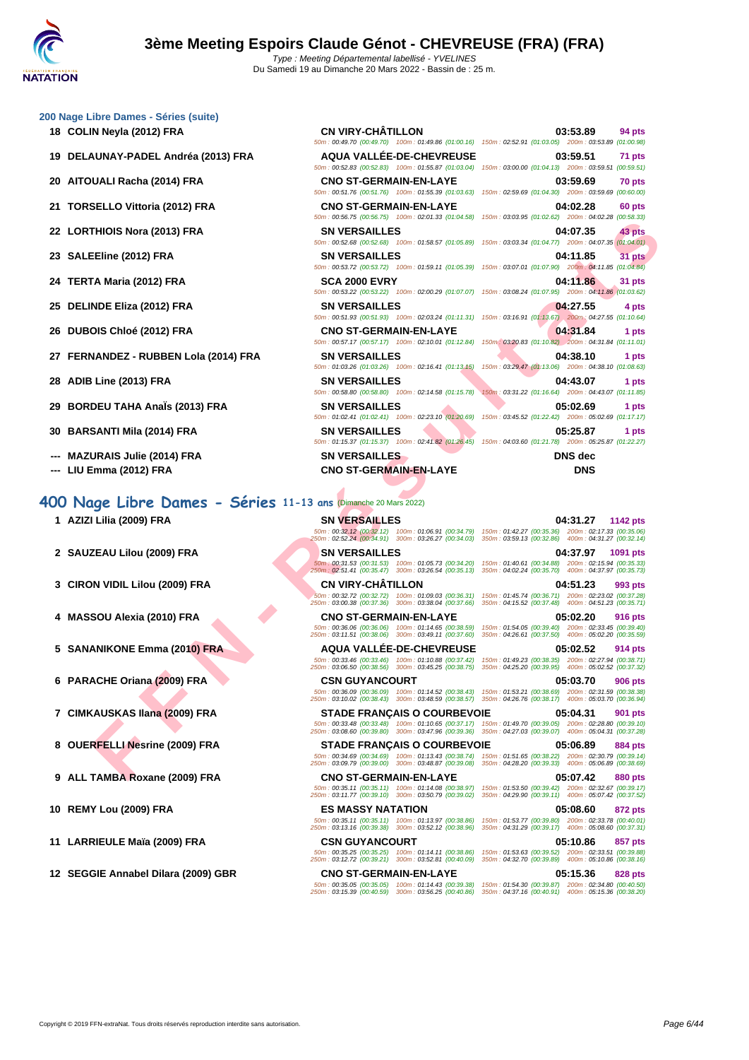### **[200 Nage](http://www.ffnatation.fr/webffn/index.php) Libre Dames - Séries (suite)**

- 
- 
- 
- 
- 
- 
- 
- 
- 
- 
- 
- 
- 
- **--- MAZURAIS Julie (2014) FRA**
- **--- LIU Emma (2012) FRA CNO ST-GERMAIN-EN-LAYE DNS**

### **400 Nage Libre Dames - Séries 11-13 ans** (Dimanche 20 Mars 2022)

- **1 AZIZI Lilia (2009) FRA SN VI**<br>  $\frac{50m \cdot 00.325}{250m \cdot 00.325}$
- **2 SAUZEAU Lilou (2009) FRA SN VI**
- **3 CIRON VIDIL Lilou (2009) FRA CN VI**
- **4 MASSOU Alexia (2010) FRA CNO**
- **5** SANANIKONE Emma (2010) FRA **AQUA**
- **6 PARACHE Oriana (2009) FRA CSN GUYANCOURT**
- **7 CIMKAUSKAS Ilana (2009) FRA STAD**
- **8 OUERFELLI** Nesrine (2009) FRA **STAD**
- **9 ALL TAMBA Roxane (2009) FRA CNO**
- 10 **REMY Lou (2009) FRA ES M.**
- **11 LARRIEULE Maïa (2009) FRA CSN**
- **12 SEGGIE Annabel Dilara (2009) GBR CNO**

| 18 COLIN Neyla (2012) FRA             | <b>CN VIRY-CHÂTILLON</b>      | 03:53.89<br>94 pts<br>50m: 00:49.70 (00:49.70) 100m: 01:49.86 (01:00.16) 150m: 02:52.91 (01:03.05) 200m: 03:53.89 (01:00.98) |
|---------------------------------------|-------------------------------|------------------------------------------------------------------------------------------------------------------------------|
| 19 DELAUNAY-PADEL Andréa (2013) FRA   | AQUA VALLÉE-DE-CHEVREUSE      | 03:59.51<br>71 pts<br>50m: 00:52.83 (00:52.83) 100m: 01:55.87 (01:03.04) 150m: 03:00.00 (01:04.13) 200m: 03:59.51 (00:59.51) |
| 20 AITOUALI Racha (2014) FRA          | <b>CNO ST-GERMAIN-EN-LAYE</b> | 03:59.69<br>70 pts<br>50m: 00:51.76 (00:51.76) 100m: 01:55.39 (01:03.63) 150m: 02:59.69 (01:04.30) 200m: 03:59.69 (00:60.00) |
| 21 TORSELLO Vittoria (2012) FRA       | <b>CNO ST-GERMAIN-EN-LAYE</b> | 04:02.28<br>60 pts<br>50m: 00:56.75 (00:56.75) 100m: 02:01.33 (01:04.58) 150m: 03:03.95 (01:02.62) 200m: 04:02.28 (00:58.33) |
| 22 LORTHIOIS Nora (2013) FRA          | <b>SN VERSAILLES</b>          | 43 pts<br>04:07.35<br>50m: 00:52.68 (00:52.68) 100m: 01:58.57 (01:05.89) 150m: 03:03.34 (01:04.77) 200m: 04:07.35 (01:04.01) |
| 23 SALEEline (2012) FRA               | <b>SN VERSAILLES</b>          | 04:11.85<br>31 pts<br>50m: 00:53.72 (00:53.72) 100m: 01:59.11 (01:05.39) 150m: 03:07.01 (01:07.90) 200m: 04:11.85 (01:04.84) |
| 24 TERTA Maria (2012) FRA             | <b>SCA 2000 EVRY</b>          | 04:11.86<br>31 pts<br>50m: 00:53.22 (00:53.22) 100m: 02:00.29 (01:07.07) 150m: 03:08.24 (01:07.95) 200m: 04:11.86 (01:03.62) |
| 25 DELINDE Eliza (2012) FRA           | <b>SN VERSAILLES</b>          | 04:27.55<br>4 pts<br>50m: 00:51.93 (00:51.93) 100m: 02:03.24 (01:11.31) 150m: 03:16.91 (01:13.67) 200m: 04:27.55 (01:10.64)  |
| 26 DUBOIS Chloé (2012) FRA            | <b>CNO ST-GERMAIN-EN-LAYE</b> | 04:31.84<br>1 pts<br>50m: 00:57.17 (00:57.17) 100m: 02:10.01 (01:12.84) 150m: 03:20.83 (01:10.82) 200m: 04:31.84 (01:11.01)  |
| 27 FERNANDEZ - RUBBEN Lola (2014) FRA | <b>SN VERSAILLES</b>          | 04:38.10<br>1 pts<br>50m: 01:03.26 (01:03.26) 100m: 02:16.41 (01:13.15) 150m: 03:29.47 (01:13.06) 200m: 04:38.10 (01:08.63)  |
| 28 ADIB Line (2013) FRA               | <b>SN VERSAILLES</b>          | 04:43.07<br>1 pts<br>50m: 00:58.80 (00:58.80) 100m: 02:14.58 (01:15.78) 150m: 03:31.22 (01:16.64) 200m: 04:43.07 (01:11.85)  |
| 29 BORDEU TAHA Anaïs (2013) FRA       | <b>SN VERSAILLES</b>          | 05:02.69<br>1 pts<br>50m: 01:02.41 (01:02.41) 100m: 02:23.10 (01:20.69) 150m: 03:45.52 (01:22.42) 200m: 05:02.69 (01:17.17)  |
| 30 BARSANTI Mila (2014) FRA           | <b>SN VERSAILLES</b>          | 05:25.87<br>1 pts<br>50m: 01:15.37 (01:15.37) 100m: 02:41.82 (01:26.45) 150m: 04:03.60 (01:21.78) 200m: 05:25.87 (01:22.27)  |
| --- MAZURAIS Julie (2014) FRA         | <b>SN VERSAILLES</b>          | <b>DNS</b> dec                                                                                                               |

| THIOIS Nora (2013) FRA<br><b>SN VERSAILLES</b><br>04:07.35<br>43 pts<br>50m : 00:52.68 (00:52.68) 100m : 01:58.57 (01:05.89) 150m : 03:03.34 (01:04.77) 200m : 04:07.35 (01:04.01)<br>EEline (2012) FRA<br><b>SN VERSAILLES</b><br>04:11.85<br>31 pts<br>50m: 00:53.72 (00:53.72) 100m: 01:59.11 (01:05.39) 150m: 03:07.01 (01:07.90) 200m: 04:11.85 (01:04.84)<br><b>SCA 2000 EVRY</b><br>04:11.86<br><b>FA Maria (2012) FRA</b><br>31 pts<br>50m : 00:53.22 (00:53.22) 100m : 02:00.29 (01:07.07) 150m : 03:08.24 (01:07.95) 200m : 04:11.86 (01:03.62)<br>NDE Eliza (2012) FRA<br><b>SN VERSAILLES</b><br>04:27.55<br>4 pts<br>50m: 00:51.93 (00:51.93) 100m: 02:03.24 (01:11.31) 150m: 03:16.91 (01:13.67) 200m: 04:27.55 (01:10.64)<br>OIS Chloé (2012) FRA<br><b>CNO ST-GERMAIN-EN-LAYE</b><br>04:31.84<br>1 pts<br>50m: 00:57.17 (00:57.17) 100m: 02:10.01 (01:12.84) 150m: 03:20.83 (01:10.82) 200m: 04:31.84 (01:11.01)<br>NANDEZ - RUBBEN Lola (2014) FRA<br><b>SN VERSAILLES</b><br>04:38.10<br>1 pts<br>50m: 01:03.26 (01:03.26) 100m: 02:16.41 (01:13.15) 150m: 03:29.47 (01:13.06) 200m: 04:38.10 (01:08.63)<br>ا Line (2013) FRA<br><b>SN VERSAILLES</b><br>04:43.07<br>1 pts<br>50m: 00:58.80 (00:58.80) 100m: 02:14.58 (01:15.78)<br>150m: 03:31.22 (01:16.64) 200m: 04:43.07 (01:11.85)<br>DEU TAHA Anals (2013) FRA<br><b>SN VERSAILLES</b><br>05:02.69<br>1 pts<br>50m: 01:02.41 (01:02.41) 100m: 02:23.10 (01:20.69) 150m: 03:45.52 (01:22.42) 200m: 05:02.69 (01:17.17)<br>SANTI Mila (2014) FRA<br><b>SN VERSAILLES</b><br>05:25.87<br>1 pts<br>50m: 01:15.37 (01:15.37) 100m: 02:41.82 (01:26.45) 150m: 04:03.60 (01:21.78) 200m: 05:25.87 (01:22.27)<br>URAIS Julie (2014) FRA<br><b>SN VERSAILLES</b><br><b>DNS</b> dec<br>Emma (2012) FRA<br><b>CNO ST-GERMAIN-EN-LAYE</b><br><b>DNS</b><br>199 Libre Dames - Séries 11-13 ans (Dimanche 20 Mars 2022)<br>I Lilia (2009) FRA<br><b>SN VERSAILLES</b><br>04:31.27<br>1142 pts<br>50m : 00:32.12 (00:32.12) 100m : 01:06.91 (00:34.79) 150m : 01:42.27 (00:35.36) 200m : 02:17.33 (00:35.06)<br>250m : 02:52.24 (00:34.91) 300m : 03:26.27 (00:34.03) 350m : 03:59.13 (00:32.86) 400m : 04:31.27 (00:32.14)<br>ZEAU Lilou (2009) FRA<br><b>SN VERSAILLES</b><br>04:37.97<br>1091 pts<br>50m: 00:31.53 (00:31.53) 100m: 01:05.73 (00:34.20) 150m: 01:40.61 (00:34.88) 200m: 02:15.94 (00:35.33)<br>250m: 02:51.41 (00:35.47) 300m: 03:26.54 (00:35.13) 350m: 04:02.24 (00:35.70) 400m: 04:37.97 (00:35.73)<br><b>CN VIRY-CHATILLON</b><br>)N VIDIL Lilou (2009) FRA<br>04:51.23<br>993 pts<br>50m: 00:32.72 (00:32.72) 100m: 01:09.03 (00:36.31) 150m: 01:45.74 (00:36.71) 200m: 02:23.02 (00:37.28)<br>250m: 03:00.38 (00:37.36) 300m: 03:38.04 (00:37.66)<br>350m: 04:15.52 (00:37.48) 400m: 04:51.23 (00:35.71)<br>SOU Alexia (2010) FRA<br><b>CNO ST-GERMAIN-EN-LAYE</b><br>05:02.20<br>916 pts<br>50m: 00:36.06 (00:36.06) 100m: 01:14.65 (00:38.59) 150m: 01:54.05 (00:39.40) 200m: 02:33.45 (00:39.40)<br>250m: 03:11.51 (00:38.06) 300m: 03:49.11 (00:37.60)<br>350m: 04:26.61 (00:37.50) 400m: 05:02.20 (00:35.59)<br><b>AQUA VALLEE-DE-CHEVREUSE</b><br>ANIKONE Emma (2010) FRA<br>05:02.52<br><b>914 pts</b><br>150m: 01:49.23 (00:38.35) 200m: 02:27.94 (00:38.71)<br>50m: 00:33.46 (00:33.46) 100m: 01:10.88 (00:37.42)<br>250m: 03:06.50 (00:38.56) 300m: 03:45.25 (00:38.75)<br>350m: 04:25.20 (00:39.95) 400m: 05:02.52 (00:37.32)<br>ACHE Oriana (2009) FRA<br><b>CSN GUYANCOURT</b><br>05:03.70<br>906 pts<br>50m: 00:36.09 (00:36.09) 100m: 01:14.52 (00:38.43) 150m: 01:53.21 (00:38.69) 200m: 02:31.59 (00:38.38)<br>250m: 03:10.02 (00:38.43) 300m: 03:48.59 (00:38.57) 350m: 04:26.76 (00:38.17) 400m: 05:03.70 (00:36.94)<br>(AUSKAS Ilana (2009) FRA<br><b>STADE FRANÇAIS O COURBEVOIE</b><br>05:04.31<br>901 pts<br>50m: 00:33.48 (00:33.48) 100m: 01:10.65 (00:37.17) 150m: 01:49.70 (00:39.05) 200m: 02:28.80 (00:39.10)<br>250m: 03:08.60 (00:39.80) 300m: 03:47.96 (00:39.36) 350m: 04:27.03 (00:39.07) 400m: 05:04.31 (00:37.28)<br>RFELLI Nesrine (2009) FRA<br><b>STADE FRANÇAIS O COURBEVOIE</b><br>05:06.89<br>884 pts<br>50m : 00:34.69 (00:34.69) 100m : 01:13.43 (00:38.74) 150m : 01:51.65 (00:38.22) 200m : 02:30.79 (00:39.14)<br>250m: 03:09.79 (00:39.00) 300m: 03:48.87 (00:39.08) 350m: 04:28.20 (00:39.33) 400m: 05:06.89 (00:38.69)<br>TAMBA Roxane (2009) FRA<br><b>CNO ST-GERMAIN-EN-LAYE</b><br>05:07.42<br>880 pts<br>50m: 00:35.11 (00:35.11) 100m: 01:14.08 (00:38.97)<br>150m: 01:53.50 (00:39.42) 200m: 02:32.67 (00:39.17)<br>250m: 03:11.77 (00:39.10) 300m: 03:50.79 (00:39.02)<br>350m: 04:29.90 (00:39.11) 400m: 05:07.42 (00:37.52)<br>Y Lou (2009) FRA<br><b>ES MASSY NATATION</b><br><b>05:08.60</b><br>872 pts |
|--------------------------------------------------------------------------------------------------------------------------------------------------------------------------------------------------------------------------------------------------------------------------------------------------------------------------------------------------------------------------------------------------------------------------------------------------------------------------------------------------------------------------------------------------------------------------------------------------------------------------------------------------------------------------------------------------------------------------------------------------------------------------------------------------------------------------------------------------------------------------------------------------------------------------------------------------------------------------------------------------------------------------------------------------------------------------------------------------------------------------------------------------------------------------------------------------------------------------------------------------------------------------------------------------------------------------------------------------------------------------------------------------------------------------------------------------------------------------------------------------------------------------------------------------------------------------------------------------------------------------------------------------------------------------------------------------------------------------------------------------------------------------------------------------------------------------------------------------------------------------------------------------------------------------------------------------------------------------------------------------------------------------------------------------------------------------------------------------------------------------------------------------------------------------------------------------------------------------------------------------------------------------------------------------------------------------------------------------------------------------------------------------------------------------------------------------------------------------------------------------------------------------------------------------------------------------------------------------------------------------------------------------------------------------------------------------------------------------------------------------------------------------------------------------------------------------------------------------------------------------------------------------------------------------------------------------------------------------------------------------------------------------------------------------------------------------------------------------------------------------------------------------------------------------------------------------------------------------------------------------------------------------------------------------------------------------------------------------------------------------------------------------------------------------------------------------------------------------------------------------------------------------------------------------------------------------------------------------------------------------------------------------------------------------------------------------------------------------------------------------------------------------------------------------------------------------------------------------------------------------------------------------------------------------------------------------------------------------------------------------------------------------------------------------------------------------------------------------------------------------------------------------------------------------------------------------------------------------------------------------------------------------------------------------------------------------------------------------------------------------------------------------------------------------------------------------------------------------------------------------------------------------------------------------------------------------------------------------------------------------------------------------------------------------------------------------------------------------------------------------------|
|                                                                                                                                                                                                                                                                                                                                                                                                                                                                                                                                                                                                                                                                                                                                                                                                                                                                                                                                                                                                                                                                                                                                                                                                                                                                                                                                                                                                                                                                                                                                                                                                                                                                                                                                                                                                                                                                                                                                                                                                                                                                                                                                                                                                                                                                                                                                                                                                                                                                                                                                                                                                                                                                                                                                                                                                                                                                                                                                                                                                                                                                                                                                                                                                                                                                                                                                                                                                                                                                                                                                                                                                                                                                                                                                                                                                                                                                                                                                                                                                                                                                                                                                                                                                                                                                                                                                                                                                                                                                                                                                                                                                                                                                                                                                                        |
|                                                                                                                                                                                                                                                                                                                                                                                                                                                                                                                                                                                                                                                                                                                                                                                                                                                                                                                                                                                                                                                                                                                                                                                                                                                                                                                                                                                                                                                                                                                                                                                                                                                                                                                                                                                                                                                                                                                                                                                                                                                                                                                                                                                                                                                                                                                                                                                                                                                                                                                                                                                                                                                                                                                                                                                                                                                                                                                                                                                                                                                                                                                                                                                                                                                                                                                                                                                                                                                                                                                                                                                                                                                                                                                                                                                                                                                                                                                                                                                                                                                                                                                                                                                                                                                                                                                                                                                                                                                                                                                                                                                                                                                                                                                                                        |
|                                                                                                                                                                                                                                                                                                                                                                                                                                                                                                                                                                                                                                                                                                                                                                                                                                                                                                                                                                                                                                                                                                                                                                                                                                                                                                                                                                                                                                                                                                                                                                                                                                                                                                                                                                                                                                                                                                                                                                                                                                                                                                                                                                                                                                                                                                                                                                                                                                                                                                                                                                                                                                                                                                                                                                                                                                                                                                                                                                                                                                                                                                                                                                                                                                                                                                                                                                                                                                                                                                                                                                                                                                                                                                                                                                                                                                                                                                                                                                                                                                                                                                                                                                                                                                                                                                                                                                                                                                                                                                                                                                                                                                                                                                                                                        |
|                                                                                                                                                                                                                                                                                                                                                                                                                                                                                                                                                                                                                                                                                                                                                                                                                                                                                                                                                                                                                                                                                                                                                                                                                                                                                                                                                                                                                                                                                                                                                                                                                                                                                                                                                                                                                                                                                                                                                                                                                                                                                                                                                                                                                                                                                                                                                                                                                                                                                                                                                                                                                                                                                                                                                                                                                                                                                                                                                                                                                                                                                                                                                                                                                                                                                                                                                                                                                                                                                                                                                                                                                                                                                                                                                                                                                                                                                                                                                                                                                                                                                                                                                                                                                                                                                                                                                                                                                                                                                                                                                                                                                                                                                                                                                        |
|                                                                                                                                                                                                                                                                                                                                                                                                                                                                                                                                                                                                                                                                                                                                                                                                                                                                                                                                                                                                                                                                                                                                                                                                                                                                                                                                                                                                                                                                                                                                                                                                                                                                                                                                                                                                                                                                                                                                                                                                                                                                                                                                                                                                                                                                                                                                                                                                                                                                                                                                                                                                                                                                                                                                                                                                                                                                                                                                                                                                                                                                                                                                                                                                                                                                                                                                                                                                                                                                                                                                                                                                                                                                                                                                                                                                                                                                                                                                                                                                                                                                                                                                                                                                                                                                                                                                                                                                                                                                                                                                                                                                                                                                                                                                                        |
|                                                                                                                                                                                                                                                                                                                                                                                                                                                                                                                                                                                                                                                                                                                                                                                                                                                                                                                                                                                                                                                                                                                                                                                                                                                                                                                                                                                                                                                                                                                                                                                                                                                                                                                                                                                                                                                                                                                                                                                                                                                                                                                                                                                                                                                                                                                                                                                                                                                                                                                                                                                                                                                                                                                                                                                                                                                                                                                                                                                                                                                                                                                                                                                                                                                                                                                                                                                                                                                                                                                                                                                                                                                                                                                                                                                                                                                                                                                                                                                                                                                                                                                                                                                                                                                                                                                                                                                                                                                                                                                                                                                                                                                                                                                                                        |
|                                                                                                                                                                                                                                                                                                                                                                                                                                                                                                                                                                                                                                                                                                                                                                                                                                                                                                                                                                                                                                                                                                                                                                                                                                                                                                                                                                                                                                                                                                                                                                                                                                                                                                                                                                                                                                                                                                                                                                                                                                                                                                                                                                                                                                                                                                                                                                                                                                                                                                                                                                                                                                                                                                                                                                                                                                                                                                                                                                                                                                                                                                                                                                                                                                                                                                                                                                                                                                                                                                                                                                                                                                                                                                                                                                                                                                                                                                                                                                                                                                                                                                                                                                                                                                                                                                                                                                                                                                                                                                                                                                                                                                                                                                                                                        |
|                                                                                                                                                                                                                                                                                                                                                                                                                                                                                                                                                                                                                                                                                                                                                                                                                                                                                                                                                                                                                                                                                                                                                                                                                                                                                                                                                                                                                                                                                                                                                                                                                                                                                                                                                                                                                                                                                                                                                                                                                                                                                                                                                                                                                                                                                                                                                                                                                                                                                                                                                                                                                                                                                                                                                                                                                                                                                                                                                                                                                                                                                                                                                                                                                                                                                                                                                                                                                                                                                                                                                                                                                                                                                                                                                                                                                                                                                                                                                                                                                                                                                                                                                                                                                                                                                                                                                                                                                                                                                                                                                                                                                                                                                                                                                        |
|                                                                                                                                                                                                                                                                                                                                                                                                                                                                                                                                                                                                                                                                                                                                                                                                                                                                                                                                                                                                                                                                                                                                                                                                                                                                                                                                                                                                                                                                                                                                                                                                                                                                                                                                                                                                                                                                                                                                                                                                                                                                                                                                                                                                                                                                                                                                                                                                                                                                                                                                                                                                                                                                                                                                                                                                                                                                                                                                                                                                                                                                                                                                                                                                                                                                                                                                                                                                                                                                                                                                                                                                                                                                                                                                                                                                                                                                                                                                                                                                                                                                                                                                                                                                                                                                                                                                                                                                                                                                                                                                                                                                                                                                                                                                                        |
|                                                                                                                                                                                                                                                                                                                                                                                                                                                                                                                                                                                                                                                                                                                                                                                                                                                                                                                                                                                                                                                                                                                                                                                                                                                                                                                                                                                                                                                                                                                                                                                                                                                                                                                                                                                                                                                                                                                                                                                                                                                                                                                                                                                                                                                                                                                                                                                                                                                                                                                                                                                                                                                                                                                                                                                                                                                                                                                                                                                                                                                                                                                                                                                                                                                                                                                                                                                                                                                                                                                                                                                                                                                                                                                                                                                                                                                                                                                                                                                                                                                                                                                                                                                                                                                                                                                                                                                                                                                                                                                                                                                                                                                                                                                                                        |
|                                                                                                                                                                                                                                                                                                                                                                                                                                                                                                                                                                                                                                                                                                                                                                                                                                                                                                                                                                                                                                                                                                                                                                                                                                                                                                                                                                                                                                                                                                                                                                                                                                                                                                                                                                                                                                                                                                                                                                                                                                                                                                                                                                                                                                                                                                                                                                                                                                                                                                                                                                                                                                                                                                                                                                                                                                                                                                                                                                                                                                                                                                                                                                                                                                                                                                                                                                                                                                                                                                                                                                                                                                                                                                                                                                                                                                                                                                                                                                                                                                                                                                                                                                                                                                                                                                                                                                                                                                                                                                                                                                                                                                                                                                                                                        |
|                                                                                                                                                                                                                                                                                                                                                                                                                                                                                                                                                                                                                                                                                                                                                                                                                                                                                                                                                                                                                                                                                                                                                                                                                                                                                                                                                                                                                                                                                                                                                                                                                                                                                                                                                                                                                                                                                                                                                                                                                                                                                                                                                                                                                                                                                                                                                                                                                                                                                                                                                                                                                                                                                                                                                                                                                                                                                                                                                                                                                                                                                                                                                                                                                                                                                                                                                                                                                                                                                                                                                                                                                                                                                                                                                                                                                                                                                                                                                                                                                                                                                                                                                                                                                                                                                                                                                                                                                                                                                                                                                                                                                                                                                                                                                        |
|                                                                                                                                                                                                                                                                                                                                                                                                                                                                                                                                                                                                                                                                                                                                                                                                                                                                                                                                                                                                                                                                                                                                                                                                                                                                                                                                                                                                                                                                                                                                                                                                                                                                                                                                                                                                                                                                                                                                                                                                                                                                                                                                                                                                                                                                                                                                                                                                                                                                                                                                                                                                                                                                                                                                                                                                                                                                                                                                                                                                                                                                                                                                                                                                                                                                                                                                                                                                                                                                                                                                                                                                                                                                                                                                                                                                                                                                                                                                                                                                                                                                                                                                                                                                                                                                                                                                                                                                                                                                                                                                                                                                                                                                                                                                                        |
|                                                                                                                                                                                                                                                                                                                                                                                                                                                                                                                                                                                                                                                                                                                                                                                                                                                                                                                                                                                                                                                                                                                                                                                                                                                                                                                                                                                                                                                                                                                                                                                                                                                                                                                                                                                                                                                                                                                                                                                                                                                                                                                                                                                                                                                                                                                                                                                                                                                                                                                                                                                                                                                                                                                                                                                                                                                                                                                                                                                                                                                                                                                                                                                                                                                                                                                                                                                                                                                                                                                                                                                                                                                                                                                                                                                                                                                                                                                                                                                                                                                                                                                                                                                                                                                                                                                                                                                                                                                                                                                                                                                                                                                                                                                                                        |
|                                                                                                                                                                                                                                                                                                                                                                                                                                                                                                                                                                                                                                                                                                                                                                                                                                                                                                                                                                                                                                                                                                                                                                                                                                                                                                                                                                                                                                                                                                                                                                                                                                                                                                                                                                                                                                                                                                                                                                                                                                                                                                                                                                                                                                                                                                                                                                                                                                                                                                                                                                                                                                                                                                                                                                                                                                                                                                                                                                                                                                                                                                                                                                                                                                                                                                                                                                                                                                                                                                                                                                                                                                                                                                                                                                                                                                                                                                                                                                                                                                                                                                                                                                                                                                                                                                                                                                                                                                                                                                                                                                                                                                                                                                                                                        |
|                                                                                                                                                                                                                                                                                                                                                                                                                                                                                                                                                                                                                                                                                                                                                                                                                                                                                                                                                                                                                                                                                                                                                                                                                                                                                                                                                                                                                                                                                                                                                                                                                                                                                                                                                                                                                                                                                                                                                                                                                                                                                                                                                                                                                                                                                                                                                                                                                                                                                                                                                                                                                                                                                                                                                                                                                                                                                                                                                                                                                                                                                                                                                                                                                                                                                                                                                                                                                                                                                                                                                                                                                                                                                                                                                                                                                                                                                                                                                                                                                                                                                                                                                                                                                                                                                                                                                                                                                                                                                                                                                                                                                                                                                                                                                        |
|                                                                                                                                                                                                                                                                                                                                                                                                                                                                                                                                                                                                                                                                                                                                                                                                                                                                                                                                                                                                                                                                                                                                                                                                                                                                                                                                                                                                                                                                                                                                                                                                                                                                                                                                                                                                                                                                                                                                                                                                                                                                                                                                                                                                                                                                                                                                                                                                                                                                                                                                                                                                                                                                                                                                                                                                                                                                                                                                                                                                                                                                                                                                                                                                                                                                                                                                                                                                                                                                                                                                                                                                                                                                                                                                                                                                                                                                                                                                                                                                                                                                                                                                                                                                                                                                                                                                                                                                                                                                                                                                                                                                                                                                                                                                                        |
|                                                                                                                                                                                                                                                                                                                                                                                                                                                                                                                                                                                                                                                                                                                                                                                                                                                                                                                                                                                                                                                                                                                                                                                                                                                                                                                                                                                                                                                                                                                                                                                                                                                                                                                                                                                                                                                                                                                                                                                                                                                                                                                                                                                                                                                                                                                                                                                                                                                                                                                                                                                                                                                                                                                                                                                                                                                                                                                                                                                                                                                                                                                                                                                                                                                                                                                                                                                                                                                                                                                                                                                                                                                                                                                                                                                                                                                                                                                                                                                                                                                                                                                                                                                                                                                                                                                                                                                                                                                                                                                                                                                                                                                                                                                                                        |
|                                                                                                                                                                                                                                                                                                                                                                                                                                                                                                                                                                                                                                                                                                                                                                                                                                                                                                                                                                                                                                                                                                                                                                                                                                                                                                                                                                                                                                                                                                                                                                                                                                                                                                                                                                                                                                                                                                                                                                                                                                                                                                                                                                                                                                                                                                                                                                                                                                                                                                                                                                                                                                                                                                                                                                                                                                                                                                                                                                                                                                                                                                                                                                                                                                                                                                                                                                                                                                                                                                                                                                                                                                                                                                                                                                                                                                                                                                                                                                                                                                                                                                                                                                                                                                                                                                                                                                                                                                                                                                                                                                                                                                                                                                                                                        |
|                                                                                                                                                                                                                                                                                                                                                                                                                                                                                                                                                                                                                                                                                                                                                                                                                                                                                                                                                                                                                                                                                                                                                                                                                                                                                                                                                                                                                                                                                                                                                                                                                                                                                                                                                                                                                                                                                                                                                                                                                                                                                                                                                                                                                                                                                                                                                                                                                                                                                                                                                                                                                                                                                                                                                                                                                                                                                                                                                                                                                                                                                                                                                                                                                                                                                                                                                                                                                                                                                                                                                                                                                                                                                                                                                                                                                                                                                                                                                                                                                                                                                                                                                                                                                                                                                                                                                                                                                                                                                                                                                                                                                                                                                                                                                        |
|                                                                                                                                                                                                                                                                                                                                                                                                                                                                                                                                                                                                                                                                                                                                                                                                                                                                                                                                                                                                                                                                                                                                                                                                                                                                                                                                                                                                                                                                                                                                                                                                                                                                                                                                                                                                                                                                                                                                                                                                                                                                                                                                                                                                                                                                                                                                                                                                                                                                                                                                                                                                                                                                                                                                                                                                                                                                                                                                                                                                                                                                                                                                                                                                                                                                                                                                                                                                                                                                                                                                                                                                                                                                                                                                                                                                                                                                                                                                                                                                                                                                                                                                                                                                                                                                                                                                                                                                                                                                                                                                                                                                                                                                                                                                                        |
|                                                                                                                                                                                                                                                                                                                                                                                                                                                                                                                                                                                                                                                                                                                                                                                                                                                                                                                                                                                                                                                                                                                                                                                                                                                                                                                                                                                                                                                                                                                                                                                                                                                                                                                                                                                                                                                                                                                                                                                                                                                                                                                                                                                                                                                                                                                                                                                                                                                                                                                                                                                                                                                                                                                                                                                                                                                                                                                                                                                                                                                                                                                                                                                                                                                                                                                                                                                                                                                                                                                                                                                                                                                                                                                                                                                                                                                                                                                                                                                                                                                                                                                                                                                                                                                                                                                                                                                                                                                                                                                                                                                                                                                                                                                                                        |
|                                                                                                                                                                                                                                                                                                                                                                                                                                                                                                                                                                                                                                                                                                                                                                                                                                                                                                                                                                                                                                                                                                                                                                                                                                                                                                                                                                                                                                                                                                                                                                                                                                                                                                                                                                                                                                                                                                                                                                                                                                                                                                                                                                                                                                                                                                                                                                                                                                                                                                                                                                                                                                                                                                                                                                                                                                                                                                                                                                                                                                                                                                                                                                                                                                                                                                                                                                                                                                                                                                                                                                                                                                                                                                                                                                                                                                                                                                                                                                                                                                                                                                                                                                                                                                                                                                                                                                                                                                                                                                                                                                                                                                                                                                                                                        |
|                                                                                                                                                                                                                                                                                                                                                                                                                                                                                                                                                                                                                                                                                                                                                                                                                                                                                                                                                                                                                                                                                                                                                                                                                                                                                                                                                                                                                                                                                                                                                                                                                                                                                                                                                                                                                                                                                                                                                                                                                                                                                                                                                                                                                                                                                                                                                                                                                                                                                                                                                                                                                                                                                                                                                                                                                                                                                                                                                                                                                                                                                                                                                                                                                                                                                                                                                                                                                                                                                                                                                                                                                                                                                                                                                                                                                                                                                                                                                                                                                                                                                                                                                                                                                                                                                                                                                                                                                                                                                                                                                                                                                                                                                                                                                        |
|                                                                                                                                                                                                                                                                                                                                                                                                                                                                                                                                                                                                                                                                                                                                                                                                                                                                                                                                                                                                                                                                                                                                                                                                                                                                                                                                                                                                                                                                                                                                                                                                                                                                                                                                                                                                                                                                                                                                                                                                                                                                                                                                                                                                                                                                                                                                                                                                                                                                                                                                                                                                                                                                                                                                                                                                                                                                                                                                                                                                                                                                                                                                                                                                                                                                                                                                                                                                                                                                                                                                                                                                                                                                                                                                                                                                                                                                                                                                                                                                                                                                                                                                                                                                                                                                                                                                                                                                                                                                                                                                                                                                                                                                                                                                                        |
|                                                                                                                                                                                                                                                                                                                                                                                                                                                                                                                                                                                                                                                                                                                                                                                                                                                                                                                                                                                                                                                                                                                                                                                                                                                                                                                                                                                                                                                                                                                                                                                                                                                                                                                                                                                                                                                                                                                                                                                                                                                                                                                                                                                                                                                                                                                                                                                                                                                                                                                                                                                                                                                                                                                                                                                                                                                                                                                                                                                                                                                                                                                                                                                                                                                                                                                                                                                                                                                                                                                                                                                                                                                                                                                                                                                                                                                                                                                                                                                                                                                                                                                                                                                                                                                                                                                                                                                                                                                                                                                                                                                                                                                                                                                                                        |
|                                                                                                                                                                                                                                                                                                                                                                                                                                                                                                                                                                                                                                                                                                                                                                                                                                                                                                                                                                                                                                                                                                                                                                                                                                                                                                                                                                                                                                                                                                                                                                                                                                                                                                                                                                                                                                                                                                                                                                                                                                                                                                                                                                                                                                                                                                                                                                                                                                                                                                                                                                                                                                                                                                                                                                                                                                                                                                                                                                                                                                                                                                                                                                                                                                                                                                                                                                                                                                                                                                                                                                                                                                                                                                                                                                                                                                                                                                                                                                                                                                                                                                                                                                                                                                                                                                                                                                                                                                                                                                                                                                                                                                                                                                                                                        |
|                                                                                                                                                                                                                                                                                                                                                                                                                                                                                                                                                                                                                                                                                                                                                                                                                                                                                                                                                                                                                                                                                                                                                                                                                                                                                                                                                                                                                                                                                                                                                                                                                                                                                                                                                                                                                                                                                                                                                                                                                                                                                                                                                                                                                                                                                                                                                                                                                                                                                                                                                                                                                                                                                                                                                                                                                                                                                                                                                                                                                                                                                                                                                                                                                                                                                                                                                                                                                                                                                                                                                                                                                                                                                                                                                                                                                                                                                                                                                                                                                                                                                                                                                                                                                                                                                                                                                                                                                                                                                                                                                                                                                                                                                                                                                        |
|                                                                                                                                                                                                                                                                                                                                                                                                                                                                                                                                                                                                                                                                                                                                                                                                                                                                                                                                                                                                                                                                                                                                                                                                                                                                                                                                                                                                                                                                                                                                                                                                                                                                                                                                                                                                                                                                                                                                                                                                                                                                                                                                                                                                                                                                                                                                                                                                                                                                                                                                                                                                                                                                                                                                                                                                                                                                                                                                                                                                                                                                                                                                                                                                                                                                                                                                                                                                                                                                                                                                                                                                                                                                                                                                                                                                                                                                                                                                                                                                                                                                                                                                                                                                                                                                                                                                                                                                                                                                                                                                                                                                                                                                                                                                                        |
|                                                                                                                                                                                                                                                                                                                                                                                                                                                                                                                                                                                                                                                                                                                                                                                                                                                                                                                                                                                                                                                                                                                                                                                                                                                                                                                                                                                                                                                                                                                                                                                                                                                                                                                                                                                                                                                                                                                                                                                                                                                                                                                                                                                                                                                                                                                                                                                                                                                                                                                                                                                                                                                                                                                                                                                                                                                                                                                                                                                                                                                                                                                                                                                                                                                                                                                                                                                                                                                                                                                                                                                                                                                                                                                                                                                                                                                                                                                                                                                                                                                                                                                                                                                                                                                                                                                                                                                                                                                                                                                                                                                                                                                                                                                                                        |
|                                                                                                                                                                                                                                                                                                                                                                                                                                                                                                                                                                                                                                                                                                                                                                                                                                                                                                                                                                                                                                                                                                                                                                                                                                                                                                                                                                                                                                                                                                                                                                                                                                                                                                                                                                                                                                                                                                                                                                                                                                                                                                                                                                                                                                                                                                                                                                                                                                                                                                                                                                                                                                                                                                                                                                                                                                                                                                                                                                                                                                                                                                                                                                                                                                                                                                                                                                                                                                                                                                                                                                                                                                                                                                                                                                                                                                                                                                                                                                                                                                                                                                                                                                                                                                                                                                                                                                                                                                                                                                                                                                                                                                                                                                                                                        |
|                                                                                                                                                                                                                                                                                                                                                                                                                                                                                                                                                                                                                                                                                                                                                                                                                                                                                                                                                                                                                                                                                                                                                                                                                                                                                                                                                                                                                                                                                                                                                                                                                                                                                                                                                                                                                                                                                                                                                                                                                                                                                                                                                                                                                                                                                                                                                                                                                                                                                                                                                                                                                                                                                                                                                                                                                                                                                                                                                                                                                                                                                                                                                                                                                                                                                                                                                                                                                                                                                                                                                                                                                                                                                                                                                                                                                                                                                                                                                                                                                                                                                                                                                                                                                                                                                                                                                                                                                                                                                                                                                                                                                                                                                                                                                        |
|                                                                                                                                                                                                                                                                                                                                                                                                                                                                                                                                                                                                                                                                                                                                                                                                                                                                                                                                                                                                                                                                                                                                                                                                                                                                                                                                                                                                                                                                                                                                                                                                                                                                                                                                                                                                                                                                                                                                                                                                                                                                                                                                                                                                                                                                                                                                                                                                                                                                                                                                                                                                                                                                                                                                                                                                                                                                                                                                                                                                                                                                                                                                                                                                                                                                                                                                                                                                                                                                                                                                                                                                                                                                                                                                                                                                                                                                                                                                                                                                                                                                                                                                                                                                                                                                                                                                                                                                                                                                                                                                                                                                                                                                                                                                                        |
|                                                                                                                                                                                                                                                                                                                                                                                                                                                                                                                                                                                                                                                                                                                                                                                                                                                                                                                                                                                                                                                                                                                                                                                                                                                                                                                                                                                                                                                                                                                                                                                                                                                                                                                                                                                                                                                                                                                                                                                                                                                                                                                                                                                                                                                                                                                                                                                                                                                                                                                                                                                                                                                                                                                                                                                                                                                                                                                                                                                                                                                                                                                                                                                                                                                                                                                                                                                                                                                                                                                                                                                                                                                                                                                                                                                                                                                                                                                                                                                                                                                                                                                                                                                                                                                                                                                                                                                                                                                                                                                                                                                                                                                                                                                                                        |
|                                                                                                                                                                                                                                                                                                                                                                                                                                                                                                                                                                                                                                                                                                                                                                                                                                                                                                                                                                                                                                                                                                                                                                                                                                                                                                                                                                                                                                                                                                                                                                                                                                                                                                                                                                                                                                                                                                                                                                                                                                                                                                                                                                                                                                                                                                                                                                                                                                                                                                                                                                                                                                                                                                                                                                                                                                                                                                                                                                                                                                                                                                                                                                                                                                                                                                                                                                                                                                                                                                                                                                                                                                                                                                                                                                                                                                                                                                                                                                                                                                                                                                                                                                                                                                                                                                                                                                                                                                                                                                                                                                                                                                                                                                                                                        |
|                                                                                                                                                                                                                                                                                                                                                                                                                                                                                                                                                                                                                                                                                                                                                                                                                                                                                                                                                                                                                                                                                                                                                                                                                                                                                                                                                                                                                                                                                                                                                                                                                                                                                                                                                                                                                                                                                                                                                                                                                                                                                                                                                                                                                                                                                                                                                                                                                                                                                                                                                                                                                                                                                                                                                                                                                                                                                                                                                                                                                                                                                                                                                                                                                                                                                                                                                                                                                                                                                                                                                                                                                                                                                                                                                                                                                                                                                                                                                                                                                                                                                                                                                                                                                                                                                                                                                                                                                                                                                                                                                                                                                                                                                                                                                        |
|                                                                                                                                                                                                                                                                                                                                                                                                                                                                                                                                                                                                                                                                                                                                                                                                                                                                                                                                                                                                                                                                                                                                                                                                                                                                                                                                                                                                                                                                                                                                                                                                                                                                                                                                                                                                                                                                                                                                                                                                                                                                                                                                                                                                                                                                                                                                                                                                                                                                                                                                                                                                                                                                                                                                                                                                                                                                                                                                                                                                                                                                                                                                                                                                                                                                                                                                                                                                                                                                                                                                                                                                                                                                                                                                                                                                                                                                                                                                                                                                                                                                                                                                                                                                                                                                                                                                                                                                                                                                                                                                                                                                                                                                                                                                                        |
| 150m: 01:53.77 (00:39.80) 200m: 02:33.78 (00:40.01)<br>50m: 00:35.11 (00:35.11) 100m: 01:13.97 (00:38.86)<br>250m: 03:13.16 (00:39.38) 300m: 03:52.12 (00:38.96)<br>350m: 04:31.29 (00:39.17) 400m: 05:08.60 (00:37.31)                                                                                                                                                                                                                                                                                                                                                                                                                                                                                                                                                                                                                                                                                                                                                                                                                                                                                                                                                                                                                                                                                                                                                                                                                                                                                                                                                                                                                                                                                                                                                                                                                                                                                                                                                                                                                                                                                                                                                                                                                                                                                                                                                                                                                                                                                                                                                                                                                                                                                                                                                                                                                                                                                                                                                                                                                                                                                                                                                                                                                                                                                                                                                                                                                                                                                                                                                                                                                                                                                                                                                                                                                                                                                                                                                                                                                                                                                                                                                                                                                                                                                                                                                                                                                                                                                                                                                                                                                                                                                                                                |
| RIEULE Maïa (2009) FRA<br><b>CSN GUYANCOURT</b><br>05:10.86<br>857 pts                                                                                                                                                                                                                                                                                                                                                                                                                                                                                                                                                                                                                                                                                                                                                                                                                                                                                                                                                                                                                                                                                                                                                                                                                                                                                                                                                                                                                                                                                                                                                                                                                                                                                                                                                                                                                                                                                                                                                                                                                                                                                                                                                                                                                                                                                                                                                                                                                                                                                                                                                                                                                                                                                                                                                                                                                                                                                                                                                                                                                                                                                                                                                                                                                                                                                                                                                                                                                                                                                                                                                                                                                                                                                                                                                                                                                                                                                                                                                                                                                                                                                                                                                                                                                                                                                                                                                                                                                                                                                                                                                                                                                                                                                 |
| 50m: 00:35.25 (00:35.25) 100m: 01:14.11 (00:38.86)<br>150m: 01:53.63 (00:39.52) 200m: 02:33.51 (00:39.88)<br>250m: 03:12.72 (00:39.21) 300m: 03:52.81 (00:40.09)<br>350m: 04:32.70 (00:39.89) 400m: 05:10.86 (00:38.16)                                                                                                                                                                                                                                                                                                                                                                                                                                                                                                                                                                                                                                                                                                                                                                                                                                                                                                                                                                                                                                                                                                                                                                                                                                                                                                                                                                                                                                                                                                                                                                                                                                                                                                                                                                                                                                                                                                                                                                                                                                                                                                                                                                                                                                                                                                                                                                                                                                                                                                                                                                                                                                                                                                                                                                                                                                                                                                                                                                                                                                                                                                                                                                                                                                                                                                                                                                                                                                                                                                                                                                                                                                                                                                                                                                                                                                                                                                                                                                                                                                                                                                                                                                                                                                                                                                                                                                                                                                                                                                                                |
| GIE Annabel Dilara (2009) GBR<br><b>CNO ST-GERMAIN-EN-LAYE</b><br>05:15.36<br>828 pts                                                                                                                                                                                                                                                                                                                                                                                                                                                                                                                                                                                                                                                                                                                                                                                                                                                                                                                                                                                                                                                                                                                                                                                                                                                                                                                                                                                                                                                                                                                                                                                                                                                                                                                                                                                                                                                                                                                                                                                                                                                                                                                                                                                                                                                                                                                                                                                                                                                                                                                                                                                                                                                                                                                                                                                                                                                                                                                                                                                                                                                                                                                                                                                                                                                                                                                                                                                                                                                                                                                                                                                                                                                                                                                                                                                                                                                                                                                                                                                                                                                                                                                                                                                                                                                                                                                                                                                                                                                                                                                                                                                                                                                                  |
| 50m: 00:35.05 (00:35.05) 100m: 01:14.43 (00:39.38)<br>150m: 01:54.30 (00:39.87) 200m: 02:34.80 (00:40.50)<br>250m; 03:15.39 (00:40.59) 300m; 03:56.25 (00:40.86) 350m; 04:37.16 (00:40.91) 400m; 05:15.36 (00:38.20)                                                                                                                                                                                                                                                                                                                                                                                                                                                                                                                                                                                                                                                                                                                                                                                                                                                                                                                                                                                                                                                                                                                                                                                                                                                                                                                                                                                                                                                                                                                                                                                                                                                                                                                                                                                                                                                                                                                                                                                                                                                                                                                                                                                                                                                                                                                                                                                                                                                                                                                                                                                                                                                                                                                                                                                                                                                                                                                                                                                                                                                                                                                                                                                                                                                                                                                                                                                                                                                                                                                                                                                                                                                                                                                                                                                                                                                                                                                                                                                                                                                                                                                                                                                                                                                                                                                                                                                                                                                                                                                                   |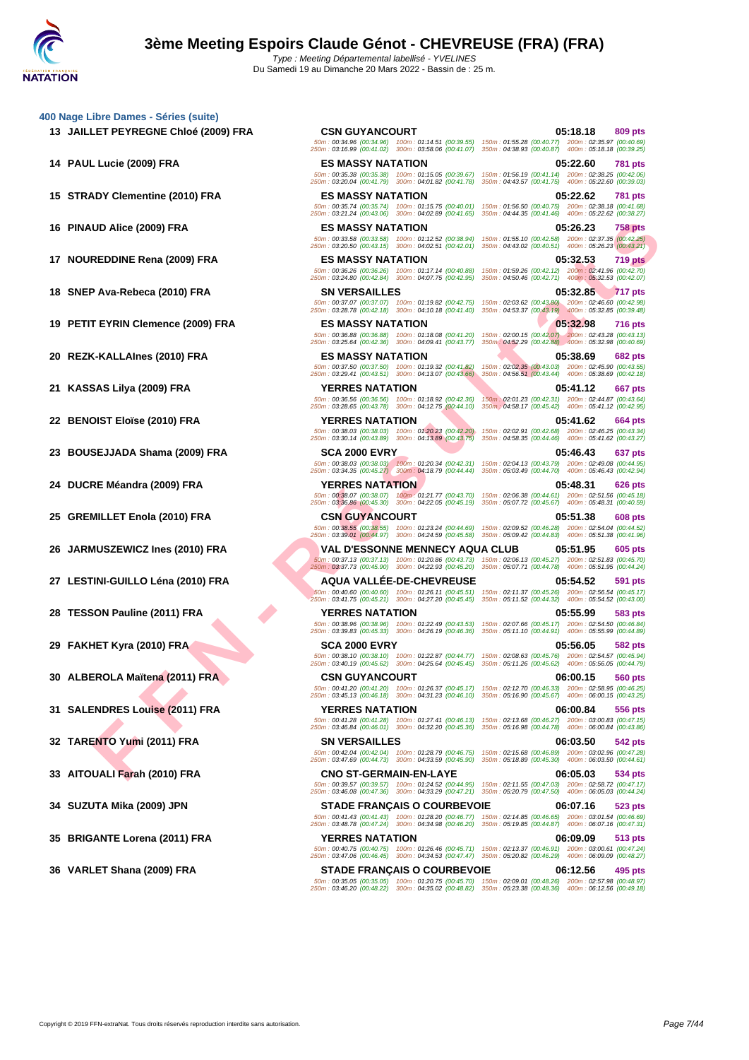**[400 Nage](http://www.ffnatation.fr/webffn/index.php) Libre Dames - Séries (suite)**

UD AIDE (2009) FRA **FER MANY AND THE SEARCH AND TRANSY MANY AND TRANSY AND TRANSY AND TRANSY AND TRANSY AND TRANSY AND TRANSY AND TRANSY AND TRANSY AND TRANSY AND TRANSY AND TRANSY AND TRANSY AND TRANSY AND TRANSY AND TRAN 13 JAILLET PEYREGNE Chloé (2009) FRA CSN GUYANCOURT 05:18.18 809 pts** 50m : 00:34.96 (00:34.96) 100m : 01:14.51 (00:39.55) 150m : 01:55.28 (00:40.77) 200m : 02:35.97 (00:40.69) 250m : 03:16.99 (00:41.02) 300m : 03:58.06 (00:41.07) 350m : 04:38.93 (00:40.87) 400m : 05:18.18 (00:39.25) **14 PAUL Lucie (2009) FRA ES MASSY NATATION 05:22.60 781 pts** 50m : 00:35.38 (00:35.38) 100m : 01:15.05 (00:39.67) 150m : 01:56.19 (00:41.14) 200m : 02:38.25 (00:42.06) 250m : 03:20.04 (00:41.79) 300m : 04:01.82 (00:41.78) 350m : 04:43.57 (00:41.75) 400m : 05:22.60 (00:39.03) **15 STRADY Clementine (2010) FRA ES MASSY NATATION 05:22.62 781 pts** 50m : 00:35.74 (00:35.74) 100m : 01:15.75 (00:40.01) 150m : 01:56.50 (00:40.75) 200m : 02:38.18 (00:41.68) 250m : 03:21.24 (00:43.06) 300m : 04:02.89 (00:41.65) 350m : 04:44.35 (00:41.46) 400m : 05:22.62 (00:38.27) **16 PINAUD Alice (2009) FRA ES MASSY NATATION 05:26.23 758 pts** 50m : 00:33.58 (00:33.58) 100m : 01:12.52 (00:38.94) 150m : 01:55.10 (00:42.58) 200m : 02:37.35 (00:42.25) 250m : 03:20.50 (00:43.15) 300m : 04:02.51 (00:42.01) 350m : 04:43.02 (00:40.51) 400m : 05:26.23 (00:43.21) **17 NOUREDDINE Rena (2009) FRA ES MASSY NATATION 05:32.53 719 pts** 50m : 00:36.26 (00:36.26) 100m : 01:17.14 (00:40.88) 150m : 01:59.26 (00:42.12) 200m : 02:41.96 (00:42.70) 250m : 03:24.80 (00:42.84) 300m : 04:07.75 (00:42.95) 350m : 04:50.46 (00:42.71) 400m : 05:32.53 (00:42.07) **18 SNEP Ava-Rebeca (2010) FRA SN VERSAILLES 05:32.85 717 pts** 50m : 00:37.07 (00:37.07) 100m : 01:19.82 (00:42.75) 150m : 02:03.62 (00:43.80) 200m : 02:46.60 (00:42.98) 250m : 03:28.78 (00:42.18) 300m : 04:10.18 (00:41.40) 350m : 04:53.37 (00:43.19) 400m : 05:32.85 (00:39.48) **19 PETIT EYRIN Clemence (2009) FRA ES MASSY NATATION 05:32.98 716 pts** 50m : 00:36.88 (00:36.88) 100m : 01:18.08 (00:41.20) 150m : 02:00.15 (00:42.07) 200m : 02:43.28 (00:43.13) 250m : 03:25.64 (00:42.36) 300m : 04:09.41 (00:43.77) 350m : 04:52.29 (00:42.88) 400m : 05:32.98 (00:40.69) **20 REZK-KALLAInes (2010) FRA ES MASSY NATATION 05:38.69 682 pts** 50m : 00:37.50 (00:37.50) 100m : 01:19.32 (00:41.82) 150m : 02:02.35 (00:43.03) 200m : 02:45.90 (00:43.55) 250m : 03:29.41 (00:43.51) 300m : 04:13.07 (00:43.66) 350m : 04:56.51 (00:43.44) 400m : 05:38.69 (00:42.18) **21 KASSAS Lilya (2009) FRA YERRES NATATION 05:41.12 667 pts** 50m : 00:36.56 (00:36.56) 100m : 01:18.92 (00:42.36) 150m : 02:01.23 (00:42.31) 200m : 02:44.87 (00:43.64) 250m : 03:28.65 (00:43.78) 300m : 04:12.75 (00:44.10) 350m : 04:58.17 (00:45.42) 400m : 05:41.12 (00:42.95) **22 BENOIST Eloïse (2010) FRA YERRES NATATION 05:41.62 664 pts** 50m : 00:38.03 (00:38.03) 100m : 01:20.23 (00:42.20) 150m : 02:02.91 (00:42.68) 200m : 02:46.25 (00:43.34) 250m : 03:30.14 (00:43.89) 300m : 04:13.89 (00:43.75) 350m : 04:58.35 (00:44.46) 400m : 05:41.62 (00:43.27) **23 BOUSEJJADA Shama (2009) FRA SCA 2000 EVRY 05:46.43 637 pts** 50m : 00:38.03 (00:38.03) 100m : 01:20.34 (00:42.31) 150m : 02:04.13 (00:43.79) 200m : 02:49.08 (00:44.95) 250m : 03:34.35 (00:45.27) 300m : 04:18.79 (00:44.44) 350m : 05:03.49 (00:44.70) 400m : 05:46.43 (00:42.94) **24 DUCRE Méandra (2009) FRA YERRES NATATION 05:48.31 626 pts** 50m : 00:38.07 (00:38.07) 100m : 01:21.77 (00:43.70) 150m : 02:06.38 (00:44.61) 200m : 02:51.56 (00:45.18) 250m : 03:36.86 (00:45.30) 300m : 04:22.05 (00:45.19) 350m : 05:07.72 (00:45.67) 400m : 05:48.31 (00:40.59) **25 GREMILLET Enola (2010) FRA CSN GUYANCOURT 05:51.38 608 pts** 50m : 00:38.55 (00:38.55) 100m : 01:23.24 (00:44.69) 150m : 02:09.52 (00:46.28) 200m : 02:54.04 (00:44.52) 250m : 03:39.01 (00:44.97) 300m : 04:24.59 (00:45.58) 350m : 05:09.42 (00:44.83) 400m : 05:51.38 (00:41.96) **26 JARMUSZEWICZ Ines (2010) FRA VAL D'ESSONNE MENNECY AQUA CLUB 05:51.95 605 pts** 50m : 00:37.13 (00:37.13) 100m : 01:20.86 (00:43.73) 150m : 02:06.13 (00:45.27) 200m : 02:51.83 (00:45.70) 250m : 03:37.73 (00:45.90) 300m : 04:22.93 (00:45.20) 350m : 05:07.71 (00:44.78) 400m : 05:51.95 (00:44.24) **27 LESTINI-GUILLO Léna (2010) FRA AQUA VALLÉE-DE-CHEVREUSE 05:54.52 591 pts** 50m : 00:40.60 (00:40.60) 100m : 01:26.11 (00:45.51) 150m : 02:11.37 (00:45.26) 200m : 02:56.54 (00:45.17) 250m : 03:41.75 (00:45.21) 300m : 04:27.20 (00:45.45) 350m : 05:11.52 (00:44.32) 400m : 05:54.52 (00:43.00) **28 TESSON Pauline (2011) FRA YERRES NATATION 05:55.99 583 pts** 50m : 00:38.96 (00:38.96) 100m : 01:22.49 (00:43.53) 150m : 02:07.66 (00:45.17) 200m : 02:54.50 (00:46.84) 250m : 03:39.83 (00:45.33) 300m : 04:26.19 (00:46.36) 350m : 05:11.10 (00:44.91) 400m : 05:55.99 (00:44.89) **29 FAKHET Kyra (2010) FRA SCA 2000 EVRY 05:56.05 582 pts** 50m : 00:38.10 (00:38.10) 100m : 01:22.87 (00:44.77) 150m : 02:08.63 (00:45.76) 200m : 02:54.57 (00:45.94) 250m : 03:40.19 (00:45.62) 300m : 04:25.64 (00:45.45) 350m : 05:11.26 (00:45.62) 400m : 05:56.05 (00:44.79) **30 ALBEROLA Maïtena (2011) FRA CSN GUYANCOURT 06:00.15 560 pts** 50m : 00:41.20 (00:41.20) 100m : 01:26.37 (00:45.17) 150m : 02:12.70 (00:46.33) 200m : 02:58.95 (00:46.25) 250m : 03:45.13 (00:46.18) 300m : 04:31.23 (00:46.10) 350m : 05:16.90 (00:45.67) 400m : 06:00.15 (00:43.25) **31 SALENDRES Louise (2011) FRA YERRES NATATION 06:00.84 556 pts** 50m : 00:41.28 (00:41.28) 100m : 01:27.41 (00:46.13) 150m : 02:13.68 (00:46.27) 200m : 03:00.83 (00:47.15) 250m : 03:46.84 (00:46.01) 300m : 04:32.20 (00:45.36) 350m : 05:16.98 (00:44.78) 400m : 06:00.84 (00:43.86) **32 TARENTO Yumi (2011) FRA SN VERSAILLES 06:03.50 542 pts** 50m : 00:42.04 (00:42.04) 100m : 01:28.79 (00:46.75) 150m : 02:15.68 (00:46.89) 200m : 03:02.96 (00:47.28) 250m : 03:47.69 (00:44.73) 300m : 04:33.59 (00:45.90) 350m : 05:18.89 (00:45.30) 400m : 06:03.50 (00:44.61) **33 AITOUALI Farah (2010) FRA CNO ST-GERMAIN-EN-LAYE 06:05.03 534 pts** 50m : 00:39.57 (00:39.57) 100m : 01:24.52 (00:44.95) 150m : 02:11.55 (00:47.03) 200m : 02:58.72 (00:47.17) 250m : 03:46.08 (00:47.36) 300m : 04:33.29 (00:47.21) 350m : 05:20.79 (00:47.50) 400m : 06:05.03 (00:44.24) **34 SUZUTA Mika (2009) JPN STADE FRANÇAIS O COURBEVOIE 06:07.16 523 pts** 50m : 00:41.43 (00:41.43) 100m : 01:28.20 (00:46.77) 150m : 02:14.85 (00:46.65) 200m : 03:01.54 (00:46.69) 250m : 03:48.78 (00:47.24) 300m : 04:34.98 (00:46.20) 350m : 05:19.85 (00:44.87) 400m : 06:07.16 (00:47.31) **35 BRIGANTE Lorena (2011) FRA YERRES NATATION 06:09.09 513 pts** 50m : 00:40.75 (00:40.75) 100m : 01:26.46 (00:45.71) 150m : 02:13.37 (00:46.91) 200m : 03:00.61 (00:47.24) 250m : 03:47.06 (00:46.45) 300m : 04:34.53 (00:47.47) 350m : 05:20.82 (00:46.29) 400m : 06:09.09 (00:48.27) **36 VARLET Shana (2009) FRA STADE FRANÇAIS O COURBEVOIE 06:12.56 495 pts** 50m : 00:35.05 (00:35.05) 100m : 01:20.75 (00:45.70) 150m : 02:09.01 (00:48.26) 200m : 02:57.98 (00:48.97) 250m : 03:46.20 (00:48.22) 300m : 04:35.02 (00:48.82) 350m : 05:23.38 (00:48.36) 400m : 06:12.56 (00:49.18)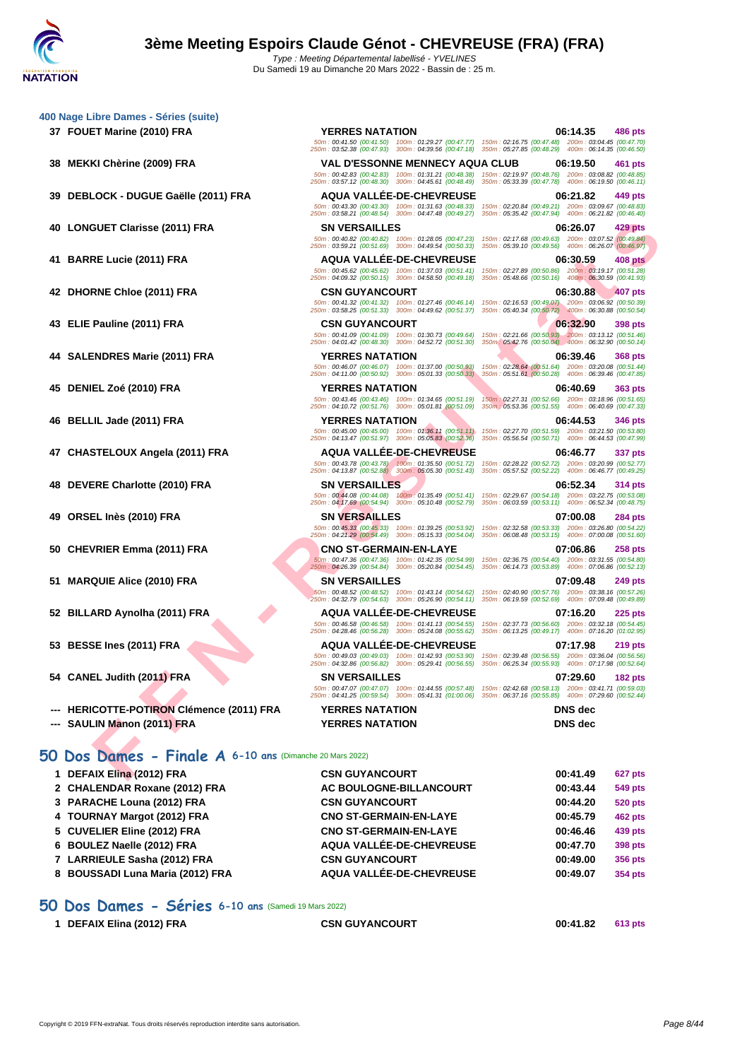**[400 Nage](http://www.ffnatation.fr/webffn/index.php) Libre Dames - Séries (suite)**

- 
- 
- 

- 
- 
- 

- 
- 
- 
- 
- 
- 
- 
- 
- **--- HERICOTTE-POTIRON Clémence (2011) FRA YERRES NATATION DNS dec**
- **--- SAULIN Manon (2011) FRA YERRES NATATION DNS dec**

### **50 Dos Dames - Finale A 6-10 ans** (Dimanche 20 Mars 2022)

| 1 DEFAIX Elina (2012) FRA        | <b>CSN GUYANCOURT</b>         | 00:41.49 | <b>627 pts</b> |
|----------------------------------|-------------------------------|----------|----------------|
| 2 CHALENDAR Roxane (2012) FRA    | AC BOULOGNE-BILLANCOURT       | 00:43.44 | 549 pts        |
| 3 PARACHE Louna (2012) FRA       | <b>CSN GUYANCOURT</b>         | 00:44.20 | <b>520 pts</b> |
| 4 TOURNAY Margot (2012) FRA      | <b>CNO ST-GERMAIN-EN-LAYE</b> | 00:45.79 | <b>462 pts</b> |
| 5 CUVELIER Eline (2012) FRA      | <b>CNO ST-GERMAIN-EN-LAYE</b> | 00:46.46 | 439 pts        |
| 6 BOULEZ Naelle (2012) FRA       | AQUA VALLÉE-DE-CHEVREUSE      | 00:47.70 | 398 pts        |
| 7 LARRIEULE Sasha (2012) FRA     | <b>CSN GUYANCOURT</b>         | 00:49.00 | 356 pts        |
| 8 BOUSSADI Luna Maria (2012) FRA | AQUA VALLÉE-DE-CHEVREUSE      | 00:49.07 | 354 pts        |
|                                  |                               |          |                |

### **50 Dos Dames - Séries 6-10 ans** (Samedi 19 Mars 2022)

| 1 DEFAIX Elina (2012) FRA | <b>CSN GUYANCOURT</b> | 00:41.82 | 613 pts |
|---------------------------|-----------------------|----------|---------|
|                           |                       |          |         |

EVE CHINE (2011) FRA<br>
EL Luis (2011) FRA<br>
EL LUIS (2011) FRA<br>
MANI CHINE (2011) FRA<br>
MANI CHINE (2011) FRA<br>
MANI CHINE (2011) FRA<br>
MANI CHINE (2011) FRA<br>
THE CHINE (2011) FRA<br>
THE CHINE (2011) FRA<br>
THE CHINE (2011) FRA<br>
TH **37 FOUET Marine (2010) FRA YERRES NATATION 06:14.35 486 pts** 50m : 00:41.50 (00:41.50) 100m : 01:29.27 (00:47.77) 150m : 02:16.75 (00:47.48) 200m : 03:04.45 (00:47.70) 250m : 03:52.38 (00:47.93) 300m : 04:39.56 (00:47.18) 350m : 05:27.85 (00:48.29) 400m : 06:14.35 (00:46.50) **38 MEKKI Chèrine (2009) FRA VAL D'ESSONNE MENNECY AQUA CLUB 06:19.50 461 pts** 50m : 00:42.83 (00:42.83) 100m : 01:31.21 (00:48.38) 150m : 02:19.97 (00:48.76) 200m : 03:08.82 (00:48.85) 250m : 03:57.12 (00:48.30) 300m : 04:45.61 (00:48.49) 350m : 05:33.39 (00:47.78) 400m : 06:19.50 (00:46.11) **39 DEBLOCK - DUGUE Gaëlle (2011) FRA AQUA VALLÉE-DE-CHEVREUSE 06:21.82 449 pts** 50m : 00:43.30 (00:43.30) 100m : 01:31.63 (00:48.33) 150m : 02:20.84 (00:49.21) 200m : 03:09.67 (00:48.83) 250m : 03:58.21 (00:48.54) 300m : 04:47.48 (00:49.27) 350m : 05:35.42 (00:47.94) 400m : 06:21.82 (00:46.40) **40 LONGUET Clarisse (2011) FRA SN VERSAILLES 06:26.07 429 pts** 50m : 00:40.82 (00:40.82) 100m : 01:28.05 (00:47.23) 150m : 02:17.68 (00:49.63) 200m : 03:07.52 (00:49.84) 250m : 03:59.21 (00:51.69) 300m : 04:49.54 (00:50.33) 350m : 05:39.10 (00:49.56) 400m : 06:26.07 (00:46.97) **41 BARRE Lucie (2011) FRA AQUA VALLÉE-DE-CHEVREUSE 06:30.59 408 pts** 50m : 00:45.62 (00:45.62) 100m : 01:37.03 (00:51.41) 150m : 02:27.89 (00:50.86) 200m : 03:19.17 (00:51.28) 250m : 04:09.32 (00:50.15) 300m : 04:58.50 (00:49.18) 350m : 05:48.66 (00:50.16) 400m : 06:30.59 (00:41.93) **42 DHORNE Chloe (2011) FRA CSN GUYANCOURT 06:30.88 407 pts** 50m : 00:41.32 (00:41.32) 100m : 01:27.46 (00:46.14) 150m : 02:16.53 (00:49.07) 200m : 03:06.92 (00:50.39) 250m : 03:58.25 (00:51.33) 300m : 04:49.62 (00:51.37) 350m : 05:40.34 (00:50.72) 400m : 06:30.88 (00:50.54) **43 ELIE Pauline (2011) FRA CSN GUYANCOURT 06:32.90 398 pts** 50m : 00:41.09 (00:41.09) 100m : 01:30.73 (00:49.64) 150m : 02:21.66 (00:50.93) 200m : 03:13.12 (00:51.46) 250m : 04:01.42 (00:48.30) 300m : 04:52.72 (00:51.30) 350m : 05:42.76 (00:50.04) 400m : 06:32.90 (00:50.14) **44 SALENDRES Marie (2011) FRA YERRES NATATION 06:39.46 368 pts** 50m : 00:46.07 (00:46.07) 100m : 01:37.00 (00:50.93) 150m : 02:28.64 (00:51.64) 200m : 03:20.08 (00:51.44) 250m : 04:11.00 (00:50.92) 300m : 05:01.33 (00:50.33) 350m : 05:51.61 (00:50.28) 400m : 06:39.46 (00:47.85) **45 DENIEL Zoé (2010) FRA YERRES NATATION 06:40.69 363 pts** 50m : 00:43.46 (00:43.46) 100m : 01:34.65 (00:51.19) 150m : 02:27.31 (00:52.66) 200m : 03:18.96 (00:51.65) 250m : 04:10.72 (00:51.76) 300m : 05:01.81 (00:51.09) 350m : 05:53.36 (00:51.55) 400m : 06:40.69 (00:47.33) **46 BELLIL Jade (2011) FRA YERRES NATATION 06:44.53 346 pts** 50m : 00:45.00 (00:45.00) 100m : 01:36.11 (00:51.11) 150m : 02:27.70 (00:51.59) 200m : 03:21.50 (00:53.80) 250m : 04:13.47 (00:51.97) 300m : 05:05.83 (00:52.36) 350m : 05:56.54 (00:50.71) 400m : 06:44.53 (00:47.99) **47 CHASTELOUX Angela (2011) FRA AQUA VALLÉE-DE-CHEVREUSE 06:46.77 337 pts** 50m : 00:43.78 (00:43.78) 100m : 01:35.50 (00:51.72) 150m : 02:28.22 (00:52.72) 200m : 03:20.99 (00:52.77) 250m : 04:13.87 (00:52.88) 300m : 05:05.30 (00:51.43) 350m : 05:57.52 (00:52.22) 400m : 06:46.77 (00:49.25) **48 DEVERE Charlotte (2010) FRA SN VERSAILLES 06:52.34 314 pts** 50m : 00:44.08 (00:44.08) 100m : 01:35.49 (00:51.41) 150m : 02:29.67 (00:54.18) 200m : 03:22.75 (00:53.08) 250m : 04:17.69 (00:54.94) 300m : 05:10.48 (00:52.79) 350m : 06:03.59 (00:53.11) 400m : 06:52.34 (00:48.75) **49 ORSEL Inès (2010) FRA SN VERSAILLES 07:00.08 284 pts** 50m : 00:45.33 (00:45.33) 100m : 01:39.25 (00:53.92) 150m : 02:32.58 (00:53.33) 200m : 03:26.80 (00:54.22) 250m : 04:21.29 (00:54.49) 300m : 05:15.33 (00:54.04) 350m : 06:08.48 (00:53.15) 400m : 07:00.08 (00:51.60) **50 CHEVRIER Emma (2011) FRA CNO ST-GERMAIN-EN-LAYE 07:06.86 258 pts** 50m : 00:47.36 (00:47.36) 100m : 01:42.35 (00:54.99) 150m : 02:36.75 (00:54.40) 200m : 03:31.55 (00:54.80) 250m : 04:26.39 (00:54.84) 300m : 05:20.84 (00:54.45) 350m : 06:14.73 (00:53.89) 400m : 07:06.86 (00:52.13) **51 MARQUIE Alice (2010) FRA SN VERSAILLES 07:09.48 249 pts** 50m : 00:48.52 (00:48.52) 100m : 01:43.14 (00:54.62) 150m : 02:40.90 (00:57.76) 200m : 03:38.16 (00:57.26) 250m : 04:32.79 (00:54.63) 300m : 05:26.90 (00:54.11) 350m : 06:19.59 (00:52.69) 400m : 07:09.48 (00:49.89) **52 BILLARD Aynolha (2011) FRA AQUA VALLÉE-DE-CHEVREUSE 07:16.20 225 pts** 50m : 00:46.58 (00:46.58) 100m : 01:41.13 (00:54.55) 150m : 02:37.73 (00:56.60) 200m : 03:32.18 (00:54.45) 250m : 04:28.46 (00:56.28) 300m : 05:24.08 (00:55.62) 350m : 06:13.25 (00:49.17) 400m : 07:16.20 (01:02.95) **53 BESSE Ines (2011) FRA AQUA VALLÉE-DE-CHEVREUSE 07:17.98 219 pts** 50m : 00:49.03 (00:49.03) 100m : 01:42.93 (00:53.90) 150m : 02:39.48 (00:56.55) 200m : 03:36.04 (00:56.56) 250m : 04:32.86 (00:56.82) 300m : 05:29.41 (00:56.55) 350m : 06:25.34 (00:55.93) 400m : 07:17.98 (00:52.64) **54 CANEL Judith (2011) FRA SN VERSAILLES 07:29.60 182 pts** 50m : 00:47.07 (00:47.07) 100m : 01:44.55 (00:57.48) 150m : 02:42.68 (00:58.13) 200m : 03:41.71 (00:59.03) 250m : 04:41.25 (00:59.54) 300m : 05:41.31 (01:00.06) 350m : 06:37.16 (00:55.85) 400m : 07:29.60 (00:52.44)

Copyright © 2019 FFN-extraNat. Tous droits réservés reproduction interdite sans autorisation.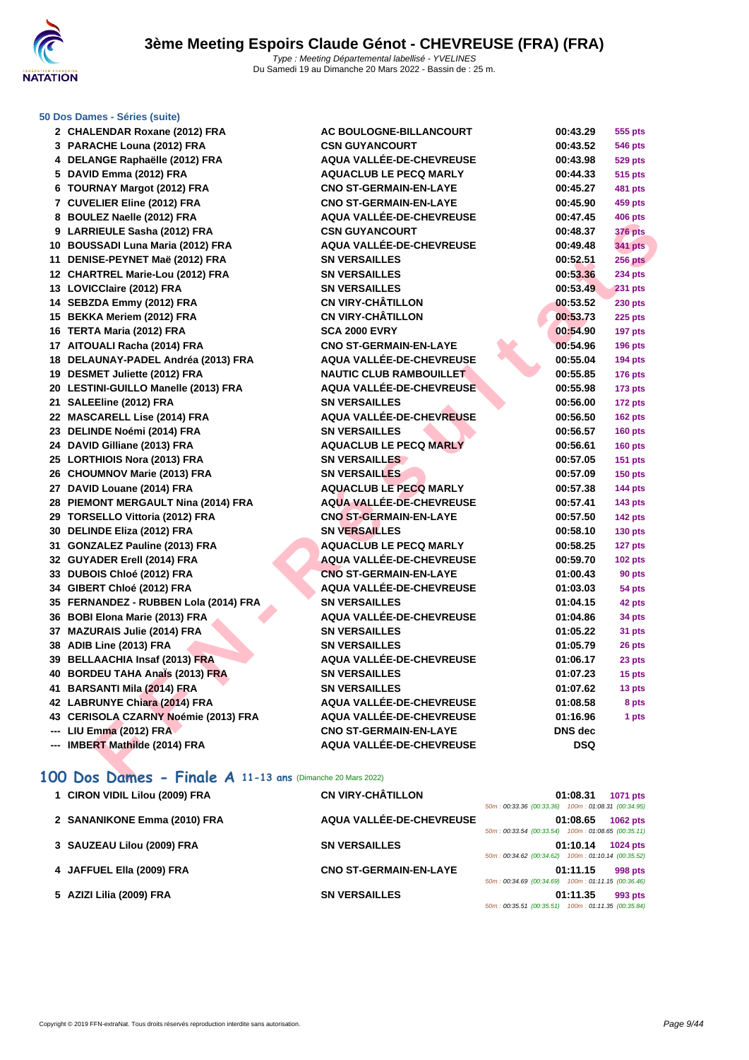

### **[50 Dos D](http://www.ffnatation.fr/webffn/index.php)ames - Séries (suite)**

| 2   | <b>CHALENDAR Roxane (2012) FRA</b>    |
|-----|---------------------------------------|
| 3   | PARACHE Louna (2012) FRA              |
| 4   | DELANGE Raphaëlle (2012) FRA          |
| 5   | DAVID Emma (2012) FRA                 |
| 6   | <b>TOURNAY Margot (2012) FRA</b>      |
| 7   | <b>CUVELIER Eline (2012) FRA</b>      |
| 8   | <b>BOULEZ Naelle (2012) FRA</b>       |
| 9   | <b>LARRIEULE Sasha (2012) FRA</b>     |
| 10  | <b>BOUSSADI Luna Maria (2012) FRA</b> |
| 11  | DENISE-PEYNET Maë (2012) FRA          |
|     | 12 CHARTREL Marie-Lou (2012) FRA      |
|     | 13 LOVICClaire (2012) FRA             |
| 14  | SEBZDA Emmy (2012) FRA                |
| 15  | <b>BEKKA Meriem (2012) FRA</b>        |
|     | 16 TERTA Maria (2012) FRA             |
| 17  | AITOUALI Racha (2014) FRA             |
| 18  | DELAUNAY-PADEL Andréa (2013) FRA      |
|     | 19 DESMET Juliette (2012) FRA         |
|     | 20 LESTINI-GUILLO Manelle (2013) FRA  |
|     | 21 SALEEline (2012) FRA               |
|     | 22 MASCARELL Lise (2014) FRA          |
|     | 23 DELINDE Noémi (2014) FRA           |
| 24  | DAVID Gilliane (2013) FRA             |
|     | 25 LORTHIOIS Nora (2013) FRA          |
| 26  | <b>CHOUMNOV Marie (2013) FRA</b>      |
|     | 27 DAVID Louane (2014) FRA            |
| 28  | PIEMONT MERGAULT Nina (2014) FRA      |
|     | 29 TORSELLO Vittoria (2012) FRA       |
| 30  | <b>DELINDE Eliza (2012) FRA</b>       |
| 31  | <b>GONZALEZ Pauline (2013) FRA</b>    |
|     | 32 GUYADER Erell (2014) FRA           |
| 33  | <b>DUBOIS Chloé (2012) FRA</b>        |
|     | 34 GIBERT Chloé (2012) FRA            |
| 35  | FERNANDEZ - RUBBEN Lola (2014) FRA    |
|     | 36 BOBI Elona Marie (2013) FRA        |
|     | 37 MAZURAIS Julie (2014) FRA          |
| 38  | ADIB Line (2013) FRA                  |
| 39  | <b>BELLAACHIA Insaf (2013) FRA</b>    |
| 40  | <b>BORDEU TAHA Anals (2013) FRA</b>   |
|     | 41 BARSANTI Mila (2014) FRA           |
|     | 42 LABRUNYE Chiara (2014) FRA         |
|     | 43 CERISOLA CZARNY Noémie (2013) FRA  |
|     | --- LIU Emma (2012) FRA               |
| --- | <b>IMBERT Mathilde (2014) FRA</b>     |

| 2 CHALENDAR Roxane (2012) FRA                                              | AC BOULOGNE-BILLANCOURT         | 00:43.29       | 555 pts        |
|----------------------------------------------------------------------------|---------------------------------|----------------|----------------|
| 3 PARACHE Louna (2012) FRA                                                 | <b>CSN GUYANCOURT</b>           | 00:43.52       | <b>546 pts</b> |
| 4 DELANGE Raphaëlle (2012) FRA                                             | AQUA VALLÉE-DE-CHEVREUSE        | 00:43.98       | <b>529 pts</b> |
| 5 DAVID Emma (2012) FRA                                                    | <b>AQUACLUB LE PECQ MARLY</b>   | 00:44.33       | <b>515 pts</b> |
| 6 TOURNAY Margot (2012) FRA                                                | <b>CNO ST-GERMAIN-EN-LAYE</b>   | 00:45.27       | 481 pts        |
| 7 CUVELIER Eline (2012) FRA                                                | <b>CNO ST-GERMAIN-EN-LAYE</b>   | 00:45.90       | 459 pts        |
| 8 BOULEZ Naelle (2012) FRA                                                 | AQUA VALLÉE-DE-CHEVREUSE        | 00:47.45       | <b>406 pts</b> |
| 9 LARRIEULE Sasha (2012) FRA                                               | <b>CSN GUYANCOURT</b>           | 00:48.37       | <b>376 pts</b> |
| 10 BOUSSADI Luna Maria (2012) FRA                                          | AQUA VALLÉE-DE-CHEVREUSE        | 00:49.48       | <b>341 pts</b> |
| 11 DENISE-PEYNET Maë (2012) FRA                                            | <b>SN VERSAILLES</b>            | 00:52.51       | <b>256 pts</b> |
| 12 CHARTREL Marie-Lou (2012) FRA                                           | <b>SN VERSAILLES</b>            | 00:53.36       | <b>234 pts</b> |
| 13 LOVICClaire (2012) FRA                                                  | <b>SN VERSAILLES</b>            | 00:53.49       | <b>231 pts</b> |
| 14 SEBZDA Emmy (2012) FRA                                                  | <b>CN VIRY-CHÂTILLON</b>        | 00:53.52       | <b>230 pts</b> |
| 15 BEKKA Meriem (2012) FRA                                                 | <b>CN VIRY-CHÂTILLON</b>        | 00:53.73       | <b>225 pts</b> |
| 16 TERTA Maria (2012) FRA                                                  | <b>SCA 2000 EVRY</b>            | 00:54.90       | 197 pts        |
| 17 AITOUALI Racha (2014) FRA                                               | <b>CNO ST-GERMAIN-EN-LAYE</b>   | 00:54.96       | <b>196 pts</b> |
| 18 DELAUNAY-PADEL Andréa (2013) FRA                                        | AQUA VALLÉE-DE-CHEVREUSE        | 00:55.04       | 194 pts        |
| 19 DESMET Juliette (2012) FRA                                              | <b>NAUTIC CLUB RAMBOUILLET</b>  | 00:55.85       | <b>176 pts</b> |
| 20 LESTINI-GUILLO Manelle (2013) FRA                                       | AQUA VALLÉE-DE-CHEVREUSE        | 00:55.98       | 173 pts        |
| 21 SALEEline (2012) FRA                                                    | <b>SN VERSAILLES</b>            | 00:56.00       | 172 pts        |
| 22 MASCARELL Lise (2014) FRA                                               | AQUA VALLÉE-DE-CHEVREUSE        | 00:56.50       | 162 pts        |
| 23 DELINDE Noémi (2014) FRA                                                | <b>SN VERSAILLES</b>            | 00:56.57       | <b>160 pts</b> |
| 24 DAVID Gilliane (2013) FRA                                               | <b>AQUACLUB LE PECQ MARLY</b>   | 00:56.61       | <b>160 pts</b> |
| 25 LORTHIOIS Nora (2013) FRA                                               | <b>SN VERSAILLES</b>            | 00:57.05       | <b>151 pts</b> |
| 26 CHOUMNOV Marie (2013) FRA                                               | <b>SN VERSAILLES</b>            | 00:57.09       | <b>150 pts</b> |
| 27 DAVID Louane (2014) FRA                                                 | <b>AQUACLUB LE PECQ MARLY</b>   | 00:57.38       | <b>144 pts</b> |
| 28 PIEMONT MERGAULT Nina (2014) FRA                                        | <b>AQUA VALLÉE-DE-CHEVREUSE</b> | 00:57.41       | <b>143 pts</b> |
| 29 TORSELLO Vittoria (2012) FRA                                            | <b>CNO ST-GERMAIN-EN-LAYE</b>   | 00:57.50       | 142 pts        |
| 30 DELINDE Eliza (2012) FRA                                                | <b>SN VERSAILLES</b>            | 00:58.10       | <b>130 pts</b> |
| 31 GONZALEZ Pauline (2013) FRA                                             | <b>AQUACLUB LE PECQ MARLY</b>   | 00:58.25       | 127 pts        |
| 32 GUYADER Erell (2014) FRA                                                | <b>AQUA VALLÉE-DE-CHEVREUSE</b> | 00:59.70       | <b>102 pts</b> |
| 33 DUBOIS Chloé (2012) FRA                                                 | <b>CNO ST-GERMAIN-EN-LAYE</b>   | 01:00.43       | 90 pts         |
| 34 GIBERT Chloé (2012) FRA                                                 | AQUA VALLÉE-DE-CHEVREUSE        | 01:03.03       | 54 pts         |
| 35 FERNANDEZ - RUBBEN Lola (2014) FRA                                      | <b>SN VERSAILLES</b>            | 01:04.15       | 42 pts         |
| 36 BOBI Elona Marie (2013) FRA                                             | AQUA VALLÉE-DE-CHEVREUSE        | 01:04.86       | 34 pts         |
| 37 MAZURAIS Julie (2014) FRA                                               | <b>SN VERSAILLES</b>            | 01:05.22       | 31 pts         |
| 38 ADIB Line (2013) FRA                                                    | <b>SN VERSAILLES</b>            | 01:05.79       | 26 pts         |
| 39 BELLAACHIA Insaf (2013) FRA                                             | AQUA VALLÉE-DE-CHEVREUSE        | 01:06.17       | 23 pts         |
| 40 BORDEU TAHA Anals (2013) FRA                                            | <b>SN VERSAILLES</b>            | 01:07.23       | 15 pts         |
| 41 BARSANTI Mila (2014) FRA                                                | <b>SN VERSAILLES</b>            | 01:07.62       | 13 pts         |
| 42 LABRUNYE Chiara (2014) FRA                                              | AQUA VALLÉE-DE-CHEVREUSE        | 01:08.58       | 8 pts          |
| 43 CERISOLA CZARNY Noémie (2013) FRA                                       | AQUA VALLÉE-DE-CHEVREUSE        | 01:16.96       | 1 pts          |
| --- LIU Emma (2012) FRA                                                    | <b>CNO ST-GERMAIN-EN-LAYE</b>   | <b>DNS</b> dec |                |
| --- IMBERT Mathilde (2014) FRA                                             | AQUA VALLÉE-DE-CHEVREUSE        | <b>DSQ</b>     |                |
| $00 \text{ Des}$ Dames - Finale $\bm{A}$ 11-13 ans (Dimanche 20 Mars 2022) |                                 |                |                |

### **100 Dos Dames - Finale A 11-13 ans** (Dimanche 20 Mars 2022)

| 1 CIRON VIDIL Lilou (2009) FRA | <b>CN VIRY-CHÂTILLON</b>      | 50m: 00:33.36 (00:33.36)                           | 01:08.31<br>100m: 01:08.31 (00:34.95) | 1071 pts |
|--------------------------------|-------------------------------|----------------------------------------------------|---------------------------------------|----------|
| 2 SANANIKONE Emma (2010) FRA   | AQUA VALLÉE-DE-CHEVREUSE      | 50m: 00:33.54 (00:33.54) 100m: 01:08.65 (00:35.11) | 01:08.65                              | 1062 pts |
| 3 SAUZEAU Lilou (2009) FRA     | <b>SN VERSAILLES</b>          | 50m: 00:34.62 (00:34.62) 100m: 01:10.14 (00:35.52) | 01:10.14                              | 1024 pts |
| 4 JAFFUEL Ella (2009) FRA      | <b>CNO ST-GERMAIN-EN-LAYE</b> | 50m: 00:34.69 (00:34.69) 100m: 01:11.15 (00:36.46) | 01:11.15                              | 998 pts  |
| 5 AZIZI Lilia (2009) FRA       | <b>SN VERSAILLES</b>          | 50m: 00:35.51 (00:35.51) 100m: 01:11.35 (00:35.84) | 01:11.35                              | 993 pts  |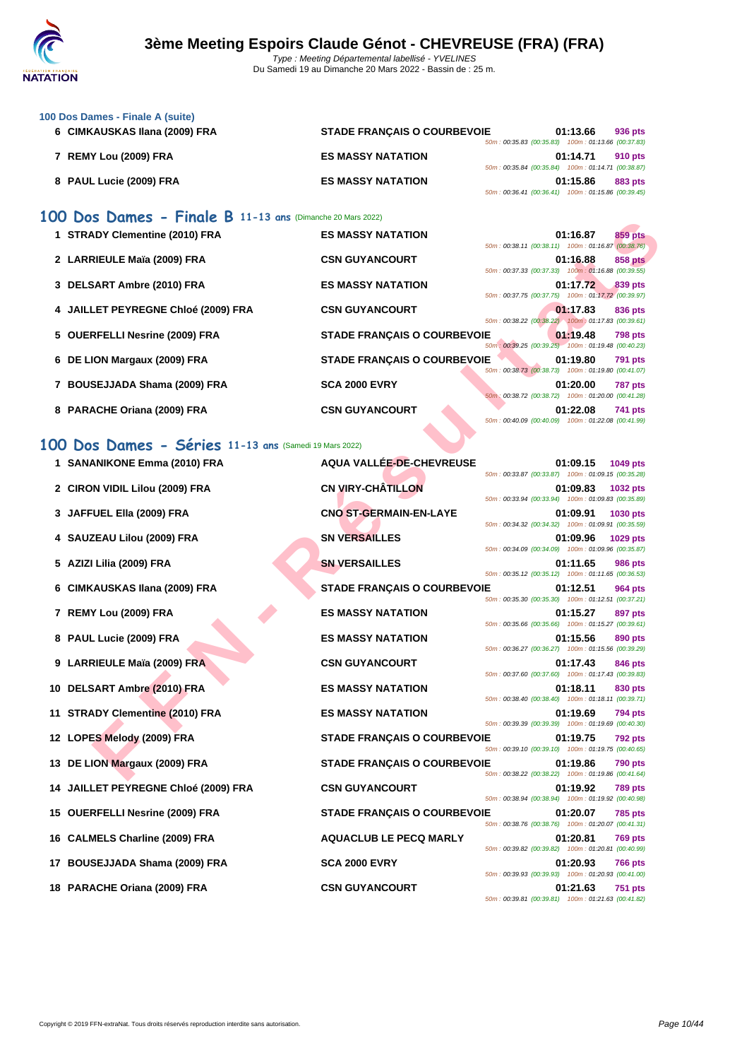

| 100 Dos Dames - Finale A (suite) |                                    |  |                                                                                                                                                                                                    |
|----------------------------------|------------------------------------|--|----------------------------------------------------------------------------------------------------------------------------------------------------------------------------------------------------|
| 6 CIMKAUSKAS Ilana (2009) FRA    | <b>STADE FRANCAIS O COURBEVOIE</b> |  | 936 pts                                                                                                                                                                                            |
|                                  |                                    |  |                                                                                                                                                                                                    |
| 7 REMY Lou (2009) FRA            | <b>ES MASSY NATATION</b>           |  | 910 pts                                                                                                                                                                                            |
|                                  |                                    |  |                                                                                                                                                                                                    |
| 8 PAUL Lucie (2009) FRA          | <b>ES MASSY NATATION</b>           |  | <b>883 pts</b>                                                                                                                                                                                     |
|                                  |                                    |  |                                                                                                                                                                                                    |
|                                  |                                    |  | 01:13.66<br>50m: 00:35.83 (00:35.83) 100m: 01:13.66 (00:37.83)<br>01:14.71<br>50m: 00:35.84 (00:35.84) 100m: 01:14.71 (00:38.87)<br>01:15.86<br>50m: 00:36.41 (00:36.41) 100m: 01:15.86 (00:39.45) |

### **100 Dos Dames - Finale B 11-13 ans** (Dimanche 20 Mars 2022)

| 1 STRADY Clementine (2010) FRA      | <b>ES MASSY NATATION</b>               |                                                                                                          | 01:16.87 | 859 pts        |
|-------------------------------------|----------------------------------------|----------------------------------------------------------------------------------------------------------|----------|----------------|
| 2 LARRIEULE Maïa (2009) FRA         | <b>CSN GUYANCOURT</b>                  | 50m: 00:38.11 (00:38.11) 100m: 01:16.87 (00:38.76)<br>50m: 00:37.33 (00:37.33) 100m: 01:16.88 (00:39.55) | 01:16.88 | 858 pts        |
| 3 DELSART Ambre (2010) FRA          | <b>ES MASSY NATATION</b>               | 50m: 00:37.75 (00:37.75) 100m: 01:17.72 (00:39.97)                                                       | 01:17.72 | 839 pts        |
| 4 JAILLET PEYREGNE Chloé (2009) FRA | <b>CSN GUYANCOURT</b>                  | 50m: 00:38.22 (00:38.22) 100m: 01:17.83 (00:39.61)                                                       | 01:17.83 | 836 pts        |
| 5 OUERFELLI Nesrine (2009) FRA      | <b>STADE FRANCAIS O COURBEVOIE</b>     | 50m : 00:39.25 (00:39.25) 100m : 01:19.48 (00:40.23)                                                     | 01:19.48 | <b>798 pts</b> |
| 6 DE LION Margaux (2009) FRA        | <b>STADE FRANÇAIS O COURBEVOIE</b>     | 50m: 00:38.73 (00:38.73) 100m: 01:19.80 (00:41.07)                                                       | 01:19.80 | <b>791 pts</b> |
| 7 BOUSEJJADA Shama (2009) FRA       | <b>SCA 2000 EVRY</b>                   | 50m; 00:38.72 (00:38.72) 100m: 01:20.00 (00:41.28)                                                       | 01:20.00 | <b>787 pts</b> |
| 8 PARACHE Oriana (2009) FRA         | <b>CSN GUYANCOURT</b><br>$\rightarrow$ | 50m: 00:40.09 (00:40.09) 100m: 01:22.08 (00:41.99)                                                       | 01:22.08 | 741 pts        |

### **100 Dos Dames - Séries 11-13 ans** (Samedi 19 Mars 2022)

| $\overline{D}$ $\overline{D}$ $\overline{D}$ $\overline{D}$ $\overline{D}$ $\overline{D}$ $\overline{D}$ $\overline{D}$ $\overline{D}$ $\overline{D}$ $\overline{D}$ $\overline{D}$ $\overline{D}$ $\overline{D}$ $\overline{D}$ $\overline{D}$ $\overline{D}$ $\overline{D}$ $\overline{D}$ $\overline{D}$ $\overline{D}$ $\overline{D}$ $\overline{D}$ $\overline{D}$ $\overline{$ |                                    |                                                                                                                                 |
|--------------------------------------------------------------------------------------------------------------------------------------------------------------------------------------------------------------------------------------------------------------------------------------------------------------------------------------------------------------------------------------|------------------------------------|---------------------------------------------------------------------------------------------------------------------------------|
| 1 STRADY Clementine (2010) FRA                                                                                                                                                                                                                                                                                                                                                       | <b>ES MASSY NATATION</b>           | 859 pts<br>01:16.87<br>50m: 00:38.11 (00:38.11) 100m: 01:16.87 (00:38.76)                                                       |
| 2 LARRIEULE Maïa (2009) FRA                                                                                                                                                                                                                                                                                                                                                          | <b>CSN GUYANCOURT</b>              | <b>858 pts</b><br>01:16.88<br>50m: 00:37.33 (00:37.33) 100m: 01:16.88 (00:39.55)                                                |
| 3 DELSART Ambre (2010) FRA                                                                                                                                                                                                                                                                                                                                                           | <b>ES MASSY NATATION</b>           | 01:17.72<br>839 pts<br>50m: 00:37.75 (00:37.75) 100m: 01:17.72 (00:39.97)                                                       |
| 4 JAILLET PEYREGNE Chloé (2009) FRA                                                                                                                                                                                                                                                                                                                                                  | <b>CSN GUYANCOURT</b>              | 01:17.83<br>836 pts                                                                                                             |
| 5 OUERFELLI Nesrine (2009) FRA                                                                                                                                                                                                                                                                                                                                                       | <b>STADE FRANÇAIS O COURBEVOIE</b> | 50m: 00:38.22 (00:38.22) 100m: 01:17.83 (00:39.61)<br>01:19.48<br><b>798 pts</b>                                                |
| 6 DE LION Margaux (2009) FRA                                                                                                                                                                                                                                                                                                                                                         | <b>STADE FRANÇAIS O COURBEVOIE</b> | 50m : 00:39.25 (00:39.25) 100m : 01:19.48 (00:40.23)<br>01:19.80<br><b>791 pts</b>                                              |
| 7 BOUSEJJADA Shama (2009) FRA                                                                                                                                                                                                                                                                                                                                                        | <b>SCA 2000 EVRY</b>               | 50m: 00:38.73 (00:38.73) 100m: 01:19.80 (00:41.07)<br>01:20.00<br><b>787 pts</b>                                                |
| 8 PARACHE Oriana (2009) FRA                                                                                                                                                                                                                                                                                                                                                          | <b>CSN GUYANCOURT</b>              | 50m: 00:38.72 (00:38.72) 100m: 01:20.00 (00:41.28)<br>01:22.08<br>741 pts<br>50m: 00:40.09 (00:40.09) 100m: 01:22.08 (00:41.99) |
| 00 Dos Dames - Séries 11-13 ans (Samedi 19 Mars 2022)                                                                                                                                                                                                                                                                                                                                |                                    |                                                                                                                                 |
|                                                                                                                                                                                                                                                                                                                                                                                      |                                    |                                                                                                                                 |
| 1 SANANIKONE Emma (2010) FRA                                                                                                                                                                                                                                                                                                                                                         | AQUA VALLÉE-DE-CHEVREUSE           | 01:09.15<br>1049 pts<br>50m: 00:33.87 (00:33.87) 100m: 01:09.15 (00:35.28)                                                      |
| 2 CIRON VIDIL Lilou (2009) FRA                                                                                                                                                                                                                                                                                                                                                       | <b>CN VIRY-CHÂTILLON</b>           | 01:09.83<br><b>1032 pts</b><br>50m: 00:33.94 (00:33.94) 100m: 01:09.83 (00:35.89)                                               |
| JAFFUEL Ella (2009) FRA                                                                                                                                                                                                                                                                                                                                                              | <b>CNO ST-GERMAIN-EN-LAYE</b>      | 01:09.91<br>1030 pts<br>50m: 00:34.32 (00:34.32) 100m: 01:09.91 (00:35.59)                                                      |
| 4 SAUZEAU Lilou (2009) FRA                                                                                                                                                                                                                                                                                                                                                           | <b>SN VERSAILLES</b>               | 01:09.96<br>1029 pts<br>50m: 00:34.09 (00:34.09) 100m: 01:09.96 (00:35.87)                                                      |
| 5 AZIZI Lilia (2009) FRA                                                                                                                                                                                                                                                                                                                                                             | <b>SN VERSAILLES</b>               | 01:11.65<br><b>986 pts</b><br>50m: 00:35.12 (00:35.12) 100m: 01:11.65 (00:36.53)                                                |
| CIMKAUSKAS Ilana (2009) FRA                                                                                                                                                                                                                                                                                                                                                          | <b>STADE FRANÇAIS O COURBEVOIE</b> | 01:12.51<br>964 pts                                                                                                             |
| 7 REMY Lou (2009) FRA                                                                                                                                                                                                                                                                                                                                                                | <b>ES MASSY NATATION</b>           | 50m: 00:35.30 (00:35.30) 100m: 01:12.51 (00:37.21)<br>01:15.27<br>897 pts                                                       |
| 8 PAUL Lucie (2009) FRA                                                                                                                                                                                                                                                                                                                                                              | <b>ES MASSY NATATION</b>           | 50m: 00:35.66 (00:35.66) 100m: 01:15.27 (00:39.61)<br>01:15.56<br>890 pts                                                       |
| 9 LARRIEULE Maïa (2009) FRA                                                                                                                                                                                                                                                                                                                                                          | <b>CSN GUYANCOURT</b>              | 50m: 00:36.27 (00:36.27) 100m: 01:15.56 (00:39.29)<br>01:17.43<br>846 pts                                                       |
| 10 DELSART Ambre (2010) FRA                                                                                                                                                                                                                                                                                                                                                          | <b>ES MASSY NATATION</b>           | 50m: 00:37.60 (00:37.60) 100m: 01:17.43 (00:39.83)<br>01:18.11<br>830 pts                                                       |
|                                                                                                                                                                                                                                                                                                                                                                                      |                                    | 50m: 00:38.40 (00:38.40) 100m: 01:18.11 (00:39.71)                                                                              |
| 11 STRADY Clementine (2010) FRA                                                                                                                                                                                                                                                                                                                                                      | <b>ES MASSY NATATION</b>           | 01:19.69<br>794 pts<br>50m: 00:39.39 (00:39.39) 100m: 01:19.69 (00:40.30)                                                       |
| 12 LOPES Melody (2009) FRA                                                                                                                                                                                                                                                                                                                                                           | <b>STADE FRANÇAIS O COURBEVOIE</b> | 01:19.75<br><b>792 pts</b><br>50m: 00:39.10 (00:39.10) 100m: 01:19.75 (00:40.65)                                                |
| 13 DE LION Margaux (2009) FRA                                                                                                                                                                                                                                                                                                                                                        | <b>STADE FRANÇAIS O COURBEVOIE</b> | 01:19.86<br>790 pts<br>50m: 00:38.22 (00:38.22) 100m: 01:19.86 (00:41.64)                                                       |
| 14 JAILLET PEYREGNE Chloé (2009) FRA                                                                                                                                                                                                                                                                                                                                                 | <b>CSN GUYANCOURT</b>              | 01:19.92<br><b>789 pts</b><br>50m: 00:38.94 (00:38.94) 100m: 01:19.92 (00:40.98)                                                |
| 15 OUERFELLI Nesrine (2009) FRA                                                                                                                                                                                                                                                                                                                                                      | <b>STADE FRANÇAIS O COURBEVOIE</b> | 01:20.07<br><b>785 pts</b><br>50m: 00:38.76 (00:38.76) 100m: 01:20.07 (00:41.31)                                                |
| 16 CALMELS Charline (2009) FRA                                                                                                                                                                                                                                                                                                                                                       | <b>AQUACLUB LE PECQ MARLY</b>      | 01:20.81<br>769 pts                                                                                                             |
| 17 BOUSEJJADA Shama (2009) FRA                                                                                                                                                                                                                                                                                                                                                       | <b>SCA 2000 EVRY</b>               | 50m: 00:39.82 (00:39.82) 100m: 01:20.81 (00:40.99)<br>01:20.93<br>766 pts                                                       |
|                                                                                                                                                                                                                                                                                                                                                                                      |                                    | 50m: 00:39.93 (00:39.93) 100m: 01:20.93 (00:41.00)                                                                              |
| 18 PARACHE Oriana (2009) FRA                                                                                                                                                                                                                                                                                                                                                         | <b>CSN GUYANCOURT</b>              | 01:21.63<br>751 pts<br>50m: 00:39.81 (00:39.81) 100m: 01:21.63 (00:41.82)                                                       |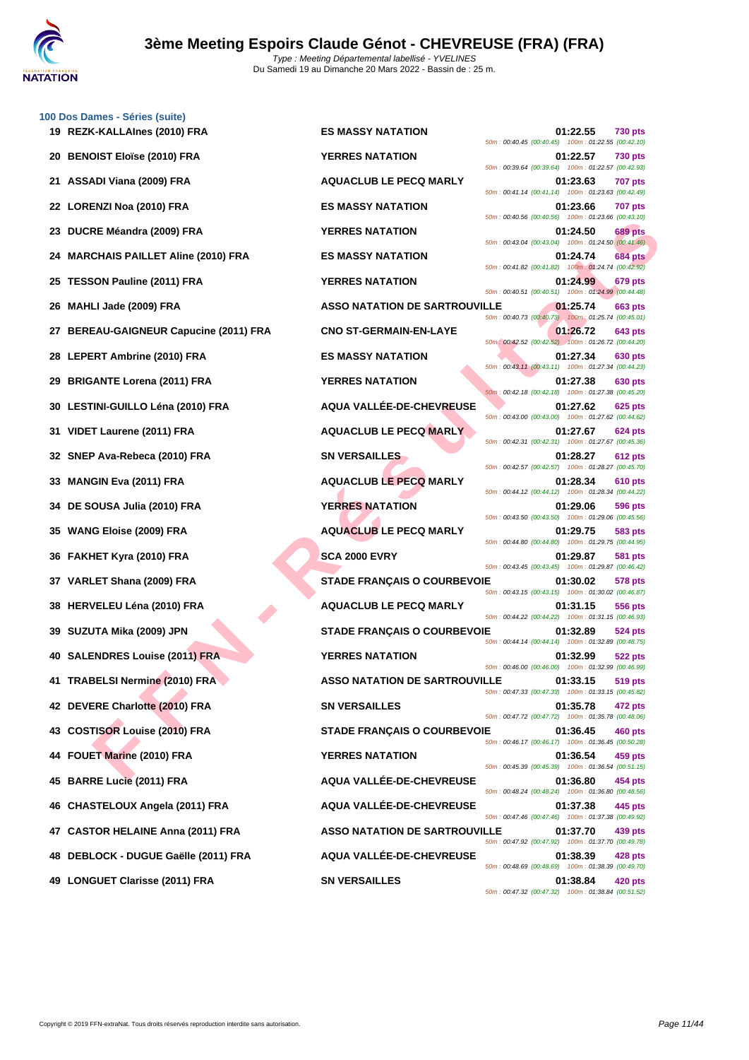

| 19 | 100 Dos Dames - Séries (suite)<br>REZK-KALLAInes (2010) FRA |
|----|-------------------------------------------------------------|
| 20 | <b>BENOIST Eloïse (2010) FRA</b>                            |
| 21 | ASSADI Viana (2009) FRA                                     |
|    | 22 LORENZI Noa (2010) FRA                                   |
| 23 | DUCRE Méandra (2009) FRA                                    |
|    | 24 MARCHAIS PAILLET Aline (2010) FRA                        |
|    | 25 TESSON Pauline (2011) FRA                                |
| 26 | MAHLI Jade (2009) FRA                                       |
| 27 | <b>BEREAU-GAIGNEUR Capucine (2011) FF</b>                   |
|    | 28 LEPERT Ambrine (2010) FRA                                |
|    | 29 BRIGANTE Lorena (2011) FRA                               |
|    | 30 LESTINI-GUILLO Léna (2010) FRA                           |
| 31 | VIDET Laurene (2011) FRA                                    |
|    | 32 SNEP Ava-Rebeca (2010) FRA                               |
|    | 33 MANGIN Eva (2011) FRA                                    |
|    | 34 DE SOUSA Julia (2010) FRA                                |
|    | 35 WANG Eloise (2009) FRA                                   |
|    | 36 FAKHET Kyra (2010) FRA                                   |
| 37 | VARLET Shana (2009) FRA                                     |
| 38 | <b>HERVELEU Léna (2010) FRA</b>                             |
|    | 39 SUZUTA Mika (2009) JPN                                   |
|    | 40 SALENDRES Louise (2011) FRA                              |
| 41 | <b>TRABELSI Nermine (2010) FRA</b>                          |
| 42 | DEVERE Charlotte (2010) FRA                                 |
|    | 43 COSTISOR Louise (2010) FRA                               |
|    | 44 FOUET Marine (2010) FRA                                  |
|    | 45 BARRE Lucie (2011) FRA                                   |
|    | 46 CHASTELOUX Angela (2011) FRA                             |
|    | 47 CASTOR HELAINE Anna (2011) FRA                           |
|    | 48 DEBLOCK - DUGUE Gaëlle (2011) FRA                        |
|    | 49 LONGUET Clarisse (2011) FRA                              |

RE Meandra (2009) FRA<br>
CHAIS PAILLET AIIne (2010) FRA<br>
LIAGE PAILET AIIne (2010) FRA<br>
ES MASSY NATATION<br>
ES MASSY NATATION<br>
LIAGE (2010) FRA<br>
LIAGE (2010) FRA<br>
ES MASSY NATATION<br>
LIAGE (2010) FRA<br>
ES MASSY NATATION<br>
LIAGE **REZK-KALLAInes (2010) FRA ES MASSY NATATION 01:22.55 730 pts 2001:22.57 730 pts ASSADI Viana (2009) FRA AQUACLUB LE PECQ MARLY 01:23.63 707 pts LORENZI Noa (2010) FRA ES MASSY NATATION 01:23.66 707 pts DUCRE Méandra (2009) FRA YERRES NATATION 01:24.50 689 pts MARCHAIS PAILLET Aline (2010) FRA ES MASSY NATATION 01:24.74 684 pts TESSON Pauline (2011) FRA YERRES NATATION 01:24.99 679 pts 2663 <b>MATATION DE SARTROUVILLE 01:25.74 663 pts BEREAU CNO ST-GERMAIN-EN-LAYE CAPUCING (2011)**  $26.72$  **643 pts LES MASSY NATATION 01:27.34 630 pts 29 TERRES NATATION 01:27.38 630 pts AQUA VALLÉE-DE-CHEVREUSE 01:27.62 625 pts 311 AQUACLUB LE PECQ MARLY 11:27.67 624 pts 322 <b>SN VERSAILLES 01:28.27 612 pts MANGIN Eva (2011) FRA AQUACLUB LE PECQ MARLY 01:28.34 610 pts DE SOUSA Julia (2010) FRA YERRES NATATION 01:29.06 596 pts 353 AQUACLUB** LE PECQ MARLY **CONSUMING CONSUMING CONSUMING SACT FAKHET Kyra (2010) FRA SCA 2000 EVRY 01:29.87 581 pts 37ADE FRANÇAIS O COURBEVOIE** 01:30.02 578 pts **AQUACLUB LE PECQ MARLY CONSUMING 11:31.15 556 pts 37ADE FRANÇAIS O COURBEVOIE** 01:32.89 524 pts **SALENDRES Louise (2011) FRA YERRES NATATION 01:32.99 522 pts TRABELSI Nermine (2010) FRA ASSO NATATION DE SARTROUVILLE 01:33.15 519 pts DEVERE Charlotte (2010) FRA SN VERSAILLES 01:35.78 472 pts STADE FRANÇAIS O COURBEVOIE** 01:36.45 460 pts **FOUET MARINE (2010) FRACES NATATION CONTROL BARRE Lucie (2011) FRA AQUA VALLÉE-DE-CHEVREUSE 01:36.80 454 pts CHASTELOUX Angela (2011) FRA AQUA VALLÉE-DE-CHEVREUSE 01:37.38 445 pts CASTOR HELAINE Anna (2011) FRA ASSO NATATION DE SARTROUVILLE 01:37.70 439 pts DEBLOCK - DUGUE Gaëlle (2011) FRA AQUA VALLÉE-DE-CHEVREUSE 01:38.39 428 pts LONGUET Clarisse (2011) FRA SN VERSAILLES 01:38.84 420 pts**

50m : 00:40.45 (00:40.45) 100m : 01:22.55 (00:42.10) 50m : 00:39.64 (00:39.64) 100m : 01:22.57 (00:42.93) 50m : 00:41.14 (00:41.14) 100m : 01:23.63 (00:42.49) 50m : 00:40.56 (00:40.56) 100m : 01:23.66 (00:43.10) 50m : 00:43.04 (00:43.04) 100m : 01:24.50 (00:41.46) 50m : 00:41.82 (00:41.82) 100m : 01:24.74 (00:42.92) 50m : 00:40.51 (00:40.51) 100m : 01:24.99 (00:44.48) 50m : 00:40.73 (00:40.73) 100m : 01:25.74 (00:45.01) 50m : 00:42.52 (00:42.52) 100m : 01:26.72 (00:44.20) 50m : 00:43.11 (00:43.11) 100m : 01:27.34 (00:44.23) 50m : 00:42.18 (00:42.18) 100m : 01:27.38 (00:45.20) 50m : 00:43.00 (00:43.00) 100m : 01:27.62 (00:44.62) 50m : 00:42.31 (00:42.31) 100m : 01:27.67 (00:45.36) 50m : 00:42.57 (00:42.57) 100m : 01:28.27 (00:45.70) 50m : 00:44.12 (00:44.12) 100m : 01:28.34 (00:44.22) 50m : 00:43.50 (00:43.50) 100m : 01:29.06 (00:45.56) 50m : 00:44.80 (00:44.80) 100m : 01:29.75 (00:44.95) 50m : 00:43.45 (00:43.45) 100m : 01:29.87 (00:46.42) 50m : 00:43.15 (00:43.15) 100m : 01:30.02 (00:46.87) 50m : 00:44.22 (00:44.22) 100m : 01:31.15 (00:46.93) 50m : 00:44.14 (00:44.14) 100m : 01:32.89 (00:48.75) 50m : 00:46.00 (00:46.00) 100m : 01:32.99 (00:46.99) 50m : 00:47.33 (00:47.33) 100m : 01:33.15 (00:45.82) 50m : 00:47.72 (00:47.72) 100m : 01:35.78 (00:48.06) 50m : 00:46.17 (00:46.17) 100m : 01:36.45 (00:50.28) 50m : 00:45.39 (00:45.39) 100m : 01:36.54 (00:51.15) 50m : 00:48.24 (00:48.24) 100m : 01:36.80 (00:48.56) 50m : 00:47.46 (00:47.46) 100m : 01:37.38 (00:49.92) 50m : 00:47.92 (00:47.92) 100m : 01:37.70 (00:49.78) 50m : 00:48.69 (00:48.69) 100m : 01:38.39 (00:49.70) 50m : 00:47.32 (00:47.32) 100m : 01:38.84 (00:51.52)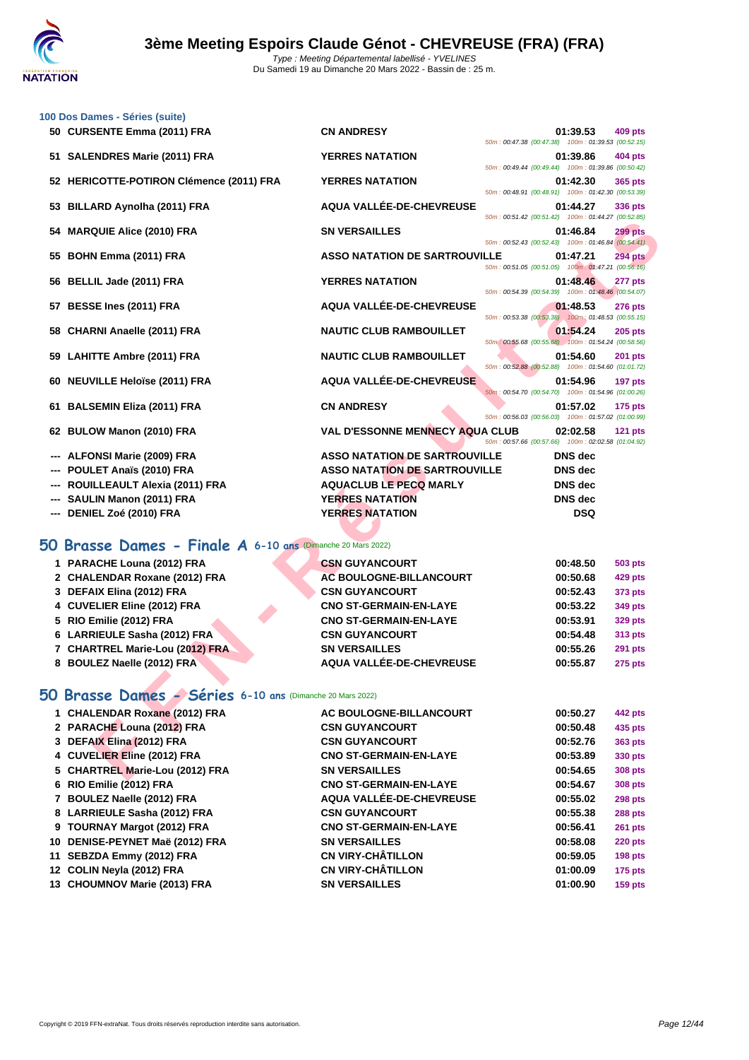|     | 100 Dos Dames - Séries (suite)                              |                                        |                                                    |                |                |
|-----|-------------------------------------------------------------|----------------------------------------|----------------------------------------------------|----------------|----------------|
|     | 50 CURSENTE Emma (2011) FRA                                 | <b>CN ANDRESY</b>                      | 50m: 00:47.38 (00:47.38) 100m: 01:39.53 (00:52.15) | 01:39.53       | 409 pts        |
|     | 51 SALENDRES Marie (2011) FRA                               | <b>YERRES NATATION</b>                 | 50m: 00:49.44 (00:49.44) 100m: 01:39.86 (00:50.42) | 01:39.86       | <b>404 pts</b> |
|     | 52 HERICOTTE-POTIRON Clémence (2011) FRA                    | <b>YERRES NATATION</b>                 | 50m: 00:48.91 (00:48.91) 100m: 01:42.30 (00:53.39) | 01:42.30       | 365 pts        |
| 53  | <b>BILLARD Aynolha (2011) FRA</b>                           | AQUA VALLÉE-DE-CHEVREUSE               | 50m: 00:51.42 (00:51.42) 100m: 01:44.27 (00:52.85) | 01:44.27       | 336 pts        |
| 54  | <b>MARQUIE Alice (2010) FRA</b>                             | <b>SN VERSAILLES</b>                   | 50m: 00:52.43 (00:52.43) 100m: 01:46.84 (00:54.41) | 01:46.84       | <b>299 pts</b> |
|     | 55 BOHN Emma (2011) FRA                                     | <b>ASSO NATATION DE SARTROUVILLE</b>   | 50m: 00:51.05 (00:51.05) 100m: 01:47.21 (00:56.16) | 01:47.21       | 294 pts        |
| 56  | BELLIL Jade (2011) FRA                                      | <b>YERRES NATATION</b>                 | 50m: 00:54.39 (00:54.39) 100m: 01:48.46 (00:54.07) | 01:48.46       | 277 pts        |
| 57  | BESSE Ines (2011) FRA                                       | <b>AQUA VALLÉE-DE-CHEVREUSE</b>        | 50m: 00:53.38 (00:53.38) 100m: 01:48.53 (00:55.15) | 01:48.53       | <b>276 pts</b> |
|     | 58 CHARNI Anaelle (2011) FRA                                | <b>NAUTIC CLUB RAMBOUILLET</b>         |                                                    | 01:54.24       | $205$ pts      |
| 59  | <b>LAHITTE Ambre (2011) FRA</b>                             | <b>NAUTIC CLUB RAMBOUILLET</b>         | 50m: 00:55.68 (00:55.68) 100m: 01:54.24 (00:58.56) | 01:54.60       | <b>201 pts</b> |
| 60  | <b>NEUVILLE Heloïse (2011) FRA</b>                          | AQUA VALLÉE-DE-CHEVREUSE               | 50m: 00:52.88 (00:52.88) 100m: 01:54.60 (01:01.72) | 01:54.96       | 197 pts        |
|     | 61 BALSEMIN Eliza (2011) FRA                                | <b>CN ANDRESY</b>                      | 50m: 00:54.70 (00:54.70) 100m: 01:54.96 (01:00.26) | 01:57.02       | $175$ pts      |
|     | 62 BULOW Manon (2010) FRA                                   | <b>VAL D'ESSONNE MENNECY AQUA CLUB</b> | 50m: 00:56.03 (00:56.03) 100m: 01:57.02 (01:00.99) | 02:02.58       | <b>121 pts</b> |
|     | <b>ALFONSI Marie (2009) FRA</b>                             | <b>ASSO NATATION DE SARTROUVILLE</b>   | 50m: 00:57.66 (00:57.66) 100m: 02:02.58 (01:04.92) | <b>DNS</b> dec |                |
|     | POULET Anaïs (2010) FRA                                     | <b>ASSO NATATION DE SARTROUVILLE</b>   |                                                    | <b>DNS</b> dec |                |
|     | ROUILLEAULT Alexia (2011) FRA                               | <b>AQUACLUB LE PECQ MARLY</b>          |                                                    | <b>DNS</b> dec |                |
|     | SAULIN Manon (2011) FRA                                     | <b>YERRES NATATION</b>                 |                                                    | <b>DNS</b> dec |                |
| --- | DENIEL Zoé (2010) FRA                                       | <b>YERRES NATATION</b>                 |                                                    | <b>DSQ</b>     |                |
|     |                                                             |                                        |                                                    |                |                |
|     | 50 Brasse Dames - Finale A 6-10 ans (Dimanche 20 Mars 2022) |                                        |                                                    |                |                |
|     | 1 PARACHE Louna (2012) FRA                                  | <b>CSN GUYANCOURT</b>                  |                                                    | 00:48.50       | 503 pts        |
|     | 2 CHALENDAR Roxane (2012) FRA                               | <b>AC BOULOGNE-BILLANCOURT</b>         |                                                    | 00:50.68       | 429 pts        |
|     | 3 DEFAIX Elina (2012) FRA                                   | <b>CSN GUYANCOURT</b>                  |                                                    | 00:52.43       | 373 pts        |
|     | 4 CUVELIER Eline (2012) FRA                                 | <b>CNO ST-GERMAIN-EN-LAYE</b>          |                                                    | 00:53.22       | 349 pts        |
|     | 5 RIO Emilie (2012) FRA                                     | <b>CNO ST-GERMAIN-EN-LAYE</b>          |                                                    | 00:53.91       | <b>329 pts</b> |
|     | 6 LARRIEULE Sasha (2012) FRA                                | <b>CSN GUYANCOURT</b>                  |                                                    | 00:54.48       | 313 pts        |
|     | 7 CHARTREL Marie-Lou (2012) FRA                             | <b>SN VERSAILLES</b>                   |                                                    | 00:55.26       | 291 pts        |
|     | 8 BOULEZ Naelle (2012) FRA                                  | <b>AQUA VALLÉE-DE-CHEVREUSE</b>        |                                                    | 00:55.87       | <b>275 pts</b> |
|     | 50 Brasse Dames - Séries 6-10 ans (Dimanche 20 Mars 2022)   |                                        |                                                    |                |                |
|     | 1 CHALENDAR Roxane (2012) FRA                               | AC BOULOGNE-BILLANCOURT                |                                                    | 00:50.27       | 442 pts        |
|     | 2 PARACHE Louna (2012) FRA                                  | <b>CSN GUYANCOURT</b>                  |                                                    | 00:50.48       | 435 pts        |
|     | 3 DEFAIX Elina (2012) FRA                                   | <b>CSN GUYANCOURT</b>                  |                                                    | 00:52.76       | 363 pts        |
|     | 4 CUVELIER Eline (2012) FRA                                 | <b>CNO ST-GERMAIN-EN-LAYE</b>          |                                                    | 00:53.89       | 330 pts        |
|     | 5 CHARTREL Marie-Lou (2012) FRA                             | <b>SN VERSAILLES</b>                   |                                                    | 00:54.65       | <b>308 pts</b> |
|     |                                                             |                                        |                                                    |                |                |

# **50 Brasse Dames - Finale A 6-10 ans** (Dimanche 20 Mars 2022)

| 1 PARACHE Louna (2012) FRA      | <b>CSN GUYANCOURT</b>          | 00:48.50 | 503 pts        |
|---------------------------------|--------------------------------|----------|----------------|
| 2 CHALENDAR Roxane (2012) FRA   | <b>AC BOULOGNE-BILLANCOURT</b> | 00:50.68 | <b>429 pts</b> |
| 3 DEFAIX Elina (2012) FRA       | <b>CSN GUYANCOURT</b>          | 00:52.43 | 373 pts        |
| 4 CUVELIER Eline (2012) FRA     | <b>CNO ST-GERMAIN-EN-LAYE</b>  | 00:53.22 | 349 pts        |
| 5 RIO Emilie (2012) FRA         | <b>CNO ST-GERMAIN-EN-LAYE</b>  | 00:53.91 | 329 pts        |
| 6 LARRIEULE Sasha (2012) FRA    | <b>CSN GUYANCOURT</b>          | 00:54.48 | 313 pts        |
| 7 CHARTREL Marie-Lou (2012) FRA | <b>SN VERSAILLES</b>           | 00:55.26 | <b>291 pts</b> |
| 8 BOULEZ Naelle (2012) FRA      | AQUA VALLÉE-DE-CHEVREUSE       | 00:55.87 | <b>275 pts</b> |
|                                 |                                |          |                |

# **50 Brasse Dames - Séries 6-10 ans** (Dimanche 20 Mars 2022)

| 1 CHALENDAR Roxane (2012) FRA   | AC BOULOGNE-BILLANCOURT       | 00:50.27 | 442 pts        |
|---------------------------------|-------------------------------|----------|----------------|
| 2 PARACHE Louna (2012) FRA      | <b>CSN GUYANCOURT</b>         | 00:50.48 | 435 pts        |
| 3 DEFAIX Elina (2012) FRA       | <b>CSN GUYANCOURT</b>         | 00:52.76 | 363 pts        |
| 4 CUVELIER Eline (2012) FRA     | <b>CNO ST-GERMAIN-EN-LAYE</b> | 00:53.89 | 330 pts        |
| 5 CHARTREL Marie-Lou (2012) FRA | <b>SN VERSAILLES</b>          | 00:54.65 | <b>308 pts</b> |
| 6 RIO Emilie (2012) FRA         | <b>CNO ST-GERMAIN-EN-LAYE</b> | 00:54.67 | <b>308 pts</b> |
| 7 BOULEZ Naelle (2012) FRA      | AQUA VALLÉE-DE-CHEVREUSE      | 00:55.02 | 298 pts        |
| 8 LARRIEULE Sasha (2012) FRA    | <b>CSN GUYANCOURT</b>         | 00:55.38 | 288 pts        |
| 9 TOURNAY Margot (2012) FRA     | <b>CNO ST-GERMAIN-EN-LAYE</b> | 00:56.41 | 261 pts        |
| 10 DENISE-PEYNET Maë (2012) FRA | <b>SN VERSAILLES</b>          | 00:58.08 | <b>220 pts</b> |
| 11 SEBZDA Emmy (2012) FRA       | <b>CN VIRY-CHÂTILLON</b>      | 00:59.05 | <b>198 pts</b> |
| 12 COLIN Neyla (2012) FRA       | <b>CN VIRY-CHÂTILLON</b>      | 01:00.09 | 175 pts        |
| 13 CHOUMNOV Marie (2013) FRA    | <b>SN VERSAILLES</b>          | 01:00.90 | 159 pts        |
|                                 |                               |          |                |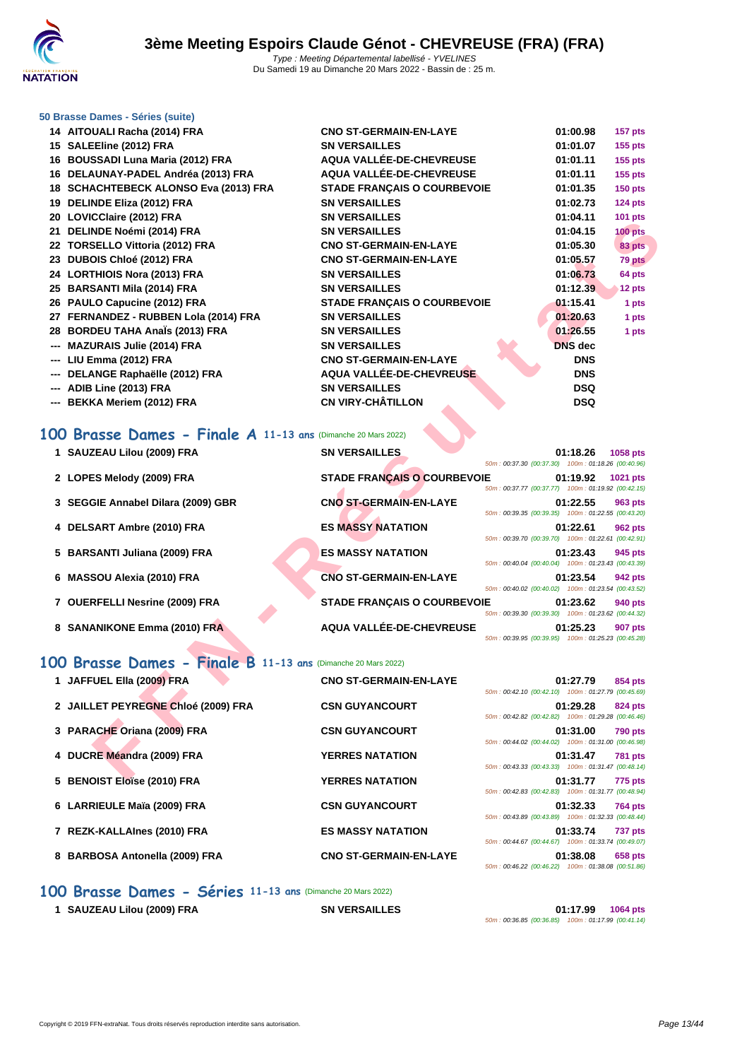

### **[50 Brasse](http://www.ffnatation.fr/webffn/index.php) Dames - Séries (suite)**

| 14 AITOUALI Racha (2014) FRA          | <b>CNO ST-GERMAIN-EN-LAYE</b>      | 01:00.98       | $157$ pts |
|---------------------------------------|------------------------------------|----------------|-----------|
| 15 SALEEline (2012) FRA               | <b>SN VERSAILLES</b>               | 01:01.07       | $155$ pts |
| 16 BOUSSADI Luna Maria (2012) FRA     | <b>AQUA VALLÉE-DE-CHEVREUSE</b>    | 01:01.11       | $155$ pts |
| 16 DELAUNAY-PADEL Andréa (2013) FRA   | AQUA VALLÉE-DE-CHEVREUSE           | 01:01.11       | $155$ pts |
| 18 SCHACHTEBECK ALONSO Eva (2013) FRA | <b>STADE FRANCAIS O COURBEVOIE</b> | 01:01.35       | $150$ pts |
| 19 DELINDE Eliza (2012) FRA           | <b>SN VERSAILLES</b>               | 01:02.73       | $124$ pts |
| 20 LOVICClaire (2012) FRA             | <b>SN VERSAILLES</b>               | 01:04.11       | $101$ pts |
| 21 DELINDE Noémi (2014) FRA           | <b>SN VERSAILLES</b>               | 01:04.15       | $100$ pts |
| 22 TORSELLO Vittoria (2012) FRA       | <b>CNO ST-GERMAIN-EN-LAYE</b>      | 01:05.30       | 83 pts    |
| 23 DUBOIS Chloé (2012) FRA            | <b>CNO ST-GERMAIN-EN-LAYE</b>      | 01:05.57       | 79 pts    |
| 24 LORTHIOIS Nora (2013) FRA          | <b>SN VERSAILLES</b>               | 01:06.73       | 64 pts    |
| 25 BARSANTI Mila (2014) FRA           | <b>SN VERSAILLES</b>               | 01:12.39       | 12 pts    |
| 26 PAULO Capucine (2012) FRA          | <b>STADE FRANÇAIS O COURBEVOIE</b> | 01:15.41       | 1 pts     |
| 27 FERNANDEZ - RUBBEN Lola (2014) FRA | <b>SN VERSAILLES</b>               | 01:20.63       | 1 pts     |
| 28 BORDEU TAHA AnaÏs (2013) FRA       | <b>SN VERSAILLES</b>               | 01:26.55       | 1 pts     |
| --- MAZURAIS Julie (2014) FRA         | <b>SN VERSAILLES</b>               | <b>DNS</b> dec |           |
| --- LIU Emma (2012) FRA               | <b>CNO ST-GERMAIN-EN-LAYE</b>      | <b>DNS</b>     |           |
| --- DELANGE Raphaëlle (2012) FRA      | AQUA VALLÉE-DE-CHEVREUSE           | <b>DNS</b>     |           |
| --- ADIB Line (2013) FRA              | <b>SN VERSAILLES</b>               | <b>DSQ</b>     |           |
| --- BEKKA Meriem (2012) FRA           | <b>CN VIRY-CHÂTILLON</b>           | <b>DSQ</b>     |           |

# **100 Brasse Dames - Finale A 11-13 ans** (Dimanche 20 Mars 2022)

| $20$ LOVICORNE (2012) I IVA                                  | UN YLI\UAILLLU                     |                                                    | ,,,,,,,,       | <b>IVI</b> pla  |
|--------------------------------------------------------------|------------------------------------|----------------------------------------------------|----------------|-----------------|
| 21 DELINDE Noémi (2014) FRA                                  | <b>SN VERSAILLES</b>               |                                                    | 01:04.15       | $100$ pts       |
| 22 TORSELLO Vittoria (2012) FRA                              | <b>CNO ST-GERMAIN-EN-LAYE</b>      |                                                    | 01:05.30       | 83 pts          |
| 23 DUBOIS Chloé (2012) FRA                                   | <b>CNO ST-GERMAIN-EN-LAYE</b>      |                                                    | 01:05.57       | 79 pts          |
| 24 LORTHIOIS Nora (2013) FRA                                 | <b>SN VERSAILLES</b>               |                                                    | 01:06.73       | 64 pts          |
| 25 BARSANTI Mila (2014) FRA                                  | <b>SN VERSAILLES</b>               |                                                    | 01:12.39       | 12 pts          |
| 26 PAULO Capucine (2012) FRA                                 | <b>STADE FRANCAIS O COURBEVOIE</b> |                                                    | 01:15.41       | 1 pts           |
| 27 FERNANDEZ - RUBBEN Lola (2014) FRA                        | <b>SN VERSAILLES</b>               |                                                    | 01:20.63       | 1 pts           |
| 28 BORDEU TAHA Anals (2013) FRA                              | <b>SN VERSAILLES</b>               |                                                    | 01:26.55       | 1 pts           |
| --- MAZURAIS Julie (2014) FRA                                | <b>SN VERSAILLES</b>               |                                                    | <b>DNS</b> dec |                 |
| --- LIU Emma (2012) FRA                                      | <b>CNO ST-GERMAIN-EN-LAYE</b>      |                                                    | <b>DNS</b>     |                 |
| --- DELANGE Raphaëlle (2012) FRA                             | AQUA VALLÉE-DE-CHEVREUSE           |                                                    | <b>DNS</b>     |                 |
| --- ADIB Line (2013) FRA                                     | <b>SN VERSAILLES</b>               |                                                    | <b>DSQ</b>     |                 |
| --- BEKKA Meriem (2012) FRA                                  | <b>CN VIRY-CHÂTILLON</b>           |                                                    | <b>DSQ</b>     |                 |
|                                                              |                                    |                                                    |                |                 |
| 00 Brasse Dames - Finale A 11-13 ans (Dimanche 20 Mars 2022) |                                    |                                                    |                |                 |
| 1 SAUZEAU Lilou (2009) FRA                                   | <b>SN VERSAILLES</b>               |                                                    | 01:18.26       | <b>1058 pts</b> |
|                                                              |                                    | 50m: 00:37.30 (00:37.30) 100m: 01:18.26 (00:40.96) |                |                 |
| 2 LOPES Melody (2009) FRA                                    | <b>STADE FRANÇAIS O COURBEVOIE</b> |                                                    | 01:19.92       | 1021 pts        |
|                                                              |                                    | 50m: 00:37.77 (00:37.77) 100m: 01:19.92 (00:42.15) |                |                 |
| 3 SEGGIE Annabel Dilara (2009) GBR                           | <b>CNO ST-GERMAIN-EN-LAYE</b>      | 50m: 00:39.35 (00:39.35) 100m: 01:22.55 (00:43.20) | 01:22.55       | 963 pts         |
| 4 DELSART Ambre (2010) FRA                                   | <b>ES MASSY NATATION</b>           |                                                    | 01:22.61       | 962 pts         |
|                                                              |                                    | 50m: 00:39.70 (00:39.70) 100m: 01:22.61 (00:42.91) |                |                 |
| 5 BARSANTI Juliana (2009) FRA                                | <b>ES MASSY NATATION</b>           |                                                    | 01:23.43       | 945 pts         |
|                                                              |                                    | 50m: 00:40.04 (00:40.04) 100m: 01:23.43 (00:43.39) |                |                 |
| 6 MASSOU Alexia (2010) FRA                                   | <b>CNO ST-GERMAIN-EN-LAYE</b>      |                                                    | 01:23.54       | 942 pts         |
|                                                              |                                    | 50m: 00:40.02 (00:40.02) 100m: 01:23.54 (00:43.52) |                |                 |
| 7 OUERFELLI Nesrine (2009) FRA                               | <b>STADE FRANÇAIS O COURBEVOIE</b> | 50m: 00:39.30 (00:39.30) 100m: 01:23.62 (00:44.32) | 01:23.62       | 940 pts         |
| 8 SANANIKONE Emma (2010) FRA                                 | AQUA VALLÉE-DE-CHEVREUSE           |                                                    | 01:25.23       | <b>907 pts</b>  |
|                                                              |                                    | 50m: 00:39.95 (00:39.95) 100m: 01:25.23 (00:45.28) |                |                 |
|                                                              |                                    |                                                    |                |                 |
| 00 Brasse Dames - Finale B 11-13 ans (Dimanche 20 Mars 2022) |                                    |                                                    |                |                 |
| 1 JAFFUEL Ella (2009) FRA                                    | <b>CNO ST-GERMAIN-EN-LAYE</b>      |                                                    | 01:27.79       | 854 pts         |
|                                                              |                                    | 50m: 00:42.10 (00:42.10) 100m: 01:27.79 (00:45.69) |                |                 |
| 2 JAILLET PEYREGNE Chloé (2009) FRA                          | <b>CSN GUYANCOURT</b>              |                                                    | 01:29.28       | 824 pts         |
|                                                              |                                    | 50m: 00:42.82 (00:42.82) 100m: 01:29.28 (00:46.46) |                |                 |
| 3 PARACHE Oriana (2009) FRA                                  | <b>CSN GUYANCOURT</b>              | 50m: 00:44.02 (00:44.02) 100m: 01:31.00 (00:46.98) | 01:31.00       | <b>790 pts</b>  |
| 4 DUCRE Méandra (2009) FRA                                   | <b>YERRES NATATION</b>             |                                                    | 01:31.47       | <b>781 pts</b>  |
|                                                              |                                    | 50m: 00:43.33 (00:43.33) 100m: 01:31.47 (00:48.14) |                |                 |
| E DENOICT EL SA (2040) ED A                                  | <b>VEDDEC MATATION</b>             |                                                    | 04.24.77       | $770 - 44$      |

# **100 Brasse Dames - Finale B 11-13 ans** (Dimanche 20 Mars 2022)

| 1 JAFFUEL Ella (2009) FRA           | <b>CNO ST-GERMAIN-EN-LAYE</b> | 01:27.79<br>854 pts                                                                                                             |
|-------------------------------------|-------------------------------|---------------------------------------------------------------------------------------------------------------------------------|
| 2 JAILLET PEYREGNE Chloé (2009) FRA | <b>CSN GUYANCOURT</b>         | 50m: 00:42.10 (00:42.10) 100m: 01:27.79 (00:45.69)<br>01:29.28<br>824 pts<br>50m: 00:42.82 (00:42.82) 100m: 01:29.28 (00:46.46) |
| 3 PARACHE Oriana (2009) FRA         | <b>CSN GUYANCOURT</b>         | 01:31.00<br><b>790 pts</b><br>50m: 00:44.02 (00:44.02) 100m: 01:31.00 (00:46.98)                                                |
| 4 DUCRE Méandra (2009) FRA          | <b>YERRES NATATION</b>        | 01:31.47<br><b>781 pts</b><br>50m: 00:43.33 (00:43.33) 100m: 01:31.47 (00:48.14)                                                |
| 5 BENOIST Eloïse (2010) FRA         | <b>YERRES NATATION</b>        | 01:31.77<br>775 pts<br>50m: 00:42.83 (00:42.83) 100m: 01:31.77 (00:48.94)                                                       |
| 6 LARRIEULE Maïa (2009) FRA         | <b>CSN GUYANCOURT</b>         | 01:32.33<br><b>764 pts</b><br>50m: 00:43.89 (00:43.89) 100m: 01:32.33 (00:48.44)                                                |
| 7 REZK-KALLAInes (2010) FRA         | <b>ES MASSY NATATION</b>      | 01:33.74<br><b>737 pts</b><br>50m: 00:44.67 (00:44.67) 100m: 01:33.74 (00:49.07)                                                |
| 8 BARBOSA Antonella (2009) FRA      | <b>CNO ST-GERMAIN-EN-LAYE</b> | 01:38.08<br>658 pts<br>50m: 00:46.22 (00:46.22) 100m: 01:38.08 (00:51.86)                                                       |

# **100 Brasse Dames - Séries 11-13 ans** (Dimanche 20 Mars 2022)

**1 SAUZEAU Lilou (2009) FRA SN VERSAILLES 01:17.99 1064 pts**

50m : 00:36.85 (00:36.85) 100m : 01:17.99 (00:41.14)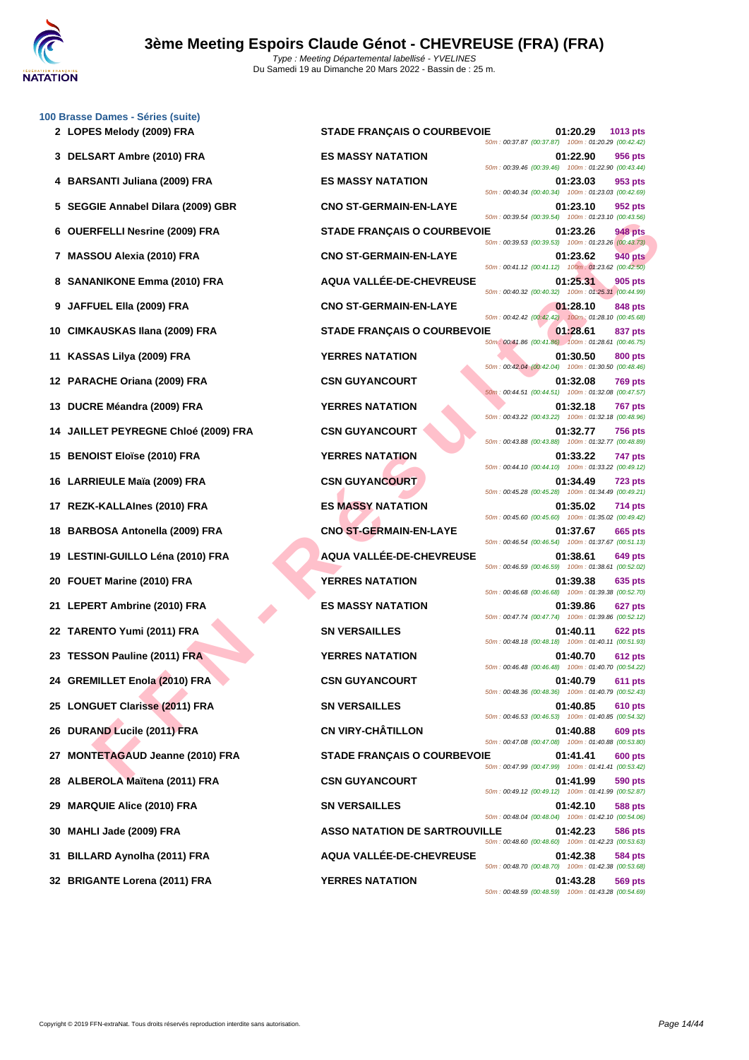|     | 100 Brasse Dames - Séries (suite)    |                                      |                                                                                  |
|-----|--------------------------------------|--------------------------------------|----------------------------------------------------------------------------------|
|     | 2 LOPES Melody (2009) FRA            | <b>STADE FRANÇAIS O COURBEVOIE</b>   | 01:20.29<br>1013 pts<br>50m: 00:37.87 (00:37.87) 100m: 01:20.29 (00:42.42)       |
|     | 3 DELSART Ambre (2010) FRA           | <b>ES MASSY NATATION</b>             | 01:22.90<br>956 pts<br>50m: 00:39.46 (00:39.46) 100m: 01:22.90 (00:43.44)        |
|     | 4 BARSANTI Juliana (2009) FRA        | <b>ES MASSY NATATION</b>             | 01:23.03<br>953 pts<br>50m: 00:40.34 (00:40.34) 100m: 01:23.03 (00:42.69)        |
|     | 5 SEGGIE Annabel Dilara (2009) GBR   | <b>CNO ST-GERMAIN-EN-LAYE</b>        | 01:23.10<br>952 pts<br>50m: 00:39.54 (00:39.54) 100m: 01:23.10 (00:43.56)        |
|     | 6 OUERFELLI Nesrine (2009) FRA       | <b>STADE FRANÇAIS O COURBEVOIE</b>   | 01:23.26<br>948 pts<br>50m: 00:39.53 (00:39.53) 100m: 01:23.26 (00:43.73)        |
|     | 7 MASSOU Alexia (2010) FRA           | <b>CNO ST-GERMAIN-EN-LAYE</b>        | 01:23.62<br><b>940 pts</b><br>50m: 00:41.12 (00:41.12) 100m: 01:23.62 (00:42.50) |
|     | 8 SANANIKONE Emma (2010) FRA         | AQUA VALLÉE-DE-CHEVREUSE             | 01:25.31<br>905 pts<br>50m: 00:40.32 (00:40.32) 100m: 01:25.31 (00:44.99)        |
|     | 9 JAFFUEL Ella (2009) FRA            | <b>CNO ST-GERMAIN-EN-LAYE</b>        | 01:28.10<br>848 pts<br>50m: 00:42.42 (00:42.42) 100m: 01:28.10 (00:45.68)        |
|     | 10 CIMKAUSKAS Ilana (2009) FRA       | <b>STADE FRANÇAIS O COURBEVOIE</b>   | 01:28.61<br>837 pts<br>50m: 00:41.86 (00:41.86) 100m: 01:28.61 (00:46.75)        |
| 11  | KASSAS Lilya (2009) FRA              | <b>YERRES NATATION</b>               | 01:30.50<br>800 pts<br>50m: 00:42.04 (00:42.04) 100m: 01:30.50 (00:48.46)        |
|     | 12 PARACHE Oriana (2009) FRA         | <b>CSN GUYANCOURT</b>                | 01:32.08<br><b>769 pts</b><br>50m: 00:44.51 (00:44.51) 100m: 01:32.08 (00:47.57) |
| 13  | DUCRE Méandra (2009) FRA             | <b>YERRES NATATION</b>               | 01:32.18<br><b>767 pts</b><br>50m: 00:43.22 (00:43.22) 100m: 01:32.18 (00:48.96) |
|     | JAILLET PEYREGNE Chloé (2009) FRA    | <b>CSN GUYANCOURT</b>                | 01:32.77<br>756 pts<br>50m: 00:43.88 (00:43.88) 100m: 01:32.77 (00:48.89)        |
| 15. | <b>BENOIST Eloïse (2010) FRA</b>     | <b>YERRES NATATION</b>               | 01:33.22<br>747 pts<br>50m: 00:44.10 (00:44.10) 100m: 01:33.22 (00:49.12)        |
|     | 16 LARRIEULE Maïa (2009) FRA         | <b>CSN GUYANCOURT</b>                | 01:34.49<br><b>723 pts</b><br>50m: 00:45.28 (00:45.28) 100m: 01:34.49 (00:49.21) |
| 17  | REZK-KALLAInes (2010) FRA            | <b>ES MASSY NATATION</b>             | 01:35.02<br>714 pts<br>50m: 00:45.60 (00:45.60) 100m: 01:35.02 (00:49.42)        |
| 18  | <b>BARBOSA Antonella (2009) FRA</b>  | <b>CNO ST-GERMAIN-EN-LAYE</b>        | 01:37.67<br>665 pts<br>50m: 00:46.54 (00:46.54) 100m: 01:37.67 (00:51.13)        |
| 19  | LESTINI-GUILLO Léna (2010) FRA       | AQUA VALLÉE-DE-CHEVREUSE             | 01:38.61<br>649 pts<br>50m: 00:46.59 (00:46.59) 100m: 01:38.61 (00:52.02)        |
| 20  | FOUET Marine (2010) FRA              | <b>YERRES NATATION</b>               | 01:39.38<br>635 pts                                                              |
|     | 21 LEPERT Ambrine (2010) FRA         | <b>ES MASSY NATATION</b>             | 50m: 00:46.68 (00:46.68) 100m: 01:39.38 (00:52.70)<br>01:39.86<br>627 pts        |
|     | 22 TARENTO Yumi (2011) FRA           | <b>SN VERSAILLES</b>                 | 50m: 00:47.74 (00:47.74) 100m: 01:39.86 (00:52.12)<br>01:40.11<br><b>622 pts</b> |
|     | 23 TESSON Pauline (2011) FRA         | <b>YERRES NATATION</b>               | 50m: 00:48.18 (00:48.18) 100m: 01:40.11 (00:51.93)<br>01:40.70<br>612 pts        |
|     | 24 GREMILLET Enola (2010) FRA        | <b>CSN GUYANCOURT</b>                | 50m: 00:46.48 (00:46.48) 100m: 01:40.70 (00:54.22)<br>01:40.79<br>611 pts        |
|     | 25 LONGUET Clarisse (2011) FRA       | <b>SN VERSAILLES</b>                 | 50m: 00:48.36 (00:48.36) 100m: 01:40.79 (00:52.43)<br>01:40.85<br><b>610 pts</b> |
| 26  | DURAND Lucile (2011) FRA             | <b>CN VIRY-CHÂTILLON</b>             | 50m: 00:46.53 (00:46.53) 100m: 01:40.85 (00:54.32)<br>01:40.88<br>609 pts        |
| 27  | <b>MONTETAGAUD Jeanne (2010) FRA</b> | <b>STADE FRANÇAIS O COURBEVOIE</b>   | 50m: 00:47.08 (00:47.08) 100m: 01:40.88 (00:53.80)<br>01:41.41<br>600 pts        |
|     | 28 ALBEROLA Maïtena (2011) FRA       | <b>CSN GUYANCOURT</b>                | 50m: 00:47.99 (00:47.99) 100m: 01:41.41 (00:53.42)<br>01:41.99<br>590 pts        |
| 29  | <b>MARQUIE Alice (2010) FRA</b>      | <b>SN VERSAILLES</b>                 | 50m: 00:49.12 (00:49.12) 100m: 01:41.99 (00:52.87)<br>01:42.10<br>588 pts        |
| 30  | MAHLI Jade (2009) FRA                | <b>ASSO NATATION DE SARTROUVILLE</b> | 50m: 00:48.04 (00:48.04) 100m: 01:42.10 (00:54.06)<br>01:42.23<br>586 pts        |
| 31. | BILLARD Aynolha (2011) FRA           | AQUA VALLÉE-DE-CHEVREUSE             | 50m: 00:48.60 (00:48.60) 100m: 01:42.23 (00:53.63)<br>01:42.38<br>584 pts        |
|     | 32 BRIGANTE Lorena (2011) FRA        | <b>YERRES NATATION</b>               | 50m: 00:48.70 (00:48.70) 100m: 01:42.38 (00:53.68)<br>01:43.28<br>569 pts        |
|     |                                      |                                      | 50m: 00:48.59 (00:48.59) 100m: 01:43.28 (00:54.69)                               |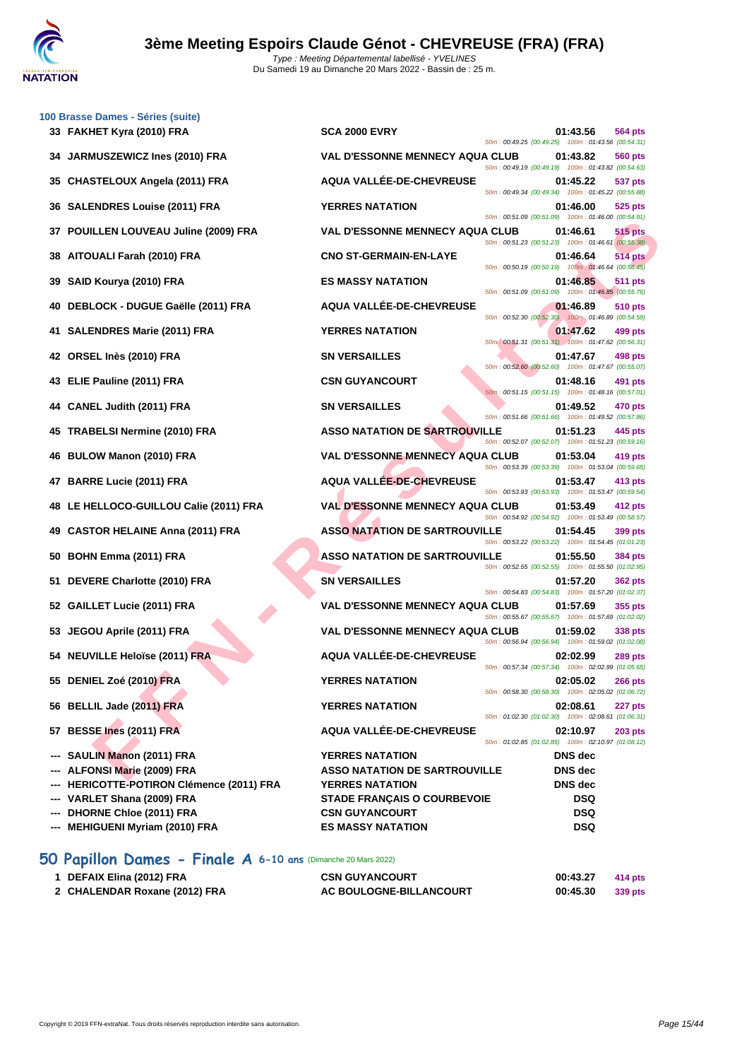

|    | 100 Brasse Dames - Séries (suite)<br>33 FAKHET Kyra (2010) FRA | <b>SCA 2000 EVRY</b>                   |                                                      | 01:43.56       | 564 pts        |
|----|----------------------------------------------------------------|----------------------------------------|------------------------------------------------------|----------------|----------------|
|    |                                                                | <b>VAL D'ESSONNE MENNECY AQUA CLUB</b> | 50m: 00:49.25 (00:49.25) 100m: 01:43.56 (00:54.31)   |                |                |
| 34 | JARMUSZEWICZ Ines (2010) FRA                                   |                                        | 50m: 00:49.19 (00:49.19) 100m: 01:43.82 (00:54.63)   | 01:43.82       | 560 pts        |
| 35 | <b>CHASTELOUX Angela (2011) FRA</b>                            | AQUA VALLÉE-DE-CHEVREUSE               | 50m: 00:49.34 (00:49.34) 100m: 01:45.22 (00:55.88)   | 01:45.22       | 537 pts        |
| 36 | <b>SALENDRES Louise (2011) FRA</b>                             | <b>YERRES NATATION</b>                 | 50m: 00:51.09 (00:51.09) 100m: 01:46.00 (00:54.91)   | 01:46.00       | 525 pts        |
| 37 | POUILLEN LOUVEAU Juline (2009) FRA                             | <b>VAL D'ESSONNE MENNECY AQUA CLUB</b> | 50m: 00:51.23 (00:51.23) 100m: 01:46.61 (00:55.38)   | 01:46.61       | 515 pts        |
| 38 | AITOUALI Farah (2010) FRA                                      | <b>CNO ST-GERMAIN-EN-LAYE</b>          |                                                      | 01:46.64       | <b>514 pts</b> |
| 39 | SAID Kourya (2010) FRA                                         | <b>ES MASSY NATATION</b>               | 50m: 00:50.19 (00:50.19) 100m: 01:46.64 (00:56.45)   | 01:46.85       | <b>511 pts</b> |
| 40 | DEBLOCK - DUGUE Gaëlle (2011) FRA                              | AQUA VALLÉE-DE-CHEVREUSE               | 50m: 00:51.09 (00:51.09) 100m: 01:46.85 (00:55.76)   | 01:46.89       | 510 pts        |
| 41 | <b>SALENDRES Marie (2011) FRA</b>                              | <b>YERRES NATATION</b>                 | 50m: 00:52.30 (00:52.30) 100m: 01:46.89 (00:54.59)   | 01:47.62       | 499 pts        |
|    | 42 ORSEL Inès (2010) FRA                                       | <b>SN VERSAILLES</b>                   | 50m: 00:51.31 (00:51.31) 100m: 01:47.62 (00:56.31)   | 01:47.67       | 498 pts        |
|    |                                                                |                                        | 50m: 00:52.60 (00:52.60) 100m: 01:47.67 (00:55.07)   |                |                |
|    | 43 ELIE Pauline (2011) FRA                                     | <b>CSN GUYANCOURT</b>                  | 50m: 00:51.15 (00:51.15) 100m: 01:48.16 (00:57.01)   | 01:48.16       | 491 pts        |
| 44 | <b>CANEL Judith (2011) FRA</b>                                 | <b>SN VERSAILLES</b>                   | 50m: 00:51.66 (00:51.66) 100m: 01:49.52 (00:57.86)   | 01:49.52       | 470 pts        |
| 45 | <b>TRABELSI Nermine (2010) FRA</b>                             | <b>ASSO NATATION DE SARTROUVILLE</b>   | 50m: 00:52.07 (00:52.07) 100m: 01:51.23 (00:59.16)   | 01:51.23       | 445 pts        |
|    | 46 BULOW Manon (2010) FRA                                      | <b>VAL D'ESSONNE MENNECY AQUA CLUB</b> |                                                      | 01:53.04       | 419 pts        |
| 47 | <b>BARRE Lucie (2011) FRA</b>                                  | <b>AQUA VALLEE-DE-CHEVREUSE</b>        | 50m: 00:53.39 (00:53.39) 100m: 01:53.04 (00:59.65)   | 01:53.47       | 413 pts        |
| 48 | LE HELLOCO-GUILLOU Calie (2011) FRA                            | <b>VAL D'ESSONNE MENNECY AQUA CLUB</b> | 50m: 00:53.93 (00:53.93) 100m: 01:53.47 (00:59.54)   | 01:53.49       | 412 pts        |
| 49 | <b>CASTOR HELAINE Anna (2011) FRA</b>                          | <b>ASSO NATATION DE SARTROUVILLE</b>   | 50m: 00:54.92 (00:54.92) 100m: 01:53.49 (00:58.57)   | 01:54.45       | 399 pts        |
| 50 | BOHN Emma (2011) FRA                                           | <b>ASSO NATATION DE SARTROUVILLE</b>   | 50m: 00:53.22 (00:53.22) 100m: 01:54.45 (01:01.23)   | 01:55.50       | 384 pts        |
| 51 | DEVERE Charlotte (2010) FRA                                    | <b>SN VERSAILLES</b>                   | 50m : 00:52.55 (00:52.55) 100m : 01:55.50 (01:02.95) | 01:57.20       | <b>362 pts</b> |
| 52 | GAILLET Lucie (2011) FRA                                       | <b>VAL D'ESSONNE MENNECY AQUA CLUB</b> | 50m: 00:54.83 (00:54.83) 100m: 01:57.20 (01:02.37)   | 01:57.69       | 355 pts        |
| 53 | JEGOU Aprile (2011) FRA                                        | <b>VAL D'ESSONNE MENNECY AQUA CLUB</b> | 50m: 00:55.67 (00:55.67) 100m: 01:57.69 (01:02.02)   | 01:59.02       | 338 pts        |
|    |                                                                |                                        | 50m: 00:56.94 (00:56.94) 100m: 01:59.02 (01:02.08)   |                |                |
|    | 54 NEUVILLE Heloïse (2011) FRA                                 | AQUA VALLÉE-DE-CHEVREUSE               | 50m: 00:57.34 (00:57.34) 100m: 02:02.99 (01:05.65)   | 02:02.99       | 289 pts        |
|    | 55 DENIEL Zoé (2010) FRA                                       | <b>YERRES NATATION</b>                 | 50m: 00:58.30 (00:58.30) 100m: 02:05.02 (01:06.72)   | 02:05.02       | <b>266 pts</b> |
|    | 56 BELLIL Jade (2011) FRA                                      | <b>YERRES NATATION</b>                 |                                                      | 02:08.61       | 227 pts        |
|    | 57 BESSE Ines (2011) FRA                                       | AQUA VALLÉE-DE-CHEVREUSE               | 50m: 01:02.30 (01:02.30) 100m: 02:08.61 (01:06.31)   | 02:10.97       | $203$ pts      |
|    | SAULIN Manon (2011) FRA                                        | <b>YERRES NATATION</b>                 | 50m: 01:02.85 (01:02.85) 100m: 02:10.97 (01:08.12)   | <b>DNS</b> dec |                |
|    | --- ALFONSI Marie (2009) FRA                                   | <b>ASSO NATATION DE SARTROUVILLE</b>   |                                                      | <b>DNS</b> dec |                |
|    | HERICOTTE-POTIRON Clémence (2011) FRA                          | <b>YERRES NATATION</b>                 |                                                      | <b>DNS</b> dec |                |
|    | VARLET Shana (2009) FRA                                        | <b>STADE FRANÇAIS O COURBEVOIE</b>     |                                                      | <b>DSQ</b>     |                |
|    |                                                                |                                        |                                                      |                |                |
|    | <b>DHORNE Chloe (2011) FRA</b>                                 | <b>CSN GUYANCOURT</b>                  |                                                      | <b>DSQ</b>     |                |

# **50 Papillon Dames - Finale A 6-10 ans** (Dimanche 20 Mars 2022)

| 1 DEFAIX Elina (2012) FRA     | <b>CSN GUYANCOURT</b>   | 00:43.27 | 414 pts |
|-------------------------------|-------------------------|----------|---------|
| 2 CHALENDAR Roxane (2012) FRA | AC BOULOGNE-BILLANCOURT | 00:45.30 | 339 pts |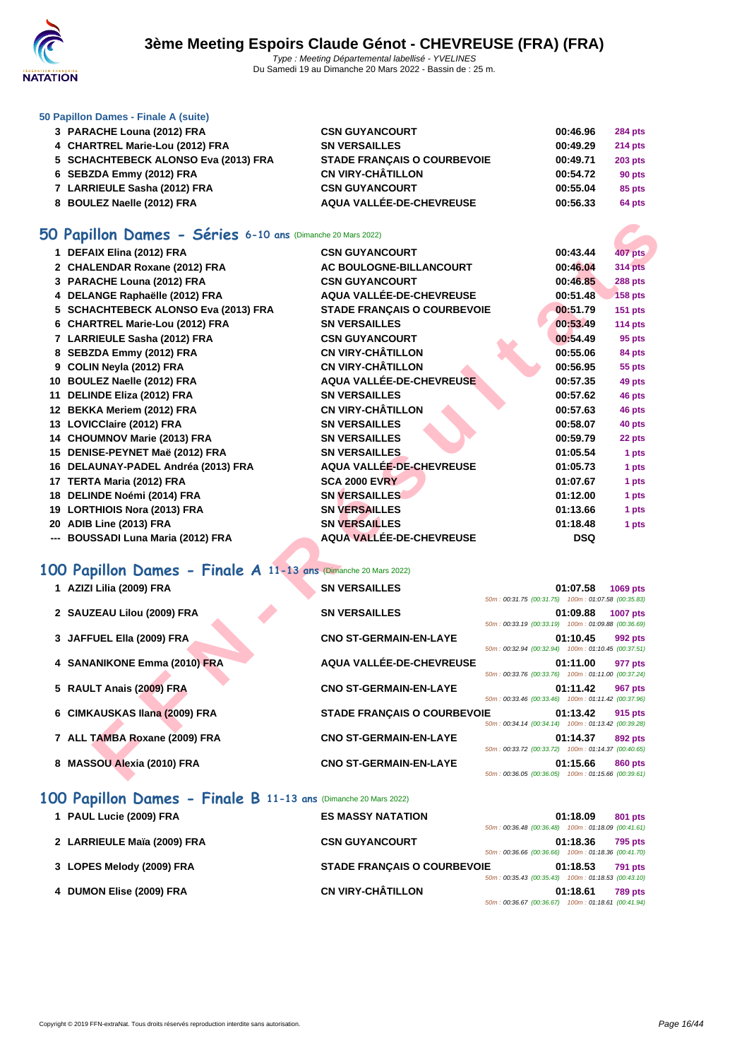

### **[50 Papillo](http://www.ffnatation.fr/webffn/index.php)n Dames - Finale A (suite)**

| 3 PARACHE Louna (2012) FRA           | <b>CSN GUYANCOURT</b>              | 00:46.96 | <b>284 pts</b> |
|--------------------------------------|------------------------------------|----------|----------------|
| 4 CHARTREL Marie-Lou (2012) FRA      | <b>SN VERSAILLES</b>               | 00:49.29 | <b>214 pts</b> |
| 5 SCHACHTEBECK ALONSO Eva (2013) FRA | <b>STADE FRANCAIS O COURBEVOIE</b> | 00:49.71 | <b>203 pts</b> |
| 6 SEBZDA Emmy (2012) FRA             | <b>CN VIRY-CHÂTILLON</b>           | 00:54.72 | 90 pts         |
| 7 LARRIEULE Sasha (2012) FRA         | <b>CSN GUYANCOURT</b>              | 00:55.04 | 85 pts         |
| 8 BOULEZ Naelle (2012) FRA           | AQUA VALLÉE-DE-CHEVREUSE           | 00:56.33 | 64 pts         |

### **50 Papillon Dames - Séries 6-10 ans** (Dimanche 20 Mars 2022)

| O Papillon Dames - Séries 6-10 ans (Dimanche 20 Mars 2022)     |                                    |                                                                |                |
|----------------------------------------------------------------|------------------------------------|----------------------------------------------------------------|----------------|
| 1 DEFAIX Elina (2012) FRA                                      | <b>CSN GUYANCOURT</b>              | 00:43.44                                                       | <b>407 pts</b> |
| 2 CHALENDAR Roxane (2012) FRA                                  | AC BOULOGNE-BILLANCOURT            | 00:46.04                                                       | <b>314 pts</b> |
| 3 PARACHE Louna (2012) FRA                                     | <b>CSN GUYANCOURT</b>              | 00:46.85                                                       | <b>288 pts</b> |
| 4 DELANGE Raphaëlle (2012) FRA                                 | AQUA VALLÉE-DE-CHEVREUSE           | 00:51.48                                                       | <b>158 pts</b> |
| 5 SCHACHTEBECK ALONSO Eva (2013) FRA                           | <b>STADE FRANÇAIS O COURBEVOIE</b> | 00:51.79                                                       | <b>151 pts</b> |
| 6 CHARTREL Marie-Lou (2012) FRA                                | <b>SN VERSAILLES</b>               | 00:53.49                                                       | 114 pts        |
| 7 LARRIEULE Sasha (2012) FRA                                   | <b>CSN GUYANCOURT</b>              | 00:54.49                                                       | 95 pts         |
| 8 SEBZDA Emmy (2012) FRA                                       | <b>CN VIRY-CHÂTILLON</b>           | 00:55.06                                                       | 84 pts         |
| 9 COLIN Neyla (2012) FRA                                       | <b>CN VIRY-CHÂTILLON</b>           | 00:56.95                                                       | 55 pts         |
| 10 BOULEZ Naelle (2012) FRA                                    | AQUA VALLÉE-DE-CHEVREUSE           | 00:57.35                                                       | 49 pts         |
| 11 DELINDE Eliza (2012) FRA                                    | <b>SN VERSAILLES</b>               | 00:57.62                                                       | 46 pts         |
| 12 BEKKA Meriem (2012) FRA                                     | <b>CN VIRY-CHÂTILLON</b>           | 00:57.63                                                       | 46 pts         |
| 13 LOVICClaire (2012) FRA                                      | <b>SN VERSAILLES</b>               | 00:58.07                                                       | 40 pts         |
| 14 CHOUMNOV Marie (2013) FRA                                   | <b>SN VERSAILLES</b>               | 00:59.79                                                       | 22 pts         |
| 15 DENISE-PEYNET Maë (2012) FRA                                | <b>SN VERSAILLES</b>               | 01:05.54                                                       | 1 pts          |
| 16 DELAUNAY-PADEL Andréa (2013) FRA                            | AQUA VALLÉE-DE-CHEVREUSE           | 01:05.73                                                       | 1 pts          |
| 17 TERTA Maria (2012) FRA                                      | <b>SCA 2000 EVRY</b>               | 01:07.67                                                       | 1 pts          |
| 18 DELINDE Noémi (2014) FRA                                    | <b>SN VERSAILLES</b>               | 01:12.00                                                       | 1 pts          |
| 19 LORTHIOIS Nora (2013) FRA                                   | <b>SN VERSAILLES</b>               | 01:13.66                                                       | 1 pts          |
| 20 ADIB Line (2013) FRA                                        | <b>SN VERSAILLES</b>               | 01:18.48                                                       | 1 pts          |
| --- BOUSSADI Luna Maria (2012) FRA                             | AQUA VALLÉE-DE-CHEVREUSE           | <b>DSQ</b>                                                     |                |
| 00 Papillon Dames - Finale A 11-13 ans (Dimanche 20 Mars 2022) |                                    |                                                                |                |
| 1 AZIZI Lilia (2009) FRA                                       | <b>SN VERSAILLES</b>               | 01:07.58<br>50m: 00:31.75 (00:31.75) 100m: 01:07.58 (00:35.83) | 1069 pts       |
| 2 SAUZEAU Lilou (2009) FRA                                     | <b>SN VERSAILLES</b>               | 01:09.88                                                       | 1007 pts       |
|                                                                |                                    | 50m: 00:33.19 (00:33.19) 100m: 01:09.88 (00:36.69)             |                |
| 3 JAFFUEL Ella (2009) FRA                                      | <b>CNO ST-GERMAIN-EN-LAYE</b>      | 01:10.45                                                       | 992 pts        |
|                                                                |                                    | 50m: 00:32.94 (00:32.94) 100m: 01:10.45 (00:37.51)             |                |
| 4 SANANIKONE Emma (2010) FRA                                   | AQUA VALLÉE-DE-CHEVREUSE           | 01:11.00                                                       | 977 pts        |
| 5 RAULT Anais (2009) FRA                                       | <b>CNO ST-GERMAIN-EN-LAYE</b>      | 50m: 00:33.76 (00:33.76) 100m: 01:11.00 (00:37.24)<br>01:11.42 | <b>967 pts</b> |
|                                                                |                                    | 50m: 00:33.46 (00:33.46) 100m: 01:11.42 (00:37.96)             |                |
| 6 CIMKAUSKAS Ilana (2009) FRA                                  | <b>STADE FRANÇAIS O COURBEVOIE</b> | 01:13.42<br>50m: 00:34.14 (00:34.14) 100m: 01:13.42 (00:39.28) | 915 pts        |
| 7 ALL TAMBA Roxane (2009) FRA                                  | <b>CNO ST-GERMAIN-EN-LAYE</b>      | 01:14.37                                                       | 892 pts        |
|                                                                |                                    | 50m: 00:33.72 (00:33.72) 100m: 01:14.37 (00:40.65)             |                |
| 8 MASSOU Alexia (2010) FRA                                     | <b>CNO ST-GERMAIN-EN-LAYE</b>      | 01:15.66                                                       | 860 pts        |
|                                                                |                                    | 50m: 00:36.05 (00:36.05) 100m: 01:15.66 (00:39.61)             |                |

## **100 Papillon Dames - Finale A 11-13 ans** (Dimanche 20 Mars 2022)

| 1 AZIZI Lilia (2009) FRA      | <b>SN VERSAILLES</b>               | 50m: 00:31.75 (00:31.75) 100m: 01:07.58 (00:35.83) | 01:07.58 | 1069 pts        |
|-------------------------------|------------------------------------|----------------------------------------------------|----------|-----------------|
| 2 SAUZEAU Lilou (2009) FRA    | <b>SN VERSAILLES</b>               | 50m: 00:33.19 (00:33.19) 100m: 01:09.88 (00:36.69) | 01:09.88 | <b>1007 pts</b> |
| 3 JAFFUEL Ella (2009) FRA     | <b>CNO ST-GERMAIN-EN-LAYE</b>      | 50m: 00:32.94 (00:32.94) 100m: 01:10.45 (00:37.51) | 01:10.45 | 992 pts         |
| 4 SANANIKONE Emma (2010) FRA  | AQUA VALLÉE-DE-CHEVREUSE           | 50m: 00:33.76 (00:33.76) 100m: 01:11.00 (00:37.24) | 01:11.00 | 977 pts         |
| 5 RAULT Anais (2009) FRA      | <b>CNO ST-GERMAIN-EN-LAYE</b>      | 50m: 00:33.46 (00:33.46) 100m: 01:11.42 (00:37.96) | 01:11.42 | 967 pts         |
| 6 CIMKAUSKAS Ilana (2009) FRA | <b>STADE FRANCAIS O COURBEVOIE</b> | 50m: 00:34.14 (00:34.14) 100m: 01:13.42 (00:39.28) | 01:13.42 | 915 pts         |
| 7 ALL TAMBA Roxane (2009) FRA | <b>CNO ST-GERMAIN-EN-LAYE</b>      | 50m: 00:33.72 (00:33.72) 100m: 01:14.37 (00:40.65) | 01:14.37 | 892 pts         |
| 8 MASSOU Alexia (2010) FRA    | <b>CNO ST-GERMAIN-EN-LAYE</b>      | 50m: 00:36.05 (00:36.05) 100m: 01:15.66 (00:39.61) | 01:15.66 | 860 pts         |

### **100 Papillon Dames - Finale B 11-13 ans** (Dimanche 20 Mars 2022)

| 1 PAUL Lucie (2009) FRA     | <b>ES MASSY NATATION</b>           |                                                    | 01:18.09 | 801 pts        |
|-----------------------------|------------------------------------|----------------------------------------------------|----------|----------------|
|                             |                                    | 50m: 00:36.48 (00:36.48) 100m: 01:18.09 (00:41.61) |          |                |
| 2 LARRIEULE Maïa (2009) FRA | <b>CSN GUYANCOURT</b>              |                                                    | 01:18.36 | <b>795 pts</b> |
|                             |                                    | 50m: 00:36.66 (00:36.66) 100m: 01:18.36 (00:41.70) |          |                |
| 3 LOPES Melody (2009) FRA   | <b>STADE FRANÇAIS O COURBEVOIE</b> |                                                    | 01:18.53 | <b>791 pts</b> |
|                             |                                    | 50m: 00:35.43 (00:35.43) 100m: 01:18.53 (00:43.10) |          |                |
| 4 DUMON Elise (2009) FRA    | <b>CN VIRY-CHÂTILLON</b>           |                                                    | 01:18.61 | <b>789 pts</b> |
|                             |                                    | 50m: 00:36.67 (00:36.67) 100m: 01:18.61 (00:41.94) |          |                |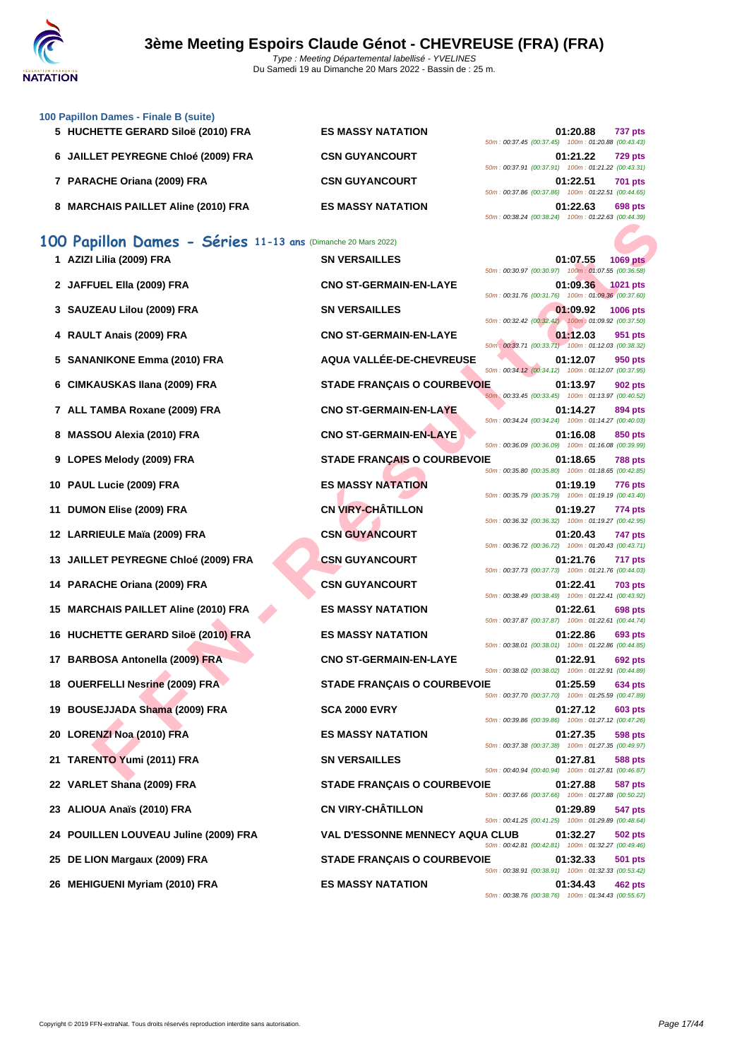

| 100 Papillon Dames - Finale B (suite)                         |                                        |                                                                                                                      |                 |
|---------------------------------------------------------------|----------------------------------------|----------------------------------------------------------------------------------------------------------------------|-----------------|
| 5 HUCHETTE GERARD Siloë (2010) FRA                            | <b>ES MASSY NATATION</b>               | 01:20.88<br>50m: 00:37.45 (00:37.45) 100m: 01:20.88 (00:43.43)                                                       | <b>737 pts</b>  |
| 6 JAILLET PEYREGNE Chloé (2009) FRA                           | <b>CSN GUYANCOURT</b>                  | 01:21.22<br>50m: 00:37.91 (00:37.91) 100m: 01:21.22 (00:43.31)                                                       | <b>729 pts</b>  |
| 7 PARACHE Oriana (2009) FRA                                   | <b>CSN GUYANCOURT</b>                  | 01:22.51                                                                                                             | <b>701 pts</b>  |
| 8 MARCHAIS PAILLET Aline (2010) FRA                           | <b>ES MASSY NATATION</b>               | 50m: 00:37.86 (00:37.86) 100m: 01:22.51 (00:44.65)<br>01:22.63<br>50m: 00:38.24 (00:38.24) 100m: 01:22.63 (00:44.39) | 698 pts         |
| 100 Papillon Dames - Séries 11-13 ans (Dimanche 20 Mars 2022) |                                        |                                                                                                                      |                 |
| 1 AZIZI Lilia (2009) FRA                                      | <b>SN VERSAILLES</b>                   | 01:07.55<br>50m : 00:30.97 (00:30.97) 100m : 01:07.55 (00:36.58)                                                     | <b>1069 pts</b> |
| 2 JAFFUEL Ella (2009) FRA                                     | <b>CNO ST-GERMAIN-EN-LAYE</b>          | 01:09.36<br>50m: 00:31.76 (00:31.76) 100m: 01:09.36 (00:37.60)                                                       | 1021 pts        |
| 3 SAUZEAU Lilou (2009) FRA                                    | <b>SN VERSAILLES</b>                   | 01:09.92<br>50m: 00:32.42 (00:32.42) 100m: 01:09.92 (00:37.50)                                                       | 1006 pts        |
| 4 RAULT Anais (2009) FRA                                      | <b>CNO ST-GERMAIN-EN-LAYE</b>          | 01:12.03<br>50m : 00:33.71 (00:33.71) 100m : 01:12.03 (00:38.32)                                                     | 951 pts         |
| 5 SANANIKONE Emma (2010) FRA                                  | AQUA VALLÉE-DE-CHEVREUSE               | 01:12.07<br>50m: 00:34.12 (00:34.12) 100m: 01:12.07 (00:37.95)                                                       | 950 pts         |
| 6 CIMKAUSKAS Ilana (2009) FRA                                 | <b>STADE FRANÇAIS O COURBEVOIE</b>     | 01:13.97<br>50m: 00:33.45 (00:33.45) 100m: 01:13.97 (00:40.52)                                                       | <b>902 pts</b>  |
| 7 ALL TAMBA Roxane (2009) FRA                                 | <b>CNO ST-GERMAIN-EN-LAYE</b>          | 01:14.27<br>50m: 00:34.24 (00:34.24) 100m: 01:14.27 (00:40.03)                                                       | 894 pts         |
| 8 MASSOU Alexia (2010) FRA                                    | <b>CNO ST-GERMAIN-EN-LAYE</b>          | 01:16.08<br>50m: 00:36.09 (00:36.09) 100m: 01:16.08 (00:39.99)                                                       | 850 pts         |
| 9 LOPES Melody (2009) FRA                                     | <b>STADE FRANÇAIS O COURBEVOIE</b>     | 01:18.65<br>50m: 00:35.80 (00:35.80) 100m: 01:18.65 (00:42.85)                                                       | <b>788 pts</b>  |
| 10 PAUL Lucie (2009) FRA                                      | <b>ES MASSY NATATION</b>               | 01:19.19<br>50m: 00:35.79 (00:35.79) 100m: 01:19.19 (00:43.40)                                                       | 776 pts         |
| 11 DUMON Elise (2009) FRA                                     | <b>CN VIRY-CHÂTILLON</b>               | 01:19.27<br>50m: 00:36.32 (00:36.32) 100m: 01:19.27 (00:42.95)                                                       | 774 pts         |
| 12 LARRIEULE Maïa (2009) FRA                                  | <b>CSN GUYANCOURT</b>                  | 01:20.43<br>50m: 00:36.72 (00:36.72) 100m: 01:20.43 (00:43.71)                                                       | <b>747 pts</b>  |
| 13 JAILLET PEYREGNE Chloé (2009) FRA                          | <b>CSN GUYANCOURT</b>                  | 01:21.76<br>50m: 00:37.73 (00:37.73) 100m: 01:21.76 (00:44.03)                                                       | 717 pts         |
| 14 PARACHE Oriana (2009) FRA                                  | <b>CSN GUYANCOURT</b>                  | 01:22.41<br>50m: 00:38.49 (00:38.49) 100m: 01:22.41 (00:43.92)                                                       | <b>703 pts</b>  |
| 15 MARCHAIS PAILLET Aline (2010) FRA                          | <b>ES MASSY NATATION</b>               | 01:22.61<br>50m: 00:37.87 (00:37.87) 100m: 01:22.61 (00:44.74)                                                       | 698 pts         |
| 16 HUCHETTE GERARD Siloë (2010) FRA                           | <b>ES MASSY NATATION</b>               | 01:22.86<br>50m: 00:38.01 (00:38.01) 100m: 01:22.86 (00:44.85)                                                       | 693 pts         |
| 17 BARBOSA Antonella (2009) FRA                               | <b>CNO ST-GERMAIN-EN-LAYE</b>          | 01:22.91<br>50m: 00:38.02 (00:38.02) 100m: 01:22.91 (00:44.89)                                                       | 692 pts         |
| 18 OUERFELLI Nesrine (2009) FRA                               | <b>STADE FRANÇAIS O COURBEVOIE</b>     | 01:25.59<br>50m: 00:37.70 (00:37.70) 100m: 01:25.59 (00:47.89)                                                       | 634 pts         |
| 19 BOUSEJJADA Shama (2009) FRA                                | <b>SCA 2000 EVRY</b>                   | 01:27.12<br>50m: 00:39.86 (00:39.86) 100m: 01:27.12 (00:47.26)                                                       | 603 pts         |
| 20 LORENZI Noa (2010) FRA                                     | <b>ES MASSY NATATION</b>               | 01:27.35<br>50m: 00:37.38 (00:37.38) 100m: 01:27.35 (00:49.97)                                                       | 598 pts         |
| 21 TARENTO Yumi (2011) FRA                                    | <b>SN VERSAILLES</b>                   | 01:27.81<br>50m: 00:40.94 (00:40.94) 100m: 01:27.81 (00:46.87)                                                       | <b>588 pts</b>  |
| 22 VARLET Shana (2009) FRA                                    | <b>STADE FRANÇAIS O COURBEVOIE</b>     | 01:27.88<br>50m: 00:37.66 (00:37.66) 100m: 01:27.88 (00:50.22)                                                       | 587 pts         |
| 23 ALIOUA Anaïs (2010) FRA                                    | <b>CN VIRY-CHÂTILLON</b>               | 01:29.89<br>50m: 00:41.25 (00:41.25) 100m: 01:29.89 (00:48.64)                                                       | 547 pts         |
| 24 POUILLEN LOUVEAU Juline (2009) FRA                         | <b>VAL D'ESSONNE MENNECY AQUA CLUB</b> | 01:32.27<br>50m: 00:42.81 (00:42.81) 100m: 01:32.27 (00:49.46)                                                       | 502 pts         |
| 25 DE LION Margaux (2009) FRA                                 | <b>STADE FRANÇAIS O COURBEVOIE</b>     | 01:32.33<br>50m: 00:38.91 (00:38.91) 100m: 01:32.33 (00:53.42)                                                       | <b>501 pts</b>  |
| 26 MEHIGUENI Myriam (2010) FRA                                | <b>ES MASSY NATATION</b>               | 01:34.43<br>50m: 00:38.76 (00:38.76) 100m: 01:34.43 (00:55.67)                                                       | 462 pts         |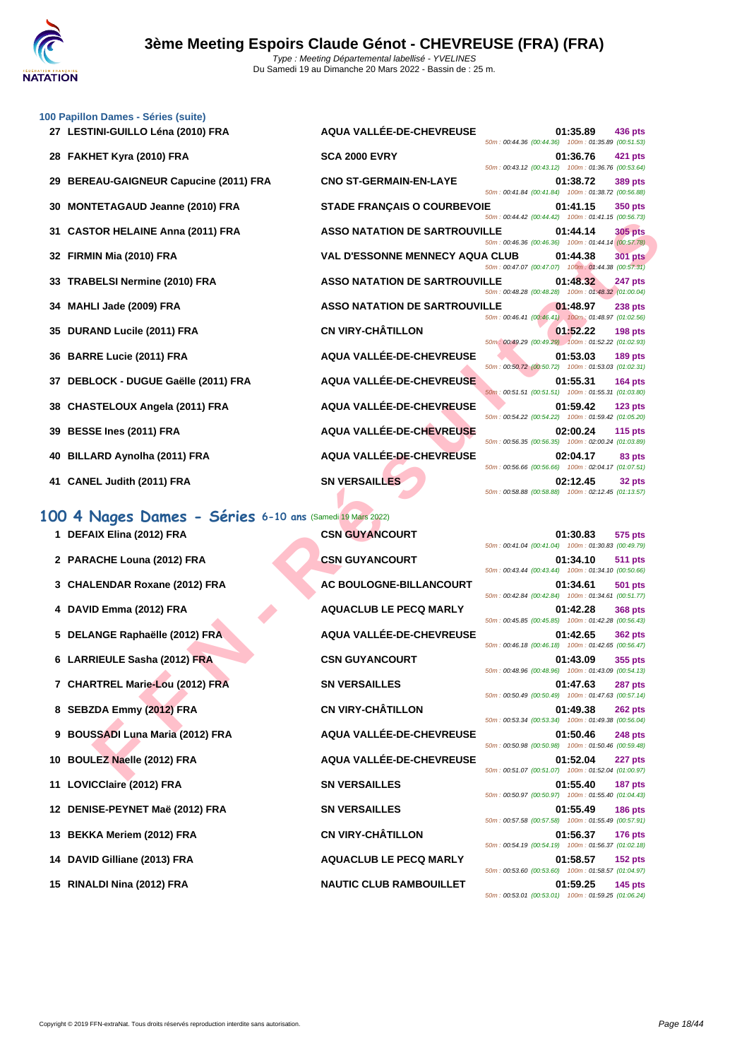| 100 Papillon Dames - Séries (suite)<br>27 LESTINI-GUILLO Léna (2010) FRA | AQUA VALLÉE-DE-CHEVREUSE               |                                                                                                          | 01:35.89 | 436 pts        |
|--------------------------------------------------------------------------|----------------------------------------|----------------------------------------------------------------------------------------------------------|----------|----------------|
| 28 FAKHET Kyra (2010) FRA                                                | <b>SCA 2000 EVRY</b>                   | 50m: 00:44.36 (00:44.36) 100m: 01:35.89 (00:51.53)<br>50m: 00:43.12 (00:43.12) 100m: 01:36.76 (00:53.64) | 01:36.76 | 421 pts        |
| 29 BEREAU-GAIGNEUR Capucine (2011) FRA                                   | <b>CNO ST-GERMAIN-EN-LAYE</b>          | 50m: 00:41.84 (00:41.84) 100m: 01:38.72 (00:56.88)                                                       | 01:38.72 | <b>389 pts</b> |
| 30 MONTETAGAUD Jeanne (2010) FRA                                         | <b>STADE FRANÇAIS O COURBEVOIE</b>     | 50m : 00:44.42 (00:44.42) 100m : 01:41.15 (00:56.73)                                                     | 01:41.15 | <b>350 pts</b> |
| 31 CASTOR HELAINE Anna (2011) FRA                                        | <b>ASSO NATATION DE SARTROUVILLE</b>   | 50m: 00:46.36 (00:46.36) 100m: 01:44.14 (00:57.78)                                                       | 01:44.14 | <b>305 pts</b> |
| 32 FIRMIN Mia (2010) FRA                                                 | <b>VAL D'ESSONNE MENNECY AQUA CLUB</b> | 50m: 00:47.07 (00:47.07) 100m: 01:44.38 (00:57.31)                                                       | 01:44.38 | <b>301 pts</b> |
| 33 TRABELSI Nermine (2010) FRA                                           | <b>ASSO NATATION DE SARTROUVILLE</b>   | 50m: 00:48.28 (00:48.28) 100m: 01:48.32 (01:00.04)                                                       | 01:48.32 | <b>247 pts</b> |
| 34 MAHLI Jade (2009) FRA                                                 | <b>ASSO NATATION DE SARTROUVILLE</b>   | 50m: 00:46.41 (00:46.41) 100m: 01:48.97 (01:02.56)                                                       | 01:48.97 | <b>238 pts</b> |
| 35 DURAND Lucile (2011) FRA                                              | <b>CN VIRY-CHÂTILLON</b>               | 50m: 00:49.29 (00:49.29) 100m: 01:52.22 (01:02.93)                                                       | 01:52.22 | 198 pts        |
| 36 BARRE Lucie (2011) FRA                                                | AQUA VALLÉE-DE-CHEVREUSE               | 50m: 00:50.72 (00:50.72) 100m: 01:53.03 (01:02.31)                                                       | 01:53.03 | 189 pts        |
| 37 DEBLOCK - DUGUE Gaëlle (2011) FRA                                     | AQUA VALLÉE-DE-CHEVREUSE               | 50m: 00:51.51 (00:51.51) 100m: 01:55.31 (01:03.80)                                                       | 01:55.31 | <b>164 pts</b> |
| 38 CHASTELOUX Angela (2011) FRA                                          | AQUA VALLÉE-DE-CHEVREUSE               | 50m: 00:54.22 (00:54.22) 100m: 01:59.42 (01:05.20)                                                       | 01:59.42 | <b>123 pts</b> |
| 39 BESSE Ines (2011) FRA                                                 | AQUA VALLÉE-DE-CHEVREUSE               | 50m: 00:56.35 (00:56.35) 100m: 02:00.24 (01:03.89)                                                       | 02:00.24 | $115$ pts      |
| 40 BILLARD Aynolha (2011) FRA                                            | AQUA VALLÉE-DE-CHEVREUSE               | 50m: 00:56.66 (00:56.66) 100m: 02:04.17 (01:07.51)                                                       | 02:04.17 | 83 pts         |
| 41 CANEL Judith (2011) FRA                                               | <b>SN VERSAILLES</b>                   |                                                                                                          | 02:12.45 | 32 pts         |

# **100 4 Nages Dames - Séries 6-10 ans** (Samedi 19 Mars 2022)

| 1 DEFAIX Elina (2012) FRA        | <b>CSN GUYANCOURT</b>          |
|----------------------------------|--------------------------------|
| 2 PARACHE Louna (2012) FRA       | <b>CSN GUYANCOURT</b>          |
| 3 CHALENDAR Roxane (2012) FRA    | AC BOULOGNE-BILLANCOURT        |
| 4 DAVID Emma (2012) FRA          | <b>AQUACLUB LE PECQ MARLY</b>  |
| 5 DELANGE Raphaëlle (2012) FRA   | AQUA VALLÉE-DE-CHEVREUSE       |
| 6 LARRIEULE Sasha (2012) FRA     | <b>CSN GUYANCOURT</b>          |
| 7 CHARTREL Marie-Lou (2012) FRA  | <b>SN VERSAILLES</b>           |
| 8 SEBZDA Emmy (2012) FRA         | <b>CN VIRY-CHÂTILLON</b>       |
| 9 BOUSSADI Luna Maria (2012) FRA | AQUA VALLÉE-DE-CHEVREUSE       |
| 10 BOULEZ Naelle (2012) FRA      | AQUA VALLÉE-DE-CHEVREUSE       |
| 11 LOVICClaire (2012) FRA        | <b>SN VERSAILLES</b>           |
| 12 DENISE-PEYNET Maë (2012) FRA  | <b>SN VERSAILLES</b>           |
| 13 BEKKA Meriem (2012) FRA       | <b>CN VIRY-CHÂTILLON</b>       |
| 14 DAVID Gilliane (2013) FRA     | <b>AQUACLUB LE PECQ MARLY</b>  |
| 15 RINALDI Nina (2012) FRA       | <b>NAUTIC CLUB RAMBOUILLET</b> |

| apilion Dames - Series (suite)                        |                                        |                                                    |          |                    |
|-------------------------------------------------------|----------------------------------------|----------------------------------------------------|----------|--------------------|
| LESTINI-GUILLO Léna (2010) FRA                        | AQUA VALLÉE-DE-CHEVREUSE               | 50m: 00:44.36 (00:44.36) 100m: 01:35.89 (00:51.53) | 01:35.89 | 436 pts            |
| FAKHET Kyra (2010) FRA                                | <b>SCA 2000 EVRY</b>                   | 50m: 00:43.12 (00:43.12) 100m: 01:36.76 (00:53.64) | 01:36.76 | 421 pts            |
| <b>BEREAU-GAIGNEUR Capucine (2011) FRA</b>            | <b>CNO ST-GERMAIN-EN-LAYE</b>          | 50m: 00:41.84 (00:41.84) 100m: 01:38.72 (00:56.88) | 01:38.72 | 389 pts            |
| <b>MONTETAGAUD Jeanne (2010) FRA</b>                  | <b>STADE FRANÇAIS O COURBEVOIE</b>     | 50m: 00:44.42 (00:44.42) 100m: 01:41.15 (00:56.73) | 01:41.15 | 350 pts            |
| <b>CASTOR HELAINE Anna (2011) FRA</b>                 | <b>ASSO NATATION DE SARTROUVILLE</b>   |                                                    | 01:44.14 | <b>305 pts</b>     |
| FIRMIN Mia (2010) FRA                                 | <b>VAL D'ESSONNE MENNECY AQUA CLUB</b> | 50m: 00:46.36 (00:46.36) 100m: 01:44.14 (00:57.78) | 01:44.38 | <b>301 pts</b>     |
| <b>TRABELSI Nermine (2010) FRA</b>                    | <b>ASSO NATATION DE SARTROUVILLE</b>   | 50m: 00:47.07 (00:47.07) 100m: 01:44.38 (00:57.31) | 01:48.32 | 247 pts            |
| MAHLI Jade (2009) FRA                                 | <b>ASSO NATATION DE SARTROUVILLE</b>   | 50m: 00:48.28 (00:48.28) 100m: 01:48.32 (01:00.04) | 01:48.97 | <b>238 pts</b>     |
| DURAND Lucile (2011) FRA                              | <b>CN VIRY-CHÂTILLON</b>               | 50m: 00:46.41 (00:46.41) 100m: 01:48.97 (01:02.56) | 01:52.22 | $198$ pts          |
| <b>BARRE Lucie (2011) FRA</b>                         | AQUA VALLÉE-DE-CHEVREUSE               | 50m: 00:49.29 (00:49.29) 100m: 01:52.22 (01:02.93) | 01:53.03 | $189$ pts          |
| DEBLOCK - DUGUE Gaëlle (2011) FRA                     | AQUA VALLÉE-DE-CHEVREUSE               | 50m: 00:50.72 (00:50.72) 100m: 01:53.03 (01:02.31) | 01:55.31 | 164 $pts$          |
| CHASTELOUX Angela (2011) FRA                          | AQUA VALLÉE-DE-CHEVREUSE               | 50m: 00:51.51 (00:51.51) 100m: 01:55.31 (01:03.80) | 01:59.42 | 123 <sub>pts</sub> |
| BESSE Ines (2011) FRA                                 | <b>AQUA VALLÉE-DE-CHEVREUSE</b>        | 50m: 00:54.22 (00:54.22) 100m: 01:59.42 (01:05.20) | 02:00.24 | 115 $pts$          |
| <b>BILLARD Aynolha (2011) FRA</b>                     | AQUA VALLÉE-DE-CHEVREUSE               | 50m: 00:56.35 (00:56.35) 100m: 02:00.24 (01:03.89) | 02:04.17 | 83 pts             |
| <b>CANEL Judith (2011) FRA</b>                        | <b>SN VERSAILLES</b>                   | 50m: 00:56.66 (00:56.66) 100m: 02:04.17 (01:07.51) | 02:12.45 | 32 pts             |
|                                                       |                                        | 50m: 00:58.88 (00:58.88) 100m: 02:12.45 (01:13.57) |          |                    |
| 4 Nages Dames - Séries 6-10 ans (Samedi 19 Mars 2022) |                                        |                                                    |          |                    |
| DEFAIX Elina (2012) FRA                               | <b>CSN GUYANCOURT</b>                  | 50m: 00:41.04 (00:41.04) 100m: 01:30.83 (00:49.79) | 01:30.83 | 575 pts            |
| PARACHE Louna (2012) FRA                              | <b>CSN GUYANCOURT</b>                  | 50m: 00:43.44 (00:43.44) 100m: 01:34.10 (00:50.66) | 01:34.10 | <b>511 pts</b>     |
| <b>CHALENDAR Roxane (2012) FRA</b>                    | AC BOULOGNE-BILLANCOURT                |                                                    | 01:34.61 | 501 pts            |
| DAVID Emma (2012) FRA                                 | <b>AQUACLUB LE PECQ MARLY</b>          | 50m: 00:42.84 (00:42.84) 100m: 01:34.61 (00:51.77) | 01:42.28 | <b>368 pts</b>     |
| DELANGE Raphaëlle (2012) FRA                          | AQUA VALLÉE-DE-CHEVREUSE               | 50m: 00:45.85 (00:45.85) 100m: 01:42.28 (00:56.43) | 01:42.65 | <b>362 pts</b>     |
| LARRIEULE Sasha (2012) FRA                            | <b>CSN GUYANCOURT</b>                  | 50m: 00:46.18 (00:46.18) 100m: 01:42.65 (00:56.47) | 01:43.09 | 355 pts            |
| <b>CHARTREL Marie-Lou (2012) FRA</b>                  | <b>SN VERSAILLES</b>                   | 50m: 00:48.96 (00:48.96) 100m: 01:43.09 (00:54.13) | 01:47.63 | 287 pts            |
| SEBZDA Emmy (2012) FRA                                | <b>CN VIRY-CHÂTILLON</b>               | 50m: 00:50.49 (00:50.49) 100m: 01:47.63 (00:57.14) | 01:49.38 | <b>262 pts</b>     |
| <b>BOUSSADI Luna Maria (2012) FRA</b>                 | AQUA VALLÉE-DE-CHEVREUSE               | 50m: 00:53.34 (00:53.34) 100m: 01:49.38 (00:56.04) | 01:50.46 | <b>248 pts</b>     |
|                                                       |                                        | 50m: 00:50.98 (00:50.98) 100m: 01:50.46 (00:59.48) |          |                    |
| <b>BOULEZ Naelle (2012) FRA</b>                       | AQUA VALLÉE-DE-CHEVREUSE               | 50m: 00:51.07 (00:51.07) 100m: 01:52.04 (01:00.97) | 01:52.04 | 227 pts            |
|                                                       |                                        |                                                    |          |                    |

| 50m: 00:41.04 (00:41.04) 100m: 01:30.83 (00:49.79) | 01:30.83 575 pts                     |  |
|----------------------------------------------------|--------------------------------------|--|
| 50m: 00:43.44 (00:43.44) 100m: 01:34.10 (00:50.66) | 01:34.10 511 pts                     |  |
| 50m: 00:42.84 (00:42.84) 100m: 01:34.61 (00:51.77) | 01:34.61 501 pts                     |  |
| 50m: 00:45.85 (00:45.85) 100m: 01:42.28 (00:56.43) | 01:42.28 368 pts                     |  |
| 50m: 00:46.18 (00:46.18) 100m: 01:42.65 (00:56.47) | 01:42.65 362 pts                     |  |
| 50m: 00:48.96 (00:48.96) 100m: 01:43.09 (00:54.13) | 01:43.09 355 pts                     |  |
| 50m: 00:50.49 (00:50.49) 100m: 01:47.63 (00:57.14) | 01:47.63 287 pts                     |  |
| 50m: 00:53.34 (00:53.34) 100m: 01:49.38 (00:56.04) | 01:49.38 262 pts                     |  |
| 50m: 00:50.98 (00:50.98) 100m: 01:50.46 (00:59.48) | 01:50.46 248 pts                     |  |
| 50m: 00:51.07 (00:51.07) 100m: 01:52.04 (01:00.97) | 01:52.04 227 pts                     |  |
| 50m: 00:50.97 (00:50.97) 100m: 01:55.40 (01:04.43) | 01:55.40 187 pts                     |  |
| 50m: 00:57.58 (00:57.58) 100m: 01:55.49 (00:57.91) | 01:55.49 186 pts                     |  |
| 50m: 00:54.19 (00:54.19) 100m: 01:56.37 (01:02.18) | 01:56.37 176 pts<br>01:58.57 152 pts |  |
| 50m: 00:53.60 (00:53.60) 100m: 01:58.57 (01:04.97) | 01:59.25 145 pts                     |  |
| 50m: 00:53.01 (00:53.01) 100m: 01:59.25 (01:06.24) |                                      |  |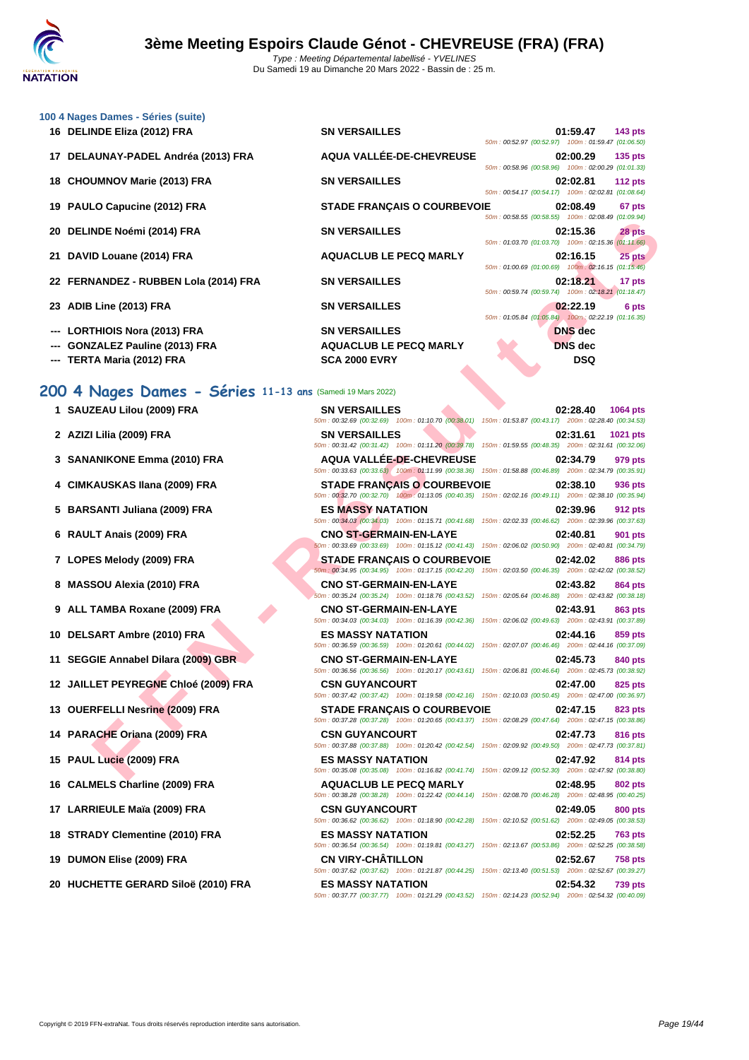

|     | 100 4 Nages Dames - Séries (suite)    |                                    |  |                                                                |                |
|-----|---------------------------------------|------------------------------------|--|----------------------------------------------------------------|----------------|
|     | 16 DELINDE Eliza (2012) FRA           | <b>SN VERSAILLES</b>               |  | 01:59.47<br>50m: 00:52.97 (00:52.97) 100m: 01:59.47 (01:06.50) | <b>143 pts</b> |
|     | 17 DELAUNAY-PADEL Andréa (2013) FRA   | AQUA VALLÉE-DE-CHEVREUSE           |  | 02:00.29<br>50m: 00:58.96 (00:58.96) 100m: 02:00.29 (01:01.33) | <b>135 pts</b> |
|     | 18 CHOUMNOV Marie (2013) FRA          | <b>SN VERSAILLES</b>               |  | 02:02.81<br>50m: 00:54.17 (00:54.17) 100m: 02:02.81 (01:08.64) | <b>112 pts</b> |
|     | 19 PAULO Capucine (2012) FRA          | <b>STADE FRANCAIS O COURBEVOIE</b> |  | 02:08.49<br>50m: 00:58.55 (00:58.55) 100m: 02:08.49 (01:09.94) | 67 pts         |
|     | 20 DELINDE Noémi (2014) FRA           | <b>SN VERSAILLES</b>               |  | 02:15.36<br>50m: 01:03.70 (01:03.70) 100m: 02:15.36 (01:11.66) | 28 pts         |
|     | 21 DAVID Louane (2014) FRA            | <b>AQUACLUB LE PECQ MARLY</b>      |  | 02:16.15<br>50m: 01:00.69 (01:00.69) 100m: 02:16.15 (01:15.46) | 25 pts         |
|     | 22 FERNANDEZ - RUBBEN Lola (2014) FRA | <b>SN VERSAILLES</b>               |  | 02:18.21<br>50m: 00:59.74 (00:59.74) 100m: 02:18.21 (01:18.47) | 17 pts         |
|     | 23 ADIB Line (2013) FRA               | <b>SN VERSAILLES</b>               |  | 02:22.19<br>50m: 01:05.84 (01:05.84) 100m: 02:22.19 (01:16.35) | 6 pts          |
| --- | <b>LORTHIOIS Nora (2013) FRA</b>      | <b>SN VERSAILLES</b>               |  | <b>DNS</b> dec                                                 |                |
|     | <b>GONZALEZ Pauline (2013) FRA</b>    | <b>AQUACLUB LE PECQ MARLY</b>      |  | <b>DNS</b> dec                                                 |                |
|     | --- TERTA Maria (2012) FRA            | <b>SCA 2000 EVRY</b>               |  | <b>DSQ</b>                                                     |                |

# **200 4 Nages Dames - Séries 11-13 ans** (Samedi 19 Mars 2022)

|  | 1 SAUZEAU Lilou (2009) FRA |  |  |  |
|--|----------------------------|--|--|--|
|--|----------------------------|--|--|--|

- **2 AZIZI** Lilia (2009) FRA<br> **SOM VOERS**
- **3 SANANIKONE Emma (2010) FRA AQU**<br> **AQU**
- **4 CIMKAUSKAS Ilana (2009) FRA STADE FRANÇAIS O COURBEVOIE 02:38.10 936 pts**
- **5 BARSANTI Juliana (2009) FRA ES M**<br> **ES M**<sub>50m: 00;<br> **ES M**</sub>
- 
- **7 LOPES Melody (2009) FRA STA**
- **8 MASSOU Alexia (2010) FRA CNO**
- **9 ALL TAMBA Roxane (2009) FRA CNO SOM:** 00:
- 
- 
- **12 JAILLET PEYREGNE Chloé (2009) FRA CSN CSN**
- **13 OUERFELLI Nesrine (2009) FRA STA STA SOm:** 00:
- 
- **15 PAUL Lucie (2009) FRA ES N**<br> **ES N**
- 
- **17 LARRIEULE Maïa (2009) FRA CSN CSN CONS**
- 
- **19 DUMON Elise (2009) FRA CN V**<br>  $\frac{50m:00}{20}$
- 

| 20 DELINDE Noémi (2014) FRA                               | <b>SN VERSAILLES</b>                                                                                                                             | 02:15.36<br>28 pts<br>50m: 01:03.70 (01:03.70) 100m: 02:15.36 (01:11.66) |
|-----------------------------------------------------------|--------------------------------------------------------------------------------------------------------------------------------------------------|--------------------------------------------------------------------------|
| 21 DAVID Louane (2014) FRA                                | <b>AQUACLUB LE PECQ MARLY</b>                                                                                                                    | 25 pts<br>02:16.15<br>50m: 01:00.69 (01:00.69) 100m: 02:16.15 (01:15.46) |
| 22 FERNANDEZ - RUBBEN Lola (2014) FRA                     | <b>SN VERSAILLES</b>                                                                                                                             | 02:18.21<br>17 pts<br>50m: 00:59.74 (00:59.74) 100m: 02:18.21 (01:18.47) |
| 23 ADIB Line (2013) FRA                                   | <b>SN VERSAILLES</b>                                                                                                                             | 02:22.19<br>6 pts<br>50m: 01:05.84 (01:05.84) 100m: 02:22.19 (01:16.35)  |
| --- LORTHIOIS Nora (2013) FRA                             | <b>SN VERSAILLES</b>                                                                                                                             | <b>DNS</b> dec                                                           |
| <b>GONZALEZ Pauline (2013) FRA</b>                        | <b>AQUACLUB LE PECQ MARLY</b>                                                                                                                    | <b>DNS</b> dec                                                           |
| TERTA Maria (2012) FRA                                    | <b>SCA 2000 EVRY</b>                                                                                                                             | <b>DSQ</b>                                                               |
| 00 4 Nages Dames - Séries 11-13 ans (Samedi 19 Mars 2022) |                                                                                                                                                  |                                                                          |
| 1 SAUZEAU Lilou (2009) FRA                                | <b>SN VERSAILLES</b>                                                                                                                             | 02:28.40<br>1064 pts                                                     |
|                                                           | 50m : 00:32.69 (00:32.69) 100m : 01:10.70 (00:38.01) 150m : 01:53.87 (00:43.17) 200m : 02:28.40 (00:34.53)                                       |                                                                          |
| 2 AZIZI Lilia (2009) FRA                                  | <b>SN VERSAILLES</b>                                                                                                                             | 02:31.61<br>1021 pts                                                     |
|                                                           | 50m: 00:31.42 (00:31.42) 100m: 01:11.20 (00:39.78) 150m: 01:59.55 (00:48.35) 200m: 02:31.61 (00:32.06)                                           |                                                                          |
| 3 SANANIKONE Emma (2010) FRA                              | <b>AQUA VALLEE-DE-CHEVREUSE</b><br>50m : 00:33.63 (00:33.63) 100m : 01:11.99 (00:38.36) 150m : 01:58.88 (00:46.89) 200m : 02:34.79 (00:35.91)    | 02:34.79<br>979 pts                                                      |
| 4 CIMKAUSKAS Ilana (2009) FRA                             | <b>STADE FRANÇAIS O COURBEVOIE</b>                                                                                                               | 02:38.10<br>936 pts                                                      |
|                                                           | 50m: 00:32.70 (00:32.70) 100m: 01:13.05 (00:40.35) 150m: 02:02.16 (00:49.11) 200m: 02:38.10 (00:35.94)                                           |                                                                          |
| 5 BARSANTI Juliana (2009) FRA                             | <b>ES MASSY NATATION</b><br>50m : 00:34.03 (00:34.03) 100m : 01:15.71 (00:41.68) 150m : 02:02.33 (00:46.62) 200m : 02:39.96 (00:37.63)           | 02:39.96<br>912 pts                                                      |
| 6 RAULT Anais (2009) FRA                                  | <b>CNO ST-GERMAIN-EN-LAYE</b>                                                                                                                    | 02:40.81<br>901 pts                                                      |
| 7 LOPES Melody (2009) FRA                                 | 50m : 00:33.69 (00:33.69) 100m : 01:15.12 (00:41.43) 150m : 02:06.02 (00:50.90) 200m : 02:40.81 (00:34.79)<br><b>STADE FRANCAIS O COURBEVOIE</b> | 02:42.02<br>886 pts                                                      |
|                                                           | 50m: 00:34.95 (00:34.95) 100m: 01:17.15 (00:42.20) 150m: 02:03.50 (00:46.35) 200m: 02:42.02 (00:38.52)                                           |                                                                          |
| 8 MASSOU Alexia (2010) FRA                                | <b>CNO ST-GERMAIN-EN-LAYE</b>                                                                                                                    | 02:43.82<br>864 pts                                                      |
|                                                           | 50m: 00:35.24 (00:35.24) 100m: 01:18.76 (00:43.52) 150m: 02:05.64 (00:46.88) 200m: 02:43.82 (00:38.18)                                           |                                                                          |
| 9 ALL TAMBA Roxane (2009) FRA                             | <b>CNO ST-GERMAIN-EN-LAYE</b><br>50m : 00:34.03 (00:34.03) 100m : 01:16.39 (00:42.36) 150m : 02:06.02 (00:49.63) 200m : 02:43.91 (00:37.89)      | 02:43.91<br>863 pts                                                      |
| 10 DELSART Ambre (2010) FRA                               | <b>ES MASSY NATATION</b>                                                                                                                         | 02:44.16<br>859 pts                                                      |
|                                                           | 50m : 00:36.59 (00:36.59) 100m : 01:20.61 (00:44.02) 150m : 02:07.07 (00:46.46) 200m : 02:44.16 (00:37.09)                                       |                                                                          |
| 11 SEGGIE Annabel Dilara (2009) GBR                       | <b>CNO ST-GERMAIN-EN-LAYE</b>                                                                                                                    | 02:45.73<br>840 pts                                                      |
|                                                           | 50m : 00:36.56 (00:36.56) 100m : 01:20.17 (00:43.61) 150m : 02:06.81 (00:46.64) 200m : 02:45.73 (00:38.92)                                       |                                                                          |
| 12 JAILLET PEYREGNE Chloé (2009) FRA                      | <b>CSN GUYANCOURT</b><br>50m : 00:37.42 (00:37.42) 100m : 01:19.58 (00:42.16) 150m : 02:10.03 (00:50.45) 200m : 02:47.00 (00:36.97)              | 02:47.00<br>825 pts                                                      |
| 13 OUERFELLI Nesrine (2009) FRA                           | <b>STADE FRANÇAIS O COURBEVOIE</b>                                                                                                               | 02:47.15<br>823 pts                                                      |
|                                                           | 50m: 00:37.28 (00:37.28) 100m: 01:20.65 (00:43.37) 150m: 02:08.29 (00:47.64) 200m: 02:47.15 (00:38.86)                                           |                                                                          |
| 14 PARACHE Oriana (2009) FRA                              | <b>CSN GUYANCOURT</b><br>50m : 00:37.88 (00:37.88) 100m : 01:20.42 (00:42.54) 150m : 02:09.92 (00:49.50) 200m : 02:47.73 (00:37.81)              | 02:47.73<br>816 pts                                                      |
| 15 PAUL Lucie (2009) FRA                                  | <b>ES MASSY NATATION</b>                                                                                                                         | 02:47.92<br>814 pts                                                      |
| 16 CALMELS Charline (2009) FRA                            | 50m: 00:35.08 (00:35.08) 100m: 01:16.82 (00:41.74) 150m: 02:09.12 (00:52.30) 200m: 02:47.92 (00:38.80)<br><b>AQUACLUB LE PECQ MARLY</b>          | 02:48.95<br><b>802 pts</b>                                               |
|                                                           | 50m : 00:38.28 (00:38.28) 100m : 01:22.42 (00:44.14) 150m : 02:08.70 (00:46.28) 200m : 02:48.95 (00:40.25)                                       |                                                                          |
| 17 LARRIEULE Maïa (2009) FRA                              | <b>CSN GUYANCOURT</b><br>50m: 00:36.62 (00:36.62) 100m: 01:18.90 (00:42.28) 150m: 02:10.52 (00:51.62) 200m: 02:49.05 (00:38.53)                  | 02:49.05<br>800 pts                                                      |
| 18 STRADY Clementine (2010) FRA                           | <b>ES MASSY NATATION</b>                                                                                                                         | 02:52.25<br><b>763 pts</b>                                               |
| 19 DUMON Elise (2009) FRA                                 | 50m: 00:36.54 (00:36.54) 100m: 01:19.81 (00:43.27) 150m: 02:13.67 (00:53.86) 200m: 02:52.25 (00:38.58)<br><b>CN VIRY-CHATILLON</b>               | 02:52.67<br>758 pts                                                      |
|                                                           | 50m: 00:37.62 (00:37.62) 100m: 01:21.87 (00:44.25) 150m: 02:13.40 (00:51.53) 200m: 02:52.67 (00:39.27)                                           |                                                                          |
| 20 HUCHETTE GERARD Siloë (2010) FRA                       | <b>ES MASSY NATATION</b><br>50m: 00:37.77 (00:37.77) 100m: 01:21.29 (00:43.52) 150m: 02:14.23 (00:52.94) 200m: 02:54.32 (00:40.09)               | 02:54.32<br><b>739 pts</b>                                               |
|                                                           |                                                                                                                                                  |                                                                          |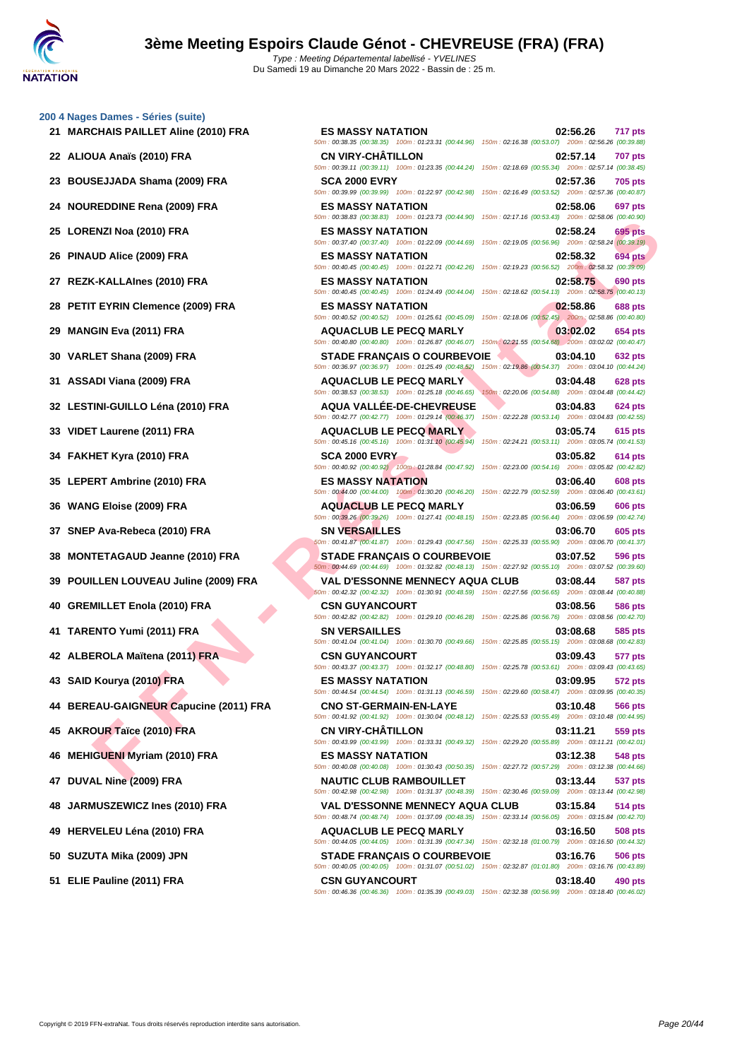# **[200 4 Nag](http://www.ffnatation.fr/webffn/index.php)es Dames - Séries (suite) 21 MARCHAIS PAILLET Aline (2010) FRA ES MASSY NATATION 02:56.26 717 pts**

**ENZI No (2010) FRA**<br>
ENZI NO AIRCR SANSY NATATION<br>
IDA AIRCR SANSY NATATION<br>
IS MADE (2009) FRA<br>
END AIRCR (2010) FRA<br>
END AIRCR (2010) FRA<br>
END AIRCR (2010) FRA<br>
END AIRCR (2011) FRA<br>
CHALINE (2011) FRA<br>
CHALINE (2011) 50m : 00:38.35 (00:38.35) 100m : 01:23.31 (00:44.96) 150m : 02:16.38 (00:53.07) 200m : 02:56.26 (00:39.88) **22 ALIOUA Anaïs (2010) FRA CN VIRY-CHÂTILLON 02:57.14 707 pts** 50m : 00:39.11 (00:39.11) 100m : 01:23.35 (00:44.24) 150m : 02:18.69 (00:55.34) 200m : 02:57.14 (00:38.45) **23 BOUSEJJADA Shama (2009) FRA SCA 2000 EVRY 02:57.36 705 pts** 50m : 00:39.99 (00:39.99) 100m : 01:22.97 (00:42.98) 150m : 02:16.49 (00:53.52) 200m : 02:57.36 (00:40.87) **24 NOUREDDINE Rena (2009) FRA ES MASSY NATATION 02:58.06 697 pts** 50m : 00:38.83 (00:38.83) 100m : 01:23.73 (00:44.90) 150m : 02:17.16 (00:53.43) 200m : 02:58.06 (00:40.90) **25 LORENZI Noa (2010) FRA ES MASSY NATATION 02:58.24 695 pts** 50m : 00:37.40 (00:37.40) 100m : 01:22.09 (00:44.69) 150m : 02:19.05 (00:56.96) 200m : 02:58.24 (00:39.19) **26 PINAUD Alice (2009) FRA ES MASSY NATATION 02:58.32 694 pts** 50m : 00:40.45 (00:40.45) 100m : 01:22.71 (00:42.26) 150m : 02:19.23 (00:56.52) 200m : 02:58.32 (00:39.09) **27 REZK-KALLAInes (2010) FRA ES MASSY NATATION 02:58.75 690 pts** 50m : 00:40.45 (00:40.45) 100m : 01:24.49 (00:44.04) 150m : 02:18.62 (00:54.13) 200m : 02:58.75 (00:40.13) **28 PETIT EYRIN Clemence (2009) FRA ES MASSY NATATION 02:58.86 688 pts** 50m : 00:40.52 (00:40.52) 100m : 01:25.61 (00:45.09) 150m : 02:18.06 (00:52.45) 200m : 02:58.86 (00:40.80) **29 MANGIN Eva (2011) FRA AQUACLUB LE PECQ MARLY 03:02.02 654 pts** 50m : 00:40.80 (00:40.80) 100m : 01:26.87 (00:46.07) 150m : 02:21.55 (00:54.68) 200m : 03:02.02 (00:40.47) **30 VARLET Shana (2009) FRA STADE FRANÇAIS O COURBEVOIE 03:04.10 632 pts** 50m : 00:36.97 (00:36.97) 100m : 01:25.49 (00:48.52) 150m : 02:19.86 (00:54.37) 200m : 03:04.10 (00:44.24) **31 ASSADI Viana (2009) FRA AQUACLUB LE PECQ MARLY 03:04.48 628 pts** 50m : 00:38.53 (00:38.53) 100m : 01:25.18 (00:46.65) 150m : 02:20.06 (00:54.88) 200m : 03:04.48 (00:44.42) **32 LESTINI-GUILLO Léna (2010) FRA AQUA VALLÉE-DE-CHEVREUSE 03:04.83 624 pts** 50m : 00:42.77 (00:42.77) 100m : 01:29.14 (00:46.37) 150m : 02:22.28 (00:53.14) 200m : 03:04.83 (00:42.55) **33 VIDET Laurene (2011) FRA AQUACLUB LE PECQ MARLY 03:05.74 615 pts** 50m : 00:45.16 (00:45.16) 100m : 01:31.10 (00:45.94) 150m : 02:24.21 (00:53.11) 200m : 03:05.74 (00:41.53) **34 FAKHET Kyra (2010) FRA SCA 2000 EVRY 03:05.82 614 pts** 50m : 00:40.92 (00:40.92) 100m : 01:28.84 (00:47.92) 150m : 02:23.00 (00:54.16) 200m : 03:05.82 (00:42.82) **35 LEPERT Ambrine (2010) FRA ES MASSY NATATION 03:06.40 608 pts** 50m : 00:44.00 (00:44.00) 100m : 01:30.20 (00:46.20) 150m : 02:22.79 (00:52.59) 200m : 03:06.40 (00:43.61) **36 WANG Eloise (2009) FRA AQUACLUB LE PECQ MARLY 03:06.59 606 pts** 50m : 00:39.26 (00:39.26) 100m : 01:27.41 (00:48.15) 150m : 02:23.85 (00:56.44) 200m : 03:06.59 (00:42.74) **37 SNEP Ava-Rebeca (2010) FRA SN VERSAILLES 03:06.70 605 pts** 50m : 00:41.87 (00:41.87) 100m : 01:29.43 (00:47.56) 150m : 02:25.33 (00:55.90) 200m : 03:06.70 (00:41.37) **38 MONTETAGAUD Jeanne (2010) FRA STADE FRANÇAIS O COURBEVOIE 03:07.52 596 pts** 50m : 00:44.69 (00:44.69) 100m : 01:32.82 (00:48.13) 150m : 02:27.92 (00:55.10) 200m : 03:07.52 (00:39.60) **39 POUILLEN LOUVEAU Juline (2009) FRA VAL D'ESSONNE MENNECY AQUA CLUB 03:08.44 587 pts** 50m : 00:42.32 (00:42.32) 100m : 01:30.91 (00:48.59) 150m : 02:27.56 (00:56.65) 200m : 03:08.44 (00:40.88) **40 GREMILLET Enola (2010) FRA CSN GUYANCOURT 03:08.56 586 pts** 50m : 00:42.82 (00:42.82) 100m : 01:29.10 (00:46.28) 150m : 02:25.86 (00:56.76) 200m : 03:08.56 (00:42.70) **41 TARENTO Yumi (2011) FRA SN VERSAILLES 03:08.68 585 pts** 50m : 00:41.04 (00:41.04) 100m : 01:30.70 (00:49.66) 150m : 02:25.85 (00:55.15) 200m : 03:08.68 (00:42.83) **42 ALBEROLA Maïtena (2011) FRA CSN GUYANCOURT 03:09.43 577 pts** 50m : 00:43.37 (00:43.37) 100m : 01:32.17 (00:48.80) 150m : 02:25.78 (00:53.61) 200m : 03:09.43 (00:43.65) **43 SAID Kourya (2010) FRA ES MASSY NATATION 03:09.95 572 pts** 50m : 00:44.54 (00:44.54) 100m : 01:31.13 (00:46.59) 150m : 02:29.60 (00:58.47) 200m : 03:09.95 (00:40.35) **44 BEREAU-GAIGNEUR Capucine (2011) FRA CNO ST-GERMAIN-EN-LAYE 03:10.48 566 pts** 50m : 00:41.92 (00:41.92) 100m : 01:30.04 (00:48.12) 150m : 02:25.53 (00:55.49) 200m : 03:10.48 (00:44.95) **45 AKROUR Taïce (2010) FRA CN VIRY-CHÂTILLON 03:11.21 559 pts** 50m : 00:43.99 (00:43.99) 100m : 01:33.31 (00:49.32) 150m : 02:29.20 (00:55.89) 200m : 03:11.21 (00:42.01) **46 MEHIGUENI Myriam (2010) FRA ES MASSY NATATION 03:12.38 548 pts** 50m : 00:40.08 (00:40.08) 100m : 01:30.43 (00:50.35) 150m : 02:27.72 (00:57.29) 200m : 03:12.38 (00:44.66) **47 DUVAL Nine (2009) FRA NAUTIC CLUB RAMBOUILLET 03:13.44 537 pts** 50m : 00:42.98 (00:42.98) 100m : 01:31.37 (00:48.39) 150m : 02:30.46 (00:59.09) 200m : 03:13.44 (00:42.98) **48 JARMUSZEWICZ Ines (2010) FRA VAL D'ESSONNE MENNECY AQUA CLUB 03:15.84 514 pts** 50m : 00:48.74 (00:48.74) 100m : 01:37.09 (00:48.35) 150m : 02:33.14 (00:56.05) 200m : 03:15.84 (00:42.70) **49 HERVELEU Léna (2010) FRA AQUACLUB LE PECQ MARLY 03:16.50 508 pts** 50m : 00:44.05 (00:44.05) 100m : 01:31.39 (00:47.34) 150m : 02:32.18 (01:00.79) 200m : 03:16.50 (00:44.32) **50 SUZUTA Mika (2009) JPN STADE FRANÇAIS O COURBEVOIE 03:16.76 506 pts** 50m : 00:40.05 (00:40.05) 100m : 01:31.07 (00:51.02) 150m : 02:32.87 (01:01.80) 200m : 03:16.76 (00:43.89) **51 ELIE Pauline (2011) FRA CSN GUYANCOURT 03:18.40 490 pts** 50m : 00:46.36 (00:46.36) 100m : 01:35.39 (00:49.03) 150m : 02:32.38 (00:56.99) 200m : 03:18.40 (00:46.02)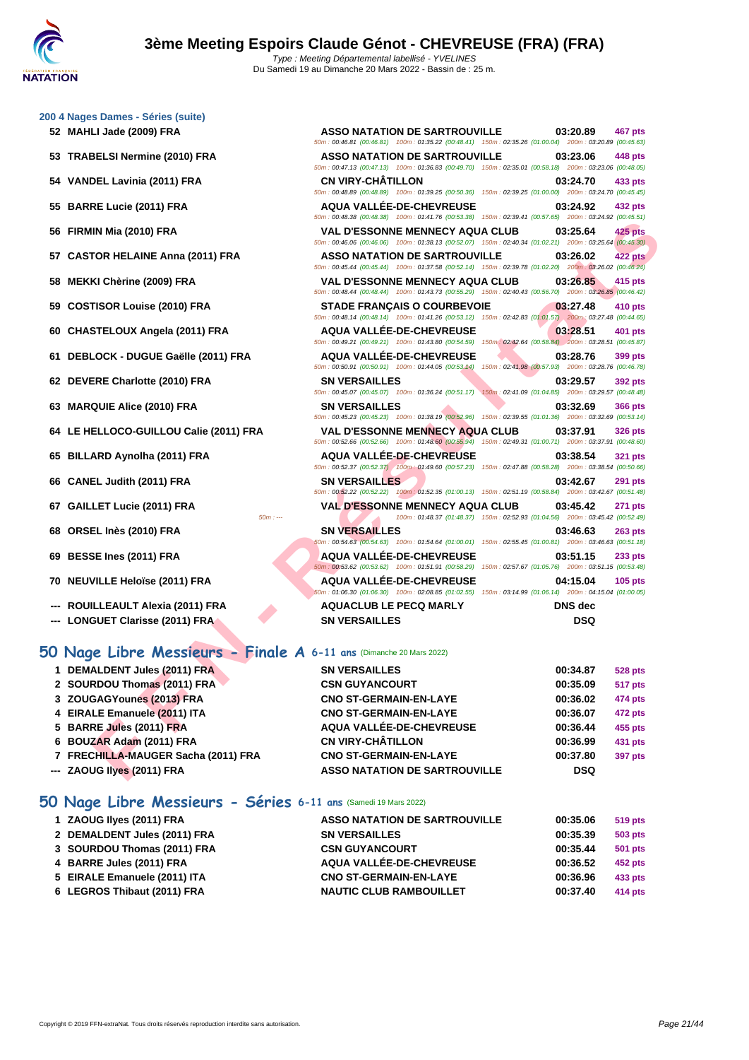|    | 200 4 Nages Dames - Séries (suite)                                  |                                                                                                                                                      |                                                                            |
|----|---------------------------------------------------------------------|------------------------------------------------------------------------------------------------------------------------------------------------------|----------------------------------------------------------------------------|
|    | 52 MAHLI Jade (2009) FRA                                            | <b>ASSO NATATION DE SARTROUVILLE</b><br>50m : 00:46.81 (00:46.81) 100m : 01:35.22 (00:48.41) 150m : 02:35.26 (01:00.04) 200m : 03:20.89 (00:45.63)   | 03:20.89<br><b>467 pts</b>                                                 |
|    | 53 TRABELSI Nermine (2010) FRA                                      | <b>ASSO NATATION DE SARTROUVILLE</b><br>50m: 00:47.13 (00:47.13) 100m: 01:36.83 (00:49.70) 150m: 02:35.01 (00:58.18) 200m: 03:23.06 (00:48.05)       | 03:23.06<br>448 pts                                                        |
|    | 54 VANDEL Lavinia (2011) FRA                                        | <b>CN VIRY-CHATILLON</b><br>50m: 00:48.89 (00:48.89) 100m: 01:39.25 (00:50.36) 150m: 02:39.25 (01:00.00) 200m: 03:24.70 (00:45.45)                   | 03:24.70<br>433 pts                                                        |
| 55 | <b>BARRE Lucie (2011) FRA</b>                                       | <b>AQUA VALLÉE-DE-CHEVREUSE</b><br>50m: 00:48.38 (00:48.38) 100m: 01:41.76 (00:53.38) 150m: 02:39.41 (00:57.65) 200m: 03:24.92 (00:45.51)            | 03:24.92<br>432 pts                                                        |
|    | 56 FIRMIN Mia (2010) FRA                                            | <b>VAL D'ESSONNE MENNECY AQUA CLUB</b><br>50m: 00:46.06 (00:46.06) 100m: 01:38.13 (00:52.07) 150m: 02:40.34 (01:02.21) 200m: 03:25.64 (00:45.30)     | 03:25.64<br>$425$ pts                                                      |
|    | 57 CASTOR HELAINE Anna (2011) FRA                                   | <b>ASSO NATATION DE SARTROUVILLE</b><br>50m : 00:45.44 (00:45.44) 100m : 01:37.58 (00:52.14) 150m : 02:39.78 (01:02.20) 200m : 03:26.02 (00:46.24)   | 422 pts<br>03:26.02                                                        |
| 58 | MEKKI Chèrine (2009) FRA                                            | <b>VAL D'ESSONNE MENNECY AQUA CLUB</b><br>50m : 00:48.44 (00:48.44) 100m : 01:43.73 (00:55.29) 150m : 02:40.43 (00:56.70) 200m : 03:26.85 (00:46.42) | 03:26.85<br>415 pts                                                        |
| 59 | <b>COSTISOR Louise (2010) FRA</b>                                   | <b>STADE FRANÇAIS O COURBEVOIE</b><br>50m : 00:48.14 (00:48.14) 100m : 01:41.26 (00:53.12) 150m : 02:42.83 (01:01.57) 200m : 03:27.48 (00:44.65)     | 03:27.48<br>410 pts                                                        |
|    | 60 CHASTELOUX Angela (2011) FRA                                     | <b>AQUA VALLEE-DE-CHEVREUSE</b><br>50m : 00:49.21 (00:49.21) 100m : 01:43.80 (00:54.59) 150m : 02:42.64 (00:58.84) 200m : 03:28.51 (00:45.87)        | 03:28.51<br>401 pts                                                        |
|    | 61 DEBLOCK - DUGUE Gaëlle (2011) FRA                                | <b>AQUA VALLEE-DE-CHEVREUSE</b><br>50m: 00:50.91 (00:50.91) 100m: 01:44.05 (00:53.14)                                                                | 03:28.76<br>399 pts<br>150m: 02:41.98 (00:57.93) 200m: 03:28.76 (00:46.78) |
| 62 | DEVERE Charlotte (2010) FRA                                         | <b>SN VERSAILLES</b><br>50m: 00:45.07 (00:45.07) 100m: 01:36.24 (00:51.17) 150m: 02:41.09 (01:04.85) 200m: 03:29.57 (00:48.48)                       | 03:29.57<br>392 pts                                                        |
|    | 63 MARQUIE Alice (2010) FRA                                         | <b>SN VERSAILLES</b><br>50m: 00:45.23 (00:45.23) 100m: 01:38.19 (00:52.96) 150m: 02:39.55 (01:01.36) 200m: 03:32.69 (00:53.14)                       | 03:32.69<br><b>366 pts</b>                                                 |
|    | 64 LE HELLOCO-GUILLOU Calie (2011) FRA                              | <b>VAL D'ESSONNE MENNECY AQUA CLUB</b><br>50m : 00:52.66 (00:52.66) 100m : 01:48.60 (00:55.94) 150m : 02:49.31 (01:00.71) 200m : 03:37.91 (00:48.60) | 03:37.91<br><b>326 pts</b>                                                 |
| 65 | <b>BILLARD Aynolha (2011) FRA</b>                                   | <b>AQUA VALLEE-DE-CHEVREUSE</b><br>50m: 00:52.37 (00:52.37) 100m: 01:49.60 (00:57.23) 150m: 02:47.88 (00:58.28) 200m: 03:38.54 (00:50.66)            | 03:38.54<br><b>321 pts</b>                                                 |
|    | 66 CANEL Judith (2011) FRA                                          | <b>SN VERSAILLES</b><br>50m: 00:52.22 (00:52.22) 100m: 01:52.35 (01:00.13) 150m: 02:51.19 (00:58.84) 200m: 03:42.67 (00:51.48)                       | 03:42.67<br><b>291 pts</b>                                                 |
|    | 67 GAILLET Lucie (2011) FRA<br>$50m: -$                             | <b>VAL D'ESSONNE MENNECY AQUA CLUB</b><br>100m: 01:48.37 (01:48.37) 150m: 02:52.93 (01:04.56) 200m: 03:45.42 (00:52.49)                              | 03:45.42<br><b>271 pts</b>                                                 |
|    | 68 ORSEL Inès (2010) FRA                                            | <b>SN VERSAILLES</b><br>50m : 00:54.63 (00:54.63) 100m : 01:54.64 (01:00.01) 150m : 02:55.45 (01:00.81) 200m : 03:46.63 (00:51.18)                   | 03:46.63<br>$263$ pts                                                      |
| 69 | <b>BESSE Ines (2011) FRA</b>                                        | <b>AQUA VALLEE-DE-CHEVREUSE</b><br>50m: 00:53.62 (00:53.62) 100m: 01:51.91 (00:58.29) 150m: 02:57.67 (01:05.76) 200m: 03:51.15 (00:53.48)            | 03:51.15<br>233 pts                                                        |
|    | 70 NEUVILLE Heloïse (2011) FRA                                      | <b>AQUA VALLEE-DE-CHEVREUSE</b><br>60m: 01:06.30 (01:06.30) 100m: 02:08.85 (01:02.55) 150m: 03:14.99 (01:06.14) 200m: 04:15.04 (01:00.05)            | 04:15.04<br>$105$ pts                                                      |
|    | ROUILLEAULT Alexia (2011) FRA                                       | <b>AQUACLUB LE PECQ MARLY</b>                                                                                                                        | <b>DNS</b> dec                                                             |
|    | <b>LONGUET Clarisse (2011) FRA</b>                                  | <b>SN VERSAILLES</b>                                                                                                                                 | DSQ                                                                        |
|    | 50 Nage Libre Messieurs - Finale A 6-11 ans (Dimanche 20 Mars 2022) |                                                                                                                                                      |                                                                            |
| 1. | <b>DEMALDENT Jules (2011) FRA</b>                                   | <b>SN VERSAILLES</b>                                                                                                                                 | 00:34.87<br><b>528 pts</b>                                                 |
|    | 2 SOURDOU Thomas (2011) FRA                                         | <b>CSN GUYANCOURT</b>                                                                                                                                | 00:35.09<br><b>517 pts</b>                                                 |
|    | 3 ZOUGAGYounes (2013) FRA                                           | <b>CNO ST-GERMAIN-EN-LAYE</b>                                                                                                                        | 00:36.02<br>474 pts                                                        |
|    | 4 EIRALE Emanuele (2011) ITA                                        | <b>CNO ST-GERMAIN-EN-LAYE</b>                                                                                                                        | 00:36.07<br>472 pts                                                        |
|    | 5 BARRE Jules (2011) FRA                                            | AQUA VALLÉE-DE-CHEVREUSE                                                                                                                             | 00:36.44<br>455 pts                                                        |
|    | 6 BOUZAR Adam (2011) FRA                                            | <b>CN VIRY-CHÂTILLON</b>                                                                                                                             | 00:36.99<br>431 pts                                                        |
|    | 7 FRECHILLA-MAUGER Sacha (2011) FRA                                 | <b>CNO ST-GERMAIN-EN-LAYE</b>                                                                                                                        | 00:37.80<br>397 pts                                                        |
|    | --- ZAOUG Ilyes (2011) FRA                                          | <b>ASSO NATATION DE SARTROUVILLE</b>                                                                                                                 | DSQ                                                                        |

## **50 Nage Libre Messieurs - Finale A 6-11 ans** (Dimanche 20 Mars 2022)

| 1 DEMALDENT Jules (2011) FRA        | <b>SN VERSAILLES</b>                 | 00:34.87   | <b>528 pts</b> |
|-------------------------------------|--------------------------------------|------------|----------------|
| 2 SOURDOU Thomas (2011) FRA         | <b>CSN GUYANCOURT</b>                | 00:35.09   | <b>517 pts</b> |
| 3 ZOUGAGYounes (2013) FRA           | <b>CNO ST-GERMAIN-EN-LAYE</b>        | 00:36.02   | 474 pts        |
| 4 EIRALE Emanuele (2011) ITA        | <b>CNO ST-GERMAIN-EN-LAYE</b>        | 00:36.07   | 472 pts        |
| 5 BARRE Jules (2011) FRA            | AQUA VALLÉE-DE-CHEVREUSE             | 00:36.44   | 455 pts        |
| 6 BOUZAR Adam (2011) FRA            | <b>CN VIRY-CHÂTILLON</b>             | 00:36.99   | 431 pts        |
| 7 FRECHILLA-MAUGER Sacha (2011) FRA | <b>CNO ST-GERMAIN-EN-LAYE</b>        | 00:37.80   | 397 pts        |
| --- ZAOUG Ilyes (2011) FRA          | <b>ASSO NATATION DE SARTROUVILLE</b> | <b>DSQ</b> |                |
|                                     |                                      |            |                |

# **50 Nage Libre Messieurs - Séries 6-11 ans** (Samedi 19 Mars 2022)

| 1 ZAOUG Ilyes (2011) FRA     | <b>ASSO NATATION DE SARTROUVILLE</b> | 00:35.06 | 519 pts |
|------------------------------|--------------------------------------|----------|---------|
| 2 DEMALDENT Jules (2011) FRA | <b>SN VERSAILLES</b>                 | 00:35.39 | 503 pts |
| 3 SOURDOU Thomas (2011) FRA  | <b>CSN GUYANCOURT</b>                | 00:35.44 | 501 pts |
| 4 BARRE Jules (2011) FRA     | AQUA VALLÉE-DE-CHEVREUSE             | 00:36.52 | 452 pts |
| 5 EIRALE Emanuele (2011) ITA | <b>CNO ST-GERMAIN-EN-LAYE</b>        | 00:36.96 | 433 pts |
| 6 LEGROS Thibaut (2011) FRA  | <b>NAUTIC CLUB RAMBOUILLET</b>       | 00:37.40 | 414 pts |
|                              |                                      |          |         |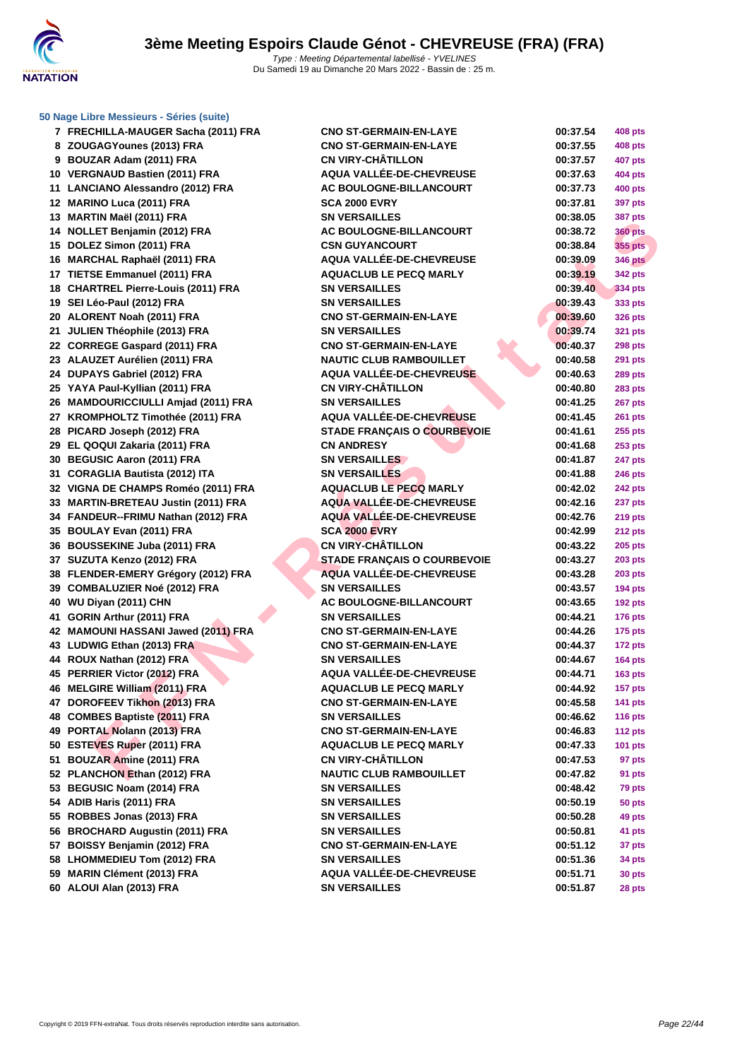

### **[50 Nage L](http://www.ffnatation.fr/webffn/index.php)ibre Messieurs - Séries (suite)**

| 7 FRECHILLA-MAUGER Sacha (2011) FRA | <b>CNO ST-GERMAIN-EN-LAYE</b>                                  | 00:37.54             | 408 pts              |
|-------------------------------------|----------------------------------------------------------------|----------------------|----------------------|
| 8 ZOUGAGYounes (2013) FRA           | <b>CNO ST-GERMAIN-EN-LAYE</b>                                  | 00:37.55             | <b>408 pts</b>       |
| 9 BOUZAR Adam (2011) FRA            | <b>CN VIRY-CHÂTILLON</b>                                       | 00:37.57             | 407 pts              |
| 10 VERGNAUD Bastien (2011) FRA      | AQUA VALLÉE-DE-CHEVREUSE                                       | 00:37.63             | 404 pts              |
| 11 LANCIANO Alessandro (2012) FRA   | AC BOULOGNE-BILLANCOURT                                        | 00:37.73             | 400 pts              |
| 12 MARINO Luca (2011) FRA           | <b>SCA 2000 EVRY</b>                                           | 00:37.81             | 397 pts              |
| 13 MARTIN Maël (2011) FRA           | <b>SN VERSAILLES</b>                                           | 00:38.05             | 387 pts              |
| 14 NOLLET Benjamin (2012) FRA       | AC BOULOGNE-BILLANCOURT                                        | 00:38.72             | <b>360 pts</b>       |
| 15 DOLEZ Simon (2011) FRA           | <b>CSN GUYANCOURT</b>                                          | 00:38.84             | 355 pts              |
| 16 MARCHAL Raphaël (2011) FRA       | <b>AQUA VALLÉE-DE-CHEVREUSE</b>                                | 00:39.09             | <b>346 pts</b>       |
| 17 TIETSE Emmanuel (2011) FRA       | <b>AQUACLUB LE PECQ MARLY</b>                                  | 00:39.19             | 342 pts              |
| 18 CHARTREL Pierre-Louis (2011) FRA | <b>SN VERSAILLES</b>                                           | 00:39.40             | 334 pts              |
| 19 SEI Léo-Paul (2012) FRA          | <b>SN VERSAILLES</b>                                           | 00:39.43             | 333 pts              |
| 20 ALORENT Noah (2011) FRA          | <b>CNO ST-GERMAIN-EN-LAYE</b>                                  | 00:39.60             | <b>326 pts</b>       |
| 21 JULIEN Théophile (2013) FRA      | <b>SN VERSAILLES</b>                                           | 00:39.74             | 321 pts              |
| 22 CORREGE Gaspard (2011) FRA       | <b>CNO ST-GERMAIN-EN-LAYE</b>                                  | 00:40.37             | <b>298 pts</b>       |
| 23 ALAUZET Aurélien (2011) FRA      | <b>NAUTIC CLUB RAMBOUILLET</b>                                 | 00:40.58             | 291 pts              |
| 24 DUPAYS Gabriel (2012) FRA        | AQUA VALLÉE-DE-CHEVREUSE                                       | 00:40.63             | <b>289 pts</b>       |
| 25 YAYA Paul-Kyllian (2011) FRA     | <b>CN VIRY-CHÂTILLON</b>                                       | 00:40.80             | 283 pts              |
| 26 MAMDOURICCIULLI Amjad (2011) FRA | <b>SN VERSAILLES</b>                                           | 00:41.25             | <b>267 pts</b>       |
| 27 KROMPHOLTZ Timothée (2011) FRA   | AQUA VALLÉE-DE-CHEVREUSE                                       | 00:41.45             | <b>261 pts</b>       |
| 28 PICARD Joseph (2012) FRA         | <b>STADE FRANÇAIS O COURBEVOIE</b>                             | 00:41.61             | 255 pts              |
| 29 EL QOQUI Zakaria (2011) FRA      | <b>CN ANDRESY</b>                                              | 00:41.68             | <b>253 pts</b>       |
| 30 BEGUSIC Aaron (2011) FRA         | <b>SN VERSAILLES</b>                                           | 00:41.87             | 247 pts              |
| 31 CORAGLIA Bautista (2012) ITA     | <b>SN VERSAILLES</b>                                           | 00:41.88             | <b>246 pts</b>       |
| 32 VIGNA DE CHAMPS Roméo (2011) FRA | <b>AQUACLUB LE PECQ MARLY</b>                                  | 00:42.02             | <b>242 pts</b>       |
| 33 MARTIN-BRETEAU Justin (2011) FRA | AQUA VALLÉE-DE-CHEVREUSE                                       | 00:42.16             | 237 pts              |
| 34 FANDEUR--FRIMU Nathan (2012) FRA | <b>AQUA VALLEE-DE-CHEVREUSE</b>                                | 00:42.76             | <b>219 pts</b>       |
| 35 BOULAY Evan (2011) FRA           | <b>SCA 2000 EVRY</b>                                           | 00:42.99             | <b>212 pts</b>       |
| 36 BOUSSEKINE Juba (2011) FRA       | <b>CN VIRY-CHÂTILLON</b>                                       | 00:43.22             | 205 pts              |
| 37 SUZUTA Kenzo (2012) FRA          | <b>STADE FRANÇAIS O COURBEVOIE</b>                             | 00:43.27             | <b>203 pts</b>       |
| 38 FLENDER-EMERY Grégory (2012) FRA | AQUA VALLÉE-DE-CHEVREUSE                                       | 00:43.28             | <b>203 pts</b>       |
| 39 COMBALUZIER Noé (2012) FRA       | <b>SN VERSAILLES</b>                                           | 00:43.57             | <b>194 pts</b>       |
| 40 WU Diyan (2011) CHN              | AC BOULOGNE-BILLANCOURT                                        | 00:43.65             | <b>192 pts</b>       |
| 41 GORIN Arthur (2011) FRA          | <b>SN VERSAILLES</b>                                           | 00:44.21             | <b>176 pts</b>       |
| 42 MAMOUNI HASSANI Jawed (2011) FRA | <b>CNO ST-GERMAIN-EN-LAYE</b>                                  | 00:44.26             |                      |
| 43 LUDWIG Ethan (2013) FRA          | <b>CNO ST-GERMAIN-EN-LAYE</b>                                  |                      | $175$ pts<br>172 pts |
| 44 ROUX Nathan (2012) FRA           | <b>SN VERSAILLES</b>                                           | 00:44.37<br>00:44.67 | <b>164 pts</b>       |
| 45 PERRIER Victor (2012) FRA        | AQUA VALLÉE-DE-CHEVREUSE                                       | 00:44.71             | <b>163 pts</b>       |
|                                     | <b>AQUACLUB LE PECQ MARLY</b>                                  |                      |                      |
| 46 MELGIRE William (2011) FRA       |                                                                | 00:44.92             | <b>157 pts</b>       |
| 47 DOROFEEV Tikhon (2013) FRA       | <b>CNO ST-GERMAIN-EN-LAYE</b><br><b>SN VERSAILLES</b>          | 00:45.58             | <b>141 pts</b>       |
| 48 COMBES Baptiste (2011) FRA       |                                                                | 00:46.62             | <b>116 pts</b>       |
| 49 PORTAL Nolann (2013) FRA         | <b>CNO ST-GERMAIN-EN-LAYE</b><br><b>AQUACLUB LE PECQ MARLY</b> | 00:46.83             | 112 $pts$            |
| 50 ESTEVES Ruper (2011) FRA         |                                                                | 00:47.33             | 101 $pts$            |
| 51 BOUZAR Amine (2011) FRA          | <b>CN VIRY-CHÂTILLON</b>                                       | 00:47.53             | 97 pts               |
| 52 PLANCHON Ethan (2012) FRA        | <b>NAUTIC CLUB RAMBOUILLET</b>                                 | 00:47.82             | 91 pts               |
| 53 BEGUSIC Noam (2014) FRA          | <b>SN VERSAILLES</b>                                           | 00:48.42             | 79 pts               |
| 54 ADIB Haris (2011) FRA            | <b>SN VERSAILLES</b>                                           | 00:50.19             | 50 pts               |
| 55 ROBBES Jonas (2013) FRA          | <b>SN VERSAILLES</b>                                           | 00:50.28             | 49 pts               |
| 56 BROCHARD Augustin (2011) FRA     | <b>SN VERSAILLES</b>                                           | 00:50.81             | 41 pts               |
| 57 BOISSY Benjamin (2012) FRA       | <b>CNO ST-GERMAIN-EN-LAYE</b>                                  | 00:51.12             | 37 pts               |
| 58 LHOMMEDIEU Tom (2012) FRA        | <b>SN VERSAILLES</b>                                           | 00:51.36             | 34 pts               |
| 59 MARIN Clément (2013) FRA         | AQUA VALLÉE-DE-CHEVREUSE                                       | 00:51.71             | 30 pts               |
| 60 ALOUI Alan (2013) FRA            | <b>SN VERSAILLES</b>                                           | 00:51.87             | 28 pts               |

| 00:37.54             | 408 pts        |
|----------------------|----------------|
| 00:37.55             | 408 pts        |
| 00:37.57             | <b>407 pts</b> |
| 00:37.63             | <b>404 pts</b> |
| 00:37.73             | <b>400 pts</b> |
| 00:37.81             | 397 pts        |
| 00:38.05             | <b>387 pts</b> |
| 00:38.72             | <b>360 pts</b> |
| 00:38.84             | 355 pts        |
| 00:39.09             | <b>346 pts</b> |
| 00:39.19             | 342 pts        |
| 00:39.40             | 334 pts        |
| 00:39.43             | 333 pts        |
| 00:39.60             | 326 pts        |
| 00:39.74             | 321 pts        |
| 00:40.37             | <b>298 pts</b> |
| 00:40.58             | 291 pts        |
| 00:40.63             | 289 pts        |
| 00:40.80             | 283 pts        |
| 00:41.25             | <b>267 pts</b> |
| 00:41.45             | 261 pts        |
| 00:41.61             | 255 pts        |
| 00:41.68             | 253 pts        |
| 00:41.87             | <b>247 pts</b> |
| 00:41.88             | <b>246 pts</b> |
| 00:42.02             | 242 pts        |
| 00:42.16             | 237 pts        |
| 00:42.76             | <b>219 pts</b> |
| 00:42.99             | 212 pts        |
| 00:43.22             | 205 pts        |
| 00:43.27             | 203 pts        |
| 00:43.28             | 203 pts        |
| 00:43.57             | 194 pts        |
| 00:43.65             | <b>192 pts</b> |
| 00:44.21             | 176 pts        |
| 00:44.26             | 175 pts        |
| 00:44.37             | 172 pts        |
| 00:44.67             |                |
| 00:44.71             | <b>164 pts</b> |
| 00:44.92             | <b>163 pts</b> |
| 00:45.58             | 157 pts        |
|                      | 141 pts        |
| 00:46.62             | 116 pts        |
| 00:46.83<br>00:47.33 | 112 pts        |
|                      | 101 pts        |
| 00:47.53             | 97 pts         |
| 00:47.82             | 91 pts         |
| 00:48.42             | 79 pts         |
| 00:50.19             | 50 pts         |
| 00:50.28             | 49 pts         |
| 00:50.81             | 41 pts         |
| 00:51.12             | 37 pts         |
| 00:51.36             | 34 pts         |
| 00:51.71             | 30 pts         |
| 00:51.87             | 28 pts         |
|                      |                |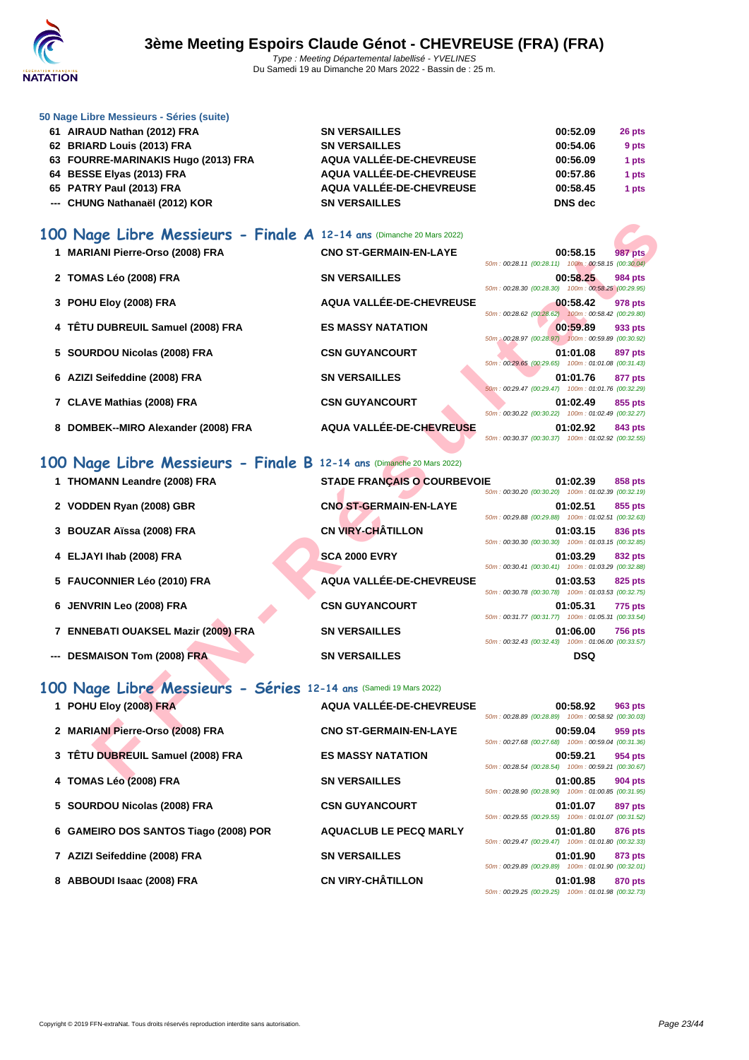

|  |  |  | 50 Nage Libre Messieurs - Séries (suite) |  |  |  |
|--|--|--|------------------------------------------|--|--|--|
|--|--|--|------------------------------------------|--|--|--|

| 61 AIRAUD Nathan (2012) FRA         | <b>SN VERSAILLES</b>     | 00:52.09       | 26 pts |
|-------------------------------------|--------------------------|----------------|--------|
| 62 BRIARD Louis (2013) FRA          | <b>SN VERSAILLES</b>     | 00:54.06       | 9 pts  |
| 63 FOURRE-MARINAKIS Hugo (2013) FRA | AQUA VALLÉE-DE-CHEVREUSE | 00:56.09       | 1 pts  |
| 64 BESSE Elyas (2013) FRA           | AQUA VALLÉE-DE-CHEVREUSE | 00:57.86       | 1 pts  |
| 65 PATRY Paul (2013) FRA            | AQUA VALLÉE-DE-CHEVREUSE | 00:58.45       | 1 pts  |
| --- CHUNG Nathanaël (2012) KOR      | <b>SN VERSAILLES</b>     | <b>DNS</b> dec |        |

### **100 Nage Libre Messieurs - Finale A 12-14 ans** (Dimanche 20 Mars 2022)

| 100 Nage Libre Messieurs - Finale A 12-14 ans (Dimanche 20 Mars 2022) |                                    |                                                                                  |
|-----------------------------------------------------------------------|------------------------------------|----------------------------------------------------------------------------------|
| 1 MARIANI Pierre-Orso (2008) FRA                                      | <b>CNO ST-GERMAIN-EN-LAYE</b>      | 00:58.15<br><b>987 pts</b><br>50m: 00:28.11 (00:28.11) 100m: 00:58.15 (00:30.04) |
| 2 TOMAS Léo (2008) FRA                                                | <b>SN VERSAILLES</b>               | 00:58.25<br>984 pts<br>50m: 00:28.30 (00:28.30) 100m: 00:58.25 (00:29.95)        |
| 3 POHU Eloy (2008) FRA                                                | AQUA VALLÉE-DE-CHEVREUSE           | 00:58.42<br><b>978 pts</b><br>50m: 00:28.62 (00:28.62) 100m: 00:58.42 (00:29.80) |
| 4 TÊTU DUBREUIL Samuel (2008) FRA                                     | <b>ES MASSY NATATION</b>           | 00:59.89<br>933 pts                                                              |
| SOURDOU Nicolas (2008) FRA                                            | <b>CSN GUYANCOURT</b>              | 50m : 00:28.97 (00:28.97) 100m : 00:59.89 (00:30.92)<br>01:01.08<br>897 pts      |
| 6 AZIZI Seifeddine (2008) FRA                                         | <b>SN VERSAILLES</b>               | 50m: 00:29.65 (00:29.65) 100m: 01:01.08 (00:31.43)<br>01:01.76<br>877 pts        |
| 7 CLAVE Mathias (2008) FRA                                            | <b>CSN GUYANCOURT</b>              | 50m: 00:29.47 (00:29.47) 100m: 01:01.76 (00:32.29)<br>01:02.49<br>855 pts        |
| 8 DOMBEK--MIRO Alexander (2008) FRA                                   | AQUA VALLÉE-DE-CHEVREUSE           | 50m: 00:30.22 (00:30.22) 100m: 01:02.49 (00:32.27)<br>01:02.92<br>843 pts        |
|                                                                       |                                    | 50m: 00:30.37 (00:30.37) 100m: 01:02.92 (00:32.55)                               |
| 100 Nage Libre Messieurs - Finale B 12-14 ans (Dimanche 20 Mars 2022) |                                    |                                                                                  |
| 1 THOMANN Leandre (2008) FRA                                          | <b>STADE FRANÇAIS O COURBEVOIE</b> | 01:02.39<br>858 pts<br>50m: 00:30.20 (00:30.20) 100m: 01:02.39 (00:32.19)        |
| 2 VODDEN Ryan (2008) GBR                                              | <b>CNO ST-GERMAIN-EN-LAYE</b>      | 01:02.51<br>855 pts<br>50m: 00:29.88 (00:29.88) 100m: 01:02.51 (00:32.63)        |
| 3 BOUZAR Aïssa (2008) FRA                                             | <b>CN VIRY-CHÂTILLON</b>           | 01:03.15<br>836 pts<br>50m: 00:30.30 (00:30.30) 100m: 01:03.15 (00:32.85)        |
| 4 ELJAYI Ihab (2008) FRA                                              | <b>SCA 2000 EVRY</b>               | 01:03.29<br>832 pts<br>50m: 00:30.41 (00:30.41) 100m: 01:03.29 (00:32.88)        |
| 5 FAUCONNIER Léo (2010) FRA                                           | AQUA VALLÉE-DE-CHEVREUSE           | 01:03.53<br>825 pts<br>50m: 00:30.78 (00:30.78) 100m: 01:03.53 (00:32.75)        |
| JENVRIN Leo (2008) FRA<br>6                                           | <b>CSN GUYANCOURT</b>              | 01:05.31<br>775 pts<br>50m: 00:31.77 (00:31.77) 100m: 01:05.31 (00:33.54)        |
| <b>ENNEBATI OUAKSEL Mazir (2009) FRA</b>                              | <b>SN VERSAILLES</b>               | 01:06.00<br><b>756 pts</b><br>50m: 00:32.43 (00:32.43) 100m: 01:06.00 (00:33.57) |
| <b>DESMAISON Tom (2008) FRA</b>                                       | <b>SN VERSAILLES</b>               | <b>DSQ</b>                                                                       |
| 100 Nage Libre Messieurs - Séries 12-14 ans (Samedi 19 Mars 2022)     |                                    |                                                                                  |
| 1 POHU Eloy (2008) FRA                                                | AQUA VALLÉE-DE-CHEVREUSE           | 00:58.92<br>963 pts<br>50m: 00:28.89 (00:28.89) 100m: 00:58.92 (00:30.03)        |
| 2 MARIANI Pierre-Orso (2008) FRA                                      | <b>CNO ST-GERMAIN-EN-LAYE</b>      | 00:59.04<br>959 pts<br>50m: 00:27.68 (00:27.68) 100m: 00:59.04 (00:31.36)        |
| 3 TÊTU DUBREUIL Samuel (2008) FRA                                     | <b>ES MASSY NATATION</b>           | 00:59.21<br>954 pts<br>50m: 00:28.54 (00:28.54) 100m: 00:59.21 (00:30.67)        |
| $A$ TOMACLA COOOLEDA                                                  | <b>CM VEDCAH LEC</b>               | 04.000E<br>$004 - 4$                                                             |

### **100 Nage Libre Messieurs - Finale B 12-14 ans** (Dimanche 20 Mars 2022)

| 1 THOMANN Leandre (2008) FRA        | <b>STADE FRANÇAIS O COURBEVOIE</b> | 50m: 00:30.20 (00:30.20) 100m: 01:02.39 (00:32.19) | 01:02.39   | 858 pts        |
|-------------------------------------|------------------------------------|----------------------------------------------------|------------|----------------|
| 2 VODDEN Ryan (2008) GBR            | <b>CNO ST-GERMAIN-EN-LAYE</b>      | 50m: 00:29.88 (00:29.88) 100m: 01:02.51 (00:32.63) | 01:02.51   | 855 pts        |
| 3 BOUZAR Aïssa (2008) FRA           | <b>CN VIRY-CHÂTILLON</b>           | 50m: 00:30.30 (00:30.30) 100m: 01:03.15 (00:32.85) | 01:03.15   | 836 pts        |
| 4 ELJAYI Ihab (2008) FRA            | <b>SCA 2000 EVRY</b>               | 50m: 00:30.41 (00:30.41) 100m: 01:03.29 (00:32.88) | 01:03.29   | 832 pts        |
| 5 FAUCONNIER Léo (2010) FRA         | AQUA VALLÉE-DE-CHEVREUSE           | 50m: 00:30.78 (00:30.78) 100m: 01:03.53 (00:32.75) | 01:03.53   | 825 pts        |
| 6 JENVRIN Leo (2008) FRA            | <b>CSN GUYANCOURT</b>              | 50m: 00:31.77 (00:31.77) 100m: 01:05.31 (00:33.54) | 01:05.31   | <b>775 pts</b> |
| 7 ENNEBATI OUAKSEL Mazir (2009) FRA | <b>SN VERSAILLES</b>               | 50m: 00:32.43 (00:32.43) 100m: 01:06.00 (00:33.57) | 01:06.00   | <b>756 pts</b> |
| --- DESMAISON Tom (2008) FRA        | <b>SN VERSAILLES</b>               |                                                    | <b>DSQ</b> |                |

# **100 Nage Libre Messieurs - Séries 12-14 ans** (Samedi 19 Mars 2022)

| 1 POHU Eloy (2008) FRA                | AQUA VALLÉE-DE-CHEVREUSE      | 50m: 00:28.89 (00:28.89) 100m: 00:58.92 (00:30.03) | 00:58.92 | 963 pts        |
|---------------------------------------|-------------------------------|----------------------------------------------------|----------|----------------|
| 2 MARIANI Pierre-Orso (2008) FRA      | <b>CNO ST-GERMAIN-EN-LAYE</b> | 50m: 00:27.68 (00:27.68) 100m: 00:59.04 (00:31.36) | 00:59.04 | 959 pts        |
| 3 TÊTU DUBREUIL Samuel (2008) FRA     | <b>ES MASSY NATATION</b>      | 50m: 00:28.54 (00:28.54) 100m: 00:59.21 (00:30.67) | 00:59.21 | 954 pts        |
| 4 TOMAS Léo (2008) FRA                | <b>SN VERSAILLES</b>          | 50m: 00:28.90 (00:28.90) 100m: 01:00.85 (00:31.95) | 01:00.85 | 904 pts        |
| 5 SOURDOU Nicolas (2008) FRA          | <b>CSN GUYANCOURT</b>         | 50m: 00:29.55 (00:29.55) 100m: 01:01.07 (00:31.52) | 01:01.07 | 897 pts        |
| 6 GAMEIRO DOS SANTOS Tiago (2008) POR | <b>AQUACLUB LE PECQ MARLY</b> | 50m: 00:29.47 (00:29.47) 100m: 01:01.80 (00:32.33) | 01:01.80 | 876 pts        |
| 7 AZIZI Seifeddine (2008) FRA         | <b>SN VERSAILLES</b>          | 50m: 00:29.89 (00:29.89) 100m: 01:01.90 (00:32.01) | 01:01.90 | 873 pts        |
| 8 ABBOUDI Isaac (2008) FRA            | <b>CN VIRY-CHÂTILLON</b>      | 50m: 00:29.25 (00:29.25) 100m: 01:01.98 (00:32.73) | 01:01.98 | <b>870 pts</b> |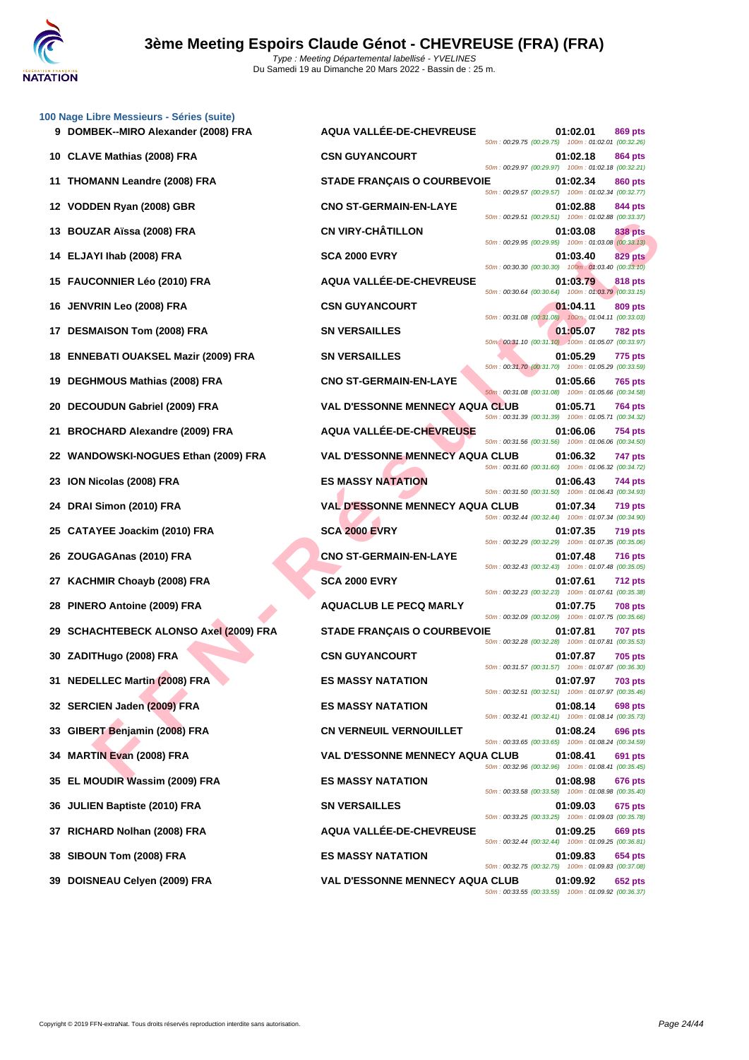

|    | 100 Nage Libre Messieurs - Séries (suite)<br>9 DOMBEK--MIRO Alexander (2008) FRA | AQUA VALLÉE-DE-CHEVREUSE               | 01:02.01                                                                                                             | 869 pts        |
|----|----------------------------------------------------------------------------------|----------------------------------------|----------------------------------------------------------------------------------------------------------------------|----------------|
|    | 10 CLAVE Mathias (2008) FRA                                                      | <b>CSN GUYANCOURT</b>                  | 50m: 00:29.75 (00:29.75) 100m: 01:02.01 (00:32.26)<br>01:02.18                                                       | 864 pts        |
|    | 11 THOMANN Leandre (2008) FRA                                                    | <b>STADE FRANÇAIS O COURBEVOIE</b>     | 50m: 00:29.97 (00:29.97) 100m: 01:02.18 (00:32.21)<br>01:02.34                                                       | 860 pts        |
|    | 12 VODDEN Ryan (2008) GBR                                                        | <b>CNO ST-GERMAIN-EN-LAYE</b>          | 50m: 00:29.57 (00:29.57) 100m: 01:02.34 (00:32.77)<br>01:02.88                                                       | 844 pts        |
|    | 13 BOUZAR Aïssa (2008) FRA                                                       | <b>CN VIRY-CHÂTILLON</b>               | 50m: 00:29.51 (00:29.51) 100m: 01:02.88 (00:33.37)<br>01:03.08                                                       | <b>838 pts</b> |
|    | 14 ELJAYI Ihab (2008) FRA                                                        | <b>SCA 2000 EVRY</b>                   | 50m: 00:29.95 (00:29.95) 100m: 01:03.08 (00:33.13)<br>01:03.40                                                       | <b>829 pts</b> |
| 15 | <b>FAUCONNIER Léo (2010) FRA</b>                                                 | AQUA VALLÉE-DE-CHEVREUSE               | 50m: 00:30.30 (00:30.30) 100m: 01:03.40 (00:33.10)<br>01:03.79                                                       | 818 pts        |
| 16 | <b>JENVRIN Leo (2008) FRA</b>                                                    | <b>CSN GUYANCOURT</b>                  | 50m: 00:30.64 (00:30.64) 100m: 01:03.79 (00:33.15)<br>01:04.11                                                       | 809 pts        |
| 17 | <b>DESMAISON Tom (2008) FRA</b>                                                  | <b>SN VERSAILLES</b>                   | 50m: 00:31.08 (00:31.08) 100m: 01:04.11 (00:33.03)<br>01:05.07                                                       | <b>782 pts</b> |
| 18 | <b>ENNEBATI OUAKSEL Mazir (2009) FRA</b>                                         | <b>SN VERSAILLES</b>                   | 50m: 00:31.10 (00:31.10) 100m: 01:05.07 (00:33.97)<br>01:05.29                                                       | 775 pts        |
| 19 | <b>DEGHMOUS Mathias (2008) FRA</b>                                               | <b>CNO ST-GERMAIN-EN-LAYE</b>          | 50m: 00:31.70 (00:31.70) 100m: 01:05.29 (00:33.59)<br>01:05.66                                                       | <b>765 pts</b> |
| 20 | DECOUDUN Gabriel (2009) FRA                                                      | <b>VAL D'ESSONNE MENNECY AQUA CLUB</b> | 50m: 00:31.08 (00:31.08) 100m: 01:05.66 (00:34.58)<br>01:05.71                                                       | <b>764 pts</b> |
| 21 | <b>BROCHARD Alexandre (2009) FRA</b>                                             | <b>AQUA VALLÉE-DE-CHEVREUSE</b>        | 50m: 00:31.39 (00:31.39) 100m: 01:05.71 (00:34.32)<br>01:06.06                                                       | 754 pts        |
|    | 22 WANDOWSKI-NOGUES Ethan (2009) FRA                                             | <b>VAL D'ESSONNE MENNECY AQUA CLUB</b> | 50m: 00:31.56 (00:31.56) 100m: 01:06.06 (00:34.50)<br>01:06.32                                                       | 747 pts        |
|    | 23 ION Nicolas (2008) FRA                                                        | <b>ES MASSY NATATION</b>               | 50m: 00:31.60 (00:31.60) 100m: 01:06.32 (00:34.72)<br>01:06.43                                                       | 744 pts        |
| 24 | DRAI Simon (2010) FRA                                                            | <b>VAL D'ESSONNE MENNECY AQUA CLUB</b> | 50m: 00:31.50 (00:31.50) 100m: 01:06.43 (00:34.93)<br>01:07.34                                                       | <b>719 pts</b> |
| 25 | <b>CATAYEE Joackim (2010) FRA</b>                                                | <b>SCA 2000 EVRY</b>                   | 50m: 00:32.44 (00:32.44) 100m: 01:07.34 (00:34.90)<br>01:07.35                                                       | <b>719 pts</b> |
|    |                                                                                  |                                        | 50m: 00:32.29 (00:32.29) 100m: 01:07.35 (00:35.06)                                                                   |                |
| 26 | ZOUGAGAnas (2010) FRA                                                            | <b>CNO ST-GERMAIN-EN-LAYE</b>          | 01:07.48<br>50m: 00:32.43 (00:32.43) 100m: 01:07.48 (00:35.05)                                                       | <b>716 pts</b> |
| 27 | <b>KACHMIR Choayb (2008) FRA</b>                                                 | <b>SCA 2000 EVRY</b>                   | 01:07.61<br>50m: 00:32.23 (00:32.23) 100m: 01:07.61 (00:35.38)                                                       | <b>712 pts</b> |
| 28 | PINERO Antoine (2009) FRA                                                        | <b>AQUACLUB LE PECQ MARLY</b>          | 01:07.75<br>50m: 00:32.09 (00:32.09) 100m: 01:07.75 (00:35.66)                                                       | <b>708 pts</b> |
| 29 | <b>SCHACHTEBECK ALONSO Axel (2009) FRA</b>                                       | <b>STADE FRANÇAIS O COURBEVOIE</b>     | 01:07.81<br>50m: 00:32.28 (00:32.28) 100m: 01:07.81 (00:35.53)                                                       | <b>707 pts</b> |
|    | 30 ZADITHugo (2008) FRA                                                          | <b>CSN GUYANCOURT</b>                  | 01:07.87<br>50m: 00:31.57 (00:31.57) 100m: 01:07.87 (00:36.30)                                                       | <b>705 pts</b> |
|    | 31 NEDELLEC Martin (2008) FRA                                                    | <b>ES MASSY NATATION</b>               | 01:07.97<br>50m: 00:32.51 (00:32.51) 100m: 01:07.97 (00:35.46)                                                       | <b>703 pts</b> |
|    | 32 SERCIEN Jaden (2009) FRA                                                      | <b>ES MASSY NATATION</b>               | 01:08.14<br>50m: 00:32.41 (00:32.41) 100m: 01:08.14 (00:35.73)                                                       | <b>698 pts</b> |
|    | 33 GIBERT Benjamin (2008) FRA                                                    | <b>CN VERNEUIL VERNOUILLET</b>         | 01:08.24<br>50m: 00:33.65 (00:33.65) 100m: 01:08.24 (00:34.59)                                                       | 696 pts        |
| 34 | <b>MARTIN Evan (2008) FRA</b>                                                    | <b>VAL D'ESSONNE MENNECY AQUA CLUB</b> | 01:08.41<br>50m: 00:32.96 (00:32.96) 100m: 01:08.41 (00:35.45)                                                       | 691 pts        |
| 35 | EL MOUDIR Wassim (2009) FRA                                                      | <b>ES MASSY NATATION</b>               | 01:08.98<br>50m: 00:33.58 (00:33.58) 100m: 01:08.98 (00:35.40)                                                       | 676 pts        |
|    | 36 JULIEN Baptiste (2010) FRA                                                    | <b>SN VERSAILLES</b>                   | 01:09.03                                                                                                             | 675 pts        |
| 37 | RICHARD Nolhan (2008) FRA                                                        | AQUA VALLÉE-DE-CHEVREUSE               | 50m: 00:33.25 (00:33.25) 100m: 01:09.03 (00:35.78)<br>01:09.25<br>50m: 00:32.44 (00:32.44) 100m: 01:09.25 (00:36.81) | <b>669 pts</b> |
| 38 | SIBOUN Tom (2008) FRA                                                            | <b>ES MASSY NATATION</b>               | 01:09.83<br>50m: 00:32.75 (00:32.75) 100m: 01:09.83 (00:37.08)                                                       | 654 pts        |
|    | 39 DOISNEAU Celyen (2009) FRA                                                    | <b>VAL D'ESSONNE MENNECY AQUA CLUB</b> | 01:09.92<br>50m: 00:33.55 (00:33.55) 100m: 01:09.92 (00:36.37)                                                       | 652 pts        |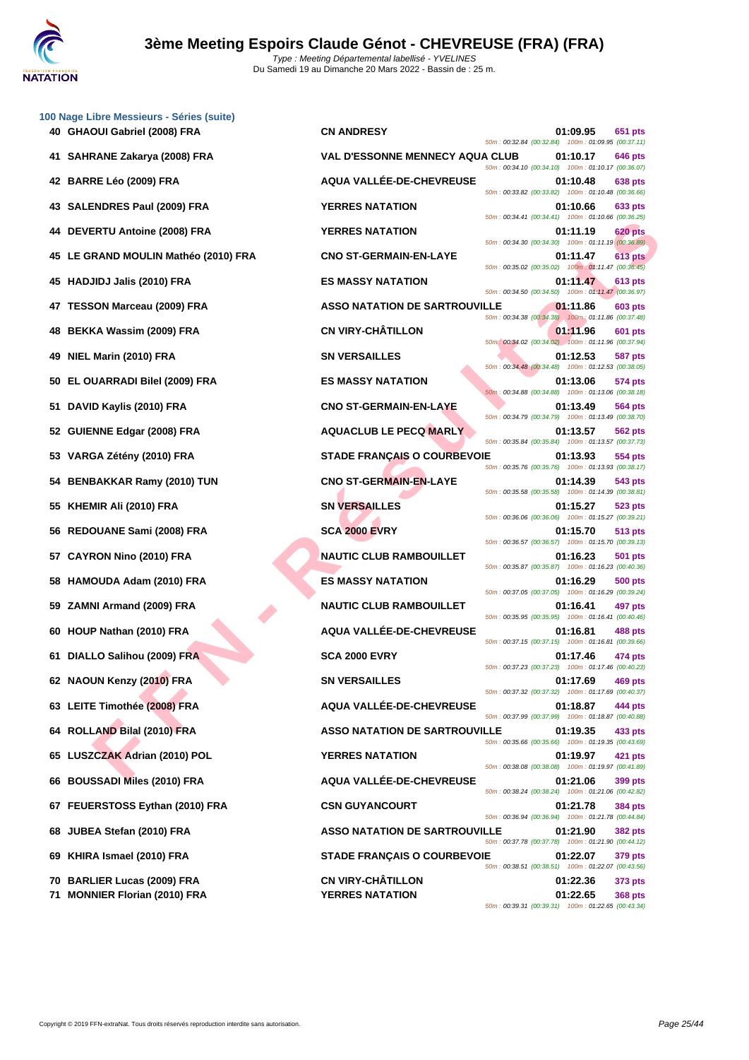

|    | 100 Nage Libre Messieurs - Séries (suite)<br>40 GHAOUI Gabriel (2008) FRA | <b>CN ANDRESY</b>                      |                                                                                                          | 01:09.95 | 651 pts        |
|----|---------------------------------------------------------------------------|----------------------------------------|----------------------------------------------------------------------------------------------------------|----------|----------------|
|    |                                                                           |                                        | 50m: 00:32.84 (00:32.84) 100m: 01:09.95 (00:37.11)                                                       |          |                |
| 41 | SAHRANE Zakarya (2008) FRA                                                | <b>VAL D'ESSONNE MENNECY AQUA CLUB</b> | 50m: 00:34.10 (00:34.10) 100m: 01:10.17 (00:36.07)                                                       | 01:10.17 | <b>646 pts</b> |
|    | 42 BARRE Léo (2009) FRA                                                   | AQUA VALLÉE-DE-CHEVREUSE               | 50m: 00:33.82 (00:33.82) 100m: 01:10.48 (00:36.66)                                                       | 01:10.48 | 638 pts        |
| 43 | <b>SALENDRES Paul (2009) FRA</b>                                          | <b>YERRES NATATION</b>                 | 50m: 00:34.41 (00:34.41) 100m: 01:10.66 (00:36.25)                                                       | 01:10.66 | 633 pts        |
| 44 | DEVERTU Antoine (2008) FRA                                                | <b>YERRES NATATION</b>                 | 50m: 00:34.30 (00:34.30) 100m: 01:11.19 (00:36.89)                                                       | 01:11.19 | <b>620 pts</b> |
|    | 45 LE GRAND MOULIN Mathéo (2010) FRA                                      | <b>CNO ST-GERMAIN-EN-LAYE</b>          | 50m: 00:35.02 (00:35.02) 100m: 01:11.47 (00:36.45)                                                       | 01:11.47 | 613 pts        |
| 45 | <b>HADJIDJ Jalis (2010) FRA</b>                                           | <b>ES MASSY NATATION</b>               | 50m: 00:34.50 (00:34.50) 100m: 01:11.47 (00:36.97)                                                       | 01:11.47 | 613 pts        |
| 47 | <b>TESSON Marceau (2009) FRA</b>                                          | <b>ASSO NATATION DE SARTROUVILLE</b>   | 50m: 00:34.38 (00:34.38) 100m: 01:11.86 (00:37.48)                                                       | 01:11.86 | 603 pts        |
| 48 | <b>BEKKA Wassim (2009) FRA</b>                                            | <b>CN VIRY-CHÂTILLON</b>               | 50m: 00:34.02 (00:34.02) 100m: 01:11.96 (00:37.94)                                                       | 01:11.96 | 601 pts        |
| 49 | NIEL Marin (2010) FRA                                                     | <b>SN VERSAILLES</b>                   |                                                                                                          | 01:12.53 | 587 pts        |
| 50 | EL OUARRADI Bilel (2009) FRA                                              | <b>ES MASSY NATATION</b>               | 50m: 00:34.48 (00:34.48) 100m: 01:12.53 (00:38.05)                                                       | 01:13.06 | 574 pts        |
| 51 | DAVID Kaylis (2010) FRA                                                   | <b>CNO ST-GERMAIN-EN-LAYE</b>          | 50m: 00:34.88 (00:34.88) 100m: 01:13.06 (00:38.18)                                                       | 01:13.49 | 564 pts        |
| 52 | <b>GUIENNE Edgar (2008) FRA</b>                                           | <b>AQUACLUB LE PECQ MARLY</b>          | 50m: 00:34.79 (00:34.79) 100m: 01:13.49 (00:38.70)                                                       | 01:13.57 | 562 pts        |
| 53 | VARGA Zétény (2010) FRA                                                   | <b>STADE FRANÇAIS O COURBEVOIE</b>     | 50m: 00:35.84 (00:35.84) 100m: 01:13.57 (00:37.73)                                                       | 01:13.93 | 554 pts        |
| 54 | <b>BENBAKKAR Ramy (2010) TUN</b>                                          | <b>CNO ST-GERMAIN-EN-LAYE</b>          | 50m: 00:35.76 (00:35.76) 100m: 01:13.93 (00:38.17)                                                       | 01:14.39 | 543 pts        |
| 55 | KHEMIR Ali (2010) FRA                                                     | <b>SN VERSAILLES</b>                   | 50m: 00:35.58 (00:35.58) 100m: 01:14.39 (00:38.81)                                                       | 01:15.27 | 523 pts        |
| 56 | REDOUANE Sami (2008) FRA                                                  | <b>SCA 2000 EVRY</b>                   | 50m: 00:36.06 (00:36.06) 100m: 01:15.27 (00:39.21)                                                       | 01:15.70 | 513 pts        |
| 57 | <b>CAYRON Nino (2010) FRA</b>                                             | <b>NAUTIC CLUB RAMBOUILLET</b>         | 50m: 00:36.57 (00:36.57) 100m: 01:15.70 (00:39.13)                                                       | 01:16.23 | 501 pts        |
| 58 | HAMOUDA Adam (2010) FRA                                                   | <b>ES MASSY NATATION</b>               | 50m: 00:35.87 (00:35.87) 100m: 01:16.23 (00:40.36)                                                       | 01:16.29 | <b>500 pts</b> |
| 59 | ZAMNI Armand (2009) FRA                                                   | <b>NAUTIC CLUB RAMBOUILLET</b>         | 50m: 00:37.05 (00:37.05) 100m: 01:16.29 (00:39.24)                                                       | 01:16.41 |                |
|    |                                                                           |                                        | 50m: 00:35.95 (00:35.95) 100m: 01:16.41 (00:40.46)                                                       |          | 497 pts        |
|    | 60 HOUP Nathan (2010) FRA                                                 | AQUA VALLÉE-DE-CHEVREUSE               | 50m: 00:37.15 (00:37.15) 100m: 01:16.81 (00:39.66)                                                       | 01:16.81 | 488 pts        |
|    | 61 DIALLO Salihou (2009) FRA                                              | <b>SCA 2000 EVRY</b>                   | 50m: 00:37.23 (00:37.23) 100m: 01:17.46 (00:40.23)                                                       | 01:17.46 | 474 pts        |
|    | 62 NAOUN Kenzy (2010) FRA                                                 | <b>SN VERSAILLES</b>                   | 50m: 00:37.32 (00:37.32) 100m: 01:17.69 (00:40.37)                                                       | 01:17.69 | 469 pts        |
|    | 63 LEITE Timothée (2008) FRA                                              | AQUA VALLÉE-DE-CHEVREUSE               | 50m: 00:37.99 (00:37.99) 100m: 01:18.87 (00:40.88)                                                       | 01:18.87 | 444 pts        |
|    | 64 ROLLAND Bilal (2010) FRA                                               | <b>ASSO NATATION DE SARTROUVILLE</b>   | 50m: 00:35.66 (00:35.66) 100m: 01:19.35 (00:43.69)                                                       | 01:19.35 | 433 pts        |
| 65 | LUSZCZAK Adrian (2010) POL                                                | <b>YERRES NATATION</b>                 | 50m: 00:38.08 (00:38.08) 100m: 01:19.97 (00:41.89)                                                       | 01:19.97 | 421 pts        |
| 66 | <b>BOUSSADI Miles (2010) FRA</b>                                          | AQUA VALLÉE-DE-CHEVREUSE               | 50m: 00:38.24 (00:38.24) 100m: 01:21.06 (00:42.82)                                                       | 01:21.06 | 399 pts        |
|    | 67 FEUERSTOSS Eythan (2010) FRA                                           | <b>CSN GUYANCOURT</b>                  |                                                                                                          | 01:21.78 | <b>384 pts</b> |
|    | 68 JUBEA Stefan (2010) FRA                                                | <b>ASSO NATATION DE SARTROUVILLE</b>   | 50m: 00:36.94 (00:36.94) 100m: 01:21.78 (00:44.84)                                                       | 01:21.90 | <b>382 pts</b> |
| 69 | KHIRA Ismael (2010) FRA                                                   | <b>STADE FRANÇAIS O COURBEVOIE</b>     | 50m: 00:37.78 (00:37.78) 100m: 01:21.90 (00:44.12)<br>50m: 00:38.51 (00:38.51) 100m: 01:22.07 (00:43.56) | 01:22.07 | 379 pts        |
|    | 70 BARLIER Lucas (2009) FRA                                               | <b>CN VIRY-CHÂTILLON</b>               |                                                                                                          | 01:22.36 | <b>373 pts</b> |
| 71 | <b>MONNIER Florian (2010) FRA</b>                                         | <b>YERRES NATATION</b>                 | 50m: 00:39.31 (00:39.31) 100m: 01:22.65 (00:43.34)                                                       | 01:22.65 | <b>368 pts</b> |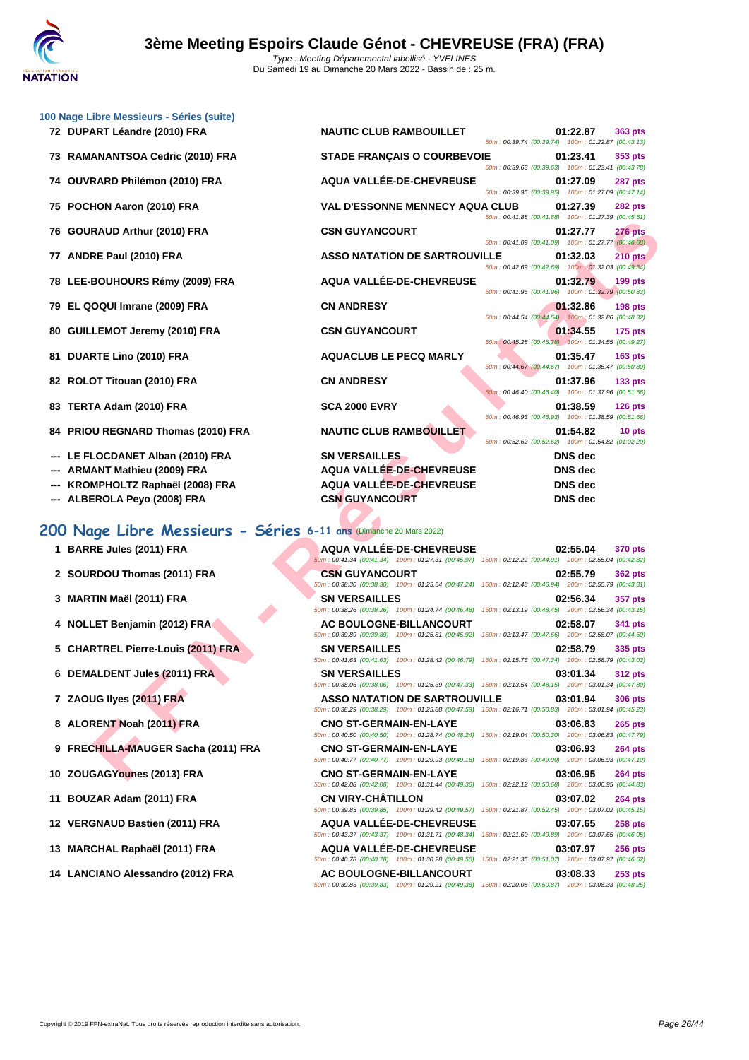

| 100 Nage Libre Messieurs - Séries (suite)                                                      |                                                                                                                                             |                                                                                      |
|------------------------------------------------------------------------------------------------|---------------------------------------------------------------------------------------------------------------------------------------------|--------------------------------------------------------------------------------------|
| 72 DUPART Léandre (2010) FRA                                                                   | <b>NAUTIC CLUB RAMBOUILLET</b>                                                                                                              | 01:22.87<br>363 pts<br>50m: 00:39.74 (00:39.74) 100m: 01:22.87 (00:43.13)            |
| 73 RAMANANTSOA Cedric (2010) FRA                                                               | <b>STADE FRANÇAIS O COURBEVOIE</b>                                                                                                          | 01:23.41<br>353 pts<br>50m: 00:39.63 (00:39.63) 100m: 01:23.41 (00:43.78)            |
| 74 OUVRARD Philémon (2010) FRA                                                                 | AQUA VALLÉE-DE-CHEVREUSE                                                                                                                    | 01:27.09<br>287 pts<br>50m: 00:39.95 (00:39.95) 100m: 01:27.09 (00:47.14)            |
| 75 POCHON Aaron (2010) FRA                                                                     | <b>VAL D'ESSONNE MENNECY AQUA CLUB</b>                                                                                                      | 01:27.39<br><b>282 pts</b><br>50m: 00:41.88 (00:41.88) 100m: 01:27.39 (00:45.51)     |
| 76 GOURAUD Arthur (2010) FRA                                                                   | <b>CSN GUYANCOURT</b>                                                                                                                       | <b>276 pts</b><br>01:27.77<br>50m: 00:41.09 (00:41.09) 100m: 01:27.77 (00:46.68)     |
| 77 ANDRE Paul (2010) FRA                                                                       | <b>ASSO NATATION DE SARTROUVILLE</b>                                                                                                        | 01:32.03<br><b>210 pts</b><br>50m: 00:42.69 (00:42.69) 100m: 01:32.03 (00:49.34)     |
| 78 LEE-BOUHOURS Rémy (2009) FRA                                                                | AQUA VALLÉE-DE-CHEVREUSE                                                                                                                    | 01:32.79<br>$199$ pts<br>50m: 00:41.96 (00:41.96) 100m: 01:32.79 (00:50.83)          |
| 79 EL QOQUI Imrane (2009) FRA                                                                  | <b>CN ANDRESY</b>                                                                                                                           | 01:32.86<br><b>198 pts</b>                                                           |
| 80 GUILLEMOT Jeremy (2010) FRA                                                                 | <b>CSN GUYANCOURT</b>                                                                                                                       | 50m: 00:44.54 (00:44.54)  100m: 01:32.86 (00:48.32)<br>01:34.55<br><b>175 pts</b>    |
| 81 DUARTE Lino (2010) FRA                                                                      | <b>AQUACLUB LE PECQ MARLY</b>                                                                                                               | 50m: 00:45.28 (00:45.28) 100m: 01:34.55 (00:49.27)<br>01:35.47<br>$163$ pts          |
| 82 ROLOT Titouan (2010) FRA                                                                    | <b>CN ANDRESY</b>                                                                                                                           | 50m: 00:44.67 (00:44.67) 100m: 01:35.47 (00:50.80)<br>01:37.96<br>133 <sub>pts</sub> |
| 83 TERTA Adam (2010) FRA                                                                       | <b>SCA 2000 EVRY</b>                                                                                                                        | 50m: 00:46.40 (00:46.40) 100m: 01:37.96 (00:51.56)<br>01:38.59<br><b>126 pts</b>     |
| 84 PRIOU REGNARD Thomas (2010) FRA                                                             | <b>NAUTIC CLUB RAMBOUILLET</b>                                                                                                              | 50m: 00:46.93 (00:46.93) 100m: 01:38.59 (00:51.66)<br>01:54.82<br>10 pts             |
| --- LE FLOCDANET Alban (2010) FRA                                                              | <b>SN VERSAILLES</b>                                                                                                                        | 50m: 00:52.62 (00:52.62) 100m: 01:54.82 (01:02.20)<br><b>DNS</b> dec                 |
| --- ARMANT Mathieu (2009) FRA                                                                  | AQUA VALLÉE-DE-CHEVREUSE                                                                                                                    | <b>DNS</b> dec                                                                       |
| --- KROMPHOLTZ Raphaël (2008) FRA                                                              | <b>AQUA VALLÉE-DE-CHEVREUSE</b>                                                                                                             | <b>DNS</b> dec                                                                       |
| --- ALBEROLA Peyo (2008) FRA                                                                   | <b>CSN GUYANCOURT</b>                                                                                                                       | <b>DNS</b> dec                                                                       |
|                                                                                                |                                                                                                                                             |                                                                                      |
|                                                                                                |                                                                                                                                             |                                                                                      |
|                                                                                                |                                                                                                                                             |                                                                                      |
| 200 Nage Libre Messieurs - Séries 6-11 ans (Dimanche 20 Mars 2022)<br>1 BARRE Jules (2011) FRA | AQUA VALLÉE-DE-CHEVREUSE                                                                                                                    | 02:55.04<br>370 pts                                                                  |
| 2 SOURDOU Thomas (2011) FRA                                                                    | 50m: 00:41.34 (00:41.34) 100m: 01:27.31 (00:45.97) 150m: 02:12.22 (00:44.91) 200m: 02:55.04 (00:42.82)<br><b>CSN GUYANCOURT</b>             | 02:55.79<br><b>362 pts</b>                                                           |
| 3 MARTIN Maël (2011) FRA                                                                       | 50m : 00:38.30 (00:38.30) 100m : 01:25.54 (00:47.24) 150m : 02:12.48 (00:46.94) 200m : 02:55.79 (00:43.31)<br><b>SN VERSAILLES</b>          | 02:56.34<br>357 pts                                                                  |
| 4 NOLLET Benjamin (2012) FRA                                                                   | 50m : 00:38.26 (00:38.26) 100m : 01:24.74 (00:46.48) 150m : 02:13.19 (00:48.45) 200m : 02:56.34 (00:43.15)<br>AC BOULOGNE-BILLANCOURT       | 02:58.07<br>341 pts                                                                  |
| 5 CHARTREL Pierre-Louis (2011) FRA                                                             | 50m: 00:39.89 (00:39.89) 100m: 01:25.81 (00:45.92) 150m: 02:13.47 (00:47.66) 200m: 02:58.07 (00:44.60)<br><b>SN VERSAILLES</b>              | 02:58.79<br>335 pts                                                                  |
| 6 DEMALDENT Jules (2011) FRA                                                                   | 50m : 00:41.63 (00:41.63) 100m : 01:28.42 (00:46.79) 150m : 02:15.76 (00:47.34) 200m : 02:58.79 (00:43.03)<br><b>SN VERSAILLES</b>          | 03:01.34<br><b>312 pts</b>                                                           |
| 7 ZAOUG Ilyes (2011) FRA                                                                       | 50m: 00:38.06 (00:38.06) 100m: 01:25.39 (00:47.33) 150m: 02:13.54 (00:48.15) 200m: 03:01.34 (00:47.80)<br>ASSO NATATION DE SARTROUVILLE     | 03:01.94<br><b>306 pts</b>                                                           |
| 8 ALORENT Noah (2011) FRA                                                                      | 50m: 00:38.29 (00:38.29) 100m: 01:25.88 (00:47.59) 150m: 02:16.71 (00:50.83) 200m: 03:01.94 (00:45.23)<br><b>CNO ST-GERMAIN-EN-LAYE</b>     | 03:06.83<br>$265$ pts                                                                |
| 9 FRECHILLA-MAUGER Sacha (2011) FRA                                                            | 50m: 00:40.50 (00:40.50) 100m: 01:28.74 (00:48.24) 150m: 02:19.04 (00:50.30) 200m: 03:06.83 (00:47.79)<br><b>CNO ST-GERMAIN-EN-LAYE</b>     | 03:06.93<br><b>264 pts</b>                                                           |
| 10 ZOUGAGYounes (2013) FRA                                                                     | 50m : 00:40.77 (00:40.77) 100m : 01:29.93 (00:49.16) 150m : 02:19.83 (00:49.90) 200m : 03:06.93 (00:47.10)<br><b>CNO ST-GERMAIN-EN-LAYE</b> | 03:06.95<br><b>264 pts</b>                                                           |

- 
- 

**10 ZOUGAGYounes (2013) FRA CNO ST-GERMAIN-EN-LAYE 03:06.95 264 pts** 50m : 00:42.08 (00:42.08) 100m : 01:31.44 (00:49.36) 150m : 02:22.12 (00:50.68) 200m : 03:06.95 (00:44.83) **11 BOUZAR Adam (2011) FRA CN VIRY-CHÂTILLON 03:07.02 264 pts** 50m : 00:39.85 (00:39.85) 100m : 01:29.42 (00:49.57) 150m : 02:21.87 (00:52.45) 200m : 03:07.02 (00:45.15) **12 VERGNAUD Bastien (2011) FRA AQUA VALLÉE-DE-CHEVREUSE 03:07.65 258 pts** 50m : 00:43.37 (00:43.37) 100m : 01:31.71 (00:48.34) 150m : 02:21.60 (00:49.89) 200m : 03:07.65 (00:46.05) **13 MARCHAL Raphaël (2011) FRA AQUA VALLÉE-DE-CHEVREUSE 03:07.97 256 pts**

50m : 00:40.78 (00:40.78) 100m : 01:30.28 (00:49.50) 150m : 02:21.35 (00:51.07) 200m : 03:07.97 (00:46.62) **14 LANCIANO Alessandro (2012) FRA AC BOULOGNE-BILLANCOURT 03:08.33 253 pts** 50m : 00:39.83 (00:39.83) 100m : 01:29.21 (00:49.38) 150m : 02:20.08 (00:50.87) 200m : 03:08.33 (00:48.25)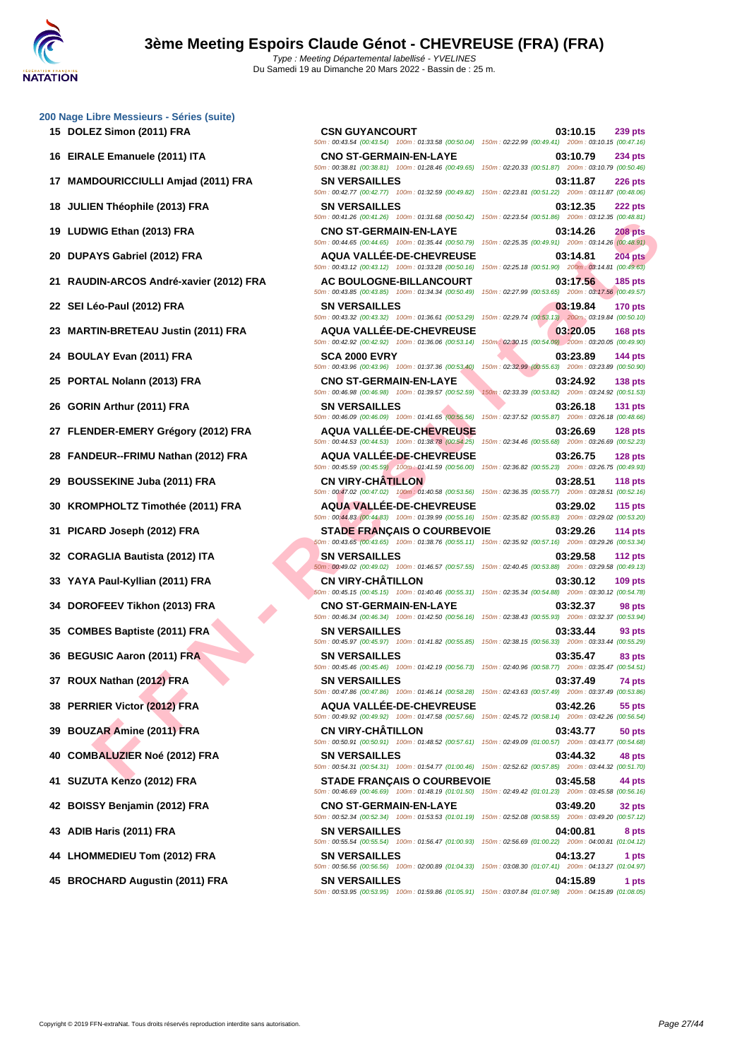**[200 Nage](http://www.ffnatation.fr/webffn/index.php) Libre Messieurs - Séries (suite)**

 **MAMDOURICCIULLI Amjad (2011) FRA SN VERSAILLES 03:11.87 226 pts JULIEN Théophile (2013) FRA SN VERSAILLES 03:12.35 222 pts LUDWIG Ethan (2013) FRA CNO ST-GERMAIN-EN-LAYE 03:14.26 208 pts DUPAYS Gabriel (2012) FRA AQUA VALLÉE-DE-CHEVREUSE 03:14.81 204 pts RAUDIN-ARCOS André-xavier (2012) FRA AC BOULOGNE-BILLANCOURT 03:17.56 185 pts SEI Léo-Paul (2012) FRA SN VERSAILLES 03:19.84 170 pts MARTIN-BRETEAU Justin (2011) FRA AQUA VALLÉE-DE-CHEVREUSE 03:20.05 168 pts BOULAY Evan (2011) FRA SCA 2000 EVRY 03:23.89 144 pts PORTAL Nolann (2013) FRA CNO ST-GERMAIN-EN-LAYE 03:24.92 138 pts**<br> **CNO ST-GERMAIN-EN-LAYE 03:25.59 150m**: 02:33.39 (00:53.82) **200m**: 02:32.4.92 (00:55.53) **GORIN Arthur (2011) FRA SN VERSAILLES 03:26.18 131 pts FLENDER-EMERY Grégory (2012) FRA AQUA VALLÉE-DE-CHEVREUSE 03:26.69 128 pts FANDEUR--FRIMU Nathan (2012) FRA AQUA VALLÉE-DE-CHEVREUSE 03:26.75 128 pts BOUSSEKINE Juba (2011) FRA CN VIRY-CHÂTILLON 03:28.51 118 pts KROMPHOLTZ Timothée (2011) FRA AQUA VALLÉE-DE-CHEVREUSE 03:29.02 115 pts PICARD Joseph (2012) FRA STADE FRANÇAIS O COURBEVOIE 03:29.26 114 pts CORAGLIA Bautista (2012) ITA SN VERSAILLES 03:29.58 112 pts YAYA Paul-Kyllian (2011) FRA CN VIRY-CHÂTILLON 03:30.12 109 pts DOROFEEV Tikhon (2013) FRA CNO ST-GERMAIN-EN-LAYE 03:32.37 98 pts COMBES Baptiste (2011) FRA SN VERSAILLES 03:33.44 93 pts BEGUSIC Aaron (2011) FRA SN VERSAILLES 13:35.47 03:35.47 83 pts ROUX Nathan (2012) FRA SN VERSAILLES 03:37.49 74 pts PERRIER Victor (2012) FRA AQUA VALLÉE-DE-CHEVREUSE 03:42.26 55 pts BOUZAR Amine (2011) FRA CN VIRY-CHÂTILLON 03:43.77 50 pts COMBALUZIER Noé (2012) FRA SN VERSAILLES 03:44.32 48 pts SUZUTA Kenzo (2012) FRA STADE FRANÇAIS O COURBEVOIE 03:45.58 44 pts**

**F F NEW YOUTER AND SURFACE SET AND ANNELLES CHEVIEUSE SEND AND ANNELLES CHEVIENCE AND SURFACE SET AND ANNELLES CHEVIENCE SET AND ANNELLES CHEVIENCE SET AND ANNELLES CHEVIENCE SET AND SURFACE SET AND SURFACE SET AND SURFA 15 DOLEZ Simon (2011) FRA CSN GUYANCOURT 03:10.15 239 pts** 50m : 00:43.54 (00:43.54) 100m : 01:33.58 (00:50.04) 150m : 02:22.99 (00:49.41) 200m : 03:10.15 (00:47.16) **16 EIRALE Emanuele (2011) ITA CNO ST-GERMAIN-EN-LAYE 03:10.79 234 pts** 50m : 00:38.81 (00:38.81) 100m : 01:28.46 (00:49.65) 150m : 02:20.33 (00:51.87) 200m : 03:10.79 (00:50.46) 50m : 00:42.77 (00:42.77) 100m : 01:32.59 (00:49.82) 150m : 02:23.81 (00:51.22) 200m : 03:11.87 (00:48.06) 50m : 00:41.26 (00:41.26) 100m : 01:31.68 (00:50.42) 150m : 02:23.54 (00:51.86) 200m : 03:12.35 (00:48.81) 50m : 00:44.65 (00:44.65) 100m : 01:35.44 (00:50.79) 150m : 02:25.35 (00:49.91) 200m : 03:14.26 (00:48.91) 50m : 00:43.12 (00:43.12) 100m : 01:33.28 (00:50.16) 150m : 02:25.18 (00:51.90) 200m : 03:14.81 (00:49.63) 50m : 00:43.85 (00:43.85) 100m : 01:34.34 (00:50.49) 150m : 02:27.99 (00:53.65) 200m : 03:17.56 (00:49.57) 50m : 00:43.32 (00:43.32) 100m : 01:36.61 (00:53.29) 150m : 02:29.74 (00:53.13) 200m : 03:19.84 (00:50.10) 50m : 00:42.92 (00:42.92) 100m : 01:36.06 (00:53.14) 150m : 02:30.15 (00:54.09) 200m : 03:20.05 (00:49.90) 50m : 00:43.96 (00:43.96) 100m : 01:37.36 (00:53.40) 150m : 02:32.99 (00:55.63) 200m : 03:23.89 (00:50.90) 50m : 00:46.98 (00:46.98) 100m : 01:39.57 (00:52.59) 150m : 02:33.39 (00:53.82) 200m : 03:24.92 (00:51.53) 50m : 00:46.09 (00:46.09) 100m : 01:41.65 (00:55.56) 150m : 02:37.52 (00:55.87) 200m : 03:26.18 (00:48.66) 50m : 00:44.53 (00:44.53) 100m : 01:38.78 (00:54.25) 150m : 02:34.46 (00:55.68) 200m : 03:26.69 (00:52.23) 50m : 00:45.59 (00:45.59) 100m : 01:41.59 (00:56.00) 150m : 02:36.82 (00:55.23) 200m : 03:26.75 (00:49.93) 50m : 00:47.02 (00:47.02) 100m : 01:40.58 (00:53.56) 150m : 02:36.35 (00:55.77) 200m : 03:28.51 (00:52.16) 50m : 00:44.83 (00:44.83) 100m : 01:39.99 (00:55.16) 150m : 02:35.82 (00:55.83) 200m : 03:29.02 (00:53.20) 50m : 00:43.65 (00:43.65) 100m : 01:38.76 (00:55.11) 150m : 02:35.92 (00:57.16) 200m : 03:29.26 (00:53.34) 50m : 00:49.02 (00:49.02) 100m : 01:46.57 (00:57.55) 150m : 02:40.45 (00:53.88) 200m : 03:29.58 (00:49.13) 50m : 00:45.15 (00:45.15) 100m : 01:40.46 (00:55.31) 150m : 02:35.34 (00:54.88) 200m : 03:30.12 (00:54.78) 50m : 00:46.34 (00:46.34) 100m : 01:42.50 (00:56.16) 150m : 02:38.43 (00:55.93) 200m : 03:32.37 (00:53.94) 50m : 00:45.97 (00:45.97) 100m : 01:41.82 (00:55.85) 150m : 02:38.15 (00:56.33) 200m : 03:33.44 (00:55.29) 50m : 00:45.46 (00:45.46) 100m : 01:42.19 (00:56.73) 150m : 02:40.96 (00:58.77) 200m : 03:35.47 (00:54.51) 50m : 00:47.86 (00:47.86) 100m : 01:46.14 (00:58.28) 150m : 02:43.63 (00:57.49) 200m : 03:37.49 (00:53.86) 50m : 00:49.92 (00:49.92) 100m : 01:47.58 (00:57.66) 150m : 02:45.72 (00:58.14) 200m : 03:42.26 (00:56.54) 50m : 00:50.91 (00:50.91) 100m : 01:48.52 (00:57.61) 150m : 02:49.09 (01:00.57) 200m : 03:43.77 (00:54.68) 50m : 00:54.31 (00:54.31) 100m : 01:54.77 (01:00.46) 150m : 02:52.62 (00:57.85) 200m : 03:44.32 (00:51.70) 50m : 00:46.69 (00:46.69) 100m : 01:48.19 (01:01.50) 150m : 02:49.42 (01:01.23) 200m : 03:45.58 (00:56.16) **42 BOISSY Benjamin (2012) FRA CNO ST-GERMAIN-EN-LAYE 03:49.20 32 pts** 50m : 00:52.34 (00:52.34) 100m : 01:53.53 (01:01.19) 150m : 02:52.08 (00:58.55) 200m : 03:49.20 (00:57.12) **43 ADIB Haris (2011) FRA SN VERSAILLES 04:00.81 8 pts** 50m : 00:55.54 (00:55.54) 100m : 01:56.47 (01:00.93) 150m : 02:56.69 (01:00.22) 200m : 04:00.81 (01:04.12) **44 LHOMMEDIEU Tom (2012) FRA SN VERSAILLES 04:13.27 1 pts** 50m : 00:56.56 (00:56.56) 100m : 02:00.89 (01:04.33) 150m : 03:08.30 (01:07.41) 200m : 04:13.27 (01:04.97)

**45 BROCHARD Augustin (2011) FRA SN VERSAILLES 04:15.89 1 pts** 50m : 00:53.95 (00:53.95) 100m : 01:59.86 (01:05.91) 150m : 03:07.84 (01:07.98) 200m : 04:15.89 (01:08.05)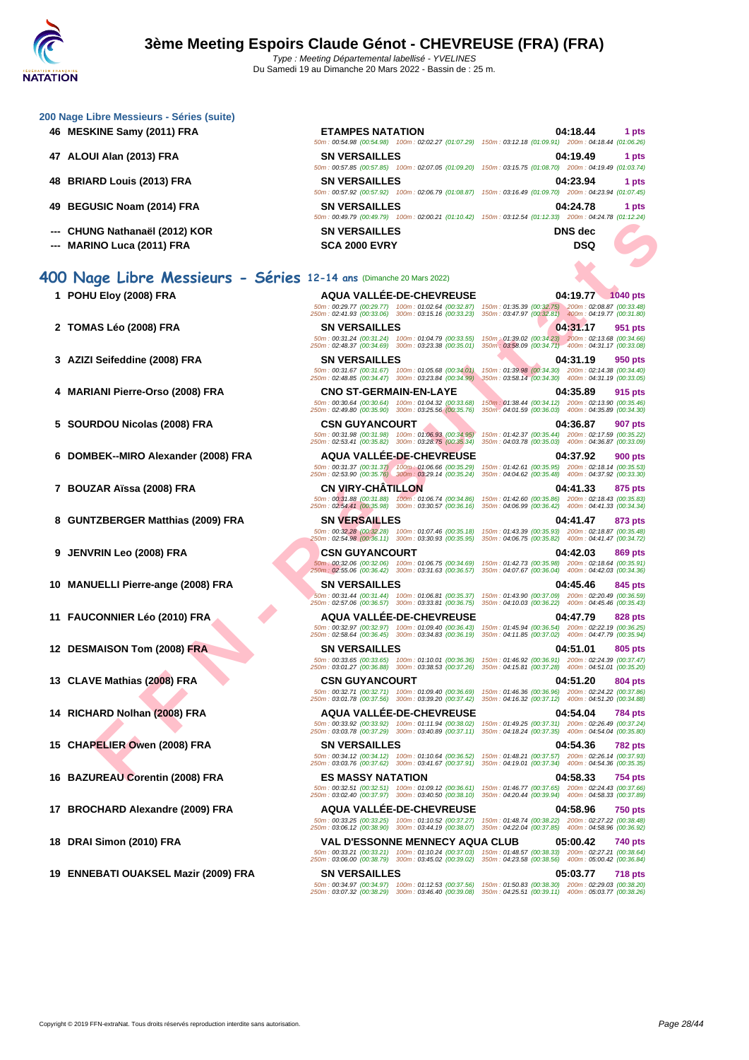|    | 200 Nage Libre Messieurs - Séries (suite)<br>46 MESKINE Samy (2011) FRA | <b>ETAMPES NATATION</b>                                                                                                                                                                                                                                     | 04:18.44<br>1 pts                                                                                                                                                                                                                     |
|----|-------------------------------------------------------------------------|-------------------------------------------------------------------------------------------------------------------------------------------------------------------------------------------------------------------------------------------------------------|---------------------------------------------------------------------------------------------------------------------------------------------------------------------------------------------------------------------------------------|
|    | 47   ALOUI Alan (2013) FRA                                              | <b>SN VERSAILLES</b>                                                                                                                                                                                                                                        | 50m: 00:54.98 (00:54.98) 100m: 02:02.27 (01:07.29) 150m: 03:12.18 (01:09.91) 200m: 04:18.44 (01:06.26)<br>04:19.49<br>1 pts                                                                                                           |
| 48 | <b>BRIARD Louis (2013) FRA</b>                                          | <b>SN VERSAILLES</b>                                                                                                                                                                                                                                        | 50m: 00:57.85 (00:57.85) 100m: 02:07.05 (01:09.20) 150m: 03:15.75 (01:08.70) 200m: 04:19.49 (01:03.74)<br>04:23.94<br>1 pts<br>50m: 00:57.92 (00:57.92) 100m: 02:06.79 (01:08.87) 150m: 03:16.49 (01:09.70) 200m: 04:23.94 (01:07.45) |
| 49 | <b>BEGUSIC Noam (2014) FRA</b>                                          | <b>SN VERSAILLES</b>                                                                                                                                                                                                                                        | 04:24.78<br>1 pts<br>50m : 00:49.79 (00:49.79) 100m : 02:00.21 (01:10.42) 150m : 03:12.54 (01:12.33) 200m : 04:24.78 (01:12.24)                                                                                                       |
|    | CHUNG Nathanaël (2012) KOR<br><b>MARINO Luca (2011) FRA</b>             | <b>SN VERSAILLES</b><br><b>SCA 2000 EVRY</b>                                                                                                                                                                                                                | <b>DNS</b> dec<br>DSQ                                                                                                                                                                                                                 |
|    |                                                                         |                                                                                                                                                                                                                                                             |                                                                                                                                                                                                                                       |
|    | 400 Nage Libre Messieurs - Séries 12-14 ans (Dimanche 20 Mars 2022)     |                                                                                                                                                                                                                                                             |                                                                                                                                                                                                                                       |
|    | 1 POHU Eloy (2008) FRA                                                  | AQUA VALLÉE-DE-CHEVREUSE<br>50m: 00:29.77 (00:29.77) 100m: 01:02.64 (00:32.87)<br>250m: 02:41.93 (00:33.06) 300m: 03:15.16 (00:33.23) 350m: 03:47.97 (00:32.81) 400m: 04:19.77 (00:31.80)                                                                   | 04:19.77 1040 pts<br>150m: 01:35.39 (00:32.75) 200m: 02:08.87 (00:33.48)                                                                                                                                                              |
|    | 2 TOMAS Léo (2008) FRA                                                  | <b>SN VERSAILLES</b><br>50m: 00:31.24 (00:31.24) 100m: 01:04.79 (00:33.55)                                                                                                                                                                                  | 04:31.17<br>951 pts<br>150m : 01:39.02 (00:34.23) 200m : 02:13.68 (00:34.66)                                                                                                                                                          |
|    | 3 AZIZI Seifeddine (2008) FRA                                           | 250m: 02:48.37 (00:34.69) 300m: 03:23.38 (00:35.01)<br><b>SN VERSAILLES</b>                                                                                                                                                                                 | 350m : 03:58.09 (00:34.71) 400m : 04:31.17 (00:33.08)<br>04:31.19<br>950 pts                                                                                                                                                          |
|    |                                                                         | 50m: 00:31.67 (00:31.67) 100m: 01:05.68 (00:34.01)<br>250m: 02:48.85 (00:34.47) 300m: 03:23.84 (00:34.99)                                                                                                                                                   | 150m: 01:39.98 (00:34.30) 200m: 02:14.38 (00:34.40)<br>350m: 03:58.14 (00:34.30) 400m: 04:31.19 (00:33.05)                                                                                                                            |
|    | 4 MARIANI Pierre-Orso (2008) FRA                                        | <b>CNO ST-GERMAIN-EN-LAYE</b><br>50m: 00:30.64 (00:30.64) 100m: 01:04.32 (00:33.68)<br>250m: 02:49.80 (00:35.90) 300m: 03:25.56 (00:35.76)                                                                                                                  | 04:35.89<br>915 pts<br>150m: 01:38.44 (00:34.12) 200m: 02:13.90 (00:35.46)<br>350m: 04:01.59 (00:36.03) 400m: 04:35.89 (00:34.30)                                                                                                     |
|    | <b>SOURDOU Nicolas (2008) FRA</b>                                       | <b>CSN GUYANCOURT</b><br>250m: 02:53.41 (00:35.82) 300m: 03:28.75 (00:35.34)                                                                                                                                                                                | 04:36.87<br>907 pts<br>50m: 00:31.98 (00:31.98) 100m: 01:06.93 (00:34.95) 150m: 01:42.37 (00:35.44) 200m: 02:17.59 (00:35.22)<br>350m: 04:03.78 (00:35.03) 400m: 04:36.87 (00:33.09)                                                  |
|    | 6 DOMBEK--MIRO Alexander (2008) FRA                                     | <b>AQUA VALLEE-DE-CHEVREUSE</b><br>50m : 00:31.37 (00:31.37) / 100m : 01:06.66 (00:35.29) 150m : 01:42.61 (00:35.95) 200m : 02:18.14 (00:35.53) 250m : 02:53.90 (00:35.76) 300m : 03:29.14 (00:35.76) 300m : 03:29.14 (00:35.76) 300m : 04:37.92 (00:33.30) | 04:37.92<br><b>900 pts</b>                                                                                                                                                                                                            |
|    | 7 BOUZAR Aïssa (2008) FRA                                               | <b>CN VIRY-CHATILLON</b>                                                                                                                                                                                                                                    | 04:41.33<br>875 pts<br>50m: 00:31.88 (00:31.88) 100m: 01:06.74 (00:34.86) 150m: 01:42.60 (00:35.86) 200m: 02:18.43 (00:35.83)                                                                                                         |
|    | 8 GUNTZBERGER Matthias (2009) FRA                                       | 250m: 02:54.41 (00:35.98) 300m: 03:30.57 (00:36.16)<br><b>SN VERSAILLES</b>                                                                                                                                                                                 | 350m: 04:06.99 (00:36.42) 400m: 04:41.33 (00:34.34)<br>04:41.47<br>873 pts                                                                                                                                                            |
|    |                                                                         | 250m: 02:54.98 (00:36.11) 300m: 03:30.93 (00:35.95) 350m: 04:06.75 (00:35.82) 400m: 04:41.47 (00:34.72)                                                                                                                                                     | 50m: 00:32.28 (00:32.28) 100m: 01:07.46 (00:35.18) 150m: 01:43.39 (00:35.93) 200m: 02:18.87 (00:35.48)                                                                                                                                |
|    | 9 JENVRIN Leo (2008) FRA                                                | <b>CSN GUYANCOURT</b><br>50m: 00:32.06 (00:32.06) 100m: 01:06.75 (00:34.69)<br>250m: 02:55.06 (00:36.42) 300m: 03:31.63 (00:36.57) 350m: 04:07.67 (00:36.04) 400m: 04:42.03 (00:34.36)                                                                      | 04:42.03<br>869 pts<br>150m: 01:42.73 (00:35.98) 200m: 02:18.64 (00:35.91)                                                                                                                                                            |
|    | 10 MANUELLI Pierre-ange (2008) FRA                                      | <b>SN VERSAILLES</b><br>50m: 00:31.44 (00:31.44) 100m: 01:06.81 (00:35.37)                                                                                                                                                                                  | 04:45.46<br>845 pts<br>150m: 01:43.90 (00:37.09) 200m: 02:20.49 (00:36.59)                                                                                                                                                            |
|    | 11 FAUCONNIER Léo (2010) FRA                                            | 250m: 02:57.06 (00:36.57) 300m: 03:33.81 (00:36.75)<br>AQUA VALLEE-DE-CHEVREUSE<br>50m: 00:32.97 (00:32.97) 100m: 01:09.40 (00:36.43)                                                                                                                       | 350m: 04:10.03 (00:36.22) 400m: 04:45.46 (00:35.43)<br>04:47.79<br>828 pts<br>150m: 01:45.94 (00:36.54) 200m: 02:22.19 (00:36.25)                                                                                                     |
|    | 12 DESMAISON Tom (2008) FRA                                             | 250m: 02:58.64 (00:36.45) 300m: 03:34.83 (00:36.19)<br><b>SN VERSAILLES</b>                                                                                                                                                                                 | 350m: 04:11.85 (00:37.02) 400m: 04:47.79 (00:35.94)<br>04:51.01<br>805 pts                                                                                                                                                            |
|    |                                                                         | 250m: 03:01.27 (00:36.88) 300m: 03:38.53 (00:37.26) 350m: 04:15.81 (00:37.28) 400m: 04:51.01 (00:35.20)                                                                                                                                                     | 50m: 00:33.65 (00:33.65) 100m: 01:10.01 (00:36.36) 150m: 01:46.92 (00:36.91) 200m: 02:24.39 (00:37.47)                                                                                                                                |
|    | 13 CLAVE Mathias (2008) FRA                                             | <b>CSN GUYANCOURT</b><br>250m: 03:01.78 (00:37.56) 300m: 03:39.20 (00:37.42) 350m: 04:16.32 (00:37.12) 400m: 04:51.20 (00:34.88)                                                                                                                            | 04:51.20<br>804 pts<br>50m: 00:32.71 (00:32.71) 100m: 01:09.40 (00:36.69) 150m: 01:46.36 (00:36.96) 200m: 02:24.22 (00:37.86)                                                                                                         |
|    | 14 RICHARD Nolhan (2008) FRA                                            | <b>AQUA VALLEE-DE-CHEVREUSE</b>                                                                                                                                                                                                                             | 04:54.04<br>784 pts<br>50m: 00:33.92 (00:33.92) 100m: 01:11.94 (00:38.02) 150m: 01:49.25 (00:37.31) 200m: 02:26.49 (00:37.24)                                                                                                         |
|    | 15 CHAPELIER Owen (2008) FRA                                            | 250m: 03:03.78 (00:37.29) 300m: 03:40.89 (00:37.11) 350m: 04:18.24 (00:37.35) 400m: 04:54.04 (00:35.80)<br><b>SN VERSAILLES</b><br>50m: 00:34.12 (00:34.12) 100m: 01:10.64 (00:36.52)                                                                       | 04:54.36<br>782 pts<br>150m : 01:48.21 (00:37.57)   200m : 02:26.14 (00:37.93)                                                                                                                                                        |
|    | 16 BAZUREAU Corentin (2008) FRA                                         | 250m: 03:03.76 (00:37.62) 300m: 03:41.67 (00:37.91) 350m: 04:19.01 (00:37.34) 400m: 04:54.36 (00:35.35)<br><b>ES MASSY NATATION</b>                                                                                                                         | 04:58.33<br>754 pts                                                                                                                                                                                                                   |
|    | 17 BROCHARD Alexandre (2009) FRA                                        | 250m: 03:02.40 (00:37.97) 300m: 03:40.50 (00:38.10) 350m: 04:20.44 (00:39.94) 400m: 04:58.33 (00:37.89)<br>AQUA VALLEE-DE-CHEVREUSE                                                                                                                         | 50m: 00:32.51 (00:32.51) 100m: 01:09.12 (00:36.61) 150m: 01:46.77 (00:37.65) 200m: 02:24.43 (00:37.66)<br>04:58.96<br><b>750 pts</b>                                                                                                  |
|    |                                                                         | 50m: 00:33.25 (00:33.25) 100m: 01:10.52 (00:37.27)<br>250m: 03:06.12 (00:38.90) 300m: 03:44.19 (00:38.07) 350m: 04:22.04 (00:37.85) 400m: 04:58.96 (00:36.92)                                                                                               | 150m: 01:48.74 (00:38.22) 200m: 02:27.22 (00:38.48)                                                                                                                                                                                   |
|    | 18 DRAI Simon (2010) FRA                                                | VAL D'ESSONNE MENNECY AQUA CLUB<br>250m: 03:06.00 (00:38.79) 300m: 03:45.02 (00:39.02) 350m: 04:23.58 (00:38.56) 400m: 05:00.42 (00:36.84)                                                                                                                  | 05:00.42<br>740 pts<br>50m: 00:33.21 (00:33.21) 100m: 01:10.24 (00:37.03) 150m: 01:48.57 (00:38.33) 200m: 02:27.21 (00:38.64)                                                                                                         |
|    | 19 ENNEBATI OUAKSEL Mazir (2009) FRA                                    | <b>SN VERSAILLES</b>                                                                                                                                                                                                                                        | 05:03.77<br><b>718 pts</b>                                                                                                                                                                                                            |

50m : 00:34.97 (00:34.97) 100m : 01:12.53 (00:37.56) 150m : 01:50.83 (00:38.30) 200m : 02:29.03 (00:38.20) 250m : 03:07.32 (00:38.29) 300m : 03:46.40 (00:39.08) 350m : 04:25.51 (00:39.11) 400m : 05:03.77 (00:38.26)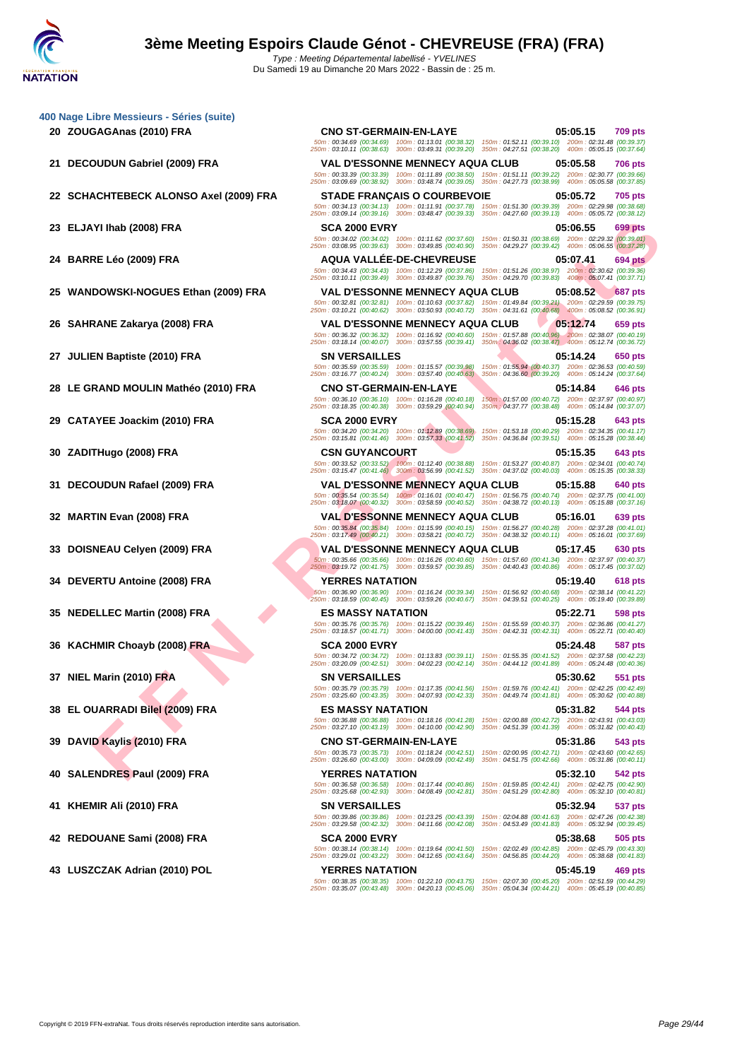|    | 400 Nage Libre Messieurs - Séries (suite) |                                                                                                                                                                                                                         |          |                |
|----|-------------------------------------------|-------------------------------------------------------------------------------------------------------------------------------------------------------------------------------------------------------------------------|----------|----------------|
|    | 20 ZOUGAGAnas (2010) FRA                  | <b>CNO ST-GERMAIN-EN-LAYE</b>                                                                                                                                                                                           | 05:05.15 | <b>709 pts</b> |
|    |                                           | 50m: 00:34.69 (00:34.69) 100m: 01:13.01 (00:38.32) 150m: 01:52.11 (00:39.10) 200m: 02:31.48 (00:39.37)<br>250m: 03:10.11 (00:38.63) 300m: 03:49.31 (00:39.20) 350m: 04:27.51 (00:38.20) 400m: 05:05.15 (00:37.64)       |          |                |
| 21 | DECOUDUN Gabriel (2009) FRA               | <b>VAL D'ESSONNE MENNECY AQUA CLUB</b>                                                                                                                                                                                  | 05:05.58 | <b>706 pts</b> |
|    |                                           | 50m: 00:33.39 (00:33.39) 100m: 01:11.89 (00:38.50)<br>150m: 01:51.11 (00:39.22) 200m: 02:30.77 (00:39.66)<br>250m: 03:09.69 (00:38.92) 300m: 03:48.74 (00:39.05)<br>350m: 04:27.73 (00:38.99) 400m: 05:05.58 (00:37.85) |          |                |
|    | 22 SCHACHTEBECK ALONSO Axel (2009) FRA    | <b>STADE FRANÇAIS O COURBEVOIE</b>                                                                                                                                                                                      | 05:05.72 | <b>705 pts</b> |
|    |                                           | 50m: 00:34.13 (00:34.13) 100m: 01:11.91 (00:37.78)<br>150m: 01:51.30 (00:39.39) 200m: 02:29.98 (00:38.68)                                                                                                               |          |                |
|    |                                           | 250m: 03:09.14 (00:39.16) 300m: 03:48.47 (00:39.33)<br>350m: 04:27.60 (00:39.13) 400m: 05:05.72 (00:38.12)                                                                                                              |          |                |
|    | 23 ELJAYI Ihab (2008) FRA                 | <b>SCA 2000 EVRY</b><br>50m: 00:34.02 (00:34.02) 100m: 01:11.62 (00:37.60)<br>150m: 01:50.31 (00:38.69) 200m: 02:29.32 (00:39.01)                                                                                       | 05:06.55 | 699 pts        |
|    |                                           | 250m: 03:08.95 (00:39.63) 300m: 03:49.85 (00:40.90)<br>350m: 04:29.27 (00:39.42) 400m: 05:06.55 (00:37.28)                                                                                                              |          |                |
|    | 24 BARRE Léo (2009) FRA                   | <b>AQUA VALLEE-DE-CHEVREUSE</b><br>50m: 00:34.43 (00:34.43) 100m: 01:12.29 (00:37.86)<br>150m: 01:51.26 (00:38.97) 200m: 02:30.62 (00:39.36)                                                                            | 05:07.41 | <b>694 pts</b> |
|    |                                           | 250m: 03:10.11 (00:39.49) 300m: 03:49.87 (00:39.76)<br>350m: 04:29.70 (00:39.83) 400m: 05:07.41 (00:37.71)                                                                                                              |          |                |
| 25 | WANDOWSKI-NOGUES Ethan (2009) FRA         | <b>VAL D'ESSONNE MENNECY AQUA CLUB</b>                                                                                                                                                                                  | 05:08.52 | <b>687 pts</b> |
|    |                                           | 50m: 00:32.81 (00:32.81) 100m: 01:10.63 (00:37.82)<br>150m: 01:49.84 (00:39.21) 200m: 02:29.59 (00:39.75)<br>250m: 03:10.21 (00:40.62) 300m: 03:50.93 (00:40.72)<br>350m: 04:31.61 (00:40.68) 400m: 05:08.52 (00:36.91) |          |                |
| 26 | SAHRANE Zakarya (2008) FRA                | <b>VAL D'ESSONNE MENNECY AQUA CLUB</b>                                                                                                                                                                                  | 05:12.74 | 659 pts        |
|    |                                           | 50m: 00:36.32 (00:36.32) 100m: 01:16.92 (00:40.60)<br>150m; 01:57.88 (00:40.96) 200m: 02:38.07 (00:40.19)<br>250m: 03:18.14 (00:40.07) 300m: 03:57.55 (00:39.41)<br>350m: 04:36.02 (00:38.47) 400m: 05:12.74 (00:36.72) |          |                |
|    | 27 JULIEN Baptiste (2010) FRA             | <b>SN VERSAILLES</b>                                                                                                                                                                                                    | 05:14.24 | 650 pts        |
|    |                                           | 50m: 00:35.59 (00:35.59) 100m: 01:15.57 (00:39.98)<br>150m: 01:55.94 (00:40.37) 200m: 02:36.53 (00:40.59)<br>250m: 03:16.77 (00:40.24) 300m: 03:57.40 (00:40.63)<br>350m: 04:36.60 (00:39.20) 400m: 05:14.24 (00:37.64) |          |                |
|    | 28 LE GRAND MOULIN Mathéo (2010) FRA      | <b>CNO ST-GERMAIN-EN-LAYE</b>                                                                                                                                                                                           | 05:14.84 | 646 pts        |
|    |                                           | 150m: 01:57.00 (00:40.72) 200m: 02:37.97 (00:40.97)<br>50m: 00:36.10 (00:36.10) 100m: 01:16.28 (00:40.18)                                                                                                               |          |                |
|    | 29 CATAYEE Joackim (2010) FRA             | 250m: 03:18.35 (00:40.38) 300m: 03:59.29 (00:40.94)<br>350m : 04:37.77 (00:38.48) 400m : 05:14.84 (00:37.07)<br><b>SCA 2000 EVRY</b>                                                                                    | 05:15.28 |                |
|    |                                           | 50m: 00:34.20 (00:34.20) 100m: 01:12.89 (00:38.69)<br>150m: 01:53.18 (00:40.29) 200m: 02:34.35 (00:41.17)                                                                                                               |          | 643 pts        |
|    |                                           | 250m: 03:15.81 (00:41.46) 300m: 03:57.33 (00:41.52)<br>350m: 04:36.84 (00:39.51) 400m: 05:15.28 (00:38.44)                                                                                                              |          |                |
| 30 | ZADITHugo (2008) FRA                      | <b>CSN GUYANCOURT</b><br>50m: 00:33.52 (00:33.52) 100m: 01:12.40 (00:38.88)<br>150m: 01:53.27 (00:40.87) 200m: 02:34.01 (00:40.74)                                                                                      | 05:15.35 | 643 pts        |
|    |                                           | 250m: 03:15.47 (00:41.46) 300m: 03:56.99 (00:41.52)<br>350m: 04:37.02 (00:40.03) 400m: 05:15.35 (00:38.33)                                                                                                              |          |                |
|    | 31 DECOUDUN Rafael (2009) FRA             | <b>VAL D'ESSONNE MENNECY AQUA CLUB</b>                                                                                                                                                                                  | 05:15.88 | 640 pts        |
|    |                                           | 50m: 00:35.54 (00:35.54) 100m: 01:16.01 (00:40.47) 150m: 01:56.75 (00:40.74) 200m: 02:37.75 (00:41.00)<br>250m: 03:18.07 (00:40.32) 300m: 03:58.59 (00:40.52)<br>350m: 04:38.72 (00:40.13) 400m: 05:15.88 (00:37.16)    |          |                |
|    | 32 MARTIN Evan (2008) FRA                 | <b>VAL D'ESSONNE MENNECY AQUA CLUB</b>                                                                                                                                                                                  | 05:16.01 | 639 pts        |
|    |                                           | 50m: 00:35.84 (00:35.84) 100m: 01:15.99 (00:40.15)<br>150m: 01:56.27 (00:40.28) 200m: 02:37.28 (00:41.01)<br>250m: 03:17.49 (00:40.21) 300m: 03:58.21 (00:40.72)<br>350m: 04:38.32 (00:40.11) 400m: 05:16.01 (00:37.69) |          |                |
| 33 | DOISNEAU Celyen (2009) FRA                | <b>VAL D'ESSONNE MENNECY AQUA CLUB</b>                                                                                                                                                                                  | 05:17.45 | 630 pts        |
|    |                                           | 150m: 01:57.60 (00:41.34) 200m: 02:37.97 (00:40.37)<br>50m: 00:35.66 (00:35.66) 100m: 01:16.26 (00:40.60)<br>250m: 03:19.72 (00:41.75) 300m: 03:59.57 (00:39.85)<br>350m: 04:40.43 (00:40.86) 400m: 05:17.45 (00:37.02) |          |                |
| 34 | <b>DEVERTU Antoine (2008) FRA</b>         | <b>YERRES NATATION</b>                                                                                                                                                                                                  | 05:19.40 | 618 pts        |
|    |                                           | 50m: 00:36.90 (00:36.90) 100m: 01:16.24 (00:39.34)<br>150m: 01:56.92 (00:40.68) 200m: 02:38.14 (00:41.22)<br>250m: 03:18.59 (00:40.45) 300m: 03:59.26 (00:40.67)                                                        |          |                |
|    |                                           | 350m: 04:39.51 (00:40.25) 400m: 05:19.40 (00:39.89)<br><b>ES MASSY NATATION</b>                                                                                                                                         |          |                |
|    | <b>NEDELLEC Martin (2008) FRA</b>         | 50m: 00:35.76 (00:35.76) 100m: 01:15.22 (00:39.46)<br>150m: 01:55.59 (00:40.37) 200m: 02:36.86 (00:41.27)                                                                                                               | 05:22.71 | 598 pts        |
|    |                                           | 250m: 03:18.57 (00:41.71) 300m: 04:00.00 (00:41.43)<br>350m: 04:42.31 (00:42.31) 400m: 05:22.71 (00:40.40)                                                                                                              |          |                |
|    | 36 KACHMIR Choayb (2008) FRA              | <b>SCA 2000 EVRY</b><br>50m: 00:34.72 (00:34.72) 100m: 01:13.83 (00:39.11) 150m: 01:55.35 (00:41.52) 200m: 02:37.58 (00:42.23)                                                                                          | 05:24.48 | 587 pts        |
|    |                                           | 250m: 03:20.09 (00:42.51) 300m: 04:02.23 (00:42.14) 350m: 04:44.12 (00:41.89) 400m: 05:24.48 (00:40.36)                                                                                                                 |          |                |
|    | 37 NIEL Marin (2010) FRA                  | <b>SN VERSAILLES</b><br>50m: 00:35.79 (00:35.79) 100m: 01:17.35 (00:41.56) 150m: 01:59.76 (00:42.41) 200m: 02:42.25 (00:42.49)                                                                                          | 05:30.62 | 551 pts        |
|    |                                           | 250m: 03:25.60 (00:43.35) 300m: 04:07.93 (00:42.33)<br>350m: 04:49.74 (00:41.81) 400m: 05:30.62 (00:40.88)                                                                                                              |          |                |
| 38 | EL OUARRADI Bilel (2009) FRA              | <b>ES MASSY NATATION</b>                                                                                                                                                                                                | 05:31.82 | 544 pts        |
|    |                                           | 50m: 00:36.88 (00:36.88) 100m: 01:18.16 (00:41.28)<br>150m: 02:00.88 (00:42.72) 200m: 02:43.91 (00:43.03)<br>250m: 03:27.10 (00:43.19) 300m: 04:10.00 (00:42.90)<br>350m: 04:51.39 (00:41.39) 400m: 05:31.82 (00:40.43) |          |                |
|    | DAVID Kaylis (2010) FRA                   | <b>CNO ST-GERMAIN-EN-LAYE</b>                                                                                                                                                                                           | 05:31.86 | 543 pts        |
|    |                                           | 50m: 00:35.73 (00:35.73) 100m: 01:18.24 (00:42.51)<br>150m: 02:00.95 (00:42.71) 200m: 02:43.60 (00:42.65)<br>250m: 03:26.60 (00:43.00) 300m: 04:09.09 (00:42.49)<br>350m: 04:51.75 (00:42.66) 400m: 05:31.86 (00:40.11) |          |                |
| 40 | SALENDRES Paul (2009) FRA                 | <b>YERRES NATATION</b>                                                                                                                                                                                                  | 05:32.10 | 542 pts        |
|    |                                           | 50m: 00:36.58 (00:36.58) 100m: 01:17.44 (00:40.86)<br>150m: 01:59.85 (00:42.41) 200m: 02:42.75 (00:42.90)<br>250m: 03:25.68 (00:42.93) 300m: 04:08.49 (00:42.81) 350m: 04:51.29 (00:42.80) 400m: 05:32.10 (00:40.81)    |          |                |
|    | 41 KHEMIR Ali (2010) FRA                  | <b>SN VERSAILLES</b>                                                                                                                                                                                                    |          |                |
|    |                                           | 50m: 00:39.86 (00:39.86) 100m: 01:23.25 (00:43.39)<br>150m: 02:04.88 (00:41.63) 200m: 02:47.26 (00:42.38)                                                                                                               | 05:32.94 | 537 pts        |
|    |                                           | 250m: 03:29.58 (00:42.32) 300m: 04:11.66 (00:42.08)<br>350m: 04:53.49 (00:41.83) 400m: 05:32.94 (00:39.45)                                                                                                              |          |                |
|    | 42 REDOUANE Sami (2008) FRA               | <b>SCA 2000 EVRY</b><br>50m: 00:38.14 (00:38.14) 100m: 01:19.64 (00:41.50)<br>150m: 02:02.49 (00:42.85) 200m: 02:45.79 (00:43.30)                                                                                       | 05:38.68 | 505 pts        |
|    |                                           | 250m: 03:29.01 (00:43.22) 300m: 04:12.65 (00:43.64)<br>350m: 04:56.85 (00:44.20) 400m: 05:38.68 (00:41.83)                                                                                                              |          |                |
|    |                                           |                                                                                                                                                                                                                         |          |                |
|    | 43 LUSZCZAK Adrian (2010) POL             | <b>YERRES NATATION</b><br>50m: 00:38.35 (00:38.35) 100m: 01:22.10 (00:43.75)<br>150m: 02:07.30 (00:45.20) 200m: 02:51.59 (00:44.29)                                                                                     | 05:45.19 | 469 pts        |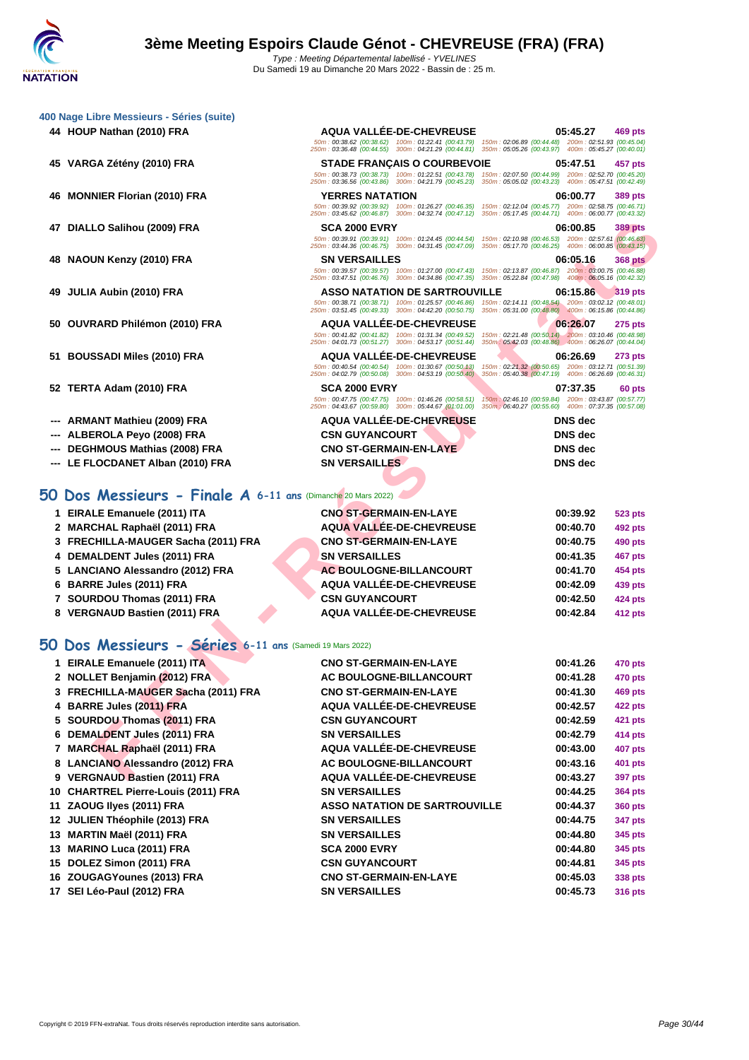50m : 00:38.62 (00:38.62) 100m : 01:22.41 (00:43.79) 150m : 02:06.89 (00:44.48) 200m : 02:51.93 (00:45.04) 250m : 03:36.48 (00:44.55) 300m : 04:21.29 (00:44.81) 350m : 05:05.26 (00:43.97) 400m : 05:45.27 (00:40.01)

50m : 00:38.73 (00:38.73) 100m : 01:22.51 (00:43.78) 150m : 02:07.50 (00:44.99) 200m : 02:52.70 (00:45.20) 250m : 03:36.56 (00:43.86) 300m : 04:21.79 (00:45.23) 350m : 05:05.02 (00:43.23) 400m : 05:47.51 (00:42.49)

50m : 00:39.92 (00:39.92) 100m : 01:26.27 (00:46.35) 150m : 02:12.04 (00:45.77) 200m : 02:58.75 (00:46.71) 250m : 03:45.62 (00:46.87) 300m : 04:32.74 (00:47.12) 350m : 05:17.45 (00:44.71) 400m : 06:00.77 (00:43.32)

|  | 400 Nage Libre Messieurs - Séries (suite) |  |  |
|--|-------------------------------------------|--|--|
|  |                                           |  |  |

- **HOUP Nathan (2010) FRA AQUA VALLÉE-DE-CHEVREUSE 05:45.27 469 pts**
- **VARGA Zétény (2010) FRA STADE FRANÇAIS O COURBEVOIE 05:47.51 457 pts**
- **MONNIER Florian (2010) FRA YERRES NATATION 06:00.77 389 pts**
- **DIALLO Salihou (2009) FRA SCA 2000 EVRY 06:00.85 389 pts**
- **NAOUN Kenzy (2010) FRA SN VERSAILLES 06:05.16 368 pts**
- **JULIA Aubin (2010) FRA ASSO NATATION DE SARTROUVILLE 06:15.86 319 pts**
- **OUVRARD Philémon (2010) FRA AQUA VALLÉE-DE-CHEVREUSE 06:26.07 275 pts**
- **BOUSSADI Miles (2010) FRA AQUA VALLÉE-DE-CHEVREUSE 06:26.69 273 pts**
- **TERTA Adam (2010) FRA SCA 2000 EVRY 07:37.35 60 pts**
- **--- ARMANT Mathieu (2009) FRA AQUA VALLÉE-DE-CHEVREUSE DNS dec**
- **--- ALBEROLA Peyo (2008) FRA CSN GUYANCOURT DNS dec**
- **--- DEGHMOUS Mathias (2008) FRA CNO ST-GERMAIN-EN-LAYE DNS dec**
- **--- LE FLOCDANET Alban (2010) FRA SN VERSAILLES DNS dec**

### **50 Dos Messieurs - Finale A 6-11 ans** (Dimanche 20 Mars 2022)

| 1 EIRALE Emanuele (2011) ITA        | <b>CNO ST-GERMAIN-EN-LAYE</b> | 00:39.92 | 523 pts        |
|-------------------------------------|-------------------------------|----------|----------------|
| 2 MARCHAL Raphaël (2011) FRA        | AQUA VALLÉE-DE-CHEVREUSE      | 00:40.70 | 492 pts        |
| 3 FRECHILLA-MAUGER Sacha (2011) FRA | <b>CNO ST-GERMAIN-EN-LAYE</b> | 00:40.75 | 490 pts        |
| 4 DEMALDENT Jules (2011) FRA        | <b>SN VERSAILLES</b>          | 00:41.35 | 467 pts        |
| 5 LANCIANO Alessandro (2012) FRA    | AC BOULOGNE-BILLANCOURT       | 00:41.70 | 454 pts        |
| 6 BARRE Jules (2011) FRA            | AQUA VALLÉE-DE-CHEVREUSE      | 00:42.09 | 439 pts        |
| 7 SOURDOU Thomas (2011) FRA         | <b>CSN GUYANCOURT</b>         | 00:42.50 | 424 pts        |
| 8 VERGNAUD Bastien (2011) FRA       | AQUA VALLÉE-DE-CHEVREUSE      | 00:42.84 | <b>412 pts</b> |

### **50 Dos Messieurs - Séries 6-11 ans** (Samedi 19 Mars 2022)

|   | 47   DIALLO Salihou (2009) FRA                            | <b>SCA 2000 EVRY</b>                                                                                      | 06:00.85<br>150m: 02:10.98 (00:46.53) 200m: 02:57.61 (00:46.63)                                              | <b>389 pts</b> |
|---|-----------------------------------------------------------|-----------------------------------------------------------------------------------------------------------|--------------------------------------------------------------------------------------------------------------|----------------|
|   |                                                           | 50m: 00:39.91 (00:39.91) 100m: 01:24.45 (00:44.54)<br>250m: 03:44.36 (00:46.75) 300m: 04:31.45 (00:47.09) | 400m: 06:00.85 (00:43.15)<br>350m: 05:17.70 (00:46.25)                                                       |                |
|   | 48   NAOUN Kenzy (2010) FRA                               | <b>SN VERSAILLES</b>                                                                                      | 06:05.16                                                                                                     | <b>368 pts</b> |
|   |                                                           | 50m: 00:39.57 (00:39.57) 100m: 01:27.00 (00:47.43)<br>250m: 03:47.51 (00:46.76) 300m: 04:34.86 (00:47.35) | 150m: 02:13.87 (00:46.87) 200m: 03:00.75 (00:46.88)<br>350m: 05:22.84 (00:47.98) 400m: 06:05.16 (00:42.32)   |                |
|   | 49  JULIA Aubin (2010) FRA                                | <b>ASSO NATATION DE SARTROUVILLE</b>                                                                      | 06:15.86                                                                                                     | 319 pts        |
|   |                                                           | 50m: 00:38.71 (00:38.71) 100m: 01:25.57 (00:46.86)<br>250m: 03:51.45 (00:49.33) 300m: 04:42.20 (00:50.75) | 150m: 02:14.11 (00:48.54) 200m: 03:02.12 (00:48.01)<br>350m : 05:31.00 (00:48.80) 400m : 06:15.86 (00:44.86) |                |
|   | 50 OUVRARD Philémon (2010) FRA                            | <b>AQUA VALLEE-DE-CHEVREUSE</b>                                                                           | 06:26.07                                                                                                     | <b>275 pts</b> |
|   |                                                           | 50m: 00:41.82 (00:41.82) 100m: 01:31.34 (00:49.52)                                                        | 150m; 02:21.48 (00:50.14) 200m: 03:10.46 (00:48.98)                                                          |                |
|   | 51 BOUSSADI Miles (2010) FRA                              | 250m: 04:01.73 (00:51.27) 300m: 04:53.17 (00:51.44)<br><b>AQUA VALLEE-DE-CHEVREUSE</b>                    | 350m: 05:42.03 (00:48.86) 400m: 06:26.07 (00:44.04)<br>06:26.69                                              | <b>273 pts</b> |
|   |                                                           | 50m: 00:40.54 (00:40.54) 100m: 01:30.67 (00:50.13)                                                        | 150m: 02:21.32 (00:50.65) 200m: 03:12.71 (00:51.39)                                                          |                |
|   |                                                           | 250m: 04:02.79 (00:50.08) 300m: 04:53.19 (00:50.40)                                                       | 350m: 05:40.38 (00:47.19) 400m: 06:26.69 (00:46.31)                                                          |                |
|   | 52 TERTA Adam (2010) FRA                                  | <b>SCA 2000 EVRY</b><br>50m: 00:47.75 (00:47.75) 100m: 01:46.26 (00:58.51)                                | 07:37.35<br>150m: 02:46.10 (00:59.84) 200m: 03:43.87 (00:57.77)                                              | 60 pts         |
|   |                                                           | 250m: 04:43.67 (00:59.80) 300m: 05:44.67 (01:01.00)                                                       | 350m : 06:40.27 (00:55.60) 400m : 07:37.35 (00:57.08)                                                        |                |
|   | ---   ARMANT Mathieu (2009) FRA                           | <b>AQUA VALLÉE-DE-CHEVREUSE</b>                                                                           | <b>DNS</b> dec                                                                                               |                |
|   | --- ALBEROLA Peyo (2008) FRA                              | <b>CSN GUYANCOURT</b>                                                                                     | <b>DNS</b> dec                                                                                               |                |
|   | --- DEGHMOUS Mathias (2008) FRA                           | <b>CNO ST-GERMAIN-EN-LAYE</b>                                                                             | <b>DNS</b> dec                                                                                               |                |
|   | --- LE FLOCDANET Alban (2010) FRA                         | <b>SN VERSAILLES</b>                                                                                      | <b>DNS</b> dec                                                                                               |                |
|   |                                                           |                                                                                                           |                                                                                                              |                |
| O | Dos Messieurs - Finale A 6-11 ans (Dimanche 20 Mars 2022) |                                                                                                           |                                                                                                              |                |
|   | 1 EIRALE Emanuele (2011) ITA                              | <b>CNO ST-GERMAIN-EN-LAYE</b>                                                                             | 00:39.92                                                                                                     | 523 pts        |
|   | 2 MARCHAL Raphaël (2011) FRA                              | <b>AQUA VALLEE-DE-CHEVREUSE</b>                                                                           | 00:40.70                                                                                                     | 492 pts        |
|   | 3 FRECHILLA-MAUGER Sacha (2011) FRA                       | <b>CNO ST-GERMAIN-EN-LAYE</b>                                                                             | 00:40.75                                                                                                     | 490 pts        |
|   | 4 DEMALDENT Jules (2011) FRA                              | <b>SN VERSAILLES</b>                                                                                      | 00:41.35                                                                                                     | 467 pts        |
|   | 5 LANCIANO Alessandro (2012) FRA                          | <b>AC BOULOGNE-BILLANCOURT</b>                                                                            | 00:41.70                                                                                                     | 454 pts        |
|   | 6 BARRE Jules (2011) FRA                                  | <b>AQUA VALLÉE-DE-CHEVREUSE</b>                                                                           | 00:42.09                                                                                                     | 439 pts        |
|   | 7 SOURDOU Thomas (2011) FRA                               | <b>CSN GUYANCOURT</b>                                                                                     | 00:42.50                                                                                                     | 424 pts        |
|   | 8 VERGNAUD Bastien (2011) FRA                             | <b>AQUA VALLÉE-DE-CHEVREUSE</b>                                                                           | 00:42.84                                                                                                     | 412 pts        |
|   |                                                           |                                                                                                           |                                                                                                              |                |
| O | Dos Messieurs - Séries 6-11 ans (Samedi 19 Mars 2022)     |                                                                                                           |                                                                                                              |                |
|   | 1 EIRALE Emanuele (2011) ITA                              | <b>CNO ST-GERMAIN-EN-LAYE</b>                                                                             | 00:41.26                                                                                                     | 470 pts        |
|   | 2 NOLLET Benjamin (2012) FRA                              | <b>AC BOULOGNE-BILLANCOURT</b>                                                                            | 00:41.28                                                                                                     | 470 pts        |
|   | 3 FRECHILLA-MAUGER Sacha (2011) FRA                       | <b>CNO ST-GERMAIN-EN-LAYE</b>                                                                             | 00:41.30                                                                                                     | 469 pts        |
|   | 4 BARRE Jules (2011) FRA                                  | <b>AQUA VALLÉE-DE-CHEVREUSE</b>                                                                           | 00:42.57                                                                                                     | 422 pts        |
|   | 5 SOURDOU Thomas (2011) FRA                               | <b>CSN GUYANCOURT</b>                                                                                     | 00:42.59                                                                                                     | 421 pts        |
| 6 | <b>DEMALDENT Jules (2011) FRA</b>                         | <b>SN VERSAILLES</b>                                                                                      | 00:42.79                                                                                                     | 414 pts        |
|   | 7 MARCHAL Raphaël (2011) FRA                              | <b>AQUA VALLÉE-DE-CHEVREUSE</b>                                                                           | 00:43.00                                                                                                     | 407 pts        |
|   | 8 LANCIANO Alessandro (2012) FRA                          | <b>AC BOULOGNE-BILLANCOURT</b>                                                                            | 00:43.16                                                                                                     | 401 pts        |
|   | 9 VERGNAUD Bastien (2011) FRA                             | <b>AQUA VALLÉE-DE-CHEVREUSE</b>                                                                           | 00:43.27                                                                                                     | <b>397 pts</b> |
|   | 10 CHARTREL Pierre-Louis (2011) FRA                       | <b>SN VERSAILLES</b>                                                                                      | 00:44.25                                                                                                     | <b>364 pts</b> |
|   | 11 ZAOUG Ilyes (2011) FRA                                 | <b>ASSO NATATION DE SARTROUVILLE</b>                                                                      | 00:44.37                                                                                                     | <b>360 pts</b> |
|   | 12 JULIEN Théophile (2013) FRA                            | <b>SN VERSAILLES</b>                                                                                      | 00:44.75                                                                                                     | 347 pts        |
|   | 13 MARTIN Maël (2011) FRA                                 | <b>SN VERSAILLES</b>                                                                                      | 00:44.80                                                                                                     | 345 pts        |
|   | 13 MARINO Luca (2011) FRA                                 | <b>SCA 2000 EVRY</b>                                                                                      | 00:44.80                                                                                                     | 345 pts        |
|   | 15 DOLEZ Simon (2011) FRA                                 | <b>CSN GUYANCOURT</b>                                                                                     | 00:44.81                                                                                                     | 345 pts        |
|   | 16 ZOUGAGYounes (2013) FRA                                | <b>CNO ST-GERMAIN-EN-LAYE</b>                                                                             | 00:45.03                                                                                                     | 338 pts        |
|   | 17 SEI Léo-Paul (2012) FRA                                | <b>SN VERSAILLES</b>                                                                                      | 00:45.73                                                                                                     | <b>316 pts</b> |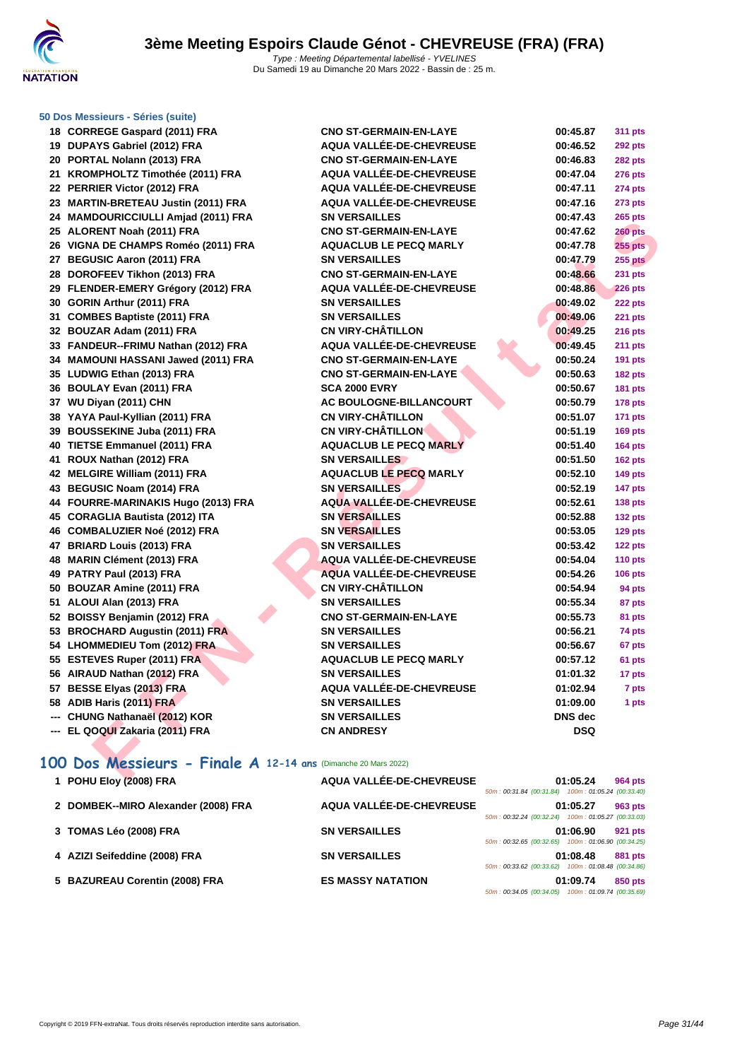

### **[50 Dos M](http://www.ffnatation.fr/webffn/index.php)essieurs - Séries (suite)**

| 18  | <b>CORREGE Gaspard (2011) FRA</b>       |
|-----|-----------------------------------------|
| 19  | DUPAYS Gabriel (2012) FRA               |
| 20  | PORTAL Nolann (2013) FRA                |
| 21  | KROMPHOLTZ Timothée (2011) FRA          |
| 22  | PERRIER Victor (2012) FRA               |
| 23  | <b>MARTIN-BRETEAU Justin (2011) FRA</b> |
| 24  | <b>MAMDOURICCIULLI Amjad (2011) FRA</b> |
| 25  | ALORENT Noah (2011) FRA                 |
| 26  | VIGNA DE CHAMPS Roméo (2011) FRA        |
| 27  | <b>BEGUSIC Aaron (2011) FRA</b>         |
| 28  | DOROFEEV Tikhon (2013) FRA              |
| 29  | FLENDER-EMERY Grégory (2012) FRA        |
| 30  | GORIN Arthur (2011) FRA                 |
| 31  | <b>COMBES Baptiste (2011) FRA</b>       |
| 32  | BOUZAR Adam (2011) FRA                  |
| 33  | FANDEUR--FRIMU Nathan (2012) FRA        |
| 34  | <b>MAMOUNI HASSANI Jawed (2011) FRA</b> |
| 35  | LUDWIG Ethan (2013) FRA                 |
| 36  | <b>BOULAY Evan (2011) FRA</b>           |
| 37  | WU Diyan (2011) CHN                     |
| 38  | YAYA Paul-Kyllian (2011) FRA            |
| 39  | <b>BOUSSEKINE Juba (2011) FRA</b>       |
| 40  | <b>TIETSE Emmanuel (2011) FRA</b>       |
| 41  | ROUX Nathan (2012) FRA                  |
| 42  | <b>MELGIRE William (2011) FRA</b>       |
| 43  | <b>BEGUSIC Noam (2014) FRA</b>          |
| 44  | FOURRE-MARINAKIS Hugo (2013) FRA        |
| 45  | <b>CORAGLIA Bautista (2012) ITA</b>     |
| 46  | <b>COMBALUZIER Noé (2012) FRA</b>       |
| 47  | <b>BRIARD Louis (2013) FRA</b>          |
| 48  | <b>MARIN Clément (2013) FRA</b>         |
| 49  | PATRY Paul (2013) FRA                   |
| 50  | <b>BOUZAR Amine (2011) FRA</b>          |
| 51  | ALOUI Alan (2013) FRA                   |
| 52  | <b>BOISSY Benjamin (2012) FRA</b>       |
| 53  | <b>BROCHARD Augustin (2011) FRA</b>     |
| 54  | <b>LHOMMEDIEU Tom (2012) FRA</b>        |
| 55  | <b>ESTEVES Ruper (2011) FRA</b>         |
| 56  | AIRAUD Nathan (2012) FRA                |
| 57  | <b>BESSE Elyas (2013) FRA</b>           |
| 58  | ADIB Haris (2011) FRA                   |
| --- | CHUNG Nathanaël (2012) KOR              |

| 18 CORREGE Gaspard (2011) FRA                                 | <b>CNO ST-GERMAIN-EN-LAYE</b>   | 00:45.87       | <b>311 pts</b> |
|---------------------------------------------------------------|---------------------------------|----------------|----------------|
| 19 DUPAYS Gabriel (2012) FRA                                  | <b>AQUA VALLÉE-DE-CHEVREUSE</b> | 00:46.52       | <b>292 pts</b> |
| 20 PORTAL Nolann (2013) FRA                                   | <b>CNO ST-GERMAIN-EN-LAYE</b>   | 00:46.83       | <b>282 pts</b> |
| 21 KROMPHOLTZ Timothée (2011) FRA                             | AQUA VALLÉE-DE-CHEVREUSE        | 00:47.04       | <b>276 pts</b> |
| 22 PERRIER Victor (2012) FRA                                  | <b>AQUA VALLÉE-DE-CHEVREUSE</b> | 00:47.11       | 274 pts        |
| 23 MARTIN-BRETEAU Justin (2011) FRA                           | <b>AQUA VALLÉE-DE-CHEVREUSE</b> | 00:47.16       | <b>273 pts</b> |
| 24 MAMDOURICCIULLI Amjad (2011) FRA                           | <b>SN VERSAILLES</b>            | 00:47.43       | 265 pts        |
| 25 ALORENT Noah (2011) FRA                                    | <b>CNO ST-GERMAIN-EN-LAYE</b>   | 00:47.62       | $260$ pts      |
| 26 VIGNA DE CHAMPS Roméo (2011) FRA                           | <b>AQUACLUB LE PECQ MARLY</b>   | 00:47.78       | <b>255 pts</b> |
| 27 BEGUSIC Aaron (2011) FRA                                   | <b>SN VERSAILLES</b>            | 00:47.79       | <b>255 pts</b> |
| 28 DOROFEEV Tikhon (2013) FRA                                 | <b>CNO ST-GERMAIN-EN-LAYE</b>   | 00:48.66       | 231 pts        |
| 29 FLENDER-EMERY Grégory (2012) FRA                           | <b>AQUA VALLÉE-DE-CHEVREUSE</b> | 00:48.86       | <b>226 pts</b> |
| 30 GORIN Arthur (2011) FRA                                    | <b>SN VERSAILLES</b>            | 00:49.02       | 222 pts        |
| 31 COMBES Baptiste (2011) FRA                                 | <b>SN VERSAILLES</b>            | 00:49.06       | <b>221 pts</b> |
| 32 BOUZAR Adam (2011) FRA                                     | <b>CN VIRY-CHÂTILLON</b>        | 00:49.25       | 216 pts        |
| 33 FANDEUR--FRIMU Nathan (2012) FRA                           | AQUA VALLÉE-DE-CHEVREUSE        | 00:49.45       | 211 pts        |
| 34 MAMOUNI HASSANI Jawed (2011) FRA                           | <b>CNO ST-GERMAIN-EN-LAYE</b>   | 00:50.24       | <b>191 pts</b> |
| 35 LUDWIG Ethan (2013) FRA                                    | <b>CNO ST-GERMAIN-EN-LAYE</b>   | 00:50.63       | <b>182 pts</b> |
| 36 BOULAY Evan (2011) FRA                                     | <b>SCA 2000 EVRY</b>            | 00:50.67       | <b>181 pts</b> |
| 37 WU Diyan (2011) CHN                                        | AC BOULOGNE-BILLANCOURT         | 00:50.79       | 178 pts        |
| 38 YAYA Paul-Kyllian (2011) FRA                               | <b>CN VIRY-CHÂTILLON</b>        | 00:51.07       | 171 pts        |
| 39 BOUSSEKINE Juba (2011) FRA                                 | <b>CN VIRY-CHÂTILLON</b>        | 00:51.19       | 169 pts        |
| 40 TIETSE Emmanuel (2011) FRA                                 | <b>AQUACLUB LE PECQ MARLY</b>   | 00:51.40       | 164 pts        |
| 41 ROUX Nathan (2012) FRA                                     | <b>SN VERSAILLES</b>            | 00:51.50       | 162 pts        |
| 42 MELGIRE William (2011) FRA                                 | <b>AQUACLUB LE PECQ MARLY</b>   | 00:52.10       | <b>149 pts</b> |
| 43 BEGUSIC Noam (2014) FRA                                    | <b>SN VERSAILLES</b>            | 00:52.19       | 147 pts        |
| 44 FOURRE-MARINAKIS Hugo (2013) FRA                           | <b>AQUA VALLÉE-DE-CHEVREUSE</b> | 00:52.61       | <b>138 pts</b> |
| 45 CORAGLIA Bautista (2012) ITA                               | <b>SN VERSAILLES</b>            | 00:52.88       | 132 pts        |
| 46 COMBALUZIER Noé (2012) FRA                                 | <b>SN VERSAILLES</b>            | 00:53.05       | <b>129 pts</b> |
| 47 BRIARD Louis (2013) FRA                                    | <b>SN VERSAILLES</b>            | 00:53.42       | 122 pts        |
| 48 MARIN Clément (2013) FRA                                   | AQUA VALLÉE-DE-CHEVREUSE        | 00:54.04       | <b>110 pts</b> |
| 49 PATRY Paul (2013) FRA                                      | AQUA VALLÉE-DE-CHEVREUSE        | 00:54.26       | <b>106 pts</b> |
| 50 BOUZAR Amine (2011) FRA                                    | <b>CN VIRY-CHÂTILLON</b>        | 00:54.94       | 94 pts         |
| 51 ALOUI Alan (2013) FRA                                      | <b>SN VERSAILLES</b>            | 00:55.34       | 87 pts         |
| 52 BOISSY Benjamin (2012) FRA                                 | <b>CNO ST-GERMAIN-EN-LAYE</b>   | 00:55.73       | 81 pts         |
| 53 BROCHARD Augustin (2011) FRA                               | <b>SN VERSAILLES</b>            | 00:56.21       | 74 pts         |
| 54 LHOMMEDIEU Tom (2012) FRA                                  | <b>SN VERSAILLES</b>            | 00:56.67       | 67 pts         |
| 55 ESTEVES Ruper (2011) FRA                                   | <b>AQUACLUB LE PECQ MARLY</b>   | 00:57.12       | 61 pts         |
| 56 AIRAUD Nathan (2012) FRA                                   | <b>SN VERSAILLES</b>            | 01:01.32       | 17 pts         |
| 57 BESSE Elyas (2013) FRA                                     | <b>AQUA VALLÉE-DE-CHEVREUSE</b> | 01:02.94       | 7 pts          |
| 58 ADIB Haris (2011) FRA                                      | <b>SN VERSAILLES</b>            | 01:09.00       | 1 pts          |
| --- CHUNG Nathanaël (2012) KOR                                | <b>SN VERSAILLES</b>            | <b>DNS</b> dec |                |
| --- EL QOQUI Zakaria (2011) FRA                               | <b>CN ANDRESY</b>               | DSQ            |                |
|                                                               |                                 |                |                |
| 00 Dos Messieurs - Finale A 12-14 ans (Dimanche 20 Mars 2022) |                                 |                |                |
| $\overline{A}$ DOULERS (0000) FRA                             | AOUA VALLÉE DE OUEVOEUSE        | 04.05.04       |                |

### **100 Dos Messieurs - Finale A 12-14 ans** (Dimanche 20 Mars 2022)

| 1 POHU Eloy (2008) FRA              | AQUA VALLÉE-DE-CHEVREUSE | 50m: 00:31.84 (00:31.84) 100m: 01:05.24 (00:33.40) | 01:05.24 | <b>964 pts</b> |
|-------------------------------------|--------------------------|----------------------------------------------------|----------|----------------|
| 2 DOMBEK--MIRO Alexander (2008) FRA | AQUA VALLÉE-DE-CHEVREUSE | 50m: 00:32.24 (00:32.24) 100m: 01:05.27 (00:33.03) | 01:05.27 | 963 pts        |
| 3 TOMAS Léo (2008) FRA              | <b>SN VERSAILLES</b>     | 50m: 00:32.65 (00:32.65) 100m: 01:06.90 (00:34.25) | 01:06.90 | <b>921 pts</b> |
| 4 AZIZI Seifeddine (2008) FRA       | <b>SN VERSAILLES</b>     | 50m: 00:33.62 (00:33.62) 100m: 01:08.48 (00:34.86) | 01:08.48 | <b>881 pts</b> |
| 5 BAZUREAU Corentin (2008) FRA      | <b>ES MASSY NATATION</b> | 50m: 00:34.05 (00:34.05) 100m: 01:09.74 (00:35.69) | 01:09.74 | 850 pts        |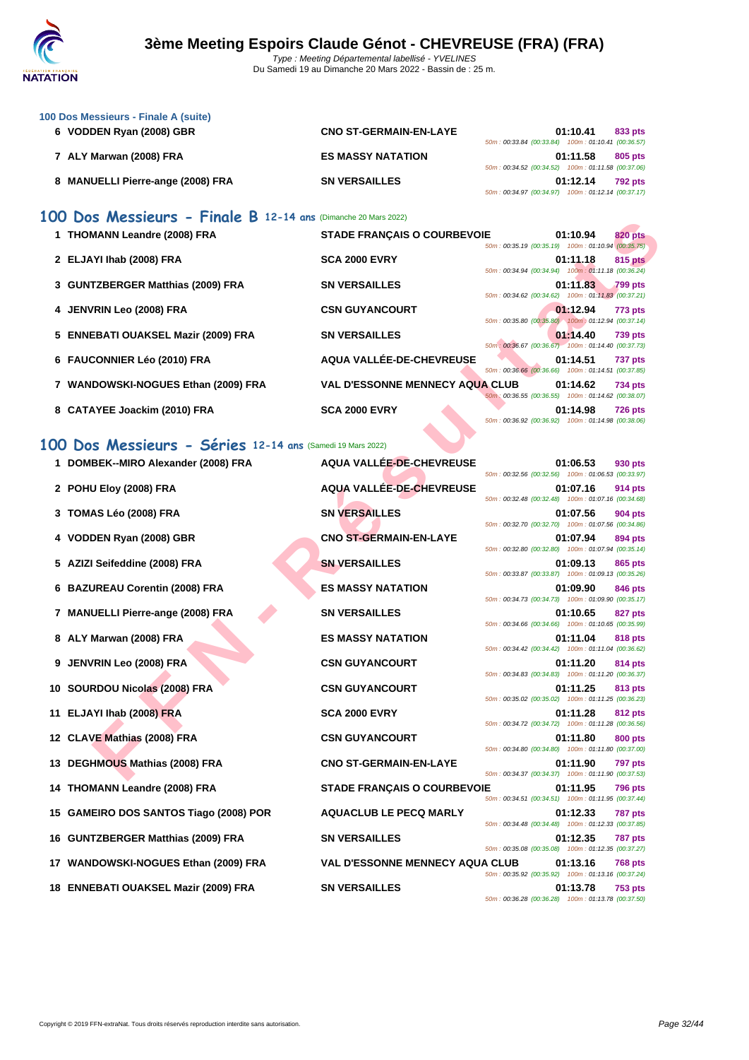

| 100 Dos Messieurs - Finale A (suite) |                               |                                                    |
|--------------------------------------|-------------------------------|----------------------------------------------------|
| 6 VODDEN Ryan (2008) GBR             | <b>CNO ST-GERMAIN-EN-LAYE</b> | 01:10.41<br>833 pts                                |
|                                      |                               | 50m: 00:33.84 (00:33.84) 100m: 01:10.41 (00:36.57) |
| 7 ALY Marwan (2008) FRA              | <b>ES MASSY NATATION</b>      | 01:11.58<br>805 pts                                |
|                                      |                               | 50m: 00:34.52 (00:34.52) 100m: 01:11.58 (00:37.06) |
| 8 MANUELLI Pierre-ange (2008) FRA    | <b>SN VERSAILLES</b>          | 01:12.14<br><b>792 pts</b>                         |
|                                      |                               | 50m: 00:34.97 (00:34.97) 100m: 01:12.14 (00:37.17) |

### **100 Dos Messieurs - Finale B 12-14 ans** (Dimanche 20 Mars 2022)

| 1 THOMANN Leandre (2008) FRA        | <b>STADE FRANCAIS O COURBEVOIE</b>     |                                                                                                          | 01:10.94 | 820 pts                                     |
|-------------------------------------|----------------------------------------|----------------------------------------------------------------------------------------------------------|----------|---------------------------------------------|
| 2 ELJAYI Ihab (2008) FRA            | <b>SCA 2000 EVRY</b>                   | 50m: 00:35.19 (00:35.19) 100m: 01:10.94 (00:35.75)<br>50m: 00:34.94 (00:34.94) 100m: 01:11.18 (00:36.24) | 01:11.18 | 815 pts                                     |
| 3 GUNTZBERGER Matthias (2009) FRA   | <b>SN VERSAILLES</b>                   |                                                                                                          | 01:11.83 | <b>799 pts</b>                              |
| 4 JENVRIN Leo (2008) FRA            | <b>CSN GUYANCOURT</b>                  | 50m: 00:34.62 (00:34.62) 100m: 01:11.83 (00:37.21)<br>50m: 00:35.80 (00:35.80) 100m: 01:12.94 (00:37.14) | 01:12.94 | 773 pts                                     |
| 5 ENNEBATI OUAKSEL Mazir (2009) FRA | <b>SN VERSAILLES</b>                   |                                                                                                          | 01:14.40 | <b>739 pts</b>                              |
| 6 FAUCONNIER Léo (2010) FRA         | AQUA VALLÉE-DE-CHEVREUSE               | 50m: 00:36.67 (00:36.67) 100m: 01:14.40 (00:37.73)<br>50m: 00:36.66 (00:36.66)                           | 01:14.51 | <b>737 pts</b><br>100m: 01:14.51 (00:37.85) |
| 7 WANDOWSKI-NOGUES Ethan (2009) FRA | <b>VAL D'ESSONNE MENNECY AQUA CLUB</b> |                                                                                                          | 01:14.62 | <b>734 pts</b>                              |
| 8 CATAYEE Joackim (2010) FRA        | <b>SCA 2000 EVRY</b><br>$\rightarrow$  | 50m: 00:36.55 (00:36.55) 100m: 01:14.62 (00:38.07)<br>50m: 00:36.92 (00:36.92) 100m: 01:14.98 (00:38.06) | 01:14.98 | <b>726 pts</b>                              |

### **100 Dos Messieurs - Séries 12-14 ans** (Samedi 19 Mars 2022)

| $\frac{1}{2}$ $\frac{1}{2}$ $\frac{1}{2}$ $\frac{1}{2}$ $\frac{1}{2}$ $\frac{1}{2}$ $\frac{1}{2}$ $\frac{1}{2}$ $\frac{1}{2}$ $\frac{1}{2}$ $\frac{1}{2}$ $\frac{1}{2}$ $\frac{1}{2}$ $\frac{1}{2}$ $\frac{1}{2}$ $\frac{1}{2}$ $\frac{1}{2}$ $\frac{1}{2}$ $\frac{1}{2}$ $\frac{1}{2}$ $\frac{1}{2}$ $\frac{1}{2}$ |                                        |                                                                                                                                        |
|---------------------------------------------------------------------------------------------------------------------------------------------------------------------------------------------------------------------------------------------------------------------------------------------------------------------|----------------------------------------|----------------------------------------------------------------------------------------------------------------------------------------|
| 1 THOMANN Leandre (2008) FRA                                                                                                                                                                                                                                                                                        | <b>STADE FRANÇAIS O COURBEVOIE</b>     | 820 pts<br>01:10.94<br>50m: 00:35.19 (00:35.19) 100m: 01:10.94 (00:35.75)                                                              |
| 2 ELJAYI Ihab (2008) FRA                                                                                                                                                                                                                                                                                            | <b>SCA 2000 EVRY</b>                   | 815 pts<br>01:11.18<br>50m: 00:34.94 (00:34.94) 100m: 01:11.18 (00:36.24)                                                              |
| 3 GUNTZBERGER Matthias (2009) FRA                                                                                                                                                                                                                                                                                   | <b>SN VERSAILLES</b>                   | 01:11.83<br><b>799 pts</b><br>50m: 00:34.62 (00:34.62) 100m: 01:11.83 (00:37.21)                                                       |
| <b>JENVRIN Leo (2008) FRA</b>                                                                                                                                                                                                                                                                                       | <b>CSN GUYANCOURT</b>                  | 01:12.94<br>773 pts                                                                                                                    |
| 5 ENNEBATI OUAKSEL Mazir (2009) FRA                                                                                                                                                                                                                                                                                 | <b>SN VERSAILLES</b>                   | 50m: 00:35.80 (00:35.80) 100m: 01:12.94 (00:37.14)<br>01:14.40<br><b>739 pts</b>                                                       |
| 6 FAUCONNIER Léo (2010) FRA                                                                                                                                                                                                                                                                                         | AQUA VALLÉE-DE-CHEVREUSE               | 50m : 00:36.67 (00:36.67) 100m : 01:14.40 (00:37.73)<br>01:14.51<br><b>737 pts</b>                                                     |
| 7 WANDOWSKI-NOGUES Ethan (2009) FRA                                                                                                                                                                                                                                                                                 | <b>VAL D'ESSONNE MENNECY AQUA CLUB</b> | 50m: 00:36.66 (00:36.66) 100m: 01:14.51 (00:37.85)<br>01:14.62<br><b>734 pts</b>                                                       |
| 8 CATAYEE Joackim (2010) FRA                                                                                                                                                                                                                                                                                        | <b>SCA 2000 EVRY</b>                   | 50m; 00:36.55 (00:36.55) 100m: 01:14.62 (00:38.07)<br>01:14.98<br><b>726 pts</b><br>50m: 00:36.92 (00:36.92) 100m: 01:14.98 (00:38.06) |
|                                                                                                                                                                                                                                                                                                                     |                                        |                                                                                                                                        |
| 00 Dos Messieurs - Séries 12-14 ans (Samedi 19 Mars 2022)                                                                                                                                                                                                                                                           |                                        |                                                                                                                                        |
| 1 DOMBEK--MIRO Alexander (2008) FRA                                                                                                                                                                                                                                                                                 | AQUA VALLÉE-DE-CHEVREUSE               | 01:06.53<br>930 pts<br>50m: 00:32.56 (00:32.56) 100m: 01:06.53 (00:33.97)                                                              |
| 2 POHU Eloy (2008) FRA                                                                                                                                                                                                                                                                                              | <b>AQUA VALLÉE-DE-CHEVREUSE</b>        | 01:07.16<br>914 pts<br>50m: 00:32.48 (00:32.48) 100m: 01:07.16 (00:34.68)                                                              |
| 3 TOMAS Léo (2008) FRA                                                                                                                                                                                                                                                                                              | <b>SN VERSAILLES</b>                   | 01:07.56<br>904 pts<br>50m: 00:32.70 (00:32.70) 100m: 01:07.56 (00:34.86)                                                              |
| 4 VODDEN Ryan (2008) GBR                                                                                                                                                                                                                                                                                            | <b>CNO ST-GERMAIN-EN-LAYE</b>          | 01:07.94<br>894 pts<br>50m: 00:32.80 (00:32.80) 100m: 01:07.94 (00:35.14)                                                              |
| 5 AZIZI Seifeddine (2008) FRA                                                                                                                                                                                                                                                                                       | <b>SN VERSAILLES</b>                   | 01:09.13<br><b>865 pts</b><br>50m: 00:33.87 (00:33.87) 100m: 01:09.13 (00:35.26)                                                       |
| 6 BAZUREAU Corentin (2008) FRA                                                                                                                                                                                                                                                                                      | <b>ES MASSY NATATION</b>               | 01:09.90<br>846 pts<br>50m: 00:34.73 (00:34.73) 100m: 01:09.90 (00:35.17)                                                              |
| 7 MANUELLI Pierre-ange (2008) FRA                                                                                                                                                                                                                                                                                   | <b>SN VERSAILLES</b>                   | 01:10.65<br>827 pts                                                                                                                    |
| 8 ALY Marwan (2008) FRA                                                                                                                                                                                                                                                                                             | <b>ES MASSY NATATION</b>               | 50m: 00:34.66 (00:34.66) 100m: 01:10.65 (00:35.99)<br>01:11.04<br>818 pts                                                              |
| 9 JENVRIN Leo (2008) FRA                                                                                                                                                                                                                                                                                            | <b>CSN GUYANCOURT</b>                  | 50m: 00:34.42 (00:34.42) 100m: 01:11.04 (00:36.62)<br>01:11.20<br>814 pts                                                              |
| 10 SOURDOU Nicolas (2008) FRA                                                                                                                                                                                                                                                                                       | <b>CSN GUYANCOURT</b>                  | 50m: 00:34.83 (00:34.83) 100m: 01:11.20 (00:36.37)<br>01:11.25<br>813 pts                                                              |
| 11 ELJAYI Ihab (2008) FRA                                                                                                                                                                                                                                                                                           | <b>SCA 2000 EVRY</b>                   | 50m: 00:35.02 (00:35.02) 100m: 01:11.25 (00:36.23)<br>01:11.28<br><b>812 pts</b>                                                       |
| 12 CLAVE Mathias (2008) FRA                                                                                                                                                                                                                                                                                         | <b>CSN GUYANCOURT</b>                  | 50m: 00:34.72 (00:34.72) 100m: 01:11.28 (00:36.56)<br>01:11.80<br>800 pts                                                              |
| 13 DEGHMOUS Mathias (2008) FRA                                                                                                                                                                                                                                                                                      | <b>CNO ST-GERMAIN-EN-LAYE</b>          | 50m: 00:34.80 (00:34.80) 100m: 01:11.80 (00:37.00)<br>01:11.90<br><b>797 pts</b>                                                       |
| 14 THOMANN Leandre (2008) FRA                                                                                                                                                                                                                                                                                       | <b>STADE FRANÇAIS O COURBEVOIE</b>     | 50m: 00:34.37 (00:34.37) 100m: 01:11.90 (00:37.53)<br>01:11.95<br>796 pts                                                              |
| 15 GAMEIRO DOS SANTOS Tiago (2008) POR                                                                                                                                                                                                                                                                              | <b>AQUACLUB LE PECQ MARLY</b>          | 50m: 00:34.51 (00:34.51) 100m: 01:11.95 (00:37.44)<br>01:12.33<br><b>787 pts</b>                                                       |
| 16 GUNTZBERGER Matthias (2009) FRA                                                                                                                                                                                                                                                                                  | <b>SN VERSAILLES</b>                   | 50m: 00:34.48 (00:34.48) 100m: 01:12.33 (00:37.85)<br>01:12.35                                                                         |
|                                                                                                                                                                                                                                                                                                                     |                                        | 787 pts<br>50m: 00:35.08 (00:35.08) 100m: 01:12.35 (00:37.27)                                                                          |
| 17 WANDOWSKI-NOGUES Ethan (2009) FRA                                                                                                                                                                                                                                                                                | <b>VAL D'ESSONNE MENNECY AQUA CLUB</b> | 01:13.16<br>768 pts<br>50m: 00:35.92 (00:35.92) 100m: 01:13.16 (00:37.24)                                                              |
| 18 ENNEBATI OUAKSEL Mazir (2009) FRA                                                                                                                                                                                                                                                                                | <b>SN VERSAILLES</b>                   | 01:13.78<br><b>753 pts</b><br>50m: 00:36.28 (00:36.28) 100m: 01:13.78 (00:37.50)                                                       |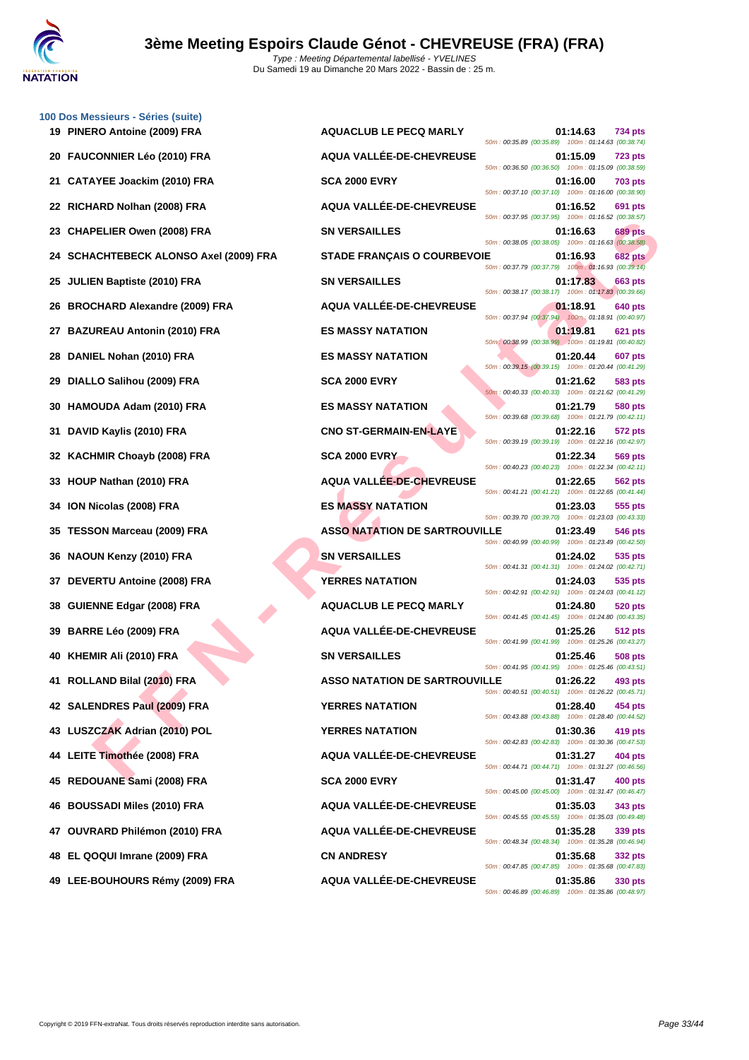

|    | 100 Dos Messieurs - Séries (suite)         |                                      |                                                                                  |
|----|--------------------------------------------|--------------------------------------|----------------------------------------------------------------------------------|
|    | 19 PINERO Antoine (2009) FRA               | <b>AQUACLUB LE PECQ MARLY</b>        | 01:14.63<br><b>734 pts</b><br>50m: 00:35.89 (00:35.89) 100m: 01:14.63 (00:38.74) |
| 20 | <b>FAUCONNIER Léo (2010) FRA</b>           | AQUA VALLÉE-DE-CHEVREUSE             | 01:15.09<br><b>723 pts</b><br>50m: 00:36.50 (00:36.50) 100m: 01:15.09 (00:38.59) |
| 21 | <b>CATAYEE Joackim (2010) FRA</b>          | <b>SCA 2000 EVRY</b>                 | 01:16.00<br><b>703 pts</b><br>50m: 00:37.10 (00:37.10) 100m: 01:16.00 (00:38.90) |
| 22 | RICHARD Nolhan (2008) FRA                  | AQUA VALLÉE-DE-CHEVREUSE             | 01:16.52<br>691 pts<br>50m: 00:37.95 (00:37.95) 100m: 01:16.52 (00:38.57)        |
| 23 | <b>CHAPELIER Owen (2008) FRA</b>           | <b>SN VERSAILLES</b>                 | 01:16.63<br><b>689 pts</b><br>50m: 00:38.05 (00:38.05) 100m: 01:16.63 (00:38.58) |
|    | <b>SCHACHTEBECK ALONSO Axel (2009) FRA</b> | <b>STADE FRANÇAIS O COURBEVOIE</b>   | 01:16.93<br><b>682 pts</b><br>50m: 00:37.79 (00:37.79) 100m: 01:16.93 (00:39.14) |
| 25 | <b>JULIEN Baptiste (2010) FRA</b>          | <b>SN VERSAILLES</b>                 | 01:17.83<br>663 pts<br>50m: 00:38.17 (00:38.17) 100m: 01:17.83 (00:39.66)        |
| 26 | <b>BROCHARD Alexandre (2009) FRA</b>       | AQUA VALLÉE-DE-CHEVREUSE             | 01:18.91<br>640 pts<br>50m: 00:37.94 (00:37.94) 100m: 01:18.91 (00:40.97)        |
| 27 | <b>BAZUREAU Antonin (2010) FRA</b>         | <b>ES MASSY NATATION</b>             | 01:19.81<br>621 pts<br>50m: 00:38.99 (00:38.99) 100m: 01:19.81 (00:40.82)        |
| 28 | DANIEL Nohan (2010) FRA                    | <b>ES MASSY NATATION</b>             | 01:20.44<br>607 pts<br>50m : 00:39.15 (00:39.15) 100m : 01:20.44 (00:41.29)      |
| 29 | DIALLO Salihou (2009) FRA                  | <b>SCA 2000 EVRY</b>                 | 01:21.62<br>583 pts<br>50m: 00:40.33 (00:40.33) 100m: 01:21.62 (00:41.29)        |
| 30 | HAMOUDA Adam (2010) FRA                    | <b>ES MASSY NATATION</b>             | 01:21.79<br>580 pts<br>50m: 00:39.68 (00:39.68) 100m: 01:21.79 (00:42.11)        |
| 31 | DAVID Kaylis (2010) FRA                    | <b>CNO ST-GERMAIN-EN-LAYE</b>        | 01:22.16<br>572 pts<br>50m: 00:39.19 (00:39.19) 100m: 01:22.16 (00:42.97)        |
| 32 | <b>KACHMIR Choayb (2008) FRA</b>           | <b>SCA 2000 EVRY</b>                 | 01:22.34<br>569 pts<br>50m: 00:40.23 (00:40.23) 100m: 01:22.34 (00:42.11)        |
| 33 | HOUP Nathan (2010) FRA                     | <b>AQUA VALLEE-DE-CHEVREUSE</b>      | 01:22.65<br>562 pts<br>50m: 00:41.21 (00:41.21) 100m: 01:22.65 (00:41.44)        |
| 34 | <b>ION Nicolas (2008) FRA</b>              | <b>ES MASSY NATATION</b>             | 01:23.03<br>555 pts<br>50m: 00:39.70 (00:39.70) 100m: 01:23.03 (00:43.33)        |
| 35 | <b>TESSON Marceau (2009) FRA</b>           | <b>ASSO NATATION DE SARTROUVILLE</b> | 01:23.49<br>546 pts<br>50m: 00:40.99 (00:40.99) 100m: 01:23.49 (00:42.50)        |
| 36 | <b>NAOUN Kenzy (2010) FRA</b>              | <b>SN VERSAILLES</b>                 | 01:24.02<br>535 pts                                                              |
|    | DEVERTU Antoine (2008) FRA                 | <b>YERRES NATATION</b>               | 50m: 00:41.31 (00:41.31) 100m: 01:24.02 (00:42.71)<br>01:24.03<br>535 pts        |
| 38 | <b>GUIENNE Edgar (2008) FRA</b>            | <b>AQUACLUB LE PECQ MARLY</b>        | 50m: 00:42.91 (00:42.91) 100m: 01:24.03 (00:41.12)<br>01:24.80<br>520 pts        |
| 39 | <b>BARRE Léo (2009) FRA</b>                | AQUA VALLÉE-DE-CHEVREUSE             | 50m: 00:41.45 (00:41.45) 100m: 01:24.80 (00:43.35)<br>01:25.26<br>512 pts        |
| 40 | KHEMIR Ali (2010) FRA                      | <b>SN VERSAILLES</b>                 | 50m: 00:41.99 (00:41.99) 100m: 01:25.26 (00:43.27)<br>01:25.46<br><b>508 pts</b> |
|    | 41 ROLLAND Bilal (2010) FRA                | <b>ASSO NATATION DE SARTROUVILLE</b> | 50m: 00:41.95 (00:41.95) 100m: 01:25.46 (00:43.51)<br>01:26.22<br>493 pts        |
|    | 42 SALENDRES Paul (2009) FRA               | <b>YERRES NATATION</b>               | 50m: 00:40.51 (00:40.51) 100m: 01:26.22 (00:45.71)<br>01:28.40<br>454 pts        |
|    | 43 LUSZCZAK Adrian (2010) POL              | <b>YERRES NATATION</b>               | 50m: 00:43.88 (00:43.88) 100m: 01:28.40 (00:44.52)<br>01:30.36<br>419 pts        |
|    | 44 LEITE Timothée (2008) FRA               | AQUA VALLÉE-DE-CHEVREUSE             | 50m: 00:42.83 (00:42.83) 100m: 01:30.36 (00:47.53)<br>01:31.27<br>404 pts        |
| 45 | REDOUANE Sami (2008) FRA                   | <b>SCA 2000 EVRY</b>                 | 50m: 00:44.71 (00:44.71) 100m: 01:31.27 (00:46.56)<br>01:31.47<br>400 pts        |
| 46 | <b>BOUSSADI Miles (2010) FRA</b>           | AQUA VALLÉE-DE-CHEVREUSE             | 50m: 00:45.00 (00:45.00) 100m: 01:31.47 (00:46.47)<br>01:35.03<br>343 pts        |
| 47 | <b>OUVRARD Philémon (2010) FRA</b>         | AQUA VALLÉE-DE-CHEVREUSE             | 50m: 00:45.55 (00:45.55) 100m: 01:35.03 (00:49.48)<br>01:35.28<br>339 pts        |
| 48 | EL QOQUI Imrane (2009) FRA                 | <b>CN ANDRESY</b>                    | 50m: 00:48.34 (00:48.34) 100m: 01:35.28 (00:46.94)<br>01:35.68<br>332 pts        |
|    | 49 LEE-BOUHOURS Rémy (2009) FRA            | AQUA VALLÉE-DE-CHEVREUSE             | 50m: 00:47.85 (00:47.85) 100m: 01:35.68 (00:47.83)<br>01:35.86<br>330 pts        |
|    |                                            |                                      |                                                                                  |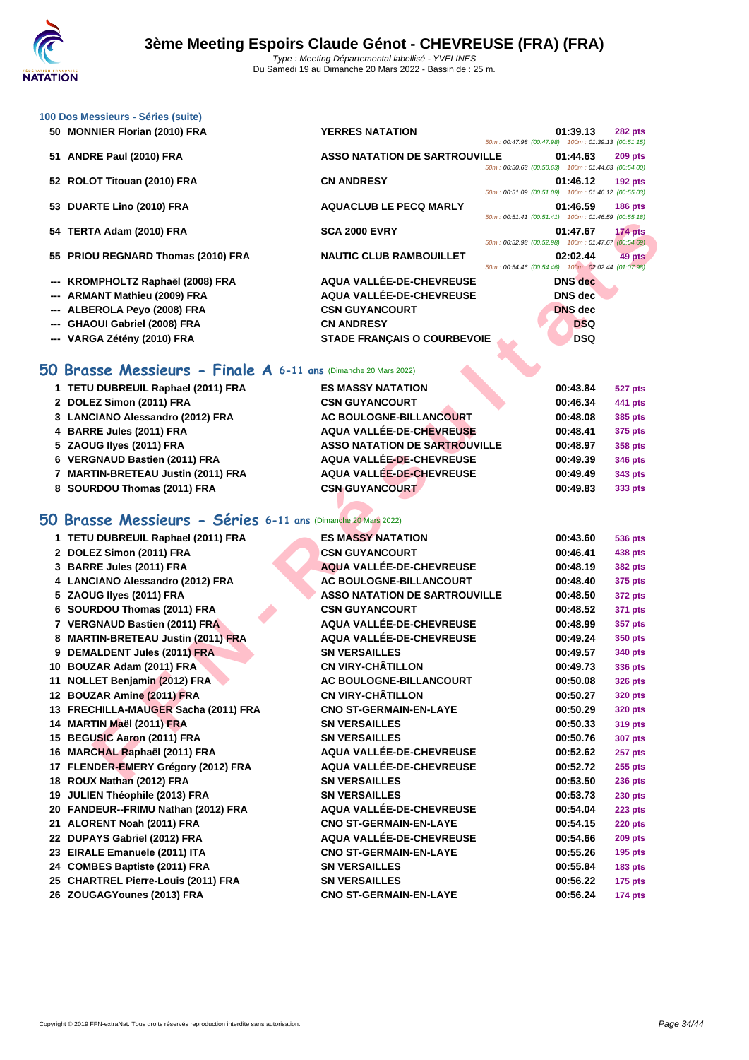| 100 Dos Messieurs - Séries (suite) |                                      |                                                    |                |                |
|------------------------------------|--------------------------------------|----------------------------------------------------|----------------|----------------|
| 50 MONNIER Florian (2010) FRA      | <b>YERRES NATATION</b>               | 50m: 00:47.98 (00:47.98) 100m: 01:39.13 (00:51.15) | 01:39.13       | <b>282 pts</b> |
| 51 ANDRE Paul (2010) FRA           | <b>ASSO NATATION DE SARTROUVILLE</b> | 50m: 00:50.63 (00:50.63) 100m: 01:44.63 (00:54.00) | 01:44.63       | <b>209 pts</b> |
| 52 ROLOT Titouan (2010) FRA        | <b>CN ANDRESY</b>                    | 50m: 00:51.09 (00:51.09) 100m: 01:46.12 (00:55.03) | 01:46.12       | $192$ pts      |
| 53 DUARTE Lino (2010) FRA          | <b>AQUACLUB LE PECQ MARLY</b>        | 50m: 00:51.41 (00:51.41) 100m: 01:46.59 (00:55.18) | 01:46.59       | <b>186 pts</b> |
| 54 TERTA Adam (2010) FRA           | <b>SCA 2000 EVRY</b>                 | 50m: 00:52.98 (00:52.98) 100m: 01:47.67 (00:54.69) | 01:47.67       | <b>174 pts</b> |
| 55 PRIOU REGNARD Thomas (2010) FRA | <b>NAUTIC CLUB RAMBOUILLET</b>       | 50m: 00:54.46 (00:54.46) 100m: 02:02.44 (01:07.98) | 02:02.44       | 49 pts         |
| --- KROMPHOLTZ Raphaël (2008) FRA  | AQUA VALLÉE-DE-CHEVREUSE             |                                                    | <b>DNS</b> dec |                |
| --- ARMANT Mathieu (2009) FRA      | AQUA VALLÉE-DE-CHEVREUSE             |                                                    | <b>DNS</b> dec |                |
| --- ALBEROLA Peyo (2008) FRA       | <b>CSN GUYANCOURT</b>                |                                                    | <b>DNS</b> dec |                |
| --- GHAOUI Gabriel (2008) FRA      | <b>CN ANDRESY</b>                    |                                                    | <b>DSQ</b>     |                |
| --- VARGA Zétény (2010) FRA        | <b>STADE FRANCAIS O COURBEVOIE</b>   |                                                    | <b>DSQ</b>     |                |

### **50 Brasse Messieurs - Finale A 6-11 ans** (Dimanche 20 Mars 2022)

| 1 TETU DUBREUIL Raphael (2011) FRA | <b>ES MASSY NATATION</b>             | 00:43.84 | 527 pts |
|------------------------------------|--------------------------------------|----------|---------|
| 2 DOLEZ Simon (2011) FRA           | <b>CSN GUYANCOURT</b>                | 00:46.34 | 441 pts |
| 3 LANCIANO Alessandro (2012) FRA   | AC BOULOGNE-BILLANCOURT              | 00:48.08 | 385 pts |
| 4 BARRE Jules (2011) FRA           | AQUA VALLÉE-DE-CHEVREUSE             | 00:48.41 | 375 pts |
| 5 ZAOUG Ilyes (2011) FRA           | <b>ASSO NATATION DE SARTROUVILLE</b> | 00:48.97 | 358 pts |
| 6 VERGNAUD Bastien (2011) FRA      | AQUA VALLÉE-DE-CHEVREUSE             | 00:49.39 | 346 pts |
| 7 MARTIN-BRETEAU Justin (2011) FRA | AQUA VALLÉE-DE-CHEVREUSE             | 00:49.49 | 343 pts |
| 8 SOURDOU Thomas (2011) FRA        | <b>CSN GUYANCOURT</b>                | 00:49.83 | 333 pts |

## **50 Brasse Messieurs - Séries 6-11 ans** (Dimanche 20 Mars 2022)

|                                                                |                                                     | <u>JUINTO CO.JI.41 (UU.JI.41)</u> TUUMI. UT. <del>40.JJ</del> (UU.JJ.TO) |                |
|----------------------------------------------------------------|-----------------------------------------------------|--------------------------------------------------------------------------|----------------|
| 54 TERTA Adam (2010) FRA                                       | <b>SCA 2000 EVRY</b>                                | 01:47.67                                                                 | 174 pts        |
| 55 PRIOU REGNARD Thomas (2010) FRA                             | <b>NAUTIC CLUB RAMBOUILLET</b>                      | 50m: 00:52.98 (00:52.98) 100m: 01:47.67 (00:54.69)<br>02:02.44           | 49 pts         |
|                                                                |                                                     | 50m: 00:54.46 (00:54.46) 100m: 02:02.44 (01:07.98)                       |                |
| --- KROMPHOLTZ Raphaël (2008) FRA                              | AQUA VALLÉE-DE-CHEVREUSE                            | <b>DNS</b> dec                                                           |                |
| --- ARMANT Mathieu (2009) FRA                                  | AQUA VALLÉE-DE-CHEVREUSE                            | <b>DNS</b> dec                                                           |                |
| <b>ALBEROLA Peyo (2008) FRA</b>                                | <b>CSN GUYANCOURT</b>                               | <b>DNS</b> dec                                                           |                |
| <b>GHAOUI Gabriel (2008) FRA</b>                               | <b>CN ANDRESY</b>                                   | <b>DSQ</b>                                                               |                |
| --- VARGA Zétény (2010) FRA                                    | <b>STADE FRANÇAIS O COURBEVOIE</b>                  | <b>DSQ</b>                                                               |                |
|                                                                |                                                     |                                                                          |                |
| O Brasse Messieurs - Finale A 6-11 ans (Dimanche 20 Mars 2022) |                                                     |                                                                          |                |
| 1 TETU DUBREUIL Raphael (2011) FRA                             | <b>ES MASSY NATATION</b>                            | 00:43.84                                                                 | 527 pts        |
| 2 DOLEZ Simon (2011) FRA                                       | <b>CSN GUYANCOURT</b>                               | 00:46.34                                                                 | 441 pts        |
| 3 LANCIANO Alessandro (2012) FRA                               | AC BOULOGNE-BILLANCOURT                             | 00:48.08                                                                 | 385 pts        |
| 4 BARRE Jules (2011) FRA                                       | AQUA VALLÉE-DE-CHEVREUSE                            | 00:48.41                                                                 | 375 pts        |
| 5 ZAOUG Ilyes (2011) FRA                                       | <b>ASSO NATATION DE SARTROUVILLE</b>                | 00:48.97                                                                 | 358 pts        |
| 6 VERGNAUD Bastien (2011) FRA                                  | AQUA VALLÉE-DE-CHEVREUSE                            | 00:49.39                                                                 | 346 pts        |
| 7 MARTIN-BRETEAU Justin (2011) FRA                             | <b>AQUA VALLÉE-DE-CHEVREUSE</b>                     | 00:49.49                                                                 | 343 pts        |
| 8 SOURDOU Thomas (2011) FRA                                    | <b>CSN GUYANCOURT</b>                               | 00:49.83                                                                 | 333 pts        |
|                                                                |                                                     |                                                                          |                |
| iO Brasse Messieurs - Séries 6-11 ans (Dimanche 20 Mars 2022)  |                                                     |                                                                          |                |
| 1 TETU DUBREUIL Raphael (2011) FRA                             | <b>ES MASSY NATATION</b>                            | 00:43.60                                                                 | 536 pts        |
| 2 DOLEZ Simon (2011) FRA                                       | <b>CSN GUYANCOURT</b>                               | 00:46.41                                                                 | 438 pts        |
| 3 BARRE Jules (2011) FRA                                       | AQUA VALLÉE-DE-CHEVREUSE                            | 00:48.19                                                                 | <b>382 pts</b> |
| 4 LANCIANO Alessandro (2012) FRA                               | AC BOULOGNE-BILLANCOURT                             | 00:48.40                                                                 | 375 pts        |
| 5 ZAOUG llyes (2011) FRA                                       | <b>ASSO NATATION DE SARTROUVILLE</b>                | 00:48.50                                                                 | 372 pts        |
| 6 SOURDOU Thomas (2011) FRA                                    | <b>CSN GUYANCOURT</b>                               | 00:48.52                                                                 | 371 pts        |
| 7 VERGNAUD Bastien (2011) FRA                                  | AQUA VALLÉE-DE-CHEVREUSE                            | 00:48.99                                                                 | 357 pts        |
| 8 MARTIN-BRETEAU Justin (2011) FRA                             | AQUA VALLÉE-DE-CHEVREUSE                            | 00:49.24                                                                 |                |
| 9 DEMALDENT Jules (2011) FRA                                   | <b>SN VERSAILLES</b>                                |                                                                          | 350 pts        |
| 10 BOUZAR Adam (2011) FRA                                      | <b>CN VIRY-CHÂTILLON</b>                            | 00:49.57                                                                 | 340 pts        |
|                                                                |                                                     | 00:49.73                                                                 | 336 pts        |
| 11 NOLLET Benjamin (2012) FRA                                  | AC BOULOGNE-BILLANCOURT<br><b>CN VIRY-CHÂTILLON</b> | 00:50.08                                                                 | <b>326 pts</b> |
| 12 BOUZAR Amine (2011) FRA                                     |                                                     | 00:50.27                                                                 | <b>320 pts</b> |
| 13 FRECHILLA-MAUGER Sacha (2011) FRA                           | <b>CNO ST-GERMAIN-EN-LAYE</b>                       | 00:50.29                                                                 | <b>320 pts</b> |
| 14 MARTIN Maël (2011) FRA                                      | <b>SN VERSAILLES</b>                                | 00:50.33                                                                 | 319 pts        |
| 15 BEGUSIC Aaron (2011) FRA                                    | <b>SN VERSAILLES</b>                                | 00:50.76                                                                 | <b>307 pts</b> |
| 16 MARCHAL Raphaël (2011) FRA                                  | AQUA VALLÉE-DE-CHEVREUSE                            | 00:52.62                                                                 | 257 pts        |
| 17 FLENDER-EMERY Grégory (2012) FRA                            | AQUA VALLÉE-DE-CHEVREUSE                            | 00:52.72                                                                 | <b>255 pts</b> |
| 18 ROUX Nathan (2012) FRA                                      | <b>SN VERSAILLES</b>                                | 00:53.50                                                                 | <b>236 pts</b> |
| 19 JULIEN Théophile (2013) FRA                                 | <b>SN VERSAILLES</b>                                | 00:53.73                                                                 | <b>230 pts</b> |
| 20 FANDEUR--FRIMU Nathan (2012) FRA                            | AQUA VALLÉE-DE-CHEVREUSE                            | 00:54.04                                                                 | 223 pts        |
| 21 ALORENT Noah (2011) FRA                                     | <b>CNO ST-GERMAIN-EN-LAYE</b>                       | 00:54.15                                                                 | <b>220 pts</b> |
| 22 DUPAYS Gabriel (2012) FRA                                   | <b>AQUA VALLÉE-DE-CHEVREUSE</b>                     | 00:54.66                                                                 | <b>209 pts</b> |
| 23 EIRALE Emanuele (2011) ITA                                  | <b>CNO ST-GERMAIN-EN-LAYE</b>                       | 00:55.26                                                                 | <b>195 pts</b> |
| 24 COMBES Baptiste (2011) FRA                                  | <b>SN VERSAILLES</b>                                | 00:55.84                                                                 | <b>183 pts</b> |
| 25 CHARTREL Pierre-Louis (2011) FRA                            | <b>SN VERSAILLES</b>                                | 00:56.22                                                                 | <b>175 pts</b> |
| 26 ZOUGAGYounes (2013) FRA                                     | <b>CNO ST-GERMAIN-EN-LAYE</b>                       | 00:56.24                                                                 | <b>174 pts</b> |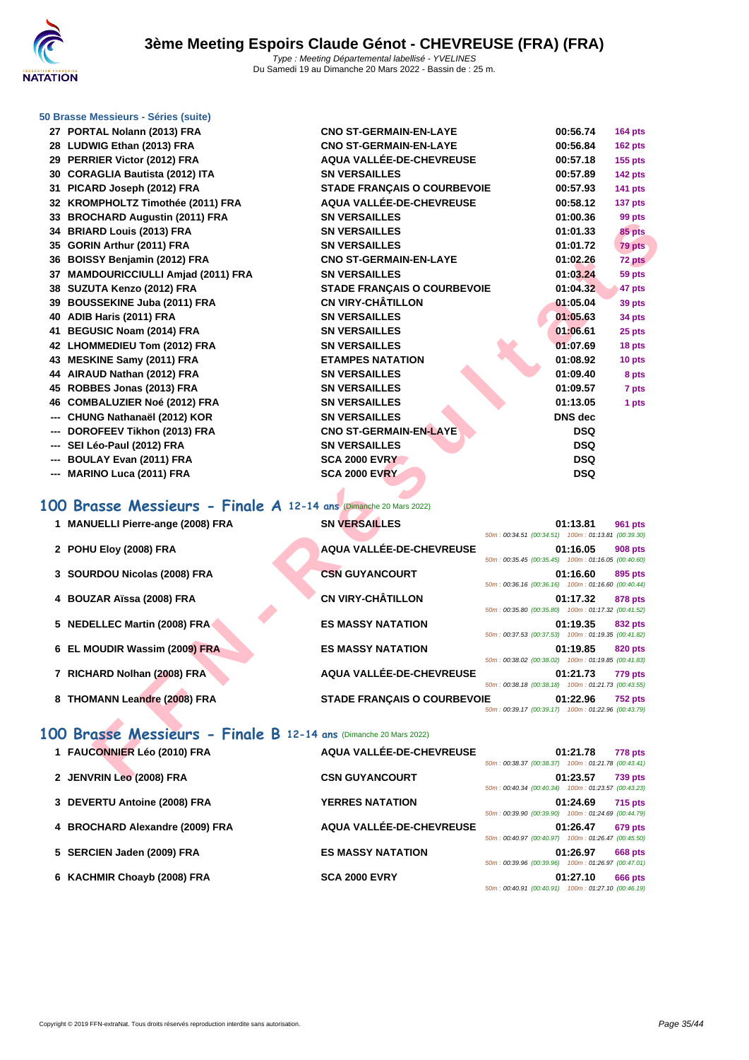

### **[50 Brasse](http://www.ffnatation.fr/webffn/index.php) Messieurs - Séries (suite)**

- **27 PORTAL Nolann (2013) FRA CNO ST-GERMAIN-EN-LAYE 00:56.74 164 pts 28 LUDWIG Ethan (2013) FRA CNO ST-GERMAIN-EN-LAYE 00:56.84 162 pts 29 PERRIER Victor (2012) FRA AQUA VALLÉE-DE-CHEVREUSE 00:57.18 155 pts 30 CORAGLIA Bautista (2012) ITA SN VERSAILLES 00:57.89 142 pts 31 PICARD Joseph (2012) FRA STADE FRANÇAIS O COURBEVOIE 00:57.93 141 pts 32 KROMPHOLTZ Timothée (2011) FRA AQUA VALLÉE-DE-CHEVREUSE 00:58.12 137 pts 33 BROCHARD Augustin (2011) FRA SN VERSAILLES 01:00.36 99 pts 34 BRIARD Louis (2013) FRA SN VERSAILLES 01:01.33 85 pts 35 GORIN Arthur (2011) FRA SN VERSAILLES 01:01.72 79 pts 36 BOISSY Benjamin (2012) FRA CNO ST-GERMAIN-EN-LAYE 01:02.26 72 pts 37 MAMDOURICCIULLI Amjad (2011) FRA SN VERSAILLES 01:03.24 59 pts 38 SUZUTA Kenzo (2012) FRA STADE FRANÇAIS O COURBEVOIE 01:04.32 47 pts 39 BOUSSEKINE Juba (2011) FRA CN VIRY-CHÂTILLON 01:05.04 39 pts 40 ADIB Haris (2011) FRA SN VERSAILLES 01:05.63 34 pts 41 BEGUSIC Noam (2014) FRA SN VERSAILLES 01:06.61 25 pts 42 LHOMMEDIEU Tom (2012) FRA SN VERSAILLES 01:07.69 18 pts 43 MESKINE Samy (2011) FRA ETAMPES NATATION 01:08.92 10 pts 44 AIRAUD Nathan (2012) FRA SN VERSAILLES 01:09.40 8 pts 45 ROBBES Jonas (2013) FRA SN VERSAILLES 01:09.57 7 pts 46 COMBALUZIER Noé (2012) FRA SN VERSAILLES 01:13.05 1 pts --- CHUNG Nathanaël (2012) KOR SN VERSAILLES DNS dec --- DOROFEEV Tikhon (2013) FRA CNO ST-GERMAIN-EN-LAYE DSQ --- SEI Léo-Paul (2012) FRA SN VERSAILLES DSQ --- BOULAY Evan (2011) FRA SCA 2000 EVRY DSQ --- MARINO Luca (2011) FRA SCA 2000 EVRY DSQ**
- **100 Brasse Messieurs Finale A 12-14 ans** (Dimanche 20 Mars 2022)

| <b>33 DIVOUTARD Augustif (2011) LIVA</b>                                                              | UN YLINUMILLLU                     | v vv.vv                                                                                                              | <i>ວວ</i> µເວ  |
|-------------------------------------------------------------------------------------------------------|------------------------------------|----------------------------------------------------------------------------------------------------------------------|----------------|
| 34 BRIARD Louis (2013) FRA                                                                            | <b>SN VERSAILLES</b>               | 01:01.33                                                                                                             | 85 pts         |
| 35 GORIN Arthur (2011) FRA                                                                            | <b>SN VERSAILLES</b>               | 01:01.72                                                                                                             | 79 pts         |
| 36 BOISSY Benjamin (2012) FRA                                                                         | <b>CNO ST-GERMAIN-EN-LAYE</b>      | 01:02.26                                                                                                             | 72 pts         |
| 37 MAMDOURICCIULLI Amjad (2011) FRA                                                                   | <b>SN VERSAILLES</b>               | 01:03.24                                                                                                             | 59 pts         |
| 38 SUZUTA Kenzo (2012) FRA                                                                            | <b>STADE FRANÇAIS O COURBEVOIE</b> | 01:04.32                                                                                                             | 47 pts         |
| 39 BOUSSEKINE Juba (2011) FRA                                                                         | <b>CN VIRY-CHÂTILLON</b>           | 01:05.04                                                                                                             | 39 pts         |
| 40 ADIB Haris (2011) FRA                                                                              | <b>SN VERSAILLES</b>               | 01:05.63                                                                                                             | 34 pts         |
| 41 BEGUSIC Noam (2014) FRA                                                                            | <b>SN VERSAILLES</b>               | 01:06.61                                                                                                             | 25 pts         |
| 42 LHOMMEDIEU Tom (2012) FRA                                                                          | <b>SN VERSAILLES</b>               | 01:07.69                                                                                                             | 18 pts         |
| 43 MESKINE Samy (2011) FRA                                                                            | <b>ETAMPES NATATION</b>            | 01:08.92                                                                                                             | 10 pts         |
| 44 AIRAUD Nathan (2012) FRA                                                                           | <b>SN VERSAILLES</b>               | 01:09.40                                                                                                             | 8 pts          |
| 45 ROBBES Jonas (2013) FRA                                                                            | <b>SN VERSAILLES</b>               | 01:09.57                                                                                                             | 7 pts          |
| 46 COMBALUZIER Noé (2012) FRA                                                                         | <b>SN VERSAILLES</b>               | 01:13.05                                                                                                             | 1 pts          |
| --- CHUNG Nathanaël (2012) KOR                                                                        | <b>SN VERSAILLES</b>               | <b>DNS</b> dec                                                                                                       |                |
| --- DOROFEEV Tikhon (2013) FRA                                                                        | <b>CNO ST-GERMAIN-EN-LAYE</b>      | DSQ                                                                                                                  |                |
| --- SEI Léo-Paul (2012) FRA                                                                           | <b>SN VERSAILLES</b>               | <b>DSQ</b>                                                                                                           |                |
| --- BOULAY Evan (2011) FRA                                                                            | <b>SCA 2000 EVRY</b>               | <b>DSQ</b>                                                                                                           |                |
| --- MARINO Luca (2011) FRA                                                                            | <b>SCA 2000 EVRY</b>               | <b>DSQ</b>                                                                                                           |                |
| 00 Brasse Messieurs - Finale A 12-14 ans (Dimanche 20 Mars 2022)<br>1 MANUELLI Pierre-ange (2008) FRA | <b>SN VERSAILLES</b>               | 01:13.81                                                                                                             | 961 pts        |
| 2 POHU Eloy (2008) FRA                                                                                | AQUA VALLÉE-DE-CHEVREUSE           | 50m: 00:34.51 (00:34.51) 100m: 01:13.81 (00:39.30)<br>01:16.05<br>50m: 00:35.45 (00:35.45) 100m: 01:16.05 (00:40.60) | 908 pts        |
| 3 SOURDOU Nicolas (2008) FRA                                                                          | <b>CSN GUYANCOURT</b>              | 01:16.60<br>50m: 00:36.16 (00:36.16) 100m: 01:16.60 (00:40.44)                                                       | 895 pts        |
| 4 BOUZAR Aïssa (2008) FRA                                                                             | <b>CN VIRY-CHÂTILLON</b>           | 01:17.32                                                                                                             | 878 pts        |
|                                                                                                       |                                    | 50m: 00:35.80 (00:35.80) 100m: 01:17.32 (00:41.52)                                                                   |                |
| 5 NEDELLEC Martin (2008) FRA                                                                          | <b>ES MASSY NATATION</b>           | 01:19.35                                                                                                             | 832 pts        |
|                                                                                                       | <b>ES MASSY NATATION</b>           | 50m: 00:37.53 (00:37.53) 100m: 01:19.35 (00:41.82)                                                                   |                |
| 6 EL MOUDIR Wassim (2009) FRA                                                                         |                                    | 01:19.85<br>50m: 00:38.02 (00:38.02) 100m: 01:19.85 (00:41.83)                                                       | 820 pts        |
| 7 RICHARD Nolhan (2008) FRA                                                                           | AQUA VALLÉE-DE-CHEVREUSE           | 01:21.73<br>50m: 00:38.18 (00:38.18) 100m: 01:21.73 (00:43.55)                                                       | 779 pts        |
| 8 THOMANN Leandre (2008) FRA                                                                          | <b>STADE FRANÇAIS O COURBEVOIE</b> | 01:22.96                                                                                                             | <b>752 pts</b> |
|                                                                                                       |                                    | 50m: 00:39.17 (00:39.17) 100m: 01:22.96 (00:43.79)                                                                   |                |
|                                                                                                       |                                    |                                                                                                                      |                |
| 00 Brasse Messieurs - Finale B 12-14 ans (Dimanche 20 Mars 2022)                                      |                                    |                                                                                                                      |                |
| 1 FAUCONNIER Léo (2010) FRA                                                                           | AQUA VALLÉE-DE-CHEVREUSE           | 01:21.78                                                                                                             | 778 pts        |
|                                                                                                       |                                    | 50m: 00:38.37 (00:38.37) 100m: 01:21.78 (00:43.41)                                                                   |                |
| 2 JENVRIN Leo (2008) FRA                                                                              | <b>CSN GUYANCOURT</b>              | 01:23.57                                                                                                             | <b>739 pts</b> |

### **100 Brasse Messieurs - Finale B 12-14 ans** (Dimanche 20 Mars 2022)

| 1 FAUCONNIER Léo (2010) FRA     | AQUA VALLÉE-DE-CHEVREUSE | 01:21.78<br><b>778 pts</b>                         |
|---------------------------------|--------------------------|----------------------------------------------------|
|                                 |                          | 50m: 00:38.37 (00:38.37) 100m: 01:21.78 (00:43.41) |
| 2 JENVRIN Leo (2008) FRA        | <b>CSN GUYANCOURT</b>    | 01:23.57<br><b>739 pts</b>                         |
|                                 |                          | 50m: 00:40.34 (00:40.34) 100m: 01:23.57 (00:43.23) |
| 3 DEVERTU Antoine (2008) FRA    | <b>YERRES NATATION</b>   | 01:24.69<br><b>715 pts</b>                         |
|                                 |                          | 50m: 00:39.90 (00:39.90) 100m: 01:24.69 (00:44.79) |
| 4 BROCHARD Alexandre (2009) FRA | AQUA VALLÉE-DE-CHEVREUSE | 01:26.47<br>679 pts                                |
|                                 |                          | 50m: 00:40.97 (00:40.97) 100m: 01:26.47 (00:45.50) |
| 5 SERCIEN Jaden (2009) FRA      | <b>ES MASSY NATATION</b> | 01:26.97<br><b>668 pts</b>                         |
|                                 |                          | 50m: 00:39.96 (00:39.96) 100m: 01:26.97 (00:47.01) |
| 6 KACHMIR Choayb (2008) FRA     | <b>SCA 2000 EVRY</b>     | 01:27.10<br><b>666 pts</b>                         |
|                                 |                          | 50m: 00:40.91 (00:40.91) 100m: 01:27.10 (00:46.19) |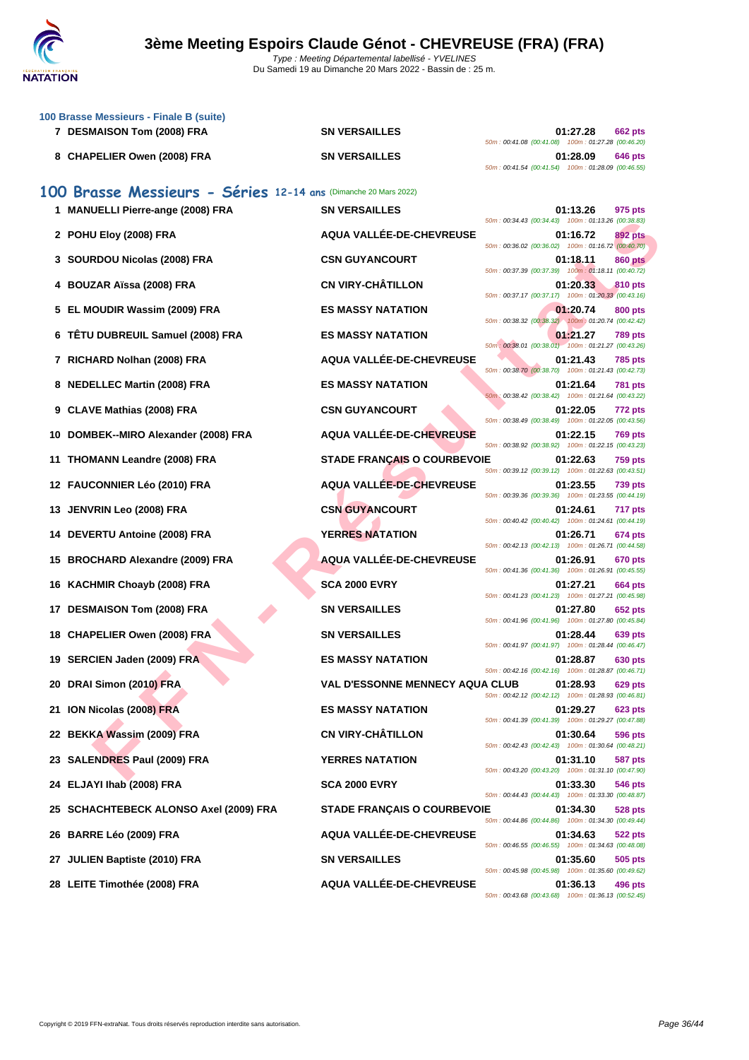

|    | 100 Brasse Messieurs - Finale B (suite)<br>7 DESMAISON Tom (2008) FRA | <b>SN VERSAILLES</b>                   | 01:27.28<br>662 pts                                                                |
|----|-----------------------------------------------------------------------|----------------------------------------|------------------------------------------------------------------------------------|
|    |                                                                       |                                        | 50m: 00:41.08 (00:41.08) 100m: 01:27.28 (00:46.20)                                 |
|    | 8 CHAPELIER Owen (2008) FRA                                           | <b>SN VERSAILLES</b>                   | 01:28.09<br>646 pts<br>50m: 00:41.54 (00:41.54) 100m: 01:28.09 (00:46.55)          |
|    | 100 Brasse Messieurs - Séries 12-14 ans (Dimanche 20 Mars 2022)       |                                        |                                                                                    |
|    | 1 MANUELLI Pierre-ange (2008) FRA                                     | <b>SN VERSAILLES</b>                   | 01:13.26<br>975 pts                                                                |
|    | 2 POHU Eloy (2008) FRA                                                | AQUA VALLÉE-DE-CHEVREUSE               | 50m: 00:34.43 (00:34.43) 100m: 01:13.26 (00:38.83)<br>01:16.72<br>892 pts          |
|    | 3 SOURDOU Nicolas (2008) FRA                                          | <b>CSN GUYANCOURT</b>                  | 50m : 00:36.02 (00:36.02) 100m : 01:16.72 (00:40.70)<br><b>860 pts</b><br>01:18.11 |
| 4  | <b>BOUZAR Aïssa (2008) FRA</b>                                        | <b>CN VIRY-CHÂTILLON</b>               | 50m: 00:37.39 (00:37.39) 100m: 01:18.11 (00:40.72)<br>01:20.33<br>810 pts          |
|    | EL MOUDIR Wassim (2009) FRA                                           | <b>ES MASSY NATATION</b>               | 50m: 00:37.17 (00:37.17) 100m: 01:20.33 (00:43.16)<br>01:20.74<br>800 pts          |
|    | 6 TÊTU DUBREUIL Samuel (2008) FRA                                     | <b>ES MASSY NATATION</b>               | 50m: 00:38.32 (00:38.32) 100m: 01:20.74 (00:42.42)<br>01:21.27<br><b>789 pts</b>   |
|    | 7 RICHARD Nolhan (2008) FRA                                           | AQUA VALLÉE-DE-CHEVREUSE               | 50m : 00:38.01 (00:38.01) 100m : 01:21.27 (00:43.26)<br>01:21.43<br><b>785 pts</b> |
|    | 8 NEDELLEC Martin (2008) FRA                                          | <b>ES MASSY NATATION</b>               | 50m: 00:38.70 (00:38.70) 100m: 01:21.43 (00:42.73)<br>01:21.64<br>781 pts          |
|    |                                                                       | <b>CSN GUYANCOURT</b>                  | 50m: 00:38.42 (00:38.42) 100m: 01:21.64 (00:43.22)                                 |
|    | 9 CLAVE Mathias (2008) FRA                                            |                                        | 01:22.05<br>772 pts<br>50m: 00:38.49 (00:38.49) 100m: 01:22.05 (00:43.56)          |
|    | 10 DOMBEK--MIRO Alexander (2008) FRA                                  | AQUA VALLÉE-DE-CHEVREUSE               | 01:22.15<br><b>769 pts</b><br>50m: 00:38.92 (00:38.92) 100m: 01:22.15 (00:43.23)   |
|    | 11 THOMANN Leandre (2008) FRA                                         | <b>STADE FRANÇAIS O COURBEVOIE</b>     | 01:22.63<br><b>759 pts</b><br>50m: 00:39.12 (00:39.12) 100m: 01:22.63 (00:43.51)   |
|    | 12 FAUCONNIER Léo (2010) FRA                                          | AQUA VALLÉE-DE-CHEVREUSE               | 01:23.55<br>739 pts<br>50m: 00:39.36 (00:39.36) 100m: 01:23.55 (00:44.19)          |
|    | 13 JENVRIN Leo (2008) FRA                                             | <b>CSN GUYANCOURT</b>                  | 01:24.61<br>717 pts<br>50m: 00:40.42 (00:40.42) 100m: 01:24.61 (00:44.19)          |
|    | 14 DEVERTU Antoine (2008) FRA                                         | <b>YERRES NATATION</b>                 | 01:26.71<br>674 pts<br>50m: 00:42.13 (00:42.13) 100m: 01:26.71 (00:44.58)          |
|    | 15 BROCHARD Alexandre (2009) FRA                                      | AQUA VALLÉE-DE-CHEVREUSE               | 01:26.91<br>670 pts<br>50m: 00:41.36 (00:41.36) 100m: 01:26.91 (00:45.55)          |
|    | 16 KACHMIR Choayb (2008) FRA                                          | <b>SCA 2000 EVRY</b>                   | 01:27.21<br>664 pts                                                                |
| 17 | <b>DESMAISON Tom (2008) FRA</b>                                       | <b>SN VERSAILLES</b>                   | 50m: 00:41.23 (00:41.23) 100m: 01:27.21 (00:45.98)<br>01:27.80<br>652 pts          |
|    | 18 CHAPELIER Owen (2008) FRA                                          | <b>SN VERSAILLES</b>                   | 50m: 00:41.96 (00:41.96) 100m: 01:27.80 (00:45.84)<br>01:28.44<br>639 pts          |
|    | 19 SERCIEN Jaden (2009) FRA                                           | <b>ES MASSY NATATION</b>               | 50m: 00:41.97 (00:41.97) 100m: 01:28.44 (00:46.47)<br>01:28.87<br>630 pts          |
|    | 20 DRAI Simon (2010) FRA                                              | <b>VAL D'ESSONNE MENNECY AQUA CLUB</b> | 50m: 00:42.16 (00:42.16) 100m: 01:28.87 (00:46.71)<br>01:28.93<br>629 pts          |
|    | 21 ION Nicolas (2008) FRA                                             | <b>ES MASSY NATATION</b>               | 50m: 00:42.12 (00:42.12) 100m: 01:28.93 (00:46.81)<br>01:29.27<br>623 pts          |
|    | 22 BEKKA Wassim (2009) FRA                                            | <b>CN VIRY-CHÂTILLON</b>               | 50m: 00:41.39 (00:41.39) 100m: 01:29.27 (00:47.88)<br>01:30.64                     |
|    |                                                                       |                                        | 596 pts<br>50m: 00:42.43 (00:42.43) 100m: 01:30.64 (00:48.21)                      |
|    | 23 SALENDRES Paul (2009) FRA                                          | <b>YERRES NATATION</b>                 | 01:31.10<br><b>587 pts</b><br>50m: 00:43.20 (00:43.20) 100m: 01:31.10 (00:47.90)   |
|    | 24 ELJAYI Ihab (2008) FRA                                             | <b>SCA 2000 EVRY</b>                   | 01:33.30<br>546 pts<br>50m: 00:44.43 (00:44.43) 100m: 01:33.30 (00:48.87)          |
|    | 25 SCHACHTEBECK ALONSO Axel (2009) FRA                                | <b>STADE FRANÇAIS O COURBEVOIE</b>     | 01:34.30<br>528 pts<br>50m: 00:44.86 (00:44.86) 100m: 01:34.30 (00:49.44)          |
|    | 26 BARRE Léo (2009) FRA                                               | AQUA VALLÉE-DE-CHEVREUSE               | 01:34.63<br>522 pts<br>50m: 00:46.55 (00:46.55) 100m: 01:34.63 (00:48.08)          |
|    | 27 JULIEN Baptiste (2010) FRA                                         | <b>SN VERSAILLES</b>                   | 01:35.60<br>505 pts<br>50m: 00:45.98 (00:45.98) 100m: 01:35.60 (00:49.62)          |
|    | 28 LEITE Timothée (2008) FRA                                          | AQUA VALLÉE-DE-CHEVREUSE               | 01:36.13<br>496 pts<br>50m: 00:43.68 (00:43.68) 100m: 01:36.13 (00:52.45)          |
|    |                                                                       |                                        |                                                                                    |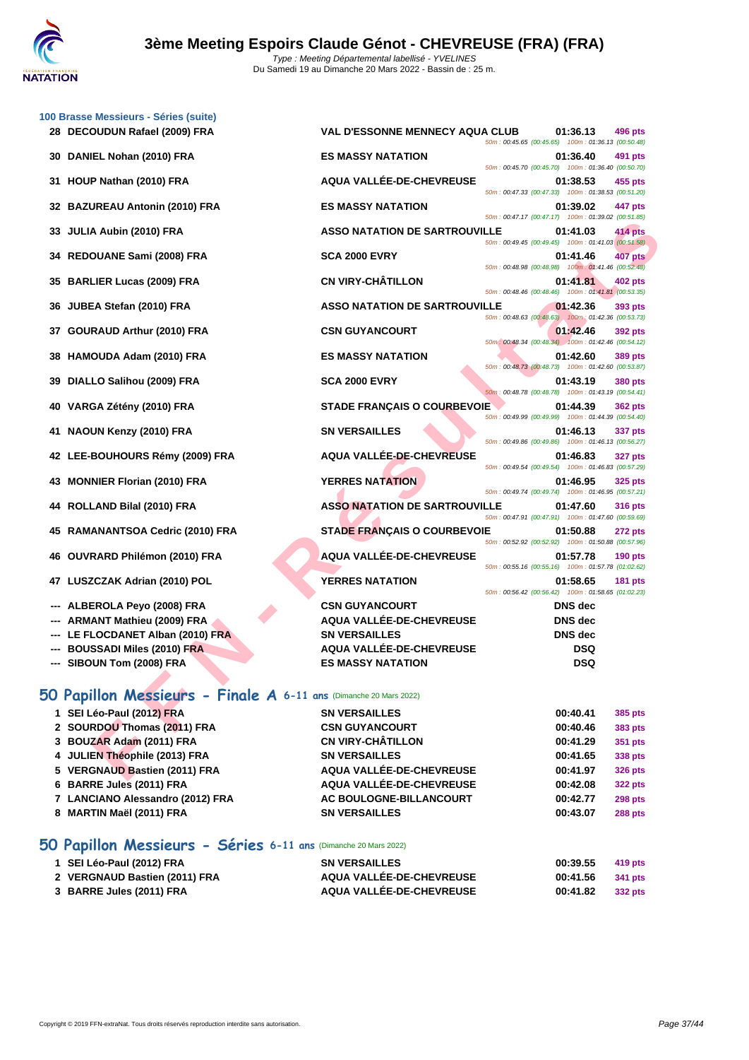

|    | 100 Brasse Messieurs - Séries (suite)                             |                                                          |                                                    |                                  |                |
|----|-------------------------------------------------------------------|----------------------------------------------------------|----------------------------------------------------|----------------------------------|----------------|
|    | 28 DECOUDUN Rafael (2009) FRA                                     | <b>VAL D'ESSONNE MENNECY AQUA CLUB</b>                   | 50m: 00:45.65 (00:45.65) 100m: 01:36.13 (00:50.48) | 01:36.13                         | 496 pts        |
| 30 | DANIEL Nohan (2010) FRA                                           | <b>ES MASSY NATATION</b>                                 | 50m: 00:45.70 (00:45.70) 100m: 01:36.40 (00:50.70) | 01:36.40                         | 491 pts        |
| 31 | HOUP Nathan (2010) FRA                                            | AQUA VALLÉE-DE-CHEVREUSE                                 | 50m: 00:47.33 (00:47.33) 100m: 01:38.53 (00:51.20) | 01:38.53                         | 455 pts        |
| 32 | <b>BAZUREAU Antonin (2010) FRA</b>                                | <b>ES MASSY NATATION</b>                                 | 50m: 00:47.17 (00:47.17) 100m: 01:39.02 (00:51.85) | 01:39.02                         | 447 pts        |
| 33 | JULIA Aubin (2010) FRA                                            | <b>ASSO NATATION DE SARTROUVILLE</b>                     | 50m: 00:49.45 (00:49.45) 100m: 01:41.03 (00:51.58) | 01:41.03                         | 414 pts        |
|    | 34 REDOUANE Sami (2008) FRA                                       | <b>SCA 2000 EVRY</b>                                     |                                                    | 01:41.46                         | <b>407 pts</b> |
| 35 | <b>BARLIER Lucas (2009) FRA</b>                                   | <b>CN VIRY-CHÂTILLON</b>                                 | 50m: 00:48.98 (00:48.98) 100m: 01:41.46 (00:52.48) | 01:41.81                         | 402 pts        |
| 36 | JUBEA Stefan (2010) FRA                                           | <b>ASSO NATATION DE SARTROUVILLE</b>                     | 50m: 00:48.46 (00:48.46) 100m: 01:41.81 (00:53.35) | 01:42.36                         | 393 pts        |
| 37 | <b>GOURAUD Arthur (2010) FRA</b>                                  | <b>CSN GUYANCOURT</b>                                    | 50m: 00:48.63 (00:48.63) 100m: 01:42.36 (00:53.73) | 01:42.46                         | 392 pts        |
| 38 | HAMOUDA Adam (2010) FRA                                           | <b>ES MASSY NATATION</b>                                 | 50m: 00:48.34 (00:48.34) 100m: 01:42.46 (00:54.12) | 01:42.60                         | 389 pts        |
| 39 | DIALLO Salihou (2009) FRA                                         | <b>SCA 2000 EVRY</b>                                     | 50m: 00:48.73 (00:48.73) 100m: 01:42.60 (00:53.87) | 01:43.19                         | <b>380 pts</b> |
| 40 | VARGA Zétény (2010) FRA                                           | <b>STADE FRANÇAIS O COURBEVOIE</b>                       | 50m: 00:48.78 (00:48.78) 100m: 01:43.19 (00:54.41) | 01:44.39                         | <b>362 pts</b> |
| 41 | NAOUN Kenzy (2010) FRA                                            | <b>SN VERSAILLES</b>                                     | 50m: 00:49.99 (00:49.99) 100m: 01:44.39 (00:54.40) | 01:46.13                         | 337 pts        |
|    | 42 LEE-BOUHOURS Rémy (2009) FRA                                   | AQUA VALLÉE-DE-CHEVREUSE                                 | 50m: 00:49.86 (00:49.86) 100m: 01:46.13 (00:56.27) | 01:46.83                         | <b>327 pts</b> |
| 43 | <b>MONNIER Florian (2010) FRA</b>                                 | <b>YERRES NATATION</b>                                   | 50m: 00:49.54 (00:49.54) 100m: 01:46.83 (00:57.29) | 01:46.95                         | <b>325 pts</b> |
|    | 44 ROLLAND Bilal (2010) FRA                                       | <b>ASSO NATATION DE SARTROUVILLE</b>                     | 50m: 00:49.74 (00:49.74) 100m: 01:46.95 (00:57.21) | 01:47.60                         | <b>316 pts</b> |
| 45 | <b>RAMANANTSOA Cedric (2010) FRA</b>                              | <b>STADE FRANÇAIS O COURBEVOIE</b>                       | 50m: 00:47.91 (00:47.91) 100m: 01:47.60 (00:59.69) | 01:50.88                         | <b>272 pts</b> |
| 46 | OUVRARD Philémon (2010) FRA                                       | AQUA VALLÉE-DE-CHEVREUSE                                 | 50m: 00:52.92 (00:52.92) 100m: 01:50.88 (00:57.96) | 01:57.78                         | <b>190 pts</b> |
| 47 | LUSZCZAK Adrian (2010) POL                                        | <b>YERRES NATATION</b>                                   | 50m: 00:55.16 (00:55.16) 100m: 01:57.78 (01:02.62) | 01:58.65                         | <b>181 pts</b> |
|    |                                                                   |                                                          | 50m: 00:56.42 (00:56.42) 100m: 01:58.65 (01:02.23) |                                  |                |
|    | ALBEROLA Peyo (2008) FRA<br>ARMANT Mathieu (2009) FRA             | <b>CSN GUYANCOURT</b><br><b>AQUA VALLEE-DE-CHEVREUSE</b> |                                                    | <b>DNS</b> dec<br><b>DNS</b> dec |                |
|    | LE FLOCDANET Alban (2010) FRA                                     | <b>SN VERSAILLES</b>                                     |                                                    | DNS dec                          |                |
|    | <b>BOUSSADI Miles (2010) FRA</b>                                  | AQUA VALLÉE-DE-CHEVREUSE                                 |                                                    | <b>DSQ</b>                       |                |
|    | --- SIBOUN Tom (2008) FRA                                         | <b>ES MASSY NATATION</b>                                 |                                                    | <b>DSQ</b>                       |                |
|    | 50 Papillon Messieurs - Finale A 6-11 ans (Dimanche 20 Mars 2022) |                                                          |                                                    |                                  |                |
|    | 1 SEI Léo-Paul (2012) FRA                                         | <b>SN VERSAILLES</b>                                     |                                                    | 00:40.41                         | 385 pts        |
|    | 2 SOURDOU Thomas (2011) FRA                                       | <b>CSN GUYANCOURT</b>                                    |                                                    | 00:40.46                         | 383 pts        |
|    | 3 BOUZAR Adam (2011) FRA                                          | <b>CN VIRY-CHÂTILLON</b>                                 |                                                    | 00:41.29                         | 351 pts        |
|    | 4 JULIEN Théophile (2013) FRA                                     | <b>SN VERSAILLES</b>                                     |                                                    | 00:41.65                         | 338 pts        |
|    | 5 VERGNAUD Bastien (2011) FRA                                     | AQUA VALLÉE-DE-CHEVREUSE                                 |                                                    | 00:41.97                         | <b>326 pts</b> |

## **50 Papillon Messieurs - Finale A 6-11 ans** (Dimanche 20 Mars 2022)

| 1 SEI Léo-Paul (2012) FRA        | <b>SN VERSAILLES</b>     | 00:40.41 | 385 pts        |
|----------------------------------|--------------------------|----------|----------------|
| 2 SOURDOU Thomas (2011) FRA      | <b>CSN GUYANCOURT</b>    | 00:40.46 | 383 pts        |
| 3 BOUZAR Adam (2011) FRA         | <b>CN VIRY-CHÂTILLON</b> | 00:41.29 | 351 pts        |
| 4 JULIEN Théophile (2013) FRA    | <b>SN VERSAILLES</b>     | 00:41.65 | 338 pts        |
| 5 VERGNAUD Bastien (2011) FRA    | AQUA VALLÉE-DE-CHEVREUSE | 00:41.97 | <b>326 pts</b> |
| 6 BARRE Jules (2011) FRA         | AQUA VALLÉE-DE-CHEVREUSE | 00:42.08 | <b>322 pts</b> |
| 7 LANCIANO Alessandro (2012) FRA | AC BOULOGNE-BILLANCOURT  | 00:42.77 | <b>298 pts</b> |
| 8 MARTIN Maël (2011) FRA         | <b>SN VERSAILLES</b>     | 00:43.07 | <b>288 pts</b> |

## **50 Papillon Messieurs - Séries 6-11 ans** (Dimanche 20 Mars 2022)

| 1 SEI Léo-Paul (2012) FRA     | <b>SN VERSAILLES</b>            | 00:39.55 | 419 pts |
|-------------------------------|---------------------------------|----------|---------|
| 2 VERGNAUD Bastien (2011) FRA | <b>AQUA VALLÉE-DE-CHEVREUSE</b> | 00:41.56 | 341 pts |
| 3 BARRE Jules (2011) FRA      | AQUA VALLÉE-DE-CHEVREUSE        | 00:41.82 | 332 pts |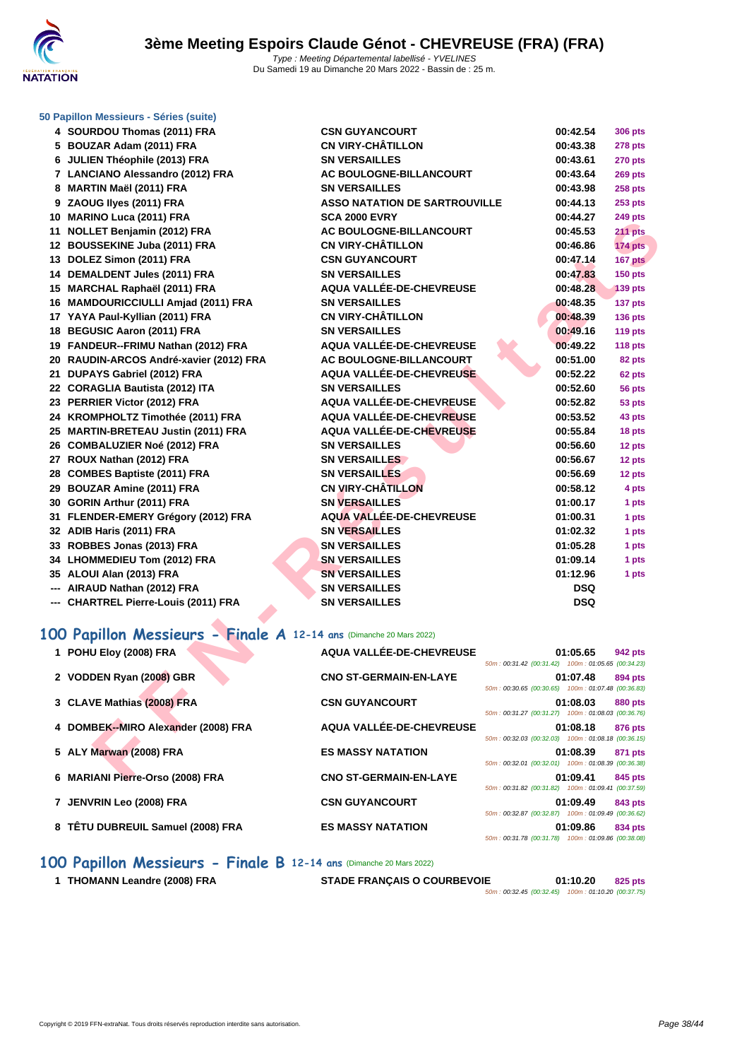

| 50 Papillon Messieurs - Séries (suite) |  |  |  |  |  |  |
|----------------------------------------|--|--|--|--|--|--|
|----------------------------------------|--|--|--|--|--|--|

| 4 SOURDOU Thomas (2011) FRA                                        | <b>CSN GUYANCOURT</b>                | 00:42.54                                                       | <b>306 pts</b> |
|--------------------------------------------------------------------|--------------------------------------|----------------------------------------------------------------|----------------|
| 5 BOUZAR Adam (2011) FRA                                           | <b>CN VIRY-CHÂTILLON</b>             | 00:43.38                                                       | <b>278 pts</b> |
| 6 JULIEN Théophile (2013) FRA                                      | <b>SN VERSAILLES</b>                 | 00:43.61                                                       | <b>270 pts</b> |
| 7 LANCIANO Alessandro (2012) FRA                                   | AC BOULOGNE-BILLANCOURT              | 00:43.64                                                       | 269 pts        |
| 8 MARTIN Maël (2011) FRA                                           | <b>SN VERSAILLES</b>                 | 00:43.98                                                       | <b>258 pts</b> |
| 9 ZAOUG Ilyes (2011) FRA                                           | <b>ASSO NATATION DE SARTROUVILLE</b> | 00:44.13                                                       | <b>253 pts</b> |
| 10 MARINO Luca (2011) FRA                                          | <b>SCA 2000 EVRY</b>                 | 00:44.27                                                       | 249 pts        |
| 11 NOLLET Benjamin (2012) FRA                                      | AC BOULOGNE-BILLANCOURT              | 00:45.53                                                       | 211 pts        |
| 12 BOUSSEKINE Juba (2011) FRA                                      | <b>CN VIRY-CHÂTILLON</b>             | 00:46.86                                                       | 174 pts        |
| 13 DOLEZ Simon (2011) FRA                                          | <b>CSN GUYANCOURT</b>                | 00:47.14                                                       | 167 pts        |
| 14 DEMALDENT Jules (2011) FRA                                      | <b>SN VERSAILLES</b>                 | 00:47.83                                                       | <b>150 pts</b> |
| 15 MARCHAL Raphaël (2011) FRA                                      | AQUA VALLÉE-DE-CHEVREUSE             | 00:48.28                                                       | <b>139 pts</b> |
| 16 MAMDOURICCIULLI Amjad (2011) FRA                                | <b>SN VERSAILLES</b>                 | 00:48.35                                                       | 137 pts        |
| 17 YAYA Paul-Kyllian (2011) FRA                                    | <b>CN VIRY-CHÂTILLON</b>             | 00:48.39                                                       | <b>136 pts</b> |
| 18 BEGUSIC Aaron (2011) FRA                                        | <b>SN VERSAILLES</b>                 | 00:49.16                                                       | 119 pts        |
| 19 FANDEUR--FRIMU Nathan (2012) FRA                                | AQUA VALLÉE-DE-CHEVREUSE             | 00:49.22                                                       | 118 pts        |
| 20 RAUDIN-ARCOS André-xavier (2012) FRA                            | AC BOULOGNE-BILLANCOURT              | 00:51.00                                                       | 82 pts         |
| 21 DUPAYS Gabriel (2012) FRA                                       | AQUA VALLÉE-DE-CHEVREUSE             | 00:52.22                                                       | 62 pts         |
| 22 CORAGLIA Bautista (2012) ITA                                    | <b>SN VERSAILLES</b>                 | 00:52.60                                                       | 56 pts         |
| 23 PERRIER Victor (2012) FRA                                       | AQUA VALLÉE-DE-CHEVREUSE             | 00:52.82                                                       | 53 pts         |
| 24 KROMPHOLTZ Timothée (2011) FRA                                  | AQUA VALLÉE-DE-CHEVREUSE             | 00:53.52                                                       | 43 pts         |
| 25 MARTIN-BRETEAU Justin (2011) FRA                                | AQUA VALLÉE-DE-CHEVREUSE             | 00:55.84                                                       | 18 pts         |
| 26 COMBALUZIER Noé (2012) FRA                                      | <b>SN VERSAILLES</b>                 | 00:56.60                                                       | 12 pts         |
| 27 ROUX Nathan (2012) FRA                                          | <b>SN VERSAILLES</b>                 | 00:56.67                                                       | 12 pts         |
| 28 COMBES Baptiste (2011) FRA                                      | <b>SN VERSAILLES</b>                 | 00:56.69                                                       | 12 pts         |
| 29 BOUZAR Amine (2011) FRA                                         | <b>CN VIRY-CHÂTILLON</b>             | 00:58.12                                                       | 4 pts          |
| 30 GORIN Arthur (2011) FRA                                         | <b>SN VERSAILLES</b>                 | 01:00.17                                                       | 1 pts          |
| 31 FLENDER-EMERY Grégory (2012) FRA                                | <b>AQUA VALLÉE-DE-CHEVREUSE</b>      | 01:00.31                                                       | 1 pts          |
| 32 ADIB Haris (2011) FRA                                           | <b>SN VERSAILLES</b>                 | 01:02.32                                                       | 1 pts          |
| 33 ROBBES Jonas (2013) FRA                                         | <b>SN VERSAILLES</b>                 | 01:05.28                                                       | 1 pts          |
| 34 LHOMMEDIEU Tom (2012) FRA                                       | <b>SN VERSAILLES</b>                 | 01:09.14                                                       | 1 pts          |
| 35 ALOUI Alan (2013) FRA                                           | <b>SN VERSAILLES</b>                 | 01:12.96                                                       | 1 pts          |
| --- AIRAUD Nathan (2012) FRA                                       | <b>SN VERSAILLES</b>                 | <b>DSQ</b>                                                     |                |
| --- CHARTREL Pierre-Louis (2011) FRA                               | <b>SN VERSAILLES</b>                 | <b>DSQ</b>                                                     |                |
| 00 Papillon Messieurs - Finale A 12-14 ans (Dimanche 20 Mars 2022) |                                      |                                                                |                |
| 1 POHU Eloy (2008) FRA                                             | AQUA VALLÉE-DE-CHEVREUSE             | 01:05.65<br>50m: 00:31.42 (00:31.42) 100m: 01:05.65 (00:34.23) | 942 pts        |
| 2 VODDEN Ryan (2008) GBR                                           | <b>CNO ST-GERMAIN-EN-LAYE</b>        | 01:07.48<br>50m: 00:30.65 (00:30.65) 100m: 01:07.48 (00:36.83) | 894 pts        |
| 3 CLAVE Mathias (2008) FRA                                         | <b>CSN GUYANCOURT</b>                | 01:08.03                                                       | 880 pts        |
| 4 DOMBEK--MIRO Alexander (2008) FRA                                | AQUA VALLÉE-DE-CHEVREUSE             | 50m: 00:31.27 (00:31.27) 100m: 01:08.03 (00:36.76)<br>01:08.18 | 876 pts        |
| 5 ALY Marwan (2008) FRA                                            | <b>ES MASSY NATATION</b>             | 50m: 00:32.03 (00:32.03) 100m: 01:08.18 (00:36.15)<br>01:08.39 | 871 pts        |
|                                                                    |                                      | 50m: 00:32.01 (00:32.01) 100m: 01:08.39 (00:36.38)             |                |
| 6 MARIANI Pierre-Orso (2008) FRA                                   | <b>CNO ST-GERMAIN-EN-LAYE</b>        | 01:09.41                                                       | 845 pts        |

# **100 Papillon Messieurs - Finale A 12-14 ans** (Dimanche 20 Mars 2022)

| 1 POHU Eloy (2008) FRA              | AQUA VALLÉE-DE-CHEVREUSE      | 01:05.65<br>942 pts<br>50m: 00:31.42 (00:31.42) 100m: 01:05.65 (00:34.23)        |  |
|-------------------------------------|-------------------------------|----------------------------------------------------------------------------------|--|
| 2 VODDEN Ryan (2008) GBR            | <b>CNO ST-GERMAIN-EN-LAYE</b> | 01:07.48<br>894 pts<br>50m: 00:30.65 (00:30.65) 100m: 01:07.48 (00:36.83)        |  |
| 3 CLAVE Mathias (2008) FRA          | <b>CSN GUYANCOURT</b>         | 01:08.03<br><b>880 pts</b><br>50m: 00:31.27 (00:31.27) 100m: 01:08.03 (00:36.76) |  |
| 4 DOMBEK--MIRO Alexander (2008) FRA | AQUA VALLÉE-DE-CHEVREUSE      | 01:08.18<br>876 pts<br>50m: 00:32.03 (00:32.03) 100m: 01:08.18 (00:36.15)        |  |
| 5 ALY Marwan (2008) FRA             | <b>ES MASSY NATATION</b>      | 01:08.39<br>871 pts<br>50m: 00:32.01 (00:32.01) 100m: 01:08.39 (00:36.38)        |  |
| 6 MARIANI Pierre-Orso (2008) FRA    | <b>CNO ST-GERMAIN-EN-LAYE</b> | 01:09.41<br>845 pts<br>50m: 00:31.82 (00:31.82) 100m: 01:09.41 (00:37.59)        |  |
| 7 JENVRIN Leo (2008) FRA            | <b>CSN GUYANCOURT</b>         | 01:09.49<br>843 pts<br>50m: 00:32.87 (00:32.87) 100m: 01:09.49 (00:36.62)        |  |
| 8 TÊTU DUBREUIL Samuel (2008) FRA   | <b>ES MASSY NATATION</b>      | 01:09.86<br>834 pts<br>50m: 00:31.78 (00:31.78) 100m: 01:09.86 (00:38.08)        |  |

## **100 Papillon Messieurs - Finale B 12-14 ans** (Dimanche 20 Mars 2022)

**THOMANN Leandre (2008) FRA STADE FRANÇAIS O COURBEVOIE 01:10.20 825 pts**

50m : 00:32.45 (00:32.45) 100m : 01:10.20 (00:37.75)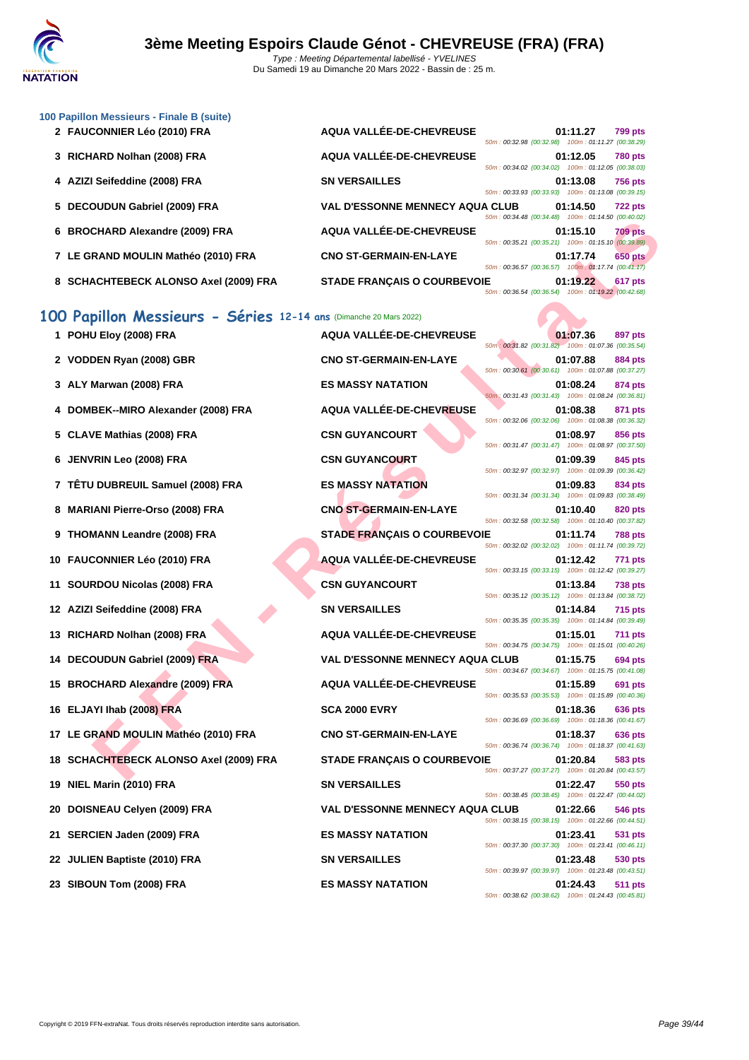|  | 100 Papillon Messieurs - Finale B (suite) |  |  |
|--|-------------------------------------------|--|--|
|--|-------------------------------------------|--|--|

| 2 FAUCONNIER Léo (2010) FRA           | AQUA VALLÉE-DE-CHEVREUSE               | 50m: 00:32.98 (00:32.98) 100m: 01:11.27 (00:38.29) | 01:11.27 | <b>799 pts</b> |
|---------------------------------------|----------------------------------------|----------------------------------------------------|----------|----------------|
| 3 RICHARD Nolhan (2008) FRA           | AQUA VALLÉE-DE-CHEVREUSE               | 50m: 00:34.02 (00:34.02) 100m: 01:12.05 (00:38.03) | 01:12.05 | <b>780 pts</b> |
| 4 AZIZI Seifeddine (2008) FRA         | <b>SN VERSAILLES</b>                   | 50m: 00:33.93 (00:33.93) 100m: 01:13.08 (00:39.15) | 01:13.08 | <b>756 pts</b> |
| 5 DECOUDUN Gabriel (2009) FRA         | <b>VAL D'ESSONNE MENNECY AQUA CLUB</b> | 50m: 00:34.48 (00:34.48) 100m: 01:14.50 (00:40.02) | 01:14.50 | <b>722 pts</b> |
| 6 BROCHARD Alexandre (2009) FRA       | AQUA VALLÉE-DE-CHEVREUSE               | 50m: 00:35.21 (00:35.21) 100m: 01:15.10 (00:39.89) | 01:15.10 | <b>709 pts</b> |
| 7 LE GRAND MOULIN Mathéo (2010) FRA   | <b>CNO ST-GERMAIN-EN-LAYE</b>          | 50m: 00:36.57 (00:36.57) 100m: 01:17.74 (00:41.17) | 01:17.74 | <b>650 pts</b> |
| 8 SCHACHTEBECK ALONSO Axel (2009) FRA | <b>STADE FRANCAIS O COURBEVOIE</b>     | 50m: 00:36.54 (00:36.54) 100m: 01:19.22 (00:42.68) | 01:19.22 | <b>617 pts</b> |

# **100 Papillon Messieurs - Séries 12-14 ans** (Dimanche 20 Mars 2022)

|                                                                  |                                        | JUIII.UU.J <del>.HU</del> (UU.J <del>.HU</del> )   | 100111.011.14.00 | 100.40.02      |
|------------------------------------------------------------------|----------------------------------------|----------------------------------------------------|------------------|----------------|
| 6 BROCHARD Alexandre (2009) FRA                                  | <b>AQUA VALLÉE-DE-CHEVREUSE</b>        | 50m: 00:35.21 (00:35.21) 100m: 01:15.10 (00:39.89) | 01:15.10         | <b>709 pts</b> |
| 7 LE GRAND MOULIN Mathéo (2010) FRA                              | <b>CNO ST-GERMAIN-EN-LAYE</b>          | 50m: 00:36.57 (00:36.57) 100m: 01:17.74 (00:41.17) | 01:17.74         | <b>650 pts</b> |
| 8 SCHACHTEBECK ALONSO Axel (2009) FRA                            | STADE FRANÇAIS O COURBEVOIE            | 50m: 00:36.54 (00:36.54) 100m: 01:19.22 (00:42.68) | 01:19.22         | 617 pts        |
| 00 Papillon Messieurs - Séries 12-14 ans (Dimanche 20 Mars 2022) |                                        |                                                    |                  |                |
| 1 POHU Eloy (2008) FRA                                           | AQUA VALLÉE-DE-CHEVREUSE               | 50m: 00:31.82 (00:31.82) 100m: 01:07.36 (00:35.54) | 01:07.36         | 897 pts        |
| 2 VODDEN Ryan (2008) GBR                                         | <b>CNO ST-GERMAIN-EN-LAYE</b>          | 50m: 00:30.61 (00:30.61) 100m: 01:07.88 (00:37.27) | 01:07.88         | 884 pts        |
| 3 ALY Marwan (2008) FRA                                          | <b>ES MASSY NATATION</b>               | 50m: 00:31.43 (00:31.43) 100m: 01:08.24 (00:36.81) | 01:08.24         | 874 pts        |
| 4 DOMBEK--MIRO Alexander (2008) FRA                              | AQUA VALLÉE-DE-CHEVREUSE               | 50m: 00:32.06 (00:32.06) 100m: 01:08.38 (00:36.32) | 01:08.38         | 871 pts        |
| 5 CLAVE Mathias (2008) FRA                                       | <b>CSN GUYANCOURT</b>                  |                                                    | 01:08.97         | 856 pts        |
| 6 JENVRIN Leo (2008) FRA                                         | <b>CSN GUYANCOURT</b>                  | 50m: 00:31.47 (00:31.47) 100m: 01:08.97 (00:37.50) | 01:09.39         | 845 pts        |
| 7 TETU DUBREUIL Samuel (2008) FRA                                | <b>ES MASSY NATATION</b>               | 50m: 00:32.97 (00:32.97) 100m: 01:09.39 (00:36.42) | 01:09.83         | 834 pts        |
| 8 MARIANI Pierre-Orso (2008) FRA                                 | <b>CNO ST-GERMAIN-EN-LAYE</b>          | 50m: 00:31.34 (00:31.34) 100m: 01:09.83 (00:38.49) | 01:10.40         | 820 pts        |
| 9 THOMANN Leandre (2008) FRA                                     | <b>STADE FRANÇAIS O COURBEVOIE</b>     | 50m: 00:32.58 (00:32.58) 100m: 01:10.40 (00:37.82) | 01:11.74         | <b>788 pts</b> |
| 10 FAUCONNIER Léo (2010) FRA                                     | <b>AQUA VALLÉE-DE-CHEVREUSE</b>        | 50m: 00:32.02 (00:32.02) 100m: 01:11.74 (00:39.72) | 01:12.42         | 771 pts        |
| 11 SOURDOU Nicolas (2008) FRA                                    | <b>CSN GUYANCOURT</b>                  | 50m: 00:33.15 (00:33.15) 100m: 01:12.42 (00:39.27) | 01:13.84         | <b>738 pts</b> |
| 12 AZIZI Seifeddine (2008) FRA                                   | <b>SN VERSAILLES</b>                   | 50m: 00:35.12 (00:35.12) 100m: 01:13.84 (00:38.72) | 01:14.84         | <b>715 pts</b> |
| 13 RICHARD Nolhan (2008) FRA                                     | AQUA VALLÉE-DE-CHEVREUSE               | 50m: 00:35.35 (00:35.35) 100m: 01:14.84 (00:39.49) | 01:15.01         | <b>711 pts</b> |
| 14 DECOUDUN Gabriel (2009) FRA                                   | <b>VAL D'ESSONNE MENNECY AQUA CLUB</b> | 50m: 00:34.75 (00:34.75) 100m: 01:15.01 (00:40.26) | 01:15.75         | 694 pts        |
|                                                                  |                                        | 50m: 00:34.67 (00:34.67) 100m: 01:15.75 (00:41.08) |                  |                |
| 15 BROCHARD Alexandre (2009) FRA                                 | <b>AQUA VALLÉE-DE-CHEVREUSE</b>        | 50m: 00:35.53 (00:35.53) 100m: 01:15.89 (00:40.36) | 01:15.89         | 691 pts        |
| 16 ELJAYI Ihab (2008) FRA                                        | <b>SCA 2000 EVRY</b>                   | 50m: 00:36.69 (00:36.69) 100m: 01:18.36 (00:41.67) | 01:18.36         | 636 pts        |
| 17 LE GRAND MOULIN Mathéo (2010) FRA                             | <b>CNO ST-GERMAIN-EN-LAYE</b>          | 50m: 00:36.74 (00:36.74) 100m: 01:18.37 (00:41.63) | 01:18.37         | 636 pts        |
| 18 SCHACHTEBECK ALONSO Axel (2009) FRA                           | <b>STADE FRANÇAIS O COURBEVOIE</b>     | 50m: 00:37.27 (00:37.27) 100m: 01:20.84 (00:43.57) | 01:20.84         | 583 pts        |
| 19 NIEL Marin (2010) FRA                                         | <b>SN VERSAILLES</b>                   |                                                    | 01:22.47         | 550 pts        |
| 20 DOISNEAU Celyen (2009) FRA                                    | <b>VAL D'ESSONNE MENNECY AQUA CLUB</b> | 50m: 00:38.45 (00:38.45) 100m: 01:22.47 (00:44.02) | 01:22.66         | 546 pts        |
| 21 SERCIEN Jaden (2009) FRA                                      | <b>ES MASSY NATATION</b>               | 50m: 00:38.15 (00:38.15) 100m: 01:22.66 (00:44.51) | 01:23.41         | 531 pts        |
| 22 JULIEN Baptiste (2010) FRA                                    | <b>SN VERSAILLES</b>                   | 50m: 00:37.30 (00:37.30) 100m: 01:23.41 (00:46.11) | 01:23.48         | 530 pts        |
|                                                                  |                                        | 50m: 00:39.97 (00:39.97) 100m: 01:23.48 (00:43.51) |                  |                |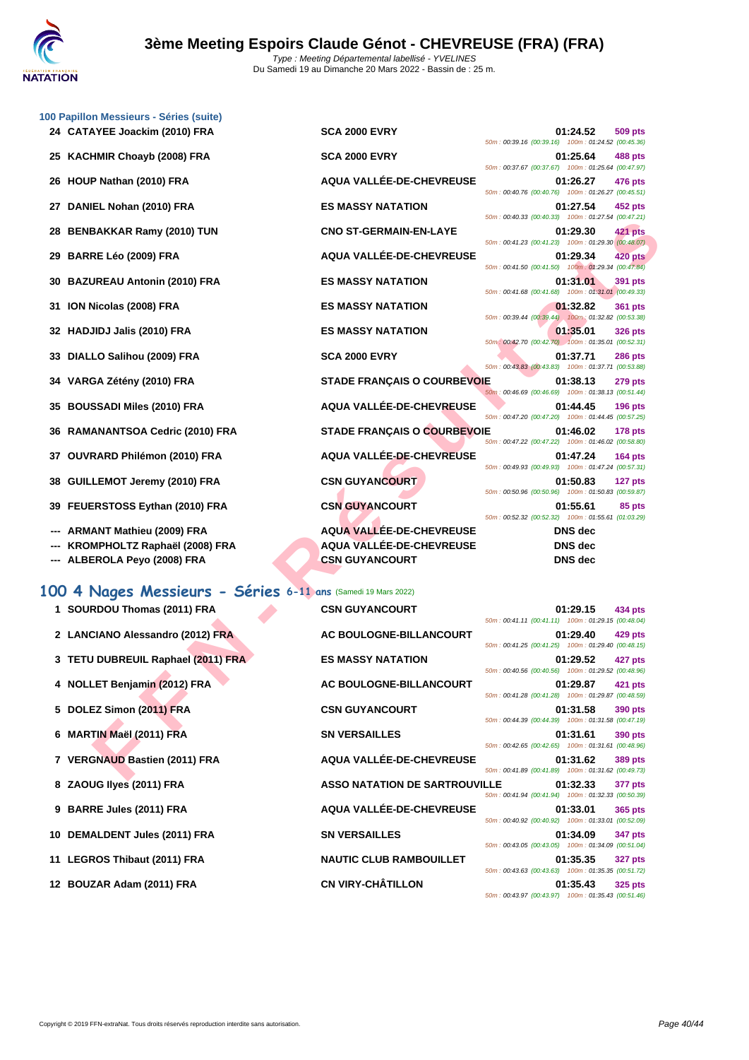

|    | 100 Papillon Messieurs - Séries (suite)                       |                                    |                                                                                  |
|----|---------------------------------------------------------------|------------------------------------|----------------------------------------------------------------------------------|
|    | 24 CATAYEE Joackim (2010) FRA                                 | <b>SCA 2000 EVRY</b>               | 01:24.52<br>509 pts<br>50m: 00:39.16 (00:39.16) 100m: 01:24.52 (00:45.36)        |
| 25 | <b>KACHMIR Choayb (2008) FRA</b>                              | <b>SCA 2000 EVRY</b>               | 01:25.64<br><b>488 pts</b><br>50m: 00:37.67 (00:37.67) 100m: 01:25.64 (00:47.97) |
| 26 | HOUP Nathan (2010) FRA                                        | <b>AQUA VALLEE-DE-CHEVREUSE</b>    | 01:26.27<br>476 pts<br>50m: 00:40.76 (00:40.76) 100m: 01:26.27 (00:45.51)        |
| 27 | DANIEL Nohan (2010) FRA                                       | <b>ES MASSY NATATION</b>           | 01:27.54<br>452 pts                                                              |
| 28 | <b>BENBAKKAR Ramy (2010) TUN</b>                              | <b>CNO ST-GERMAIN-EN-LAYE</b>      | 50m: 00:40.33 (00:40.33) 100m: 01:27.54 (00:47.21)<br>01:29.30<br><b>421 pts</b> |
| 29 | <b>BARRE Léo (2009) FRA</b>                                   | AQUA VALLÉE-DE-CHEVREUSE           | 50m: 00:41.23 (00:41.23) 100m: 01:29.30 (00:48.07)<br>01:29.34<br><b>420 pts</b> |
| 30 | <b>BAZUREAU Antonin (2010) FRA</b>                            | <b>ES MASSY NATATION</b>           | 50m: 00:41.50 (00:41.50) 100m: 01:29.34 (00:47.84)<br>01:31.01<br>391 pts        |
| 31 | ION Nicolas (2008) FRA                                        | <b>ES MASSY NATATION</b>           | 50m: 00:41.68 (00:41.68) 100m: 01:31.01 (00:49.33)<br>01:32.82<br><b>361 pts</b> |
|    | <b>HADJIDJ Jalis (2010) FRA</b>                               | <b>ES MASSY NATATION</b>           | 50m: 00:39.44 (00:39.44) 100m: 01:32.82 (00:53.38)<br>01:35.01<br><b>326 pts</b> |
| 33 | DIALLO Salihou (2009) FRA                                     | <b>SCA 2000 EVRY</b>               | 50m: 00:42.70 (00:42.70) 100m: 01:35.01 (00:52.31)<br>01:37.71<br><b>286 pts</b> |
| 34 | VARGA Zétény (2010) FRA                                       | <b>STADE FRANÇAIS O COURBEVOIE</b> | 50m: 00:43.83 (00:43.83) 100m: 01:37.71 (00:53.88)<br>01:38.13<br><b>279 pts</b> |
| 35 | <b>BOUSSADI Miles (2010) FRA</b>                              | AQUA VALLÉE-DE-CHEVREUSE           | 50m: 00:46.69 (00:46.69) 100m: 01:38.13 (00:51.44)<br>01:44.45<br><b>196 pts</b> |
| 36 | <b>RAMANANTSOA Cedric (2010) FRA</b>                          | STADE FRANÇAIS O COURBEVOIE        | 50m: 00:47.20 (00:47.20) 100m: 01:44.45 (00:57.25)<br>01:46.02<br>178 pts        |
|    |                                                               | AQUA VALLÉE-DE-CHEVREUSE           | 50m: 00:47.22 (00:47.22) 100m: 01:46.02 (00:58.80)                               |
| 37 | OUVRARD Philémon (2010) FRA                                   |                                    | 01:47.24<br><b>164 pts</b><br>50m: 00:49.93 (00:49.93) 100m: 01:47.24 (00:57.31) |
| 38 | <b>GUILLEMOT Jeremy (2010) FRA</b>                            | <b>CSN GUYANCOURT</b>              | 01:50.83<br>127 pts<br>50m: 00:50.96 (00:50.96) 100m: 01:50.83 (00:59.87)        |
| 39 | FEUERSTOSS Eythan (2010) FRA                                  | <b>CSN GUYANCOURT</b>              | 01:55.61<br>85 pts<br>50m: 00:52.32 (00:52.32) 100m: 01:55.61 (01:03.29)         |
|    | <b>ARMANT Mathieu (2009) FRA</b>                              | <b>AQUA VALLÉE-DE-CHEVREUSE</b>    | <b>DNS</b> dec                                                                   |
|    | KROMPHOLTZ Raphaël (2008) FRA                                 | <b>AQUA VALLÉE-DE-CHEVREUSE</b>    | DNS dec                                                                          |
|    | ALBEROLA Peyo (2008) FRA                                      | <b>CSN GUYANCOURT</b>              | <b>DNS</b> dec                                                                   |
|    | 100 4 Nages Messieurs - Séries 6-11 ans (Samedi 19 Mars 2022) |                                    |                                                                                  |
|    | 1 SOURDOU Thomas (2011) FRA                                   | <b>CSN GUYANCOURT</b>              | 01:29.15<br>434 pts<br>50m: 00:41.11 (00:41.11) 100m: 01:29.15 (00:48.04)        |
|    | 2 LANCIANO Alessandro (2012) FRA                              | AC BOULOGNE-BILLANCOURT            | 01:29.40<br><b>429 pts</b><br>50m: 00:41.25 (00:41.25) 100m: 01:29.40 (00:48.15) |
|    | 3 TETU DUBREUIL Raphael (2011) FRA                            | <b>ES MASSY NATATION</b>           | 01:29.52<br>427 pts<br>50m: 00:40.56 (00:40.56) 100m: 01:29.52 (00:48.96)        |
|    | 4 NOLLET Benjamin (2012) FRA                                  | <b>AC BOULOGNE-BILLANCOURT</b>     | 01:29.87<br>421 pts<br>50m: 00:41.28 (00:41.28) 100m: 01:29.87 (00:48.59)        |
|    | 5 DOLEZ Simon (2011) FRA                                      | <b>CSN GUYANCOURT</b>              | 01:31.58<br><b>390 pts</b>                                                       |
|    | 6 MARTIN Maël (2011) FRA                                      | <b>SN VERSAILLES</b>               | 50m: 00:44.39 (00:44.39) 100m: 01:31.58 (00:47.19)<br>01:31.61<br>390 pts        |
|    | 7 VERGNAUD Bastien (2011) FRA                                 | AQUA VALLÉE-DE-CHEVREUSE           | 50m: 00:42.65 (00:42.65) 100m: 01:31.61 (00:48.96)<br>01:31.62<br><b>389 pts</b> |
|    |                                                               |                                    | 50m: 00:41.89 (00:41.89) 100m: 01:31.62 (00:49.73)                               |

|  |  |  | 100 4 Nages Messieurs - Séries 6-11 ans (Samedi 19 Mars 2022) |  |  |  |  |  |  |  |  |
|--|--|--|---------------------------------------------------------------|--|--|--|--|--|--|--|--|
|--|--|--|---------------------------------------------------------------|--|--|--|--|--|--|--|--|

| <b>OU T INGUES MESSIEUMS - SEMIES 0-11 ans (Samed 19 Mars 2022)</b> |                                      |                                                    |          |                |
|---------------------------------------------------------------------|--------------------------------------|----------------------------------------------------|----------|----------------|
| 1 SOURDOU Thomas (2011) FRA                                         | <b>CSN GUYANCOURT</b>                | 50m: 00:41.11 (00:41.11) 100m: 01:29.15 (00:48.04) | 01:29.15 | 434 pts        |
| 2 LANCIANO Alessandro (2012) FRA                                    | AC BOULOGNE-BILLANCOURT              | 50m: 00:41.25 (00:41.25) 100m: 01:29.40 (00:48.15) | 01:29.40 | 429 pts        |
| 3 TETU DUBREUIL Raphael (2011) FRA                                  | <b>ES MASSY NATATION</b>             | 50m: 00:40.56 (00:40.56) 100m: 01:29.52 (00:48.96) | 01:29.52 | 427 pts        |
| 4 NOLLET Benjamin (2012) FRA                                        | AC BOULOGNE-BILLANCOURT              | 50m: 00:41.28 (00:41.28) 100m: 01:29.87 (00:48.59) | 01:29.87 | 421 pts        |
| 5 DOLEZ Simon (2011) FRA                                            | <b>CSN GUYANCOURT</b>                | 50m: 00:44.39 (00:44.39) 100m: 01:31.58 (00:47.19) | 01:31.58 | 390 pts        |
| 6 MARTIN Maël (2011) FRA                                            | <b>SN VERSAILLES</b>                 | 50m: 00:42.65 (00:42.65) 100m: 01:31.61 (00:48.96) | 01:31.61 | 390 pts        |
| 7 VERGNAUD Bastien (2011) FRA                                       | AQUA VALLÉE-DE-CHEVREUSE             | 50m: 00:41.89 (00:41.89) 100m: 01:31.62 (00:49.73) | 01:31.62 | 389 pts        |
| 8 ZAOUG Ilyes (2011) FRA                                            | <b>ASSO NATATION DE SARTROUVILLE</b> | 50m: 00:41.94 (00:41.94) 100m: 01:32.33 (00:50.39) | 01:32.33 | 377 pts        |
| 9 BARRE Jules (2011) FRA                                            | AQUA VALLÉE-DE-CHEVREUSE             | 50m: 00:40.92 (00:40.92) 100m: 01:33.01 (00:52.09) | 01:33.01 | 365 pts        |
| 10 DEMALDENT Jules (2011) FRA                                       | <b>SN VERSAILLES</b>                 | 50m: 00:43.05 (00:43.05) 100m: 01:34.09 (00:51.04) | 01:34.09 | 347 pts        |
| 11 LEGROS Thibaut (2011) FRA                                        | <b>NAUTIC CLUB RAMBOUILLET</b>       | 50m: 00:43.63 (00:43.63) 100m: 01:35.35 (00:51.72) | 01:35.35 | <b>327 pts</b> |
| 12 BOUZAR Adam (2011) FRA                                           | <b>CN VIRY-CHÂTILLON</b>             |                                                    | 01:35.43 | 325 pts        |

| <b>SCA 2000 EVRY</b>                                                                        |
|---------------------------------------------------------------------------------------------|
| <b>SCA 2000 EVRY</b>                                                                        |
| <b>AQUA VALLÉE-DE-CHEVREUSE</b>                                                             |
| <b>ES MASSY NATATION</b>                                                                    |
| <b>CNO ST-GERMAIN-EN-LAYE</b>                                                               |
| AQUA VALLÉE-DE-CHEVREUSE                                                                    |
| <b>ES MASSY NATATION</b>                                                                    |
| <b>ES MASSY NATATION</b>                                                                    |
| <b>ES MASSY NATATION</b>                                                                    |
| <b>SCA 2000 EVRY</b>                                                                        |
| <b>STADE FRANÇAIS O COURBEVOI</b>                                                           |
| AQUA VALLÉE-DE-CHEVREUSE                                                                    |
| <b>STADE FRANÇAIS O COURBEVOI</b>                                                           |
| <b>AQUA VALLÉE-DE-CHEVREUSE</b>                                                             |
| <b>CSN GUYANCOURT</b>                                                                       |
| <b>CSN GUYANCOURT</b>                                                                       |
| <b>AQUA VALLÉE-DE-CHEVREUSE</b><br><b>AQUA VALLÉE-DE-CHEVREUSE</b><br><b>CSN GUYANCOURT</b> |

|     |     |  |                | $U1.24.32$ $309$ pts<br>50m: 00:39.16 (00:39.16) 100m: 01:24.52 (00:45.36) |
|-----|-----|--|----------------|----------------------------------------------------------------------------|
|     |     |  |                |                                                                            |
|     |     |  |                | 01:25.64 488 pts<br>50m: 00:37.67 (00:37.67) 100m: 01:25.64 (00:47.97)     |
|     |     |  |                |                                                                            |
|     |     |  |                | 01:26.27 476 pts<br>50m: 00:40.76 (00:40.76) 100m: 01:26.27 (00:45.51)     |
|     |     |  |                |                                                                            |
|     |     |  |                | 01:27.54 452 pts<br>50m: 00:40.33 (00:40.33) 100m: 01:27.54 (00:47.21)     |
|     |     |  |                |                                                                            |
|     |     |  |                | 01:29.30 421 pts<br>50m: 00:41.23 (00:41.23) 100m: 01:29.30 (00:48.07)     |
|     |     |  |                |                                                                            |
|     |     |  |                | 01:29.34 420 pts<br>50m : 00:41.50 (00:41.50) 100m : 01:29.34 (00:47.84)   |
|     |     |  |                |                                                                            |
|     |     |  |                | 01:31.01 391 pts<br>50m: 00:41.68 (00:41.68) 100m: 01:31.01 (00:49.33)     |
|     |     |  |                |                                                                            |
|     |     |  |                | 01:32.82 361 pts<br>50m: 00:39.44 (00:39.44) 100m: 01:32.82 (00:53.38)     |
|     |     |  | 01:35.01       |                                                                            |
|     |     |  |                | <b>326 pts</b><br>50m: 00:42.70 (00:42.70) 100m: 01:35.01 (00:52.31)       |
|     |     |  |                |                                                                            |
|     |     |  |                |                                                                            |
|     |     |  | 01:37.71       | <b>286 pts</b>                                                             |
|     |     |  |                | 50m: 00:43.83 (00:43.83) 100m: 01:37.71 (00:53.88)                         |
|     |     |  | 01:38.13       | <b>279 pts</b>                                                             |
| DІE |     |  |                | 50m: 00:46.69 (00:46.69) 100m: 01:38.13 (00:51.44)                         |
|     |     |  |                | 01:44.45 196 pts<br>50m: 00:47.20 (00:47.20) 100m: 01:44.45 (00:57.25)     |
|     |     |  |                |                                                                            |
|     | JІE |  |                | 01:46.02 178 pts<br>50m: 00:47.22 (00:47.22) 100m: 01:46.02 (00:58.80)     |
|     |     |  |                |                                                                            |
|     |     |  |                | 01:47.24 164 pts<br>50m: 00:49.93 (00:49.93) 100m: 01:47.24 (00:57.31)     |
|     |     |  |                |                                                                            |
|     |     |  |                | 01:50.83 127 pts<br>50m: 00:50.96 (00:50.96) 100m: 01:50.83 (00:59.87)     |
|     |     |  | 01:55.61       | 85 pts                                                                     |
|     |     |  |                | 50m: 00:52.32 (00:52.32) 100m: 01:55.61 (01:03.29)                         |
|     |     |  | DNS dec        |                                                                            |
|     |     |  | <b>DNS</b> dec |                                                                            |
|     |     |  | DNS dec        |                                                                            |

| <b>SN GUYANCOURT</b>                |
|-------------------------------------|
| <b>AC BOULOGNE-BILLANCOURT</b><br>ś |
| <b>IS MASSY NATATION</b><br>ł       |
| <b>AC BOULOGNE-BILLANCOURT</b>      |
| <b>SN GUYANCOURT</b>                |
| <b>SN VERSAILLES</b>                |
| <b>\QUA VALLÉE-DE-CHEVREUSE</b>     |
| <b>ASSO NATATION DE SARTROUVIL</b>  |
| <b>\QUA VALLÉE-DE-CHEVREUSE</b>     |
| <b>SN VERSAILLES</b><br>ć           |
| <b>JAUTIC CLUB RAMBOUILLET</b>      |
| CN VIRY-CHÂTILLON                   |

| 01:29.40 429 pts<br>50m: 00:41.25 (00:41.25) 100m: 01:29.40 (00:48.15)     |
|----------------------------------------------------------------------------|
| 01:29.52 427 pts<br>50m: 00:40.56 (00:40.56) 100m: 01:29.52 (00:48.96)     |
| 01:29.87 421 pts<br>50m: 00:41.28 (00:41.28) 100m: 01:29.87 (00:48.59)     |
| 01:31.58 390 pts<br>50m: 00:44.39 (00:44.39) 100m: 01:31.58 (00:47.19)     |
| 01:31.61 390 pts<br>50m: 00:42.65 (00:42.65) 100m: 01:31.61 (00:48.96)     |
| 01:31.62 389 pts<br>50m: 00:41.89 (00:41.89) 100m: 01:31.62 (00:49.73)     |
| LLE 01:32.33 377 pts<br>50m: 00:41.94 (00:41.94) 100m: 01:32.33 (00:50.39) |
| 01:33.01 365 pts<br>50m: 00:40.92 (00:40.92) 100m: 01:33.01 (00:52.09)     |
| 01:34.09 347 pts<br>50m: 00:43.05 (00:43.05) 100m: 01:34.09 (00:51.04)     |
| 01:35.35 327 pts<br>50m: 00:43.63 (00:43.63) 100m: 01:35.35 (00:51.72)     |
| 01:35.43 325 pts<br>50m: 00:43.97 (00:43.97) 100m: 01:35.43 (00:51.46)     |
|                                                                            |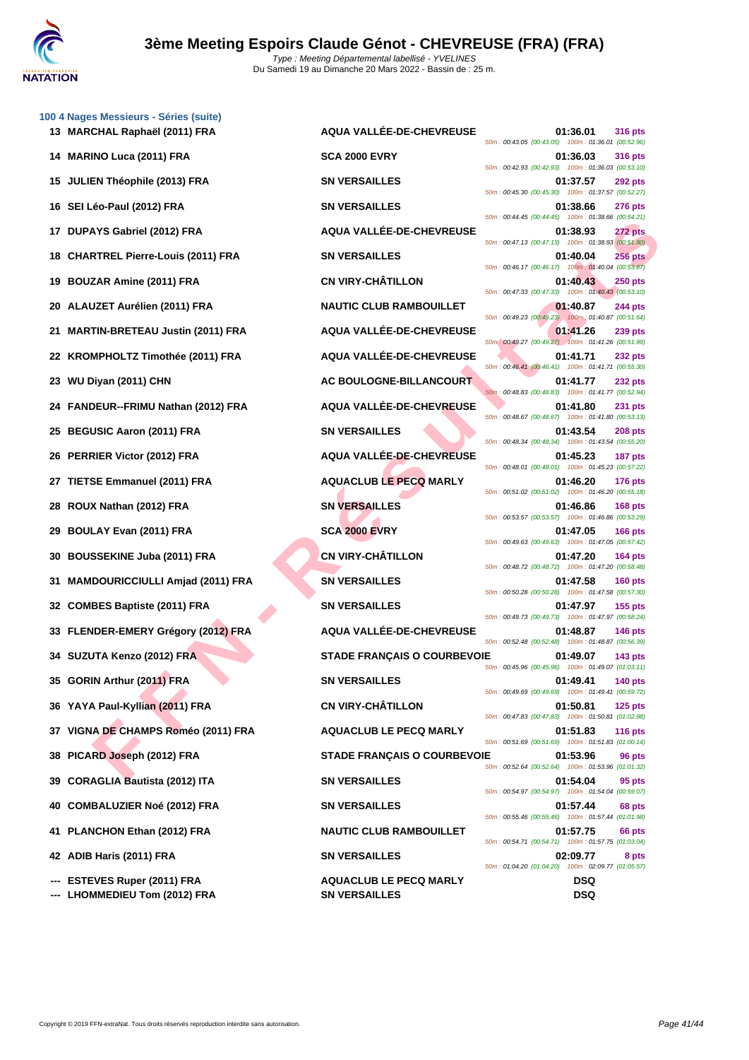

**[100 4 Nag](http://www.ffnatation.fr/webffn/index.php)es Messieurs - Séries (suite)**

| 13 MARCHAL Raphaël (2011) FRA                 | AQUA VALLÉE-DE-CHEVREUSE           | 01:36.01<br><b>316 pts</b><br>50m: 00:43.05 (00:43.05) 100m: 01:36.01 (00:52.96)   |
|-----------------------------------------------|------------------------------------|------------------------------------------------------------------------------------|
| <b>MARINO Luca (2011) FRA</b><br>14           | <b>SCA 2000 EVRY</b>               | 01:36.03<br><b>316 pts</b><br>50m: 00:42.93 (00:42.93) 100m: 01:36.03 (00:53.10)   |
| JULIEN Théophile (2013) FRA<br>15             | <b>SN VERSAILLES</b>               | 01:37.57<br><b>292 pts</b><br>50m: 00:45.30 (00:45.30) 100m: 01:37.57 (00:52.27)   |
| 16 SEI Léo-Paul (2012) FRA                    | <b>SN VERSAILLES</b>               | 01:38.66<br><b>276 pts</b><br>50m: 00:44.45 (00:44.45) 100m: 01:38.66 (00:54.21)   |
| 17 DUPAYS Gabriel (2012) FRA                  | AQUA VALLÉE-DE-CHEVREUSE           | 01:38.93<br>272 pts                                                                |
| <b>CHARTREL Pierre-Louis (2011) FRA</b><br>18 | <b>SN VERSAILLES</b>               | 50m: 00:47.13 (00:47.13) 100m: 01:38.93 (00:51.80)<br>01:40.04<br><b>256 pts</b>   |
| <b>BOUZAR Amine (2011) FRA</b><br>19          | <b>CN VIRY-CHÂTILLON</b>           | 50m: 00:46.17 (00:46.17) 100m: 01:40.04 (00:53.87)<br>01:40.43<br><b>250 pts</b>   |
| ALAUZET Aurélien (2011) FRA<br>20             | <b>NAUTIC CLUB RAMBOUILLET</b>     | 50m: 00:47.33 (00:47.33) 100m: 01:40.43 (00:53.10)<br>01:40.87<br><b>244 pts</b>   |
| <b>MARTIN-BRETEAU Justin (2011) FRA</b><br>21 | AQUA VALLÉE-DE-CHEVREUSE           | 50m: 00:49.23 (00:49.23) 100m: 01:40.87 (00:51.64)<br>01:41.26<br><b>239 pts</b>   |
| 22 KROMPHOLTZ Timothée (2011) FRA             | AQUA VALLÉE-DE-CHEVREUSE           | 50m : 00:49.27 (00:49.27) 100m : 01:41.26 (00:51.99)<br>01:41.71<br><b>232 pts</b> |
| WU Diyan (2011) CHN<br>23                     | AC BOULOGNE-BILLANCOURT            | 50m: 00:46.41 (00:46.41) 100m: 01:41.71 (00:55.30)<br>01:41.77<br><b>232 pts</b>   |
| 24 FANDEUR--FRIMU Nathan (2012) FRA           | AQUA VALLÉE-DE-CHEVREUSE           | 50m: 00:48.83 (00:48.83) 100m: 01:41.77 (00:52.94)<br>01:41.80<br><b>231 pts</b>   |
| <b>BEGUSIC Aaron (2011) FRA</b><br>25         | <b>SN VERSAILLES</b>               | 50m: 00:48.67 (00:48.67) 100m: 01:41.80 (00:53.13)<br>01:43.54<br><b>208 pts</b>   |
| 26 PERRIER Victor (2012) FRA                  | AQUA VALLÉE-DE-CHEVREUSE           | 50m: 00:48.34 (00:48.34) 100m: 01:43.54 (00:55.20)<br>01:45.23<br>187 pts          |
| <b>TIETSE Emmanuel (2011) FRA</b><br>27       | <b>AQUACLUB LE PECQ MARLY</b>      | 50m: 00:48.01 (00:48.01) 100m: 01:45.23 (00:57.22)<br>01:46.20<br><b>176 pts</b>   |
| ROUX Nathan (2012) FRA<br>28                  | <b>SN VERSAILLES</b>               | 50m: 00:51.02 (00:51.02) 100m: 01:46.20 (00:55.18)<br>01:46.86<br><b>168 pts</b>   |
| <b>BOULAY Evan (2011) FRA</b><br>29           | <b>SCA 2000 EVRY</b>               | 50m: 00:53.57 (00:53.57) 100m: 01:46.86 (00:53.29)<br>01:47.05<br><b>166 pts</b>   |
| <b>BOUSSEKINE Juba (2011) FRA</b><br>30       | <b>CN VIRY-CHÂTILLON</b>           | 50m: 00:49.63 (00:49.63) 100m: 01:47.05 (00:57.42)<br>01:47.20<br><b>164 pts</b>   |
| <b>MAMDOURICCIULLI Amjad (2011) FRA</b><br>31 | <b>SN VERSAILLES</b>               | 50m: 00:48.72 (00:48.72) 100m: 01:47.20 (00:58.48)<br>01:47.58<br>$160$ pts        |
| 32 COMBES Baptiste (2011) FRA                 | <b>SN VERSAILLES</b>               | 50m: 00:50.28 (00:50.28) 100m: 01:47.58 (00:57.30)<br>01:47.97<br>$155$ pts        |
| 33 FLENDER-EMERY Grégory (2012) FRA           | AQUA VALLÉE-DE-CHEVREUSE           | 50m: 00:49.73 (00:49.73) 100m: 01:47.97 (00:58.24)<br>01:48.87<br><b>146 pts</b>   |
| 34 SUZUTA Kenzo (2012) FRA                    | <b>STADE FRANÇAIS O COURBEVOIE</b> | 50m: 00:52.48 (00:52.48) 100m: 01:48.87 (00:56.39)<br>01:49.07<br><b>143 pts</b>   |
| 35 GORIN Arthur (2011) FRA                    | <b>SN VERSAILLES</b>               | 50m: 00:45.96 (00:45.96) 100m: 01:49.07 (01:03.11)<br>01:49.41<br><b>140 pts</b>   |
| 36 YAYA Paul-Kyllian (2011) FRA               | <b>CN VIRY-CHÂTILLON</b>           | 50m: 00:49.69 (00:49.69) 100m: 01:49.41 (00:59.72)<br>01:50.81<br>$125$ pts        |
| VIGNA DE CHAMPS Roméo (2011) FRA<br>37        | <b>AQUACLUB LE PECQ MARLY</b>      | 50m: 00:47.83 (00:47.83) 100m: 01:50.81 (01:02.98)<br>01:51.83<br><b>116 pts</b>   |
| PICARD Joseph (2012) FRA<br>38                | <b>STADE FRANÇAIS O COURBEVOIE</b> | 50m: 00:51.69 (00:51.69) 100m: 01:51.83 (01:00.14)<br>01:53.96<br>96 pts           |
| <b>CORAGLIA Bautista (2012) ITA</b><br>39     | <b>SN VERSAILLES</b>               | 50m: 00:52.64 (00:52.64) 100m: 01:53.96 (01:01.32)<br>01:54.04<br>95 pts           |
| <b>COMBALUZIER Noé (2012) FRA</b><br>40       | <b>SN VERSAILLES</b>               | 50m: 00:54.97 (00:54.97) 100m: 01:54.04 (00:59.07)<br>01:57.44<br>68 pts           |
| PLANCHON Ethan (2012) FRA<br>41               | <b>NAUTIC CLUB RAMBOUILLET</b>     | 50m: 00:55.46 (00:55.46) 100m: 01:57.44 (01:01.98)<br>01:57.75<br>66 pts           |
| 42 ADIB Haris (2011) FRA                      | <b>SN VERSAILLES</b>               | 50m: 00:54.71 (00:54.71) 100m: 01:57.75 (01:03.04)<br>02:09.77<br>8 pts            |
| --- ESTEVES Ruper (2011) FRA                  | <b>AQUACLUB LE PECQ MARLY</b>      | 50m: 01:04.20 (01:04.20) 100m: 02:09.77 (01:05.57)<br>DSQ                          |

**--- LHOMMEDIEU Tom (2012) FRA SN VERSAILLES DSQ**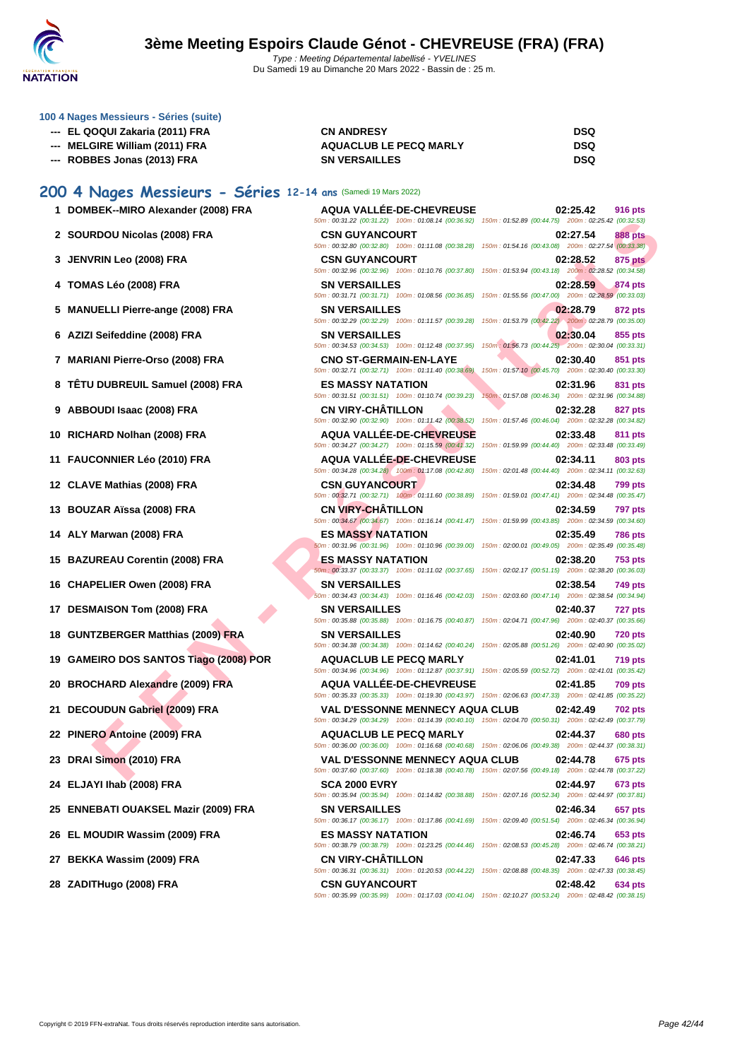

### **[100 4 Nag](http://www.ffnatation.fr/webffn/index.php)es Messieurs - Séries (suite)**

| --- EL QOQUI Zakaria (2011) FRA | <b>CN ANDRESY</b>             | <b>DSQ</b> |
|---------------------------------|-------------------------------|------------|
| --- MELGIRE William (2011) FRA  | <b>AQUACLUB LE PECQ MARLY</b> | DSQ        |
| --- ROBBES Jonas (2013) FRA     | <b>SN VERSAILLES</b>          | <b>DSQ</b> |

### **200 4 Nages Messieurs - Séries 12-14 ans** (Samedi 19 Mars 2022)

|  | 1 DOMBEK--MIRO Alexander (2008) FRA |  |  |  |
|--|-------------------------------------|--|--|--|
|--|-------------------------------------|--|--|--|

- **2 SOURDOU Nicolas (2008) FRA BuyANCOURT BUYERS**
- **3 JENVRIN Leo (2008) FRA CSN GUYANCOURT 02:28.52 875 pts**
- **4 TOMAS Léo (2008) FRA**  $\frac{5}{5}$
- **5** MANUELLI Pierre-ange (2008) FRA
- **6** AZIZI Seifeddine (2008) FRA
- **7 MARIANI Pierre-Orso (2008) FRA**
- **8 TÊTU DUBREUIL Samuel (2008) FRA**
- **9 ABBOUDI Isaac (2008) FRA**
- **10** RICHARD Nolhan (2008) FRA
- **11 FAUCONNIER Léo (2010) FRA**
- **12 CLAVE Mathias (2008) FRA**
- **13 BOUZAR Aïssa (2008) FRA**
- **14 ALY Marwan (2008) FRA ES MASSY NATATION 02:35.49 786 pts**
- **15 BAZUREAU Corentin (2008) FRA**
- **16 CHAPELIER Owen (2008) FRA**
- **17 DESMAISON Tom (2008) FRA SN VERSAILLES 02:40.37**
- **18 GUNTZBERGER Matthias (2009) FRA**
- **19 GAMEIRO DOS SANTOS Tiago (2008) POR**
- **20 BROCHARD Alexandre (2009) FRA**
- **21 DECOUDUN Gabriel (2009) FRA**
- **22 PINERO Antoine (2009) FRA**
- **23 DRAI Simon (2010) FRA**
- **24 ELJAYI Ihab (2008) FRA SCA 2000 EVRY 02:44.97 673 pts**
- **25 ENNEBATI OUAKSEL Mazir (2009) FRA**
- **26 EL MOUDIR Wassim (2009) FRA**
- **27 BEKKA Wassim (2009) FRA CN VIRY-CHÂTILLON 02:47.33 646 pts**
- **28 ZADITHugo (2008) FRA CSN GUYANCOURT 02:48.42 634 pts**

| 1 DOMBEK--MIRO Alexander (2008) FRA   | <b>AQUA VALLÉE-DE-CHEVREUSE</b><br>50m: 00:31.22 (00:31.22) 100m: 01:08.14 (00:36.92) 150m: 01:52.89 (00:44.75) 200m: 02:25.42 (00:32.53)            | 02:25.42<br><b>916 pts</b>                                                   |
|---------------------------------------|------------------------------------------------------------------------------------------------------------------------------------------------------|------------------------------------------------------------------------------|
| 2 SOURDOU Nicolas (2008) FRA          | <b>CSN GUYANCOURT</b><br>50m : 00:32.80 (00:32.80) 100m : 01:11.08 (00:38.28) 150m : 01:54.16 (00:43.08) 200m : 02:27.54 (00:33.38)                  | 02:27.54<br>888 pts                                                          |
| 3 JENVRIN Leo (2008) FRA              | <b>CSN GUYANCOURT</b><br>50m: 00:32.96 (00:32.96) 100m: 01:10.76 (00:37.80) 150m: 01:53.94 (00:43.18) 200m: 02:28.52 (00:34.58)                      | 02:28.52<br>875 pts                                                          |
| 4   TOMAS Léo (2008) FRA              | <b>SN VERSAILLES</b><br>50m: 00:31.71 (00:31.71) 100m: 01:08.56 (00:36.85) 150m: 01:55.56 (00:47.00) 200m: 02:28.59 (00:33.03)                       | 02:28.59<br>874 pts                                                          |
| 5 MANUELLI Pierre-ange (2008) FRA     | <b>SN VERSAILLES</b><br>50m: 00:32.29 (00:32.29) 100m: 01:11.57 (00:39.28) 150m: 01:53.79 (00:42.22) 200m: 02:28.79 (00:35.00)                       | 02:28.79<br>872 pts                                                          |
| 6   AZIZI Seifeddine (2008) FRA       | <b>SN VERSAILLES</b><br>50m: 00:34.53 (00:34.53) 100m: 01:12.48 (00:37.95)                                                                           | 02:30.04<br>855 pts<br>150m : 01:56.73 (00:44.25) 200m : 02:30.04 (00:33.31) |
| 7 MARIANI Pierre-Orso (2008) FRA      | <b>CNO ST-GERMAIN-EN-LAYE</b><br>50m: 00:32.71 (00:32.71) 100m: 01:11.40 (00:38.69)                                                                  | 02:30.40<br>851 pts<br>150m: 01:57.10 (00:45.70) 200m: 02:30.40 (00:33.30)   |
| 8 TËTU DUBREUIL Samuel (2008) FRA     | <b>ES MASSY NATATION</b><br>50m: 00:31.51 (00:31.51) 100m: 01:10.74 (00:39.23)                                                                       | 02:31.96<br>831 pts<br>150m: 01:57.08 (00:46.34) 200m: 02:31.96 (00:34.88)   |
| 9   ABBOUDI Isaac (2008) FRA          | <b>CN VIRY-CHATILLON</b><br>50m : 00:32.90 (00:32.90) 100m : 01:11.42 (00:38.52) 150m : 01:57.46 (00:46.04) 200m : 02:32.28 (00:34.82)               | 02:32.28<br>827 pts                                                          |
| 0 RICHARD Nolhan (2008) FRA           | <b>AQUA VALLEE-DE-CHEVREUSE</b><br>50m: 00:34.27 (00:34.27) 100m: 01:15.59 (00:41.32) 150m: 01:59.99 (00:44.40) 200m: 02:33.48 (00:33.49)            | 02:33.48<br>811 pts                                                          |
| 1 FAUCONNIER Léo (2010) FRA           | <b>AQUA VALLÉE-DE-CHEVREUSE</b><br>50m: 00:34.28 (00:34.28) 100m: 01:17.08 (00:42.80) 150m: 02:01.48 (00:44.40) 200m: 02:34.11 (00:32.63)            | 02:34.11<br>803 pts                                                          |
| 2 CLAVE Mathias (2008) FRA            | <b>CSN GUYANCOURT</b><br>50m : 00:32.71 (00:32.71) 100m : 01:11.60 (00:38.89) 150m : 01:59.01 (00:47.41) 200m : 02:34.48 (00:35.47)                  | 02:34.48<br>799 pts                                                          |
| 3   BOUZAR Aïssa (2008) FRA           | <b>CN VIRY-CHATILLON</b><br>50m: 00:34.67 (00:34.67) 100m: 01:16.14 (00:41.47) 150m: 01:59.99 (00:43.85) 200m: 02:34.59 (00:34.60)                   | 02:34.59<br>797 pts                                                          |
| 4   ALY Marwan (2008) FRA             | <b>ES MASSY NATATION</b><br>50m: 00:31.96 (00:31.96) 100m: 01:10.96 (00:39.00) 150m: 02:00.01 (00:49.05) 200m: 02:35.49 (00:35.48)                   | 02:35.49<br><b>786 pts</b>                                                   |
| 5 BAZUREAU Corentin (2008) FRA        | ES MASSY NATATION<br>50m: 00:33.37 (00:33.37) 100m: 01:11.02 (00:37.65) 150m: 02:02.17 (00:51.15) 200m: 02:38.20 (00:36.03)                          | 02:38.20<br>753 pts                                                          |
| 6 CHAPELIER Owen (2008) FRA           | <b>SN VERSAILLES</b><br>50m: 00:34.43 (00:34.43) 100m: 01:16.46 (00:42.03) 150m: 02:03.60 (00:47.14) 200m: 02:38.54 (00:34.94)                       | 02:38.54<br>749 pts                                                          |
| 7 DESMAISON Tom (2008) FRA            | <b>SN VERSAILLES</b><br>50m : 00:35.88 (00:35.88) 100m : 01:16.75 (00:40.87) 150m : 02:04.71 (00:47.96) 200m : 02:40.37 (00:35.66)                   | 02:40.37<br>727 pts                                                          |
| 8 GUNTZBERGER Matthias (2009) FRA     | <b>SN VERSAILLES</b><br>50m: 00:34.38 (00:34.38) 100m: 01:14.62 (00:40.24) 150m: 02:05.88 (00:51.26) 200m: 02:40.90 (00:35.02)                       | 02:40.90<br><b>720 pts</b>                                                   |
| 9 GAMEIRO DOS SANTOS Tiago (2008) POR | <b>AQUACLUB LE PECQ MARLY</b><br>50m: 00:34.96 (00:34.96) 100m: 01:12.87 (00:37.91) 150m: 02:05.59 (00:52.72) 200m: 02:41.01 (00:35.42)              | 02:41.01<br><b>719 pts</b>                                                   |
| 0 BROCHARD Alexandre (2009) FRA       | <b>AQUA VALLÉE-DE-CHEVREUSE</b><br>50m: 00:35.33 (00:35.33) 100m: 01:19.30 (00:43.97) 150m: 02:06.63 (00:47.33) 200m: 02:41.85 (00:35.22)            | 02:41.85<br><b>709 pts</b>                                                   |
| 1 DECOUDUN Gabriel (2009) FRA         | <b>VAL D'ESSONNE MENNECY AQUA CLUB</b><br>50m : 00:34.29 (00:34.29) 100m : 01:14.39 (00:40.10) 150m : 02:04.70 (00:50.31) 200m : 02:42.49 (00:37.79) | 02:42.49<br><b>702 pts</b>                                                   |
| 2 PINERO Antoine (2009) FRA           | <b>AQUACLUB LE PECQ MARLY</b><br>50m : 00:36.00 (00:36.00) 100m : 01:16.68 (00:40.68) 150m : 02:06.06 (00:49.38) 200m : 02:44.37 (00:38.31)          | 02:44.37<br><b>680 pts</b>                                                   |
| 3 DRAI Simon (2010) FRA               | VAL D'ESSONNE MENNECY AQUA CLUB<br>50m : 00:37.60 (00:37.60) 100m : 01:18.38 (00:40.78) 150m : 02:07.56 (00:49.18) 200m : 02:44.78 (00:37.22)        | 02:44.78<br><b>675 pts</b>                                                   |
| 4 ELJAYI Ihab (2008) FRA              | <b>SCA 2000 EVRY</b><br>50m: 00:35.94 (00:35.94) 100m: 01:14.82 (00:38.88) 150m: 02:07.16 (00:52.34) 200m: 02:44.97 (00:37.81)                       | 02:44.97<br>673 pts                                                          |
| 5 ENNEBATI OUAKSEL Mazir (2009) FRA   | <b>SN VERSAILLES</b><br>50m : 00:36.17 (00:36.17) 100m : 01:17.86 (00:41.69) 150m : 02:09.40 (00:51.54) 200m : 02:46.34 (00:36.94)                   | 02:46.34<br>657 pts                                                          |
| 6 EL MOUDIR Wassim (2009) FRA         | <b>ES MASSY NATATION</b><br>50m : 00:38.79 (00:38.79) 100m : 01:23.25 (00:44.46) 150m : 02:08.53 (00:45.28) 200m : 02:46.74 (00:38.21)               | 02:46.74<br>653 pts                                                          |
| 7   BEKKA Wassim (2009) FRA           | <b>CN VIRY-CHÂTILLON</b><br>50m: 00:36.31 (00:36.31) 100m: 01:20.53 (00:44.22) 150m: 02:08.88 (00:48.35) 200m: 02:47.33 (00:38.45)                   | 02:47.33<br>646 pts                                                          |
| 8 ZADITHugo (2008) FRA                | <b>CSN GUYANCOURT</b><br>50m: 00:35.99 (00:35.99) 100m: 01:17.03 (00:41.04) 150m: 02:10.27 (00:53.24) 200m: 02:48.42 (00:38.15)                      | 02:48.42<br>634 pts                                                          |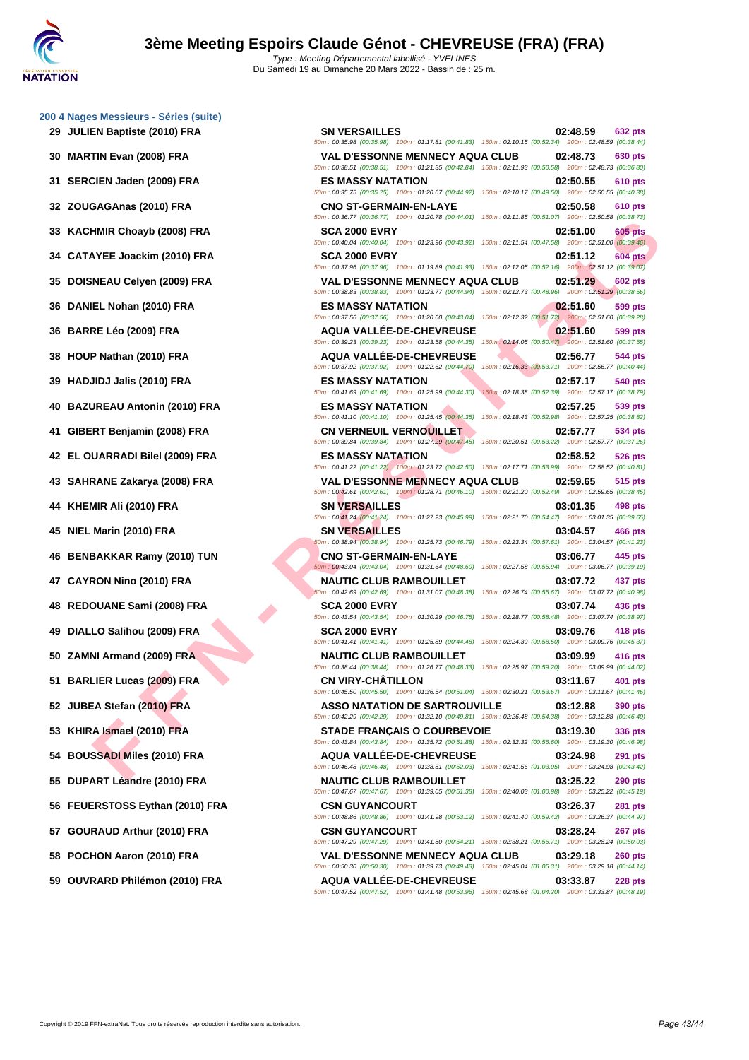|    | 200 4 Nages Messieurs - Séries (suite)<br>29 JULIEN Baptiste (2010) FRA |
|----|-------------------------------------------------------------------------|
| 30 | <b>MARTIN Evan (2008) FRA</b>                                           |
| 31 | SERCIEN Jaden (2009) FRA                                                |
|    | 32 ZOUGAGAnas (2010) FRA                                                |
| 33 | <b>KACHMIR Choayb (2008) FRA</b>                                        |
|    | 34 CATAYEE Joackim (2010) FRA                                           |
| 35 | DOISNEAU Celyen (2009) FRA                                              |
| 36 | DANIEL Nohan (2010) FRA                                                 |
| 36 | <b>BARRE Léo (2009) FRA</b>                                             |
| 38 | HOUP Nathan (2010) FRA                                                  |
| 39 | <b>HADJIDJ Jalis (2010) FRA</b>                                         |
| 40 | <b>BAZUREAU Antonin (2010) FRA</b>                                      |
| 41 | GIBERT Benjamin (2008) FRA                                              |
|    | 42 EL OUARRADI Bilel (2009) FRA                                         |
| 43 | SAHRANE Zakarya (2008) FRA                                              |
|    | 44 KHEMIR Ali (2010) FRA                                                |
| 45 | NIEL Marin (2010) FRA                                                   |
| 46 | <b>BENBAKKAR Ramy (2010) TUN</b>                                        |
|    | 47 CAYRON Nino (2010) FRA                                               |
| 48 | REDOUANE Sami (2008) FRA                                                |
| 49 | DIALLO Salihou (2009) FRA                                               |
|    | 50 ZAMNI Armand (2009) FRA                                              |
|    | 51 BARLIER Lucas (2009) FRA                                             |
|    | 52 JUBEA Stefan (2010) FRA                                              |
| 53 | KHIRA Ismael (2010) FRA                                                 |
|    | 54 BOUSSADI Miles (2010) FRA                                            |
|    | 55 DUPART Léandre (2010) FRA                                            |
| 56 | FEUERSTOSS Eythan (2010) FRA                                            |
|    | 57 GOURAUD Arthur (2010) FRA                                            |
|    | 58 POCHON Aaron (2010) FRA                                              |
| 59 | OUVRARD Philémon (2010) FRA                                             |

| 29 JULIEN Baptiste (2010) FRA     | <b>SN VERSAILLES</b><br>50m: 00:35.98 (00:35.98) 100m: 01:17.81 (00:41.83) 150m: 02:10.15 (00:52.34) 200m: 02:48.59 (00:38.44)                                                                                                                          | 02:48.59                                                        | 632 pts        |
|-----------------------------------|---------------------------------------------------------------------------------------------------------------------------------------------------------------------------------------------------------------------------------------------------------|-----------------------------------------------------------------|----------------|
| 30 MARTIN Evan (2008) FRA         | <b>VAL D'ESSONNE MENNECY AQUA CLUB</b><br>50m: 00:38.51 (00:38.51) 100m: 01:21.35 (00:42.84) 150m: 02:11.93 (00:50.58) 200m: 02:48.73 (00:36.80)                                                                                                        | 02:48.73                                                        | 630 pts        |
| 31 SERCIEN Jaden (2009) FRA       | <b>ES MASSY NATATION</b><br>50m : 00:35.75 (00:35.75) 100m : 01:20.67 (00:44.92) 150m : 02:10.17 (00:49.50) 200m : 02:50.55 (00:40.38)                                                                                                                  | 02:50.55                                                        | 610 pts        |
| 32 ZOUGAGAnas (2010) FRA          | <b>CNO ST-GERMAIN-EN-LAYE</b><br>50m: 00:36.77 (00:36.77) 100m: 01:20.78 (00:44.01) 150m: 02:11.85 (00:51.07) 200m: 02:50.58 (00:38.73)                                                                                                                 | 02:50.58                                                        | 610 pts        |
| 33 KACHMIR Choayb (2008) FRA      | <b>SCA 2000 EVRY</b><br>50m : 00:40.04 (00:40.04) 100m : 01:23.96 (00:43.92) 150m : 02:11.54 (00:47.58) 200m : 02:51.00 (00:39.46)                                                                                                                      | 02:51.00                                                        | <b>605 pts</b> |
| 34 CATAYEE Joackim (2010) FRA     | <b>SCA 2000 EVRY</b>                                                                                                                                                                                                                                    | 02:51.12                                                        | <b>604 pts</b> |
| 35 DOISNEAU Celyen (2009) FRA     | 50m : 00:37.96 (00:37.96) 100m : 01:19.89 (00:41.93) 150m : 02:12.05 (00:52.16) 200m : 02:51.12 (00:39.07)<br><b>VAL D'ESSONNE MENNECY AQUA CLUB</b>                                                                                                    | 02:51.29                                                        | <b>602 pts</b> |
| 36 DANIEL Nohan (2010) FRA        | 50m: 00:38.83 (00:38.83) 100m: 01:23.77 (00:44.94) 150m: 02:12.73 (00:48.96) 200m: 02:51.29 (00:38.56)<br><b>ES MASSY NATATION</b>                                                                                                                      | 02:51.60                                                        | 599 pts        |
| 36 BARRE Léo (2009) FRA           | 50m: 00:37.56 (00:37.56) 100m: 01:20.60 (00:43.04) 150m: 02:12.32 (00:51.72) 200m: 02:51.60 (00:39.28)<br><b>AQUA VALLEE-DE-CHEVREUSE</b>                                                                                                               | 02:51.60                                                        | 599 pts        |
| 38 HOUP Nathan (2010) FRA         | 50m: 00:39.23 (00:39.23) 100m: 01:23.58 (00:44.35) 150m: 02:14.05 (00:50.47) 200m: 02:51.60 (00:37.55)<br><b>AQUA VALLEE-DE-CHEVREUSE</b>                                                                                                               | 02:56.77                                                        | 544 pts        |
| 39   HADJIDJ Jalis (2010) FRA     | 50m : 00:37.92 (00:37.92) 100m : 01:22.62 (00:44.70) 150m : 02:16.33 (00:53.71) 200m : 02:56.77 (00:40.44)<br><b>ES MASSY NATATION</b>                                                                                                                  | 02:57.17                                                        | 540 pts        |
| 40 BAZUREAU Antonin (2010) FRA    | 50m: 00:41.69 (00:41.69) 100m: 01:25.99 (00:44.30)<br><b>ES MASSY NATATION</b>                                                                                                                                                                          | 150m: 02:18.38 (00:52.39) 200m: 02:57.17 (00:38.79)<br>02:57.25 | 539 pts        |
| 41   GIBERT Benjamin (2008) FRA   | 50m : 00:41.10 (00:41.10) 100m : 01:25.45 (00:44.35) 150m : 02:18.43 (00:52.98) 200m : 02:57.25 (00:38.82)<br>CN VERNEUIL VERNOUILLET                                                                                                                   | 02:57.77                                                        | 534 pts        |
| 42   EL OUARRADI Bilel (2009) FRA | 50m: 00:39.84 (00:39.84) 100m: 01:27.29 (00:47.45) 150m: 02:20.51 (00:53.22) 200m: 02:57.77 (00:37.26)<br><b>ES MASSY NATATION</b>                                                                                                                      | 02:58.52                                                        | <b>526 pts</b> |
| 43 SAHRANE Zakarya (2008) FRA     | 50m : 00:41.22 (00:41.22) 100m : 01:23.72 (00:42.50) 150m : 02:17.71 (00:53.99) 200m : 02:58.52 (00:40.81)<br><b>VAL D'ESSONNE MENNECY AQUA CLUB</b>                                                                                                    | 02:59.65                                                        | 515 pts        |
| 44   KHEMIR Ali (2010) FRA        | 50m : 00:42.61 (00:42.61) 100m : 01:28.71 (00:46.10) 150m : 02:21.20 (00:52.49) 200m : 02:59.65 (00:38.45)<br><b>SN VERSAILLES</b>                                                                                                                      | 03:01.35                                                        | 498 pts        |
| 45 NIEL Marin (2010) FRA          | 50m: 00:41.24 (00:41.24) 100m: 01:27.23 (00:45.99) 150m: 02:21.70 (00:54.47) 200m: 03:01.35 (00:39.65)<br><b>SN VERSAILLES</b>                                                                                                                          | 03:04.57                                                        | 466 pts        |
| 46 BENBAKKAR Ramy (2010) TUN      | 50m: 00:38.94 (00:38.94) 100m: 01:25.73 (00:46.79)<br><b>CNO ST-GERMAIN-EN-LAYE</b>                                                                                                                                                                     | 150m: 02:23.34 (00:57.61) 200m: 03:04.57 (00:41.23)<br>03:06.77 | 445 pts        |
| 47 CAYRON Nino (2010) FRA         | 50m: 00:43.04 (00:43.04) 100m: 01:31.64 (00:48.60) 150m: 02:27.58 (00:55.94) 200m: 03:06.77 (00:39.19)<br><b>NAUTIC CLUB RAMBOUILLET</b>                                                                                                                | 03:07.72                                                        |                |
|                                   | 50m : 00:42.69 (00:42.69) 100m : 01:31.07 (00:48.38) 150m : 02:26.74 (00:55.67) 200m : 03:07.72 (00:40.98)                                                                                                                                              |                                                                 | 437 pts        |
| 48 REDOUANE Sami (2008) FRA       | <b>SCA 2000 EVRY</b><br>50m: 00:43.54 (00:43.54) 100m: 01:30.29 (00:46.75) 150m: 02:28.77 (00:58.48) 200m: 03:07.74 (00:38.97)                                                                                                                          | 03:07.74                                                        | 436 pts        |
| 49 DIALLO Salihou (2009) FRA      | <b>SCA 2000 EVRY</b><br>50m : 00:41.41 (00:41.41) 100m : 01:25.89 (00:44.48) 150m : 02:24.39 (00:58.50) 200m : 03:09.76 (00:45.37)                                                                                                                      | 03:09.76                                                        | 418 pts        |
| 50 ZAMNI Armand (2009) FRA        | <b>NAUTIC CLUB RAMBOUILLET</b><br>50m : 00:38.44 (00:38.44) 100m : 01:26.77 (00:48.33) 150m : 02:25.97 (00:59.20) 200m : 03:09.99 (00:44.02)                                                                                                            | 03:09.99                                                        | 416 pts        |
| 51 BARLIER Lucas (2009) FRA       | <b>CN VIRY-CHÂTILLON</b><br>50m : 00:45.50 (00:45.50) 100m : 01:36.54 (00:51.04) 150m : 02:30.21 (00:53.67) 200m : 03:11.67 (00:41.46)                                                                                                                  | 03:11.67                                                        | 401 pts        |
| 52 JUBEA Stefan (2010) FRA        | <b>ASSO NATATION DE SARTROUVILLE</b><br>50m: 00:42.29 (00:42.29) 100m: 01:32.10 (00:49.81) 150m: 02:26.48 (00:54.38) 200m: 03:12.88 (00:46.40)                                                                                                          | 03:12.88                                                        | 390 pts        |
| 53 KHIRA Ismael (2010) FRA        | <b>STADE FRANÇAIS O COURBEVOIE</b><br>50m: 00:43.84 (00:43.84) 100m: 01:35.72 (00:51.88) 150m: 02:32.32 (00:56.60) 200m: 03:19.30 (00:46.98)                                                                                                            | 03:19.30                                                        | 336 pts        |
| 54 BOUSSADI Miles (2010) FRA      | <b>AQUA VALLÉE-DE-CHEVREUSE</b><br>50m : 00:46.48 (00:46.48) 100m : 01:38.51 (00:52.03) 150m : 02:41.56 (01:03.05) 200m : 03:24.98 (00:43.42)                                                                                                           | 03:24.98                                                        | <b>291 pts</b> |
| 55 DUPART Léandre (2010) FRA      | <b>NAUTIC CLUB RAMBOUILLET</b>                                                                                                                                                                                                                          | 03:25.22                                                        | <b>290 pts</b> |
| 56 FEUERSTOSS Eythan (2010) FRA   | 50m: 00:47.67 (00:47.67) 100m: 01:39.05 (00:51.38) 150m: 02:40.03 (01:00.98) 200m: 03:25.22 (00:45.19)<br><b>CSN GUYANCOURT</b>                                                                                                                         | 03:26.37                                                        | <b>281 pts</b> |
| 57 GOURAUD Arthur (2010) FRA      | 50m : 00:48.86 (00:48.86) 100m : 01:41.98 (00:53.12) 150m : 02:41.40 (00:59.42) 200m : 03:26.37 (00:44.97)<br><b>CSN GUYANCOURT</b>                                                                                                                     | 03:28.24                                                        | 267 pts        |
| 58 POCHON Aaron (2010) FRA        | 50m: 00:47.29 (00:47.29) 100m: 01:41.50 (00:54.21) 150m: 02:38.21 (00:56.71) 200m: 03:28.24 (00:50.03)<br><b>VAL D'ESSONNE MENNECY AQUA CLUB</b>                                                                                                        | 03:29.18                                                        | <b>260 pts</b> |
| 59 OUVRARD Philémon (2010) FRA    | 50m: 00:50.30 (00:50.30) 100m: 01:39.73 (00:49.43) 150m: 02:45.04 (01:05.31) 200m: 03:29.18 (00:44.14)<br><b>AQUA VALLEE-DE-CHEVREUSE</b><br>50m : 00:47.52 (00:47.52) 100m : 01:41.48 (00:53.96) 150m : 02:45.68 (01:04.20) 200m : 03:33.87 (00:48.19) | 03:33.87                                                        | <b>228 pts</b> |